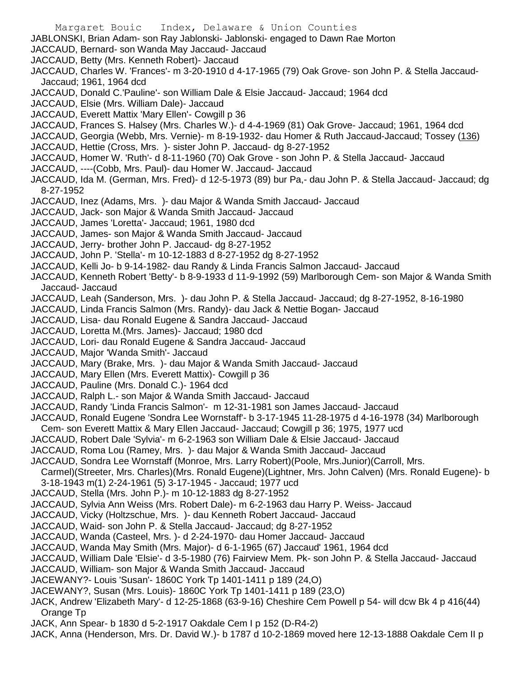Margaret Bouic Index, Delaware & Union Counties JABLONSKI, Brian Adam- son Ray Jablonski- Jablonski- engaged to Dawn Rae Morton JACCAUD, Bernard- son Wanda May Jaccaud- Jaccaud JACCAUD, Betty (Mrs. Kenneth Robert)- Jaccaud JACCAUD, Charles W. 'Frances'- m 3-20-1910 d 4-17-1965 (79) Oak Grove- son John P. & Stella Jaccaud-Jaccaud; 1961, 1964 dcd JACCAUD, Donald C.'Pauline'- son William Dale & Elsie Jaccaud- Jaccaud; 1964 dcd JACCAUD, Elsie (Mrs. William Dale)- Jaccaud JACCAUD, Everett Mattix 'Mary Ellen'- Cowgill p 36 JACCAUD, Frances S. Halsey (Mrs. Charles W.)- d 4-4-1969 (81) Oak Grove- Jaccaud; 1961, 1964 dcd JACCAUD, Georgia (Webb, Mrs. Vernie)- m 8-19-1932- dau Homer & Ruth Jaccaud-Jaccaud; Tossey (136) JACCAUD, Hettie (Cross, Mrs. )- sister John P. Jaccaud- dg 8-27-1952 JACCAUD, Homer W. 'Ruth'- d 8-11-1960 (70) Oak Grove - son John P. & Stella Jaccaud- Jaccaud JACCAUD, ----(Cobb, Mrs. Paul)- dau Homer W. Jaccaud- Jaccaud JACCAUD, Ida M. (German, Mrs. Fred)- d 12-5-1973 (89) bur Pa,- dau John P. & Stella Jaccaud- Jaccaud; dg 8-27-1952 JACCAUD, Inez (Adams, Mrs. )- dau Major & Wanda Smith Jaccaud- Jaccaud JACCAUD, Jack- son Major & Wanda Smith Jaccaud- Jaccaud JACCAUD, James 'Loretta'- Jaccaud; 1961, 1980 dcd JACCAUD, James- son Major & Wanda Smith Jaccaud- Jaccaud JACCAUD, Jerry- brother John P. Jaccaud- dg 8-27-1952 JACCAUD, John P. 'Stella'- m 10-12-1883 d 8-27-1952 dg 8-27-1952 JACCAUD, Kelli Jo- b 9-14-1982- dau Randy & Linda Francis Salmon Jaccaud- Jaccaud JACCAUD, Kenneth Robert 'Betty'- b 8-9-1933 d 11-9-1992 (59) Marlborough Cem- son Major & Wanda Smith Jaccaud- Jaccaud JACCAUD, Leah (Sanderson, Mrs. )- dau John P. & Stella Jaccaud- Jaccaud; dg 8-27-1952, 8-16-1980 JACCAUD, Linda Francis Salmon (Mrs. Randy)- dau Jack & Nettie Bogan- Jaccaud JACCAUD, Lisa- dau Ronald Eugene & Sandra Jaccaud- Jaccaud JACCAUD, Loretta M.(Mrs. James)- Jaccaud; 1980 dcd JACCAUD, Lori- dau Ronald Eugene & Sandra Jaccaud- Jaccaud JACCAUD, Major 'Wanda Smith'- Jaccaud JACCAUD, Mary (Brake, Mrs. )- dau Major & Wanda Smith Jaccaud- Jaccaud JACCAUD, Mary Ellen (Mrs. Everett Mattix)- Cowgill p 36 JACCAUD, Pauline (Mrs. Donald C.)- 1964 dcd JACCAUD, Ralph L.- son Major & Wanda Smith Jaccaud- Jaccaud JACCAUD, Randy 'Linda Francis Salmon'- m 12-31-1981 son James Jaccaud- Jaccaud JACCAUD, Ronald Eugene 'Sondra Lee Wornstaff'- b 3-17-1945 11-28-1975 d 4-16-1978 (34) Marlborough Cem- son Everett Mattix & Mary Ellen Jaccaud- Jaccaud; Cowgill p 36; 1975, 1977 ucd JACCAUD, Robert Dale 'Sylvia'- m 6-2-1963 son William Dale & Elsie Jaccaud- Jaccaud JACCAUD, Roma Lou (Ramey, Mrs. )- dau Major & Wanda Smith Jaccaud- Jaccaud JACCAUD, Sondra Lee Wornstaff (Monroe, Mrs. Larry Robert)(Poole, Mrs.Junior)(Carroll, Mrs. Carmel)(Streeter, Mrs. Charles)(Mrs. Ronald Eugene)(Lightner, Mrs. John Calven) (Mrs. Ronald Eugene)- b 3-18-1943 m(1) 2-24-1961 (5) 3-17-1945 - Jaccaud; 1977 ucd JACCAUD, Stella (Mrs. John P.)- m 10-12-1883 dg 8-27-1952 JACCAUD, Sylvia Ann Weiss (Mrs. Robert Dale)- m 6-2-1963 dau Harry P. Weiss- Jaccaud JACCAUD, Vicky (Holtzschue, Mrs. )- dau Kenneth Robert Jaccaud- Jaccaud JACCAUD, Waid- son John P. & Stella Jaccaud- Jaccaud; dg 8-27-1952 JACCAUD, Wanda (Casteel, Mrs. )- d 2-24-1970- dau Homer Jaccaud- Jaccaud JACCAUD, Wanda May Smith (Mrs. Major)- d 6-1-1965 (67) Jaccaud' 1961, 1964 dcd JACCAUD, William Dale 'Elsie'- d 3-5-1980 (76) Fairview Mem. Pk- son John P. & Stella Jaccaud- Jaccaud

- JACCAUD, William- son Major & Wanda Smith Jaccaud- Jaccaud
- JACEWANY?- Louis 'Susan'- 1860C York Tp 1401-1411 p 189 (24,O)
- JACEWANY?, Susan (Mrs. Louis)- 1860C York Tp 1401-1411 p 189 (23,O)
- JACK, Andrew 'Elizabeth Mary'- d 12-25-1868 (63-9-16) Cheshire Cem Powell p 54- will dcw Bk 4 p 416(44) Orange Tp
- JACK, Ann Spear- b 1830 d 5-2-1917 Oakdale Cem I p 152 (D-R4-2)

JACK, Anna (Henderson, Mrs. Dr. David W.)- b 1787 d 10-2-1869 moved here 12-13-1888 Oakdale Cem II p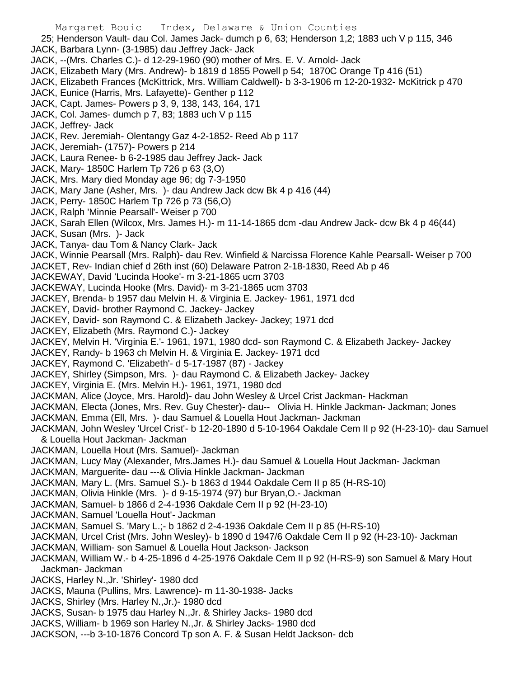Margaret Bouic Index, Delaware & Union Counties 25; Henderson Vault- dau Col. James Jack- dumch p 6, 63; Henderson 1,2; 1883 uch V p 115, 346 JACK, Barbara Lynn- (3-1985) dau Jeffrey Jack- Jack JACK, --(Mrs. Charles C.)- d 12-29-1960 (90) mother of Mrs. E. V. Arnold- Jack JACK, Elizabeth Mary (Mrs. Andrew)- b 1819 d 1855 Powell p 54; 1870C Orange Tp 416 (51) JACK, Elizabeth Frances (McKittrick, Mrs. William Caldwell)- b 3-3-1906 m 12-20-1932- McKitrick p 470 JACK, Eunice (Harris, Mrs. Lafayette)- Genther p 112 JACK, Capt. James- Powers p 3, 9, 138, 143, 164, 171 JACK, Col. James- dumch p 7, 83; 1883 uch V p 115 JACK, Jeffrey- Jack JACK, Rev. Jeremiah- Olentangy Gaz 4-2-1852- Reed Ab p 117 JACK, Jeremiah- (1757)- Powers p 214 JACK, Laura Renee- b 6-2-1985 dau Jeffrey Jack- Jack JACK, Mary- 1850C Harlem Tp 726 p 63 (3,O) JACK, Mrs. Mary died Monday age 96; dg 7-3-1950 JACK, Mary Jane (Asher, Mrs. )- dau Andrew Jack dcw Bk 4 p 416 (44) JACK, Perry- 1850C Harlem Tp 726 p 73 (56,O) JACK, Ralph 'Minnie Pearsall'- Weiser p 700 JACK, Sarah Ellen (Wilcox, Mrs. James H.)- m 11-14-1865 dcm -dau Andrew Jack- dcw Bk 4 p 46(44) JACK, Susan (Mrs. )- Jack JACK, Tanya- dau Tom & Nancy Clark- Jack JACK, Winnie Pearsall (Mrs. Ralph)- dau Rev. Winfield & Narcissa Florence Kahle Pearsall- Weiser p 700 JACKET, Rev- Indian chief d 26th inst (60) Delaware Patron 2-18-1830, Reed Ab p 46 JACKEWAY, David 'Lucinda Hooke'- m 3-21-1865 ucm 3703 JACKEWAY, Lucinda Hooke (Mrs. David)- m 3-21-1865 ucm 3703 JACKEY, Brenda- b 1957 dau Melvin H. & Virginia E. Jackey- 1961, 1971 dcd JACKEY, David- brother Raymond C. Jackey- Jackey JACKEY, David- son Raymond C. & Elizabeth Jackey- Jackey; 1971 dcd JACKEY, Elizabeth (Mrs. Raymond C.)- Jackey JACKEY, Melvin H. 'Virginia E.'- 1961, 1971, 1980 dcd- son Raymond C. & Elizabeth Jackey- Jackey JACKEY, Randy- b 1963 ch Melvin H. & Virginia E. Jackey- 1971 dcd JACKEY, Raymond C. 'Elizabeth'- d 5-17-1987 (87) - Jackey JACKEY, Shirley (Simpson, Mrs. )- dau Raymond C. & Elizabeth Jackey- Jackey JACKEY, Virginia E. (Mrs. Melvin H.)- 1961, 1971, 1980 dcd JACKMAN, Alice (Joyce, Mrs. Harold)- dau John Wesley & Urcel Crist Jackman- Hackman JACKMAN, Electa (Jones, Mrs. Rev. Guy Chester)- dau-- Olivia H. Hinkle Jackman- Jackman; Jones JACKMAN, Emma (Ell, Mrs. )- dau Samuel & Louella Hout Jackman- Jackman JACKMAN, John Wesley 'Urcel Crist'- b 12-20-1890 d 5-10-1964 Oakdale Cem II p 92 (H-23-10)- dau Samuel & Louella Hout Jackman- Jackman JACKMAN, Louella Hout (Mrs. Samuel)- Jackman JACKMAN, Lucy May (Alexander, Mrs.James H.)- dau Samuel & Louella Hout Jackman- Jackman JACKMAN, Marguerite- dau ---& Olivia Hinkle Jackman- Jackman JACKMAN, Mary L. (Mrs. Samuel S.)- b 1863 d 1944 Oakdale Cem II p 85 (H-RS-10) JACKMAN, Olivia Hinkle (Mrs. )- d 9-15-1974 (97) bur Bryan,O.- Jackman JACKMAN, Samuel- b 1866 d 2-4-1936 Oakdale Cem II p 92 (H-23-10) JACKMAN, Samuel 'Louella Hout'- Jackman JACKMAN, Samuel S. 'Mary L.;- b 1862 d 2-4-1936 Oakdale Cem II p 85 (H-RS-10) JACKMAN, Urcel Crist (Mrs. John Wesley)- b 1890 d 1947/6 Oakdale Cem II p 92 (H-23-10)- Jackman JACKMAN, William- son Samuel & Louella Hout Jackson- Jackson JACKMAN, William W.- b 4-25-1896 d 4-25-1976 Oakdale Cem II p 92 (H-RS-9) son Samuel & Mary Hout Jackman- Jackman

JACKS, Harley N.,Jr. 'Shirley'- 1980 dcd

- JACKS, Mauna (Pullins, Mrs. Lawrence)- m 11-30-1938- Jacks
- JACKS, Shirley (Mrs. Harley N.,Jr.)- 1980 dcd
- JACKS, Susan- b 1975 dau Harley N.,Jr. & Shirley Jacks- 1980 dcd
- JACKS, William- b 1969 son Harley N.,Jr. & Shirley Jacks- 1980 dcd
- JACKSON, ---b 3-10-1876 Concord Tp son A. F. & Susan Heldt Jackson- dcb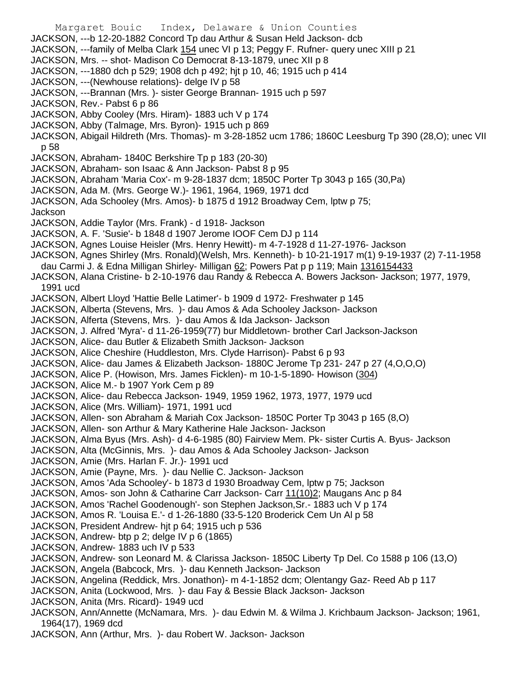Margaret Bouic Index, Delaware & Union Counties JACKSON, ---b 12-20-1882 Concord Tp dau Arthur & Susan Held Jackson- dcb JACKSON, ---family of Melba Clark 154 unec VI p 13; Peggy F. Rufner- query unec XIII p 21 JACKSON, Mrs. -- shot- Madison Co Democrat 8-13-1879, unec XII p 8 JACKSON, ---1880 dch p 529; 1908 dch p 492; hjt p 10, 46; 1915 uch p 414 JACKSON, ---(Newhouse relations)- delge IV p 58 JACKSON, ---Brannan (Mrs. )- sister George Brannan- 1915 uch p 597 JACKSON, Rev.- Pabst 6 p 86 JACKSON, Abby Cooley (Mrs. Hiram)- 1883 uch V p 174 JACKSON, Abby (Talmage, Mrs. Byron)- 1915 uch p 869 JACKSON, Abigail Hildreth (Mrs. Thomas)- m 3-28-1852 ucm 1786; 1860C Leesburg Tp 390 (28,O); unec VII p 58 JACKSON, Abraham- 1840C Berkshire Tp p 183 (20-30) JACKSON, Abraham- son Isaac & Ann Jackson- Pabst 8 p 95 JACKSON, Abraham 'Maria Cox'- m 9-28-1837 dcm; 1850C Porter Tp 3043 p 165 (30,Pa) JACKSON, Ada M. (Mrs. George W.)- 1961, 1964, 1969, 1971 dcd JACKSON, Ada Schooley (Mrs. Amos)- b 1875 d 1912 Broadway Cem, lptw p 75; Jackson JACKSON, Addie Taylor (Mrs. Frank) - d 1918- Jackson JACKSON, A. F. 'Susie'- b 1848 d 1907 Jerome IOOF Cem DJ p 114 JACKSON, Agnes Louise Heisler (Mrs. Henry Hewitt)- m 4-7-1928 d 11-27-1976- Jackson JACKSON, Agnes Shirley (Mrs. Ronald)(Welsh, Mrs. Kenneth)- b 10-21-1917 m(1) 9-19-1937 (2) 7-11-1958 dau Carmi J. & Edna Milligan Shirley- Milligan 62; Powers Pat p p 119; Main 1316154433 JACKSON, Alana Cristine- b 2-10-1976 dau Randy & Rebecca A. Bowers Jackson- Jackson; 1977, 1979, 1991 ucd JACKSON, Albert Lloyd 'Hattie Belle Latimer'- b 1909 d 1972- Freshwater p 145 JACKSON, Alberta (Stevens, Mrs. )- dau Amos & Ada Schooley Jackson- Jackson JACKSON, Alferta (Stevens, Mrs. )- dau Amos & Ida Jackson- Jackson JACKSON, J. Alfred 'Myra'- d 11-26-1959(77) bur Middletown- brother Carl Jackson-Jackson JACKSON, Alice- dau Butler & Elizabeth Smith Jackson- Jackson JACKSON, Alice Cheshire (Huddleston, Mrs. Clyde Harrison)- Pabst 6 p 93 JACKSON, Alice- dau James & Elizabeth Jackson- 1880C Jerome Tp 231- 247 p 27 (4,O,O,O) JACKSON, Alice P. (Howison, Mrs. James Ficklen)- m 10-1-5-1890- Howison (304) JACKSON, Alice M.- b 1907 York Cem p 89 JACKSON, Alice- dau Rebecca Jackson- 1949, 1959 1962, 1973, 1977, 1979 ucd JACKSON, Alice (Mrs. William)- 1971, 1991 ucd JACKSON, Allen- son Abraham & Mariah Cox Jackson- 1850C Porter Tp 3043 p 165 (8,O) JACKSON, Allen- son Arthur & Mary Katherine Hale Jackson- Jackson JACKSON, Alma Byus (Mrs. Ash)- d 4-6-1985 (80) Fairview Mem. Pk- sister Curtis A. Byus- Jackson JACKSON, Alta (McGinnis, Mrs. )- dau Amos & Ada Schooley Jackson- Jackson JACKSON, Amie (Mrs. Harlan F. Jr.)- 1991 ucd JACKSON, Amie (Payne, Mrs. )- dau Nellie C. Jackson- Jackson JACKSON, Amos 'Ada Schooley'- b 1873 d 1930 Broadway Cem, lptw p 75; Jackson JACKSON, Amos- son John & Catharine Carr Jackson- Carr 11(10)2; Maugans Anc p 84 JACKSON, Amos 'Rachel Goodenough'- son Stephen Jackson,Sr.- 1883 uch V p 174 JACKSON, Amos R. 'Louisa E.'- d 1-26-1880 (33-5-120 Broderick Cem Un Al p 58 JACKSON, President Andrew- hjt p 64; 1915 uch p 536 JACKSON, Andrew- btp p 2; delge IV p 6 (1865) JACKSON, Andrew- 1883 uch IV p 533 JACKSON, Andrew- son Leonard M. & Clarissa Jackson- 1850C Liberty Tp Del. Co 1588 p 106 (13,O) JACKSON, Angela (Babcock, Mrs. )- dau Kenneth Jackson- Jackson JACKSON, Angelina (Reddick, Mrs. Jonathon)- m 4-1-1852 dcm; Olentangy Gaz- Reed Ab p 117 JACKSON, Anita (Lockwood, Mrs. )- dau Fay & Bessie Black Jackson- Jackson JACKSON, Anita (Mrs. Ricard)- 1949 ucd JACKSON, Ann/Annette (McNamara, Mrs. )- dau Edwin M. & Wilma J. Krichbaum Jackson- Jackson; 1961, 1964(17), 1969 dcd JACKSON, Ann (Arthur, Mrs. )- dau Robert W. Jackson- Jackson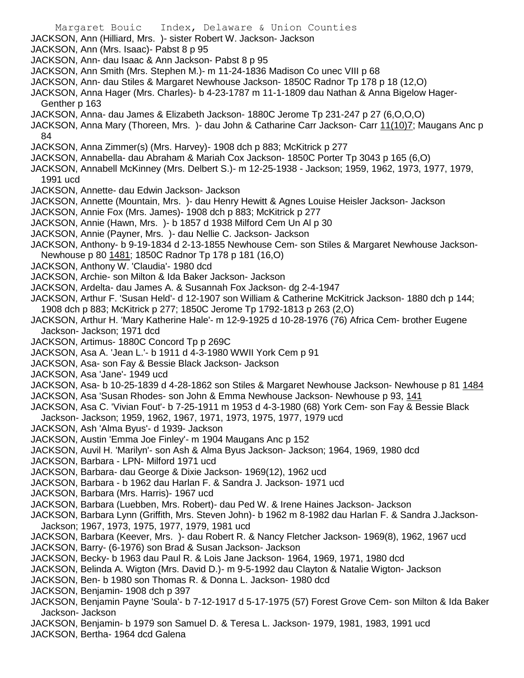Margaret Bouic Index, Delaware & Union Counties JACKSON, Ann (Hilliard, Mrs. )- sister Robert W. Jackson- Jackson JACKSON, Ann (Mrs. Isaac)- Pabst 8 p 95 JACKSON, Ann- dau Isaac & Ann Jackson- Pabst 8 p 95 JACKSON, Ann Smith (Mrs. Stephen M.)- m 11-24-1836 Madison Co unec VIII p 68 JACKSON, Ann- dau Stiles & Margaret Newhouse Jackson- 1850C Radnor Tp 178 p 18 (12,O) JACKSON, Anna Hager (Mrs. Charles)- b 4-23-1787 m 11-1-1809 dau Nathan & Anna Bigelow Hager-Genther p 163 JACKSON, Anna- dau James & Elizabeth Jackson- 1880C Jerome Tp 231-247 p 27 (6,O,O,O) JACKSON, Anna Mary (Thoreen, Mrs. )- dau John & Catharine Carr Jackson- Carr 11(10)7; Maugans Anc p 84 JACKSON, Anna Zimmer(s) (Mrs. Harvey)- 1908 dch p 883; McKitrick p 277 JACKSON, Annabella- dau Abraham & Mariah Cox Jackson- 1850C Porter Tp 3043 p 165 (6,O) JACKSON, Annabell McKinney (Mrs. Delbert S.)- m 12-25-1938 - Jackson; 1959, 1962, 1973, 1977, 1979, 1991 ucd JACKSON, Annette- dau Edwin Jackson- Jackson JACKSON, Annette (Mountain, Mrs. )- dau Henry Hewitt & Agnes Louise Heisler Jackson- Jackson JACKSON, Annie Fox (Mrs. James)- 1908 dch p 883; McKitrick p 277 JACKSON, Annie (Hawn, Mrs. )- b 1857 d 1938 Milford Cem Un Al p 30 JACKSON, Annie (Payner, Mrs. )- dau Nellie C. Jackson- Jackson JACKSON, Anthony- b 9-19-1834 d 2-13-1855 Newhouse Cem- son Stiles & Margaret Newhouse Jackson-Newhouse p 80 1481; 1850C Radnor Tp 178 p 181 (16,O) JACKSON, Anthony W. 'Claudia'- 1980 dcd JACKSON, Archie- son Milton & Ida Baker Jackson- Jackson JACKSON, Ardelta- dau James A. & Susannah Fox Jackson- dg 2-4-1947 JACKSON, Arthur F. 'Susan Held'- d 12-1907 son William & Catherine McKitrick Jackson- 1880 dch p 144; 1908 dch p 883; McKitrick p 277; 1850C Jerome Tp 1792-1813 p 263 (2,O) JACKSON, Arthur H. 'Mary Katherine Hale'- m 12-9-1925 d 10-28-1976 (76) Africa Cem- brother Eugene Jackson- Jackson; 1971 dcd JACKSON, Artimus- 1880C Concord Tp p 269C JACKSON, Asa A. 'Jean L.'- b 1911 d 4-3-1980 WWII York Cem p 91 JACKSON, Asa- son Fay & Bessie Black Jackson- Jackson JACKSON, Asa 'Jane'- 1949 ucd JACKSON, Asa- b 10-25-1839 d 4-28-1862 son Stiles & Margaret Newhouse Jackson- Newhouse p 81 1484 JACKSON, Asa 'Susan Rhodes- son John & Emma Newhouse Jackson- Newhouse p 93, 141 JACKSON, Asa C. 'Vivian Fout'- b 7-25-1911 m 1953 d 4-3-1980 (68) York Cem- son Fay & Bessie Black Jackson- Jackson; 1959, 1962, 1967, 1971, 1973, 1975, 1977, 1979 ucd JACKSON, Ash 'Alma Byus'- d 1939- Jackson JACKSON, Austin 'Emma Joe Finley'- m 1904 Maugans Anc p 152 JACKSON, Auvil H. 'Marilyn'- son Ash & Alma Byus Jackson- Jackson; 1964, 1969, 1980 dcd JACKSON, Barbara - LPN- Milford 1971 ucd JACKSON, Barbara- dau George & Dixie Jackson- 1969(12), 1962 ucd JACKSON, Barbara - b 1962 dau Harlan F. & Sandra J. Jackson- 1971 ucd JACKSON, Barbara (Mrs. Harris)- 1967 ucd JACKSON, Barbara (Luebben, Mrs. Robert)- dau Ped W. & Irene Haines Jackson- Jackson JACKSON, Barbara Lynn (Griffith, Mrs. Steven John)- b 1962 m 8-1982 dau Harlan F. & Sandra J.Jackson-Jackson; 1967, 1973, 1975, 1977, 1979, 1981 ucd JACKSON, Barbara (Keever, Mrs. )- dau Robert R. & Nancy Fletcher Jackson- 1969(8), 1962, 1967 ucd JACKSON, Barry- (6-1976) son Brad & Susan Jackson- Jackson JACKSON, Becky- b 1963 dau Paul R. & Lois Jane Jackson- 1964, 1969, 1971, 1980 dcd JACKSON, Belinda A. Wigton (Mrs. David D.)- m 9-5-1992 dau Clayton & Natalie Wigton- Jackson JACKSON, Ben- b 1980 son Thomas R. & Donna L. Jackson- 1980 dcd JACKSON, Benjamin- 1908 dch p 397 JACKSON, Benjamin Payne 'Soula'- b 7-12-1917 d 5-17-1975 (57) Forest Grove Cem- son Milton & Ida Baker Jackson- Jackson JACKSON, Benjamin- b 1979 son Samuel D. & Teresa L. Jackson- 1979, 1981, 1983, 1991 ucd JACKSON, Bertha- 1964 dcd Galena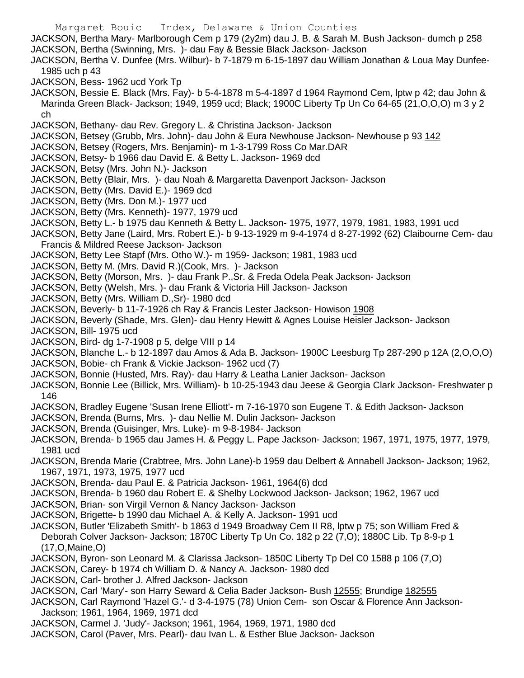Margaret Bouic Index, Delaware & Union Counties JACKSON, Bertha Mary- Marlborough Cem p 179 (2y2m) dau J. B. & Sarah M. Bush Jackson- dumch p 258 JACKSON, Bertha (Swinning, Mrs. )- dau Fay & Bessie Black Jackson- Jackson JACKSON, Bertha V. Dunfee (Mrs. Wilbur)- b 7-1879 m 6-15-1897 dau William Jonathan & Loua May Dunfee-1985 uch p 43 JACKSON, Bess- 1962 ucd York Tp JACKSON, Bessie E. Black (Mrs. Fay)- b 5-4-1878 m 5-4-1897 d 1964 Raymond Cem, lptw p 42; dau John & Marinda Green Black- Jackson; 1949, 1959 ucd; Black; 1900C Liberty Tp Un Co 64-65 (21,O,O,O) m 3 y 2 ch JACKSON, Bethany- dau Rev. Gregory L. & Christina Jackson- Jackson JACKSON, Betsey (Grubb, Mrs. John)- dau John & Eura Newhouse Jackson- Newhouse p 93 142 JACKSON, Betsey (Rogers, Mrs. Benjamin)- m 1-3-1799 Ross Co Mar.DAR JACKSON, Betsy- b 1966 dau David E. & Betty L. Jackson- 1969 dcd JACKSON, Betsy (Mrs. John N.)- Jackson JACKSON, Betty (Blair, Mrs. )- dau Noah & Margaretta Davenport Jackson- Jackson JACKSON, Betty (Mrs. David E.)- 1969 dcd JACKSON, Betty (Mrs. Don M.)- 1977 ucd JACKSON, Betty (Mrs. Kenneth)- 1977, 1979 ucd JACKSON, Betty L.- b 1975 dau Kenneth & Betty L. Jackson- 1975, 1977, 1979, 1981, 1983, 1991 ucd JACKSON, Betty Jane (Laird, Mrs. Robert E.)- b 9-13-1929 m 9-4-1974 d 8-27-1992 (62) Claibourne Cem- dau Francis & Mildred Reese Jackson- Jackson JACKSON, Betty Lee Stapf (Mrs. Otho W.)- m 1959- Jackson; 1981, 1983 ucd JACKSON, Betty M. (Mrs. David R.)(Cook, Mrs. )- Jackson JACKSON, Betty (Morson, Mrs. )- dau Frank P.,Sr. & Freda Odela Peak Jackson- Jackson JACKSON, Betty (Welsh, Mrs. )- dau Frank & Victoria Hill Jackson- Jackson JACKSON, Betty (Mrs. William D.,Sr)- 1980 dcd JACKSON, Beverly- b 11-7-1926 ch Ray & Francis Lester Jackson- Howison 1908 JACKSON, Beverly (Shade, Mrs. Glen)- dau Henry Hewitt & Agnes Louise Heisler Jackson- Jackson JACKSON, Bill- 1975 ucd JACKSON, Bird- dg 1-7-1908 p 5, delge VIII p 14 JACKSON, Blanche L.- b 12-1897 dau Amos & Ada B. Jackson- 1900C Leesburg Tp 287-290 p 12A (2,O,O,O) JACKSON, Bobie- ch Frank & Vickie Jackson- 1962 ucd (7) JACKSON, Bonnie (Husted, Mrs. Ray)- dau Harry & Leatha Lanier Jackson- Jackson JACKSON, Bonnie Lee (Billick, Mrs. William)- b 10-25-1943 dau Jeese & Georgia Clark Jackson- Freshwater p 146 JACKSON, Bradley Eugene 'Susan Irene Elliott'- m 7-16-1970 son Eugene T. & Edith Jackson- Jackson JACKSON, Brenda (Burns, Mrs. )- dau Nellie M. Dulin Jackson- Jackson JACKSON, Brenda (Guisinger, Mrs. Luke)- m 9-8-1984- Jackson JACKSON, Brenda- b 1965 dau James H. & Peggy L. Pape Jackson- Jackson; 1967, 1971, 1975, 1977, 1979, 1981 ucd JACKSON, Brenda Marie (Crabtree, Mrs. John Lane)-b 1959 dau Delbert & Annabell Jackson- Jackson; 1962, 1967, 1971, 1973, 1975, 1977 ucd JACKSON, Brenda- dau Paul E. & Patricia Jackson- 1961, 1964(6) dcd JACKSON, Brenda- b 1960 dau Robert E. & Shelby Lockwood Jackson- Jackson; 1962, 1967 ucd JACKSON, Brian- son Virgil Vernon & Nancy Jackson- Jackson JACKSON, Brigette- b 1990 dau Michael A. & Kelly A. Jackson- 1991 ucd JACKSON, Butler 'Elizabeth Smith'- b 1863 d 1949 Broadway Cem II R8, lptw p 75; son William Fred & Deborah Colver Jackson- Jackson; 1870C Liberty Tp Un Co. 182 p 22 (7,O); 1880C Lib. Tp 8-9-p 1 (17,O,Maine,O) JACKSON, Byron- son Leonard M. & Clarissa Jackson- 1850C Liberty Tp Del C0 1588 p 106 (7,O) JACKSON, Carey- b 1974 ch William D. & Nancy A. Jackson- 1980 dcd JACKSON, Carl- brother J. Alfred Jackson- Jackson JACKSON, Carl 'Mary'- son Harry Seward & Celia Bader Jackson- Bush 12555; Brundige 182555 JACKSON, Carl Raymond 'Hazel G.'- d 3-4-1975 (78) Union Cem- son Oscar & Florence Ann Jackson-Jackson; 1961, 1964, 1969, 1971 dcd JACKSON, Carmel J. 'Judy'- Jackson; 1961, 1964, 1969, 1971, 1980 dcd JACKSON, Carol (Paver, Mrs. Pearl)- dau Ivan L. & Esther Blue Jackson- Jackson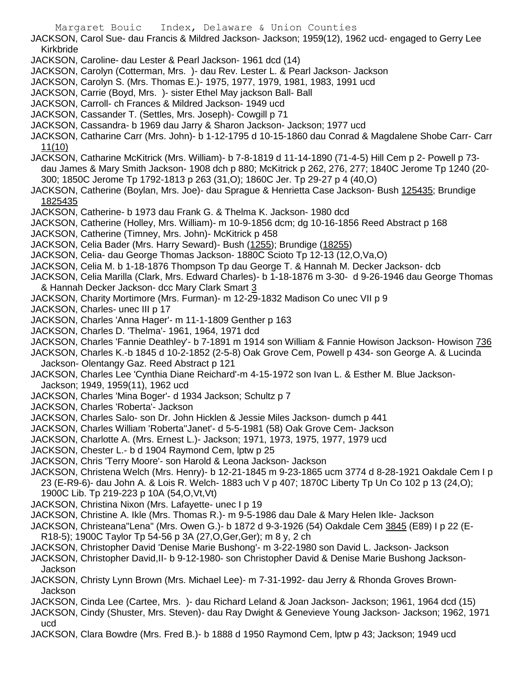JACKSON, Carol Sue- dau Francis & Mildred Jackson- Jackson; 1959(12), 1962 ucd- engaged to Gerry Lee Kirkbride

- JACKSON, Caroline- dau Lester & Pearl Jackson- 1961 dcd (14)
- JACKSON, Carolyn (Cotterman, Mrs. )- dau Rev. Lester L. & Pearl Jackson- Jackson
- JACKSON, Carolyn S. (Mrs. Thomas E.)- 1975, 1977, 1979, 1981, 1983, 1991 ucd
- JACKSON, Carrie (Boyd, Mrs. )- sister Ethel May jackson Ball- Ball
- JACKSON, Carroll- ch Frances & Mildred Jackson- 1949 ucd
- JACKSON, Cassander T. (Settles, Mrs. Joseph)- Cowgill p 71
- JACKSON, Cassandra- b 1969 dau Jarry & Sharon Jackson- Jackson; 1977 ucd

JACKSON, Catharine Carr (Mrs. John)- b 1-12-1795 d 10-15-1860 dau Conrad & Magdalene Shobe Carr- Carr 11(10)

JACKSON, Catharine McKitrick (Mrs. William)- b 7-8-1819 d 11-14-1890 (71-4-5) Hill Cem p 2- Powell p 73 dau James & Mary Smith Jackson- 1908 dch p 880; McKitrick p 262, 276, 277; 1840C Jerome Tp 1240 (20- 300; 1850C Jerome Tp 1792-1813 p 263 (31,O); 1860C Jer. Tp 29-27 p 4 (40,O)

- JACKSON, Catherine (Boylan, Mrs. Joe)- dau Sprague & Henrietta Case Jackson- Bush 125435; Brundige 1825435
- JACKSON, Catherine- b 1973 dau Frank G. & Thelma K. Jackson- 1980 dcd
- JACKSON, Catherine (Holley, Mrs. William)- m 10-9-1856 dcm; dg 10-16-1856 Reed Abstract p 168
- JACKSON, Catherine (Timney, Mrs. John)- McKitrick p 458
- JACKSON, Celia Bader (Mrs. Harry Seward)- Bush (1255); Brundige (18255)
- JACKSON, Celia- dau George Thomas Jackson- 1880C Scioto Tp 12-13 (12,O,Va,O)
- JACKSON, Celia M. b 1-18-1876 Thompson Tp dau George T. & Hannah M. Decker Jackson- dcb
- JACKSON, Celia Marilla (Clark, Mrs. Edward Charles)- b 1-18-1876 m 3-30- d 9-26-1946 dau George Thomas & Hannah Decker Jackson- dcc Mary Clark Smart 3
- JACKSON, Charity Mortimore (Mrs. Furman)- m 12-29-1832 Madison Co unec VII p 9
- JACKSON, Charles- unec III p 17
- JACKSON, Charles 'Anna Hager'- m 11-1-1809 Genther p 163
- JACKSON, Charles D. 'Thelma'- 1961, 1964, 1971 dcd
- JACKSON, Charles 'Fannie Deathley'- b 7-1891 m 1914 son William & Fannie Howison Jackson- Howison 736
- JACKSON, Charles K.-b 1845 d 10-2-1852 (2-5-8) Oak Grove Cem, Powell p 434- son George A. & Lucinda Jackson- Olentangy Gaz. Reed Abstract p 121
- JACKSON, Charles Lee 'Cynthia Diane Reichard'-m 4-15-1972 son Ivan L. & Esther M. Blue Jackson-Jackson; 1949, 1959(11), 1962 ucd
- JACKSON, Charles 'Mina Boger'- d 1934 Jackson; Schultz p 7
- JACKSON, Charles 'Roberta'- Jackson
- JACKSON, Charles Salo- son Dr. John Hicklen & Jessie Miles Jackson- dumch p 441
- JACKSON, Charles William 'Roberta''Janet'- d 5-5-1981 (58) Oak Grove Cem- Jackson
- JACKSON, Charlotte A. (Mrs. Ernest L.)- Jackson; 1971, 1973, 1975, 1977, 1979 ucd
- JACKSON, Chester L.- b d 1904 Raymond Cem, lptw p 25
- JACKSON, Chris 'Terry Moore'- son Harold & Leona Jackson- Jackson
- JACKSON, Christena Welch (Mrs. Henry)- b 12-21-1845 m 9-23-1865 ucm 3774 d 8-28-1921 Oakdale Cem I p 23 (E-R9-6)- dau John A. & Lois R. Welch- 1883 uch V p 407; 1870C Liberty Tp Un Co 102 p 13 (24,O); 1900C Lib. Tp 219-223 p 10A (54,O,Vt,Vt)
- JACKSON, Christina Nixon (Mrs. Lafayette- unec I p 19
- JACKSON, Christine A. Ikle (Mrs. Thomas R.)- m 9-5-1986 dau Dale & Mary Helen Ikle- Jackson
- JACKSON, Christeana"Lena" (Mrs. Owen G.)- b 1872 d 9-3-1926 (54) Oakdale Cem 3845 (E89) I p 22 (E-R18-5); 1900C Taylor Tp 54-56 p 3A (27,O,Ger,Ger); m 8 y, 2 ch
- JACKSON, Christopher David 'Denise Marie Bushong'- m 3-22-1980 son David L. Jackson- Jackson
- JACKSON, Christopher David,II- b 9-12-1980- son Christopher David & Denise Marie Bushong Jackson-Jackson
- JACKSON, Christy Lynn Brown (Mrs. Michael Lee)- m 7-31-1992- dau Jerry & Rhonda Groves Brown-Jackson
- JACKSON, Cinda Lee (Cartee, Mrs. )- dau Richard Leland & Joan Jackson- Jackson; 1961, 1964 dcd (15)
- JACKSON, Cindy (Shuster, Mrs. Steven)- dau Ray Dwight & Genevieve Young Jackson- Jackson; 1962, 1971 ucd
- JACKSON, Clara Bowdre (Mrs. Fred B.)- b 1888 d 1950 Raymond Cem, lptw p 43; Jackson; 1949 ucd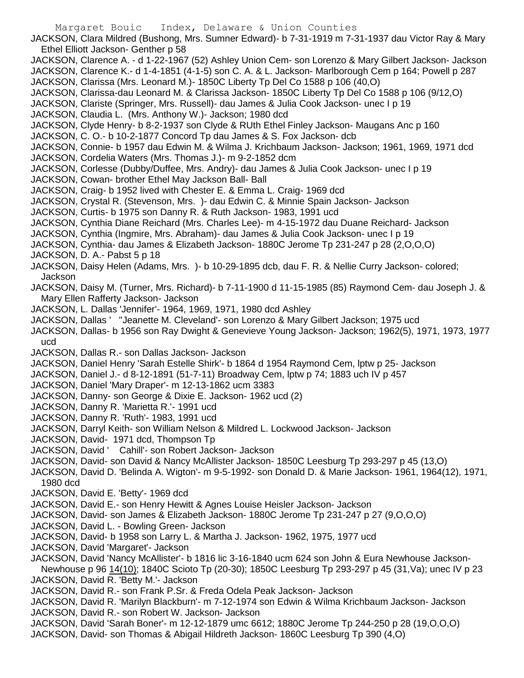JACKSON, Clara Mildred (Bushong, Mrs. Sumner Edward)- b 7-31-1919 m 7-31-1937 dau Victor Ray & Mary Ethel Elliott Jackson- Genther p 58

- JACKSON, Clarence A. d 1-22-1967 (52) Ashley Union Cem- son Lorenzo & Mary Gilbert Jackson- Jackson JACKSON, Clarence K.- d 1-4-1851 (4-1-5) son C. A. & L. Jackson- Marlborough Cem p 164; Powell p 287
- JACKSON, Clarissa (Mrs. Leonard M.)- 1850C Liberty Tp Del Co 1588 p 106 (40,O)
- JACKSON, Clarissa-dau Leonard M. & Clarissa Jackson- 1850C Liberty Tp Del Co 1588 p 106 (9/12,O)
- JACKSON, Clariste (Springer, Mrs. Russell)- dau James & Julia Cook Jackson- unec I p 19
- JACKSON, Claudia L. (Mrs. Anthony W.)- Jackson; 1980 dcd
- JACKSON, Clyde Henry- b 8-2-1937 son Clyde & RUth Ethel Finley Jackson- Maugans Anc p 160
- JACKSON, C. O.- b 10-2-1877 Concord Tp dau James & S. Fox Jackson- dcb
- JACKSON, Connie- b 1957 dau Edwin M. & Wilma J. Krichbaum Jackson- Jackson; 1961, 1969, 1971 dcd JACKSON, Cordelia Waters (Mrs. Thomas J.)- m 9-2-1852 dcm
- JACKSON, Corlesse (Dubby/Duffee, Mrs. Andry)- dau James & Julia Cook Jackson- unec I p 19
- JACKSON, Cowan- brother Ethel May Jackson Ball- Ball
- JACKSON, Craig- b 1952 lived with Chester E. & Emma L. Craig- 1969 dcd
- JACKSON, Crystal R. (Stevenson, Mrs. )- dau Edwin C. & Minnie Spain Jackson- Jackson
- JACKSON, Curtis- b 1975 son Danny R. & Ruth Jackson- 1983, 1991 ucd
- JACKSON, Cynthia Diane Reichard (Mrs. Charles Lee)- m 4-15-1972 dau Duane Reichard- Jackson
- JACKSON, Cynthia (Ingmire, Mrs. Abraham)- dau James & Julia Cook Jackson- unec I p 19
- JACKSON, Cynthia- dau James & Elizabeth Jackson- 1880C Jerome Tp 231-247 p 28 (2,O,O,O)
- JACKSON, D. A.- Pabst 5 p 18
- JACKSON, Daisy Helen (Adams, Mrs. )- b 10-29-1895 dcb, dau F. R. & Nellie Curry Jackson- colored; Jackson
- JACKSON, Daisy M. (Turner, Mrs. Richard)- b 7-11-1900 d 11-15-1985 (85) Raymond Cem- dau Joseph J. & Mary Ellen Rafferty Jackson- Jackson
- JACKSON, L. Dallas 'Jennifer'- 1964, 1969, 1971, 1980 dcd Ashley
- JACKSON, Dallas ' ''Jeanette M. Cleveland'- son Lorenzo & Mary Gilbert Jackson; 1975 ucd
- JACKSON, Dallas- b 1956 son Ray Dwight & Genevieve Young Jackson- Jackson; 1962(5), 1971, 1973, 1977 ucd
- JACKSON, Dallas R.- son Dallas Jackson- Jackson
- JACKSON, Daniel Henry 'Sarah Estelle Shirk'- b 1864 d 1954 Raymond Cem, lptw p 25- Jackson
- JACKSON, Daniel J.- d 8-12-1891 (51-7-11) Broadway Cem, lptw p 74; 1883 uch IV p 457
- JACKSON, Daniel 'Mary Draper'- m 12-13-1862 ucm 3383
- JACKSON, Danny- son George & Dixie E. Jackson- 1962 ucd (2)
- JACKSON, Danny R. 'Marietta R.'- 1991 ucd
- JACKSON, Danny R. 'Ruth'- 1983, 1991 ucd
- JACKSON, Darryl Keith- son William Nelson & Mildred L. Lockwood Jackson- Jackson
- JACKSON, David- 1971 dcd, Thompson Tp
- JACKSON, David ' Cahill'- son Robert Jackson- Jackson
- JACKSON, David- son David & Nancy McAllister Jackson- 1850C Leesburg Tp 293-297 p 45 (13,O)
- JACKSON, David D. 'Belinda A. Wigton'- m 9-5-1992- son Donald D. & Marie Jackson- 1961, 1964(12), 1971, 1980 dcd
- JACKSON, David E. 'Betty'- 1969 dcd
- JACKSON, David E.- son Henry Hewitt & Agnes Louise Heisler Jackson- Jackson
- JACKSON, David- son James & Elizabeth Jackson- 1880C Jerome Tp 231-247 p 27 (9,O,O,O)
- JACKSON, David L. Bowling Green- Jackson
- JACKSON, David- b 1958 son Larry L. & Martha J. Jackson- 1962, 1975, 1977 ucd
- JACKSON, David 'Margaret'- Jackson
- JACKSON, David 'Nancy McAllister'- b 1816 lic 3-16-1840 ucm 624 son John & Eura Newhouse Jackson-
- Newhouse p 96 14(10); 1840C Scioto Tp (20-30); 1850C Leesburg Tp 293-297 p 45 (31,Va); unec IV p 23 JACKSON, David R. 'Betty M.'- Jackson
- JACKSON, David R.- son Frank P.Sr. & Freda Odela Peak Jackson- Jackson
- JACKSON, David R. 'Marilyn Blackburn'- m 7-12-1974 son Edwin & Wilma Krichbaum Jackson- Jackson JACKSON, David R.- son Robert W. Jackson- Jackson
- JACKSON, David 'Sarah Boner'- m 12-12-1879 umc 6612; 1880C Jerome Tp 244-250 p 28 (19,O,O,O)
- JACKSON, David- son Thomas & Abigail Hildreth Jackson- 1860C Leesburg Tp 390 (4,O)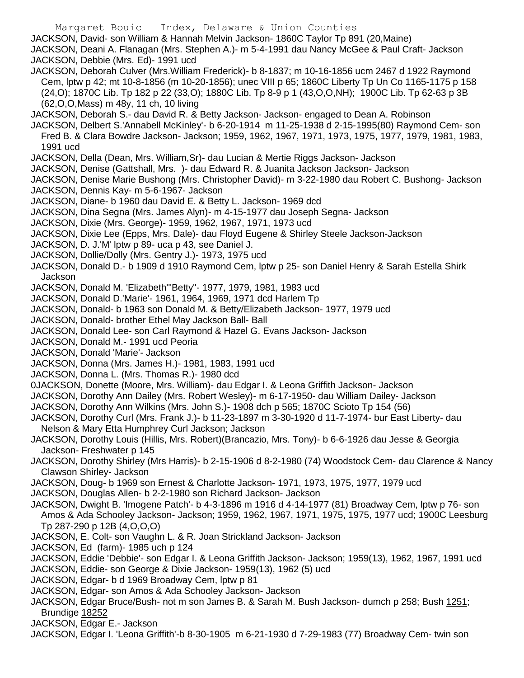Margaret Bouic Index, Delaware & Union Counties JACKSON, David- son William & Hannah Melvin Jackson- 1860C Taylor Tp 891 (20,Maine) JACKSON, Deani A. Flanagan (Mrs. Stephen A.)- m 5-4-1991 dau Nancy McGee & Paul Craft- Jackson JACKSON, Debbie (Mrs. Ed)- 1991 ucd

- JACKSON, Deborah Culver (Mrs.William Frederick)- b 8-1837; m 10-16-1856 ucm 2467 d 1922 Raymond Cem, lptw p 42; mt 10-8-1856 (m 10-20-1856); unec VIII p 65; 1860C Liberty Tp Un Co 1165-1175 p 158 (24,O); 1870C Lib. Tp 182 p 22 (33,O); 1880C Lib. Tp 8-9 p 1 (43,O,O,NH); 1900C Lib. Tp 62-63 p 3B (62,O,O,Mass) m 48y, 11 ch, 10 living
- JACKSON, Deborah S.- dau David R. & Betty Jackson- Jackson- engaged to Dean A. Robinson
- JACKSON, Delbert S.'Annabell McKinley'- b 6-20-1914 m 11-25-1938 d 2-15-1995(80) Raymond Cem- son Fred B. & Clara Bowdre Jackson- Jackson; 1959, 1962, 1967, 1971, 1973, 1975, 1977, 1979, 1981, 1983, 1991 ucd
- JACKSON, Della (Dean, Mrs. William,Sr)- dau Lucian & Mertie Riggs Jackson- Jackson
- JACKSON, Denise (Gattshall, Mrs. )- dau Edward R. & Juanita Jackson Jackson- Jackson
- JACKSON, Denise Marie Bushong (Mrs. Christopher David)- m 3-22-1980 dau Robert C. Bushong- Jackson
- JACKSON, Dennis Kay- m 5-6-1967- Jackson JACKSON, Diane- b 1960 dau David E. & Betty L. Jackson- 1969 dcd
- JACKSON, Dina Segna (Mrs. James Alyn)- m 4-15-1977 dau Joseph Segna- Jackson
- JACKSON, Dixie (Mrs. George)- 1959, 1962, 1967, 1971, 1973 ucd
- JACKSON, Dixie Lee (Epps, Mrs. Dale)- dau Floyd Eugene & Shirley Steele Jackson-Jackson
- JACKSON, D. J.'M' lptw p 89- uca p 43, see Daniel J.
- JACKSON, Dollie/Dolly (Mrs. Gentry J.)- 1973, 1975 ucd
- JACKSON, Donald D.- b 1909 d 1910 Raymond Cem, lptw p 25- son Daniel Henry & Sarah Estella Shirk **Jackson**
- JACKSON, Donald M. 'Elizabeth'"Betty"- 1977, 1979, 1981, 1983 ucd
- JACKSON, Donald D.'Marie'- 1961, 1964, 1969, 1971 dcd Harlem Tp
- JACKSON, Donald- b 1963 son Donald M. & Betty/Elizabeth Jackson- 1977, 1979 ucd
- JACKSON, Donald- brother Ethel May Jackson Ball- Ball
- JACKSON, Donald Lee- son Carl Raymond & Hazel G. Evans Jackson- Jackson
- JACKSON, Donald M.- 1991 ucd Peoria
- JACKSON, Donald 'Marie'- Jackson
- JACKSON, Donna (Mrs. James H.)- 1981, 1983, 1991 ucd
- JACKSON, Donna L. (Mrs. Thomas R.)- 1980 dcd
- 0JACKSON, Donette (Moore, Mrs. William)- dau Edgar I. & Leona Griffith Jackson- Jackson
- JACKSON, Dorothy Ann Dailey (Mrs. Robert Wesley)- m 6-17-1950- dau William Dailey- Jackson
- JACKSON, Dorothy Ann Wilkins (Mrs. John S.)- 1908 dch p 565; 1870C Scioto Tp 154 (56)
- JACKSON, Dorothy Curl (Mrs. Frank J.)- b 11-23-1897 m 3-30-1920 d 11-7-1974- bur East Liberty- dau Nelson & Mary Etta Humphrey Curl Jackson; Jackson
- JACKSON, Dorothy Louis (Hillis, Mrs. Robert)(Brancazio, Mrs. Tony)- b 6-6-1926 dau Jesse & Georgia Jackson- Freshwater p 145
- JACKSON, Dorothy Shirley (Mrs Harris)- b 2-15-1906 d 8-2-1980 (74) Woodstock Cem- dau Clarence & Nancy Clawson Shirley- Jackson
- JACKSON, Doug- b 1969 son Ernest & Charlotte Jackson- 1971, 1973, 1975, 1977, 1979 ucd
- JACKSON, Douglas Allen- b 2-2-1980 son Richard Jackson- Jackson
- JACKSON, Dwight B. 'Imogene Patch'- b 4-3-1896 m 1916 d 4-14-1977 (81) Broadway Cem, lptw p 76- son Amos & Ada Schooley Jackson- Jackson; 1959, 1962, 1967, 1971, 1975, 1975, 1977 ucd; 1900C Leesburg Tp 287-290 p 12B (4,O,O,O)
- JACKSON, E. Colt- son Vaughn L. & R. Joan Strickland Jackson- Jackson
- JACKSON, Ed (farm)- 1985 uch p 124
- JACKSON, Eddie 'Debbie'- son Edgar I. & Leona Griffith Jackson- Jackson; 1959(13), 1962, 1967, 1991 ucd
- JACKSON, Eddie- son George & Dixie Jackson- 1959(13), 1962 (5) ucd
- JACKSON, Edgar- b d 1969 Broadway Cem, lptw p 81
- JACKSON, Edgar- son Amos & Ada Schooley Jackson- Jackson
- JACKSON, Edgar Bruce/Bush- not m son James B. & Sarah M. Bush Jackson- dumch p 258; Bush 1251; Brundige 18252
- JACKSON, Edgar E.- Jackson
- JACKSON, Edgar I. 'Leona Griffith'-b 8-30-1905 m 6-21-1930 d 7-29-1983 (77) Broadway Cem- twin son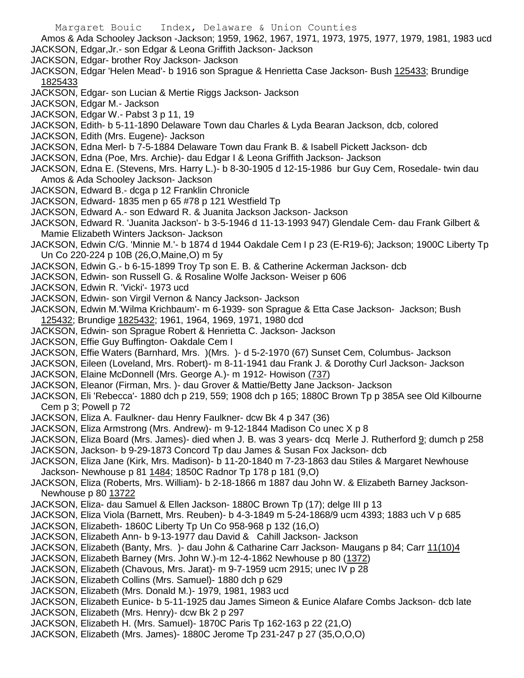Margaret Bouic Index, Delaware & Union Counties Amos & Ada Schooley Jackson -Jackson; 1959, 1962, 1967, 1971, 1973, 1975, 1977, 1979, 1981, 1983 ucd JACKSON, Edgar,Jr.- son Edgar & Leona Griffith Jackson- Jackson JACKSON, Edgar- brother Roy Jackson- Jackson JACKSON, Edgar 'Helen Mead'- b 1916 son Sprague & Henrietta Case Jackson- Bush 125433; Brundige 1825433 JACKSON, Edgar- son Lucian & Mertie Riggs Jackson- Jackson JACKSON, Edgar M.- Jackson JACKSON, Edgar W.- Pabst 3 p 11, 19 JACKSON, Edith- b 5-11-1890 Delaware Town dau Charles & Lyda Bearan Jackson, dcb, colored JACKSON, Edith (Mrs. Eugene)- Jackson JACKSON, Edna Merl- b 7-5-1884 Delaware Town dau Frank B. & Isabell Pickett Jackson- dcb JACKSON, Edna (Poe, Mrs. Archie)- dau Edgar I & Leona Griffith Jackson- Jackson JACKSON, Edna E. (Stevens, Mrs. Harry L.)- b 8-30-1905 d 12-15-1986 bur Guy Cem, Rosedale- twin dau Amos & Ada Schooley Jackson- Jackson JACKSON, Edward B.- dcga p 12 Franklin Chronicle JACKSON, Edward- 1835 men p 65 #78 p 121 Westfield Tp JACKSON, Edward A.- son Edward R. & Juanita Jackson Jackson- Jackson JACKSON, Edward R. 'Juanita Jackson'- b 3-5-1946 d 11-13-1993 947) Glendale Cem- dau Frank Gilbert & Mamie Elizabeth Winters Jackson- Jackson JACKSON, Edwin C/G. 'Minnie M.'- b 1874 d 1944 Oakdale Cem I p 23 (E-R19-6); Jackson; 1900C Liberty Tp Un Co 220-224 p 10B (26,O,Maine,O) m 5y JACKSON, Edwin G.- b 6-15-1899 Troy Tp son E. B. & Catherine Ackerman Jackson- dcb JACKSON, Edwin- son Russell G. & Rosaline Wolfe Jackson- Weiser p 606 JACKSON, Edwin R. 'Vicki'- 1973 ucd JACKSON, Edwin- son Virgil Vernon & Nancy Jackson- Jackson JACKSON, Edwin M.'Wilma Krichbaum'- m 6-1939- son Sprague & Etta Case Jackson- Jackson; Bush 125432; Brundige 1825432; 1961, 1964, 1969, 1971, 1980 dcd JACKSON, Edwin- son Sprague Robert & Henrietta C. Jackson- Jackson JACKSON, Effie Guy Buffington- Oakdale Cem I JACKSON, Effie Waters (Barnhard, Mrs. )(Mrs. )- d 5-2-1970 (67) Sunset Cem, Columbus- Jackson JACKSON, Eileen (Loveland, Mrs. Robert)- m 8-11-1941 dau Frank J. & Dorothy Curl Jackson- Jackson JACKSON, Elaine McDonnell (Mrs. George A.)- m 1912- Howison (737) JACKSON, Eleanor (Firman, Mrs. )- dau Grover & Mattie/Betty Jane Jackson- Jackson JACKSON, Eli 'Rebecca'- 1880 dch p 219, 559; 1908 dch p 165; 1880C Brown Tp p 385A see Old Kilbourne Cem p 3; Powell p 72 JACKSON, Eliza A. Faulkner- dau Henry Faulkner- dcw Bk 4 p 347 (36) JACKSON, Eliza Armstrong (Mrs. Andrew)- m 9-12-1844 Madison Co unec X p 8 JACKSON, Eliza Board (Mrs. James)- died when J. B. was 3 years- dcq Merle J. Rutherford 9; dumch p 258 JACKSON, Jackson- b 9-29-1873 Concord Tp dau James & Susan Fox Jackson- dcb JACKSON, Eliza Jane (Kirk, Mrs. Madison)- b 11-20-1840 m 7-23-1863 dau Stiles & Margaret Newhouse Jackson- Newhouse p 81 1484; 1850C Radnor Tp 178 p 181 (9,O) JACKSON, Eliza (Roberts, Mrs. William)- b 2-18-1866 m 1887 dau John W. & Elizabeth Barney Jackson-Newhouse p 80 13722 JACKSON, Eliza- dau Samuel & Ellen Jackson- 1880C Brown Tp (17); delge III p 13 JACKSON, Eliza Viola (Barnett, Mrs. Reuben)- b 4-3-1849 m 5-24-1868/9 ucm 4393; 1883 uch V p 685 JACKSON, Elizabeth- 1860C Liberty Tp Un Co 958-968 p 132 (16,O) JACKSON, Elizabeth Ann- b 9-13-1977 dau David & Cahill Jackson- Jackson JACKSON, Elizabeth (Banty, Mrs. )- dau John & Catharine Carr Jackson- Maugans p 84; Carr 11(10)4 JACKSON, Elizabeth Barney (Mrs. John W.)-m 12-4-1862 Newhouse p 80 (1372) JACKSON, Elizabeth (Chavous, Mrs. Jarat)- m 9-7-1959 ucm 2915; unec IV p 28 JACKSON, Elizabeth Collins (Mrs. Samuel)- 1880 dch p 629 JACKSON, Elizabeth (Mrs. Donald M.)- 1979, 1981, 1983 ucd JACKSON, Elizabeth Eunice- b 5-11-1925 dau James Simeon & Eunice Alafare Combs Jackson- dcb late JACKSON, Elizabeth (Mrs. Henry)- dcw Bk 2 p 297 JACKSON, Elizabeth H. (Mrs. Samuel)- 1870C Paris Tp 162-163 p 22 (21,O) JACKSON, Elizabeth (Mrs. James)- 1880C Jerome Tp 231-247 p 27 (35,O,O,O)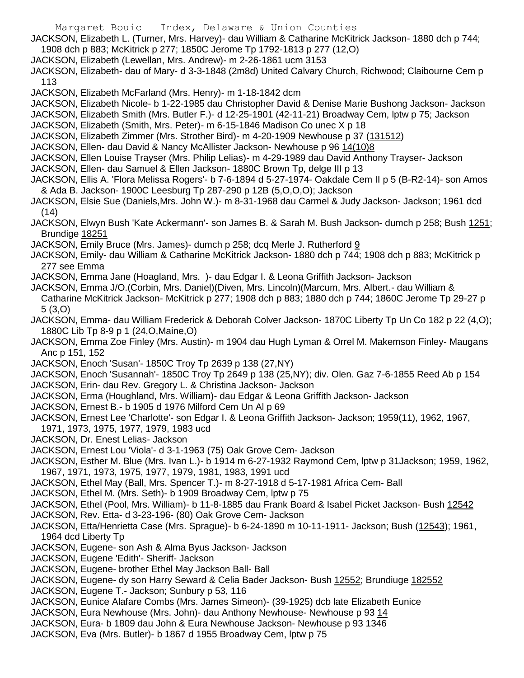- Margaret Bouic Index, Delaware & Union Counties
- JACKSON, Elizabeth L. (Turner, Mrs. Harvey)- dau William & Catharine McKitrick Jackson- 1880 dch p 744; 1908 dch p 883; McKitrick p 277; 1850C Jerome Tp 1792-1813 p 277 (12,O)
- JACKSON, Elizabeth (Lewellan, Mrs. Andrew)- m 2-26-1861 ucm 3153
- JACKSON, Elizabeth- dau of Mary- d 3-3-1848 (2m8d) United Calvary Church, Richwood; Claibourne Cem p 113
- JACKSON, Elizabeth McFarland (Mrs. Henry)- m 1-18-1842 dcm
- JACKSON, Elizabeth Nicole- b 1-22-1985 dau Christopher David & Denise Marie Bushong Jackson- Jackson
- JACKSON, Elizabeth Smith (Mrs. Butler F.)- d 12-25-1901 (42-11-21) Broadway Cem, lptw p 75; Jackson
- JACKSON, Elizabeth (Smith, Mrs. Peter)- m 6-15-1846 Madison Co unec X p 18
- JACKSON, Elizabeth Zimmer (Mrs. Strother Bird)- m 4-20-1909 Newhouse p 37 (131512)
- JACKSON, Ellen- dau David & Nancy McAllister Jackson- Newhouse p 96 14(10)8
- JACKSON, Ellen Louise Trayser (Mrs. Philip Lelias)- m 4-29-1989 dau David Anthony Trayser- Jackson
- JACKSON, Ellen- dau Samuel & Ellen Jackson- 1880C Brown Tp, delge III p 13
- JACKSON, Ellis A. 'Flora Melissa Rogers'- b 7-6-1894 d 5-27-1974- Oakdale Cem II p 5 (B-R2-14)- son Amos & Ada B. Jackson- 1900C Leesburg Tp 287-290 p 12B (5,O,O,O); Jackson
- JACKSON, Elsie Sue (Daniels,Mrs. John W.)- m 8-31-1968 dau Carmel & Judy Jackson- Jackson; 1961 dcd (14)
- JACKSON, Elwyn Bush 'Kate Ackermann'- son James B. & Sarah M. Bush Jackson- dumch p 258; Bush 1251; Brundige 18251
- JACKSON, Emily Bruce (Mrs. James)- dumch p 258; dcq Merle J. Rutherford 9
- JACKSON, Emily- dau William & Catharine McKitrick Jackson- 1880 dch p 744; 1908 dch p 883; McKitrick p 277 see Emma
- JACKSON, Emma Jane (Hoagland, Mrs. )- dau Edgar I. & Leona Griffith Jackson- Jackson
- JACKSON, Emma J/O.(Corbin, Mrs. Daniel)(Diven, Mrs. Lincoln)(Marcum, Mrs. Albert.- dau William & Catharine McKitrick Jackson- McKitrick p 277; 1908 dch p 883; 1880 dch p 744; 1860C Jerome Tp 29-27 p 5 (3,O)
- JACKSON, Emma- dau William Frederick & Deborah Colver Jackson- 1870C Liberty Tp Un Co 182 p 22 (4,O); 1880C Lib Tp 8-9 p 1 (24,O,Maine,O)
- JACKSON, Emma Zoe Finley (Mrs. Austin)- m 1904 dau Hugh Lyman & Orrel M. Makemson Finley- Maugans Anc p 151, 152
- JACKSON, Enoch 'Susan'- 1850C Troy Tp 2639 p 138 (27,NY)
- JACKSON, Enoch 'Susannah'- 1850C Troy Tp 2649 p 138 (25,NY); div. Olen. Gaz 7-6-1855 Reed Ab p 154
- JACKSON, Erin- dau Rev. Gregory L. & Christina Jackson- Jackson
- JACKSON, Erma (Houghland, Mrs. William)- dau Edgar & Leona Griffith Jackson- Jackson
- JACKSON, Ernest B.- b 1905 d 1976 Milford Cem Un Al p 69
- JACKSON, Ernest Lee 'Charlotte'- son Edgar I. & Leona Griffith Jackson- Jackson; 1959(11), 1962, 1967, 1971, 1973, 1975, 1977, 1979, 1983 ucd
- JACKSON, Dr. Enest Lelias- Jackson
- JACKSON, Ernest Lou 'Viola'- d 3-1-1963 (75) Oak Grove Cem- Jackson
- JACKSON, Esther M. Blue (Mrs. Ivan L.)- b 1914 m 6-27-1932 Raymond Cem, lptw p 31Jackson; 1959, 1962, 1967, 1971, 1973, 1975, 1977, 1979, 1981, 1983, 1991 ucd
- JACKSON, Ethel May (Ball, Mrs. Spencer T.)- m 8-27-1918 d 5-17-1981 Africa Cem- Ball
- JACKSON, Ethel M. (Mrs. Seth)- b 1909 Broadway Cem, lptw p 75
- JACKSON, Ethel (Pool, Mrs. William)- b 11-8-1885 dau Frank Board & Isabel Picket Jackson- Bush 12542 JACKSON, Rev. Etta- d 3-23-196- (80) Oak Grove Cem- Jackson
- JACKSON, Etta/Henrietta Case (Mrs. Sprague)- b 6-24-1890 m 10-11-1911- Jackson; Bush (12543); 1961, 1964 dcd Liberty Tp
- JACKSON, Eugene- son Ash & Alma Byus Jackson- Jackson
- JACKSON, Eugene 'Edith'- Sheriff- Jackson
- JACKSON, Eugene- brother Ethel May Jackson Ball- Ball
- JACKSON, Eugene- dy son Harry Seward & Celia Bader Jackson- Bush 12552; Brundiuge 182552
- JACKSON, Eugene T.- Jackson; Sunbury p 53, 116
- JACKSON, Eunice Alafare Combs (Mrs. James Simeon)- (39-1925) dcb late Elizabeth Eunice
- JACKSON, Eura Newhouse (Mrs. John)- dau Anthony Newhouse- Newhouse p 93 14
- JACKSON, Eura- b 1809 dau John & Eura Newhouse Jackson- Newhouse p 93 1346
- JACKSON, Eva (Mrs. Butler)- b 1867 d 1955 Broadway Cem, lptw p 75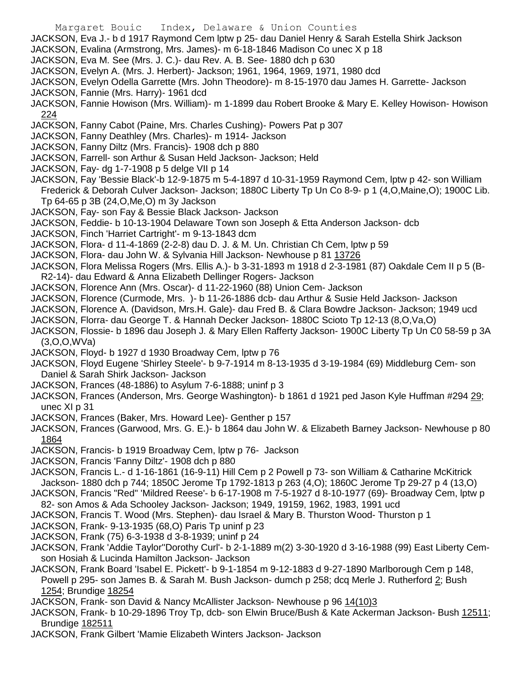- Margaret Bouic Index, Delaware & Union Counties
- JACKSON, Eva J.- b d 1917 Raymond Cem lptw p 25- dau Daniel Henry & Sarah Estella Shirk Jackson
- JACKSON, Evalina (Armstrong, Mrs. James)- m 6-18-1846 Madison Co unec X p 18
- JACKSON, Eva M. See (Mrs. J. C.)- dau Rev. A. B. See- 1880 dch p 630
- JACKSON, Evelyn A. (Mrs. J. Herbert)- Jackson; 1961, 1964, 1969, 1971, 1980 dcd
- JACKSON, Evelyn Odella Garrette (Mrs. John Theodore)- m 8-15-1970 dau James H. Garrette- Jackson
- JACKSON, Fannie (Mrs. Harry)- 1961 dcd
- JACKSON, Fannie Howison (Mrs. William)- m 1-1899 dau Robert Brooke & Mary E. Kelley Howison- Howison 224
- JACKSON, Fanny Cabot (Paine, Mrs. Charles Cushing)- Powers Pat p 307
- JACKSON, Fanny Deathley (Mrs. Charles)- m 1914- Jackson
- JACKSON, Fanny Diltz (Mrs. Francis)- 1908 dch p 880
- JACKSON, Farrell- son Arthur & Susan Held Jackson- Jackson; Held
- JACKSON, Fay- dg 1-7-1908 p 5 delge VII p 14
- JACKSON, Fay 'Bessie Black'-b 12-9-1875 m 5-4-1897 d 10-31-1959 Raymond Cem, lptw p 42- son William Frederick & Deborah Culver Jackson- Jackson; 1880C Liberty Tp Un Co 8-9- p 1 (4,O,Maine,O); 1900C Lib.
	- Tp 64-65 p 3B (24,O,Me,O) m 3y Jackson
- JACKSON, Fay- son Fay & Bessie Black Jackson- Jackson
- JACKSON, Feddie- b 10-13-1904 Delaware Town son Joseph & Etta Anderson Jackson- dcb
- JACKSON, Finch 'Harriet Cartright'- m 9-13-1843 dcm
- JACKSON, Flora- d 11-4-1869 (2-2-8) dau D. J. & M. Un. Christian Ch Cem, lptw p 59
- JACKSON, Flora- dau John W. & Sylvania Hill Jackson- Newhouse p 81 13726
- JACKSON, Flora Melissa Rogers (Mrs. Ellis A.)- b 3-31-1893 m 1918 d 2-3-1981 (87) Oakdale Cem II p 5 (B-R2-14)- dau Edward & Anna Elizabeth Dellinger Rogers- Jackson
- JACKSON, Florence Ann (Mrs. Oscar)- d 11-22-1960 (88) Union Cem- Jackson
- JACKSON, Florence (Curmode, Mrs. )- b 11-26-1886 dcb- dau Arthur & Susie Held Jackson- Jackson
- JACKSON, Florence A. (Davidson, Mrs.H. Gale)- dau Fred B. & Clara Bowdre Jackson- Jackson; 1949 ucd
- JACKSON, Florra- dau George T. & Hannah Decker Jackson- 1880C Scioto Tp 12-13 (8,O,Va,O)
- JACKSON, Flossie- b 1896 dau Joseph J. & Mary Ellen Rafferty Jackson- 1900C Liberty Tp Un C0 58-59 p 3A (3,O,O,WVa)
- JACKSON, Floyd- b 1927 d 1930 Broadway Cem, lptw p 76
- JACKSON, Floyd Eugene 'Shirley Steele'- b 9-7-1914 m 8-13-1935 d 3-19-1984 (69) Middleburg Cem- son Daniel & Sarah Shirk Jackson- Jackson
- JACKSON, Frances (48-1886) to Asylum 7-6-1888; uninf p 3
- JACKSON, Frances (Anderson, Mrs. George Washington)- b 1861 d 1921 ped Jason Kyle Huffman #294 29; unec XI p 31
- JACKSON, Frances (Baker, Mrs. Howard Lee)- Genther p 157
- JACKSON, Frances (Garwood, Mrs. G. E.)- b 1864 dau John W. & Elizabeth Barney Jackson- Newhouse p 80 1864
- JACKSON, Francis- b 1919 Broadway Cem, lptw p 76- Jackson
- JACKSON, Francis 'Fanny Diltz'- 1908 dch p 880
- JACKSON, Francis L.- d 1-16-1861 (16-9-11) Hill Cem p 2 Powell p 73- son William & Catharine McKitrick Jackson- 1880 dch p 744; 1850C Jerome Tp 1792-1813 p 263 (4,O); 1860C Jerome Tp 29-27 p 4 (13,O)
- JACKSON, Francis "Red" 'Mildred Reese'- b 6-17-1908 m 7-5-1927 d 8-10-1977 (69)- Broadway Cem, lptw p
- 82- son Amos & Ada Schooley Jackson- Jackson; 1949, 19159, 1962, 1983, 1991 ucd
- JACKSON, Francis T. Wood (Mrs. Stephen)- dau Israel & Mary B. Thurston Wood- Thurston p 1
- JACKSON, Frank- 9-13-1935 (68,O) Paris Tp uninf p 23
- JACKSON, Frank (75) 6-3-1938 d 3-8-1939; uninf p 24
- JACKSON, Frank 'Addie Taylor''Dorothy Curl'- b 2-1-1889 m(2) 3-30-1920 d 3-16-1988 (99) East Liberty Cemson Hosiah & Lucinda Hamilton Jackson- Jackson
- JACKSON, Frank Board 'Isabel E. Pickett'- b 9-1-1854 m 9-12-1883 d 9-27-1890 Marlborough Cem p 148, Powell p 295- son James B. & Sarah M. Bush Jackson- dumch p 258; dcq Merle J. Rutherford 2; Bush 1254; Brundige 18254
- JACKSON, Frank- son David & Nancy McAllister Jackson- Newhouse p 96 14(10)3
- JACKSON, Frank- b 10-29-1896 Troy Tp, dcb- son Elwin Bruce/Bush & Kate Ackerman Jackson- Bush 12511; Brundige 182511
- JACKSON, Frank Gilbert 'Mamie Elizabeth Winters Jackson- Jackson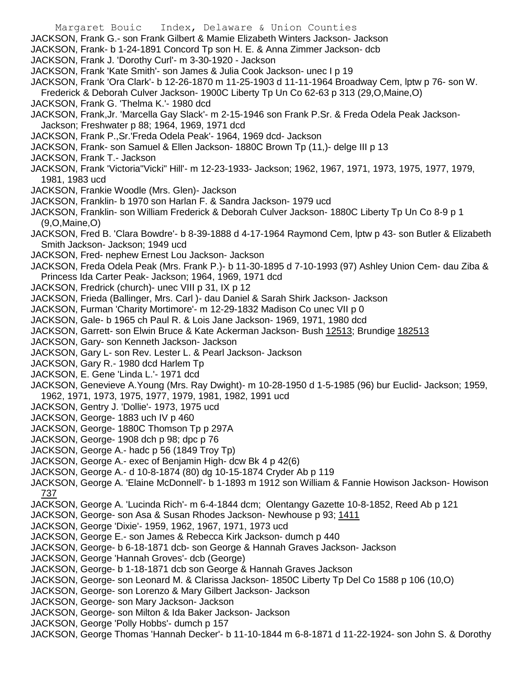Margaret Bouic Index, Delaware & Union Counties JACKSON, Frank G.- son Frank Gilbert & Mamie Elizabeth Winters Jackson- Jackson JACKSON, Frank- b 1-24-1891 Concord Tp son H. E. & Anna Zimmer Jackson- dcb JACKSON, Frank J. 'Dorothy Curl'- m 3-30-1920 - Jackson JACKSON, Frank 'Kate Smith'- son James & Julia Cook Jackson- unec I p 19 JACKSON, Frank 'Ora Clark'- b 12-26-1870 m 11-25-1903 d 11-11-1964 Broadway Cem, lptw p 76- son W. Frederick & Deborah Culver Jackson- 1900C Liberty Tp Un Co 62-63 p 313 (29,O,Maine,O) JACKSON, Frank G. 'Thelma K.'- 1980 dcd JACKSON, Frank,Jr. 'Marcella Gay Slack'- m 2-15-1946 son Frank P.Sr. & Freda Odela Peak Jackson-Jackson; Freshwater p 88; 1964, 1969, 1971 dcd JACKSON, Frank P.,Sr.'Freda Odela Peak'- 1964, 1969 dcd- Jackson JACKSON, Frank- son Samuel & Ellen Jackson- 1880C Brown Tp (11,)- delge III p 13 JACKSON, Frank T.- Jackson JACKSON, Frank 'Victoria"Vicki" Hill'- m 12-23-1933- Jackson; 1962, 1967, 1971, 1973, 1975, 1977, 1979, 1981, 1983 ucd JACKSON, Frankie Woodle (Mrs. Glen)- Jackson JACKSON, Franklin- b 1970 son Harlan F. & Sandra Jackson- 1979 ucd JACKSON, Franklin- son William Frederick & Deborah Culver Jackson- 1880C Liberty Tp Un Co 8-9 p 1 (9,O,Maine,O) JACKSON, Fred B. 'Clara Bowdre'- b 8-39-1888 d 4-17-1964 Raymond Cem, lptw p 43- son Butler & Elizabeth Smith Jackson- Jackson; 1949 ucd JACKSON, Fred- nephew Ernest Lou Jackson- Jackson JACKSON, Freda Odela Peak (Mrs. Frank P.)- b 11-30-1895 d 7-10-1993 (97) Ashley Union Cem- dau Ziba & Princess Ida Carter Peak- Jackson; 1964, 1969, 1971 dcd JACKSON, Fredrick (church)- unec VIII p 31, IX p 12 JACKSON, Frieda (Ballinger, Mrs. Carl )- dau Daniel & Sarah Shirk Jackson- Jackson JACKSON, Furman 'Charity Mortimore'- m 12-29-1832 Madison Co unec VII p 0 JACKSON, Gale- b 1965 ch Paul R. & Lois Jane Jackson- 1969, 1971, 1980 dcd JACKSON, Garrett- son Elwin Bruce & Kate Ackerman Jackson- Bush 12513; Brundige 182513 JACKSON, Gary- son Kenneth Jackson- Jackson JACKSON, Gary L- son Rev. Lester L. & Pearl Jackson- Jackson JACKSON, Gary R.- 1980 dcd Harlem Tp JACKSON, E. Gene 'Linda L.'- 1971 dcd JACKSON, Genevieve A.Young (Mrs. Ray Dwight)- m 10-28-1950 d 1-5-1985 (96) bur Euclid- Jackson; 1959, 1962, 1971, 1973, 1975, 1977, 1979, 1981, 1982, 1991 ucd JACKSON, Gentry J. 'Dollie'- 1973, 1975 ucd JACKSON, George- 1883 uch IV p 460 JACKSON, George- 1880C Thomson Tp p 297A JACKSON, George- 1908 dch p 98; dpc p 76 JACKSON, George A.- hadc p 56 (1849 Troy Tp) JACKSON, George A.- exec of Benjamin High- dcw Bk 4 p 42(6) JACKSON, George A.- d 10-8-1874 (80) dg 10-15-1874 Cryder Ab p 119 JACKSON, George A. 'Elaine McDonnell'- b 1-1893 m 1912 son William & Fannie Howison Jackson- Howison 737 JACKSON, George A. 'Lucinda Rich'- m 6-4-1844 dcm; Olentangy Gazette 10-8-1852, Reed Ab p 121 JACKSON, George- son Asa & Susan Rhodes Jackson- Newhouse p 93; 1411 JACKSON, George 'Dixie'- 1959, 1962, 1967, 1971, 1973 ucd JACKSON, George E.- son James & Rebecca Kirk Jackson- dumch p 440 JACKSON, George- b 6-18-1871 dcb- son George & Hannah Graves Jackson- Jackson JACKSON, George 'Hannah Groves'- dcb (George) JACKSON, George- b 1-18-1871 dcb son George & Hannah Graves Jackson JACKSON, George- son Leonard M. & Clarissa Jackson- 1850C Liberty Tp Del Co 1588 p 106 (10,O) JACKSON, George- son Lorenzo & Mary Gilbert Jackson- Jackson JACKSON, George- son Mary Jackson- Jackson JACKSON, George- son Milton & Ida Baker Jackson- Jackson JACKSON, George 'Polly Hobbs'- dumch p 157 JACKSON, George Thomas 'Hannah Decker'- b 11-10-1844 m 6-8-1871 d 11-22-1924- son John S. & Dorothy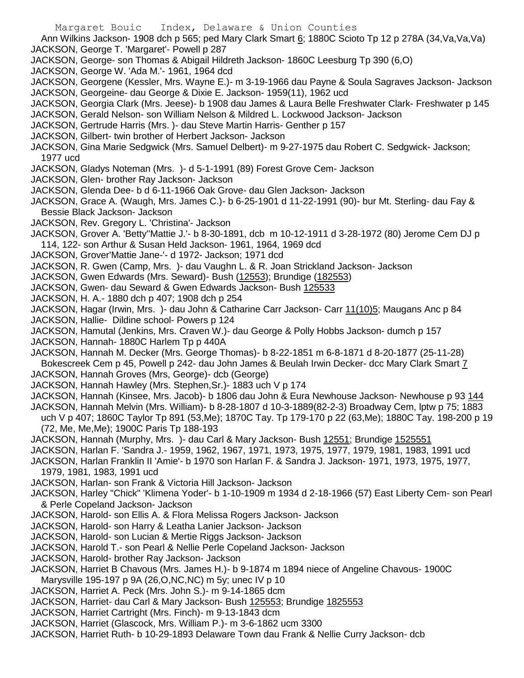Ann Wilkins Jackson- 1908 dch p 565; ped Mary Clark Smart 6; 1880C Scioto Tp 12 p 278A (34,Va,Va,Va) JACKSON, George T. 'Margaret'- Powell p 287

- JACKSON, George- son Thomas & Abigail Hildreth Jackson- 1860C Leesburg Tp 390 (6,O)
- JACKSON, George W. 'Ada M.'- 1961, 1964 dcd
- JACKSON, Georgene (Kessler, Mrs. Wayne E.)- m 3-19-1966 dau Payne & Soula Sagraves Jackson- Jackson JACKSON, Georgeine- dau George & Dixie E. Jackson- 1959(11), 1962 ucd
- JACKSON, Georgia Clark (Mrs. Jeese)- b 1908 dau James & Laura Belle Freshwater Clark- Freshwater p 145
- JACKSON, Gerald Nelson- son William Nelson & Mildred L. Lockwood Jackson- Jackson
- JACKSON, Gertrude Harris (Mrs. )- dau Steve Martin Harris- Genther p 157
- JACKSON, Gilbert- twin brother of Herbert Jackson- Jackson
- JACKSON, Gina Marie Sedgwick (Mrs. Samuel Delbert)- m 9-27-1975 dau Robert C. Sedgwick- Jackson; 1977 ucd
- JACKSON, Gladys Noteman (Mrs. )- d 5-1-1991 (89) Forest Grove Cem- Jackson
- JACKSON, Glen- brother Ray Jackson- Jackson
- JACKSON, Glenda Dee- b d 6-11-1966 Oak Grove- dau Glen Jackson- Jackson
- JACKSON, Grace A. (Waugh, Mrs. James C.)- b 6-25-1901 d 11-22-1991 (90)- bur Mt. Sterling- dau Fay & Bessie Black Jackson- Jackson
- JACKSON, Rev. Gregory L. 'Christina'- Jackson
- JACKSON, Grover A. 'Betty''Mattie J.'- b 8-30-1891, dcb m 10-12-1911 d 3-28-1972 (80) Jerome Cem DJ p 114, 122- son Arthur & Susan Held Jackson- 1961, 1964, 1969 dcd
- JACKSON, Grover'Mattie Jane-'- d 1972- Jackson; 1971 dcd
- JACKSON, R. Gwen (Camp, Mrs. )- dau Vaughn L. & R. Joan Strickland Jackson- Jackson
- JACKSON, Gwen Edwards (Mrs. Seward)- Bush (12553); Brundige (182553)
- JACKSON, Gwen- dau Seward & Gwen Edwards Jackson- Bush 125533
- JACKSON, H. A.- 1880 dch p 407; 1908 dch p 254
- JACKSON, Hagar (Irwin, Mrs. )- dau John & Catharine Carr Jackson- Carr 11(10)5; Maugans Anc p 84
- JACKSON, Hallie- Dildine school- Powers p 124
- JACKSON, Hamutal (Jenkins, Mrs. Craven W.)- dau George & Polly Hobbs Jackson- dumch p 157
- JACKSON, Hannah- 1880C Harlem Tp p 440A
- JACKSON, Hannah M. Decker (Mrs. George Thomas)- b 8-22-1851 m 6-8-1871 d 8-20-1877 (25-11-28) Bokescreek Cem p 45, Powell p 242- dau John James & Beulah Irwin Decker- dcc Mary Clark Smart 7 JACKSON, Hannah Groves (Mrs, George)- dcb (George)
- JACKSON, Hannah Hawley (Mrs. Stephen,Sr.)- 1883 uch V p 174
- JACKSON, Hannah (Kinsee, Mrs. Jacob)- b 1806 dau John & Eura Newhouse Jackson- Newhouse p 93 144
- JACKSON, Hannah Melvin (Mrs. William)- b 8-28-1807 d 10-3-1889(82-2-3) Broadway Cem, lptw p 75; 1883 uch V p 407; 1860C Taylor Tp 891 (53,Me); 1870C Tay. Tp 179-170 p 22 (63,Me); 1880C Tay. 198-200 p 19 (72, Me, Me,Me); 1900C Paris Tp 188-193
- JACKSON, Hannah (Murphy, Mrs. )- dau Carl & Mary Jackson- Bush 12551; Brundige 1525551
- JACKSON, Harlan F. 'Sandra J.- 1959, 1962, 1967, 1971, 1973, 1975, 1977, 1979, 1981, 1983, 1991 ucd
- JACKSON, Harlan Franklin II 'Amie'- b 1970 son Harlan F. & Sandra J. Jackson- 1971, 1973, 1975, 1977, 1979, 1981, 1983, 1991 ucd
- JACKSON, Harlan- son Frank & Victoria Hill Jackson- Jackson
- JACKSON, Harley "Chick" 'Klimena Yoder'- b 1-10-1909 m 1934 d 2-18-1966 (57) East Liberty Cem- son Pearl & Perle Copeland Jackson- Jackson
- JACKSON, Harold- son Ellis A. & Flora Melissa Rogers Jackson- Jackson
- JACKSON, Harold- son Harry & Leatha Lanier Jackson- Jackson
- JACKSON, Harold- son Lucian & Mertie Riggs Jackson- Jackson
- JACKSON, Harold T.- son Pearl & Nellie Perle Copeland Jackson- Jackson
- JACKSON, Harold- brother Ray Jackson- Jackson
- JACKSON, Harriet B Chavous (Mrs. James H.)- b 9-1874 m 1894 niece of Angeline Chavous- 1900C Marysville 195-197 p 9A (26,O,NC,NC) m 5y; unec IV p 10
- JACKSON, Harriet A. Peck (Mrs. John S.)- m 9-14-1865 dcm
- JACKSON, Harriet- dau Carl & Mary Jackson- Bush 125553; Brundige 1825553
- JACKSON, Harriet Cartright (Mrs. Finch)- m 9-13-1843 dcm
- JACKSON, Harriet (Glascock, Mrs. William P.)- m 3-6-1862 ucm 3300
- JACKSON, Harriet Ruth- b 10-29-1893 Delaware Town dau Frank & Nellie Curry Jackson- dcb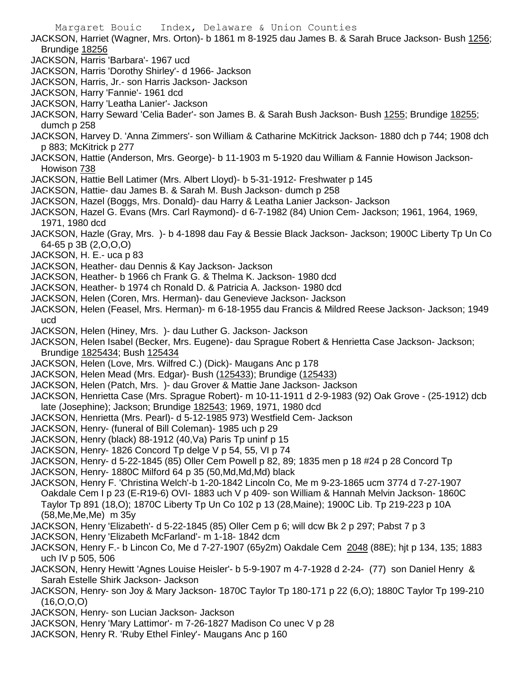- Margaret Bouic Index, Delaware & Union Counties JACKSON, Harriet (Wagner, Mrs. Orton)- b 1861 m 8-1925 dau James B. & Sarah Bruce Jackson- Bush 1256; Brundige 18256 JACKSON, Harris 'Barbara'- 1967 ucd JACKSON, Harris 'Dorothy Shirley'- d 1966- Jackson JACKSON, Harris, Jr.- son Harris Jackson- Jackson JACKSON, Harry 'Fannie'- 1961 dcd JACKSON, Harry 'Leatha Lanier'- Jackson JACKSON, Harry Seward 'Celia Bader'- son James B. & Sarah Bush Jackson- Bush 1255; Brundige 18255; dumch p 258 JACKSON, Harvey D. 'Anna Zimmers'- son William & Catharine McKitrick Jackson- 1880 dch p 744; 1908 dch p 883; McKitrick p 277 JACKSON, Hattie (Anderson, Mrs. George)- b 11-1903 m 5-1920 dau William & Fannie Howison Jackson-Howison 738 JACKSON, Hattie Bell Latimer (Mrs. Albert Lloyd)- b 5-31-1912- Freshwater p 145 JACKSON, Hattie- dau James B. & Sarah M. Bush Jackson- dumch p 258 JACKSON, Hazel (Boggs, Mrs. Donald)- dau Harry & Leatha Lanier Jackson- Jackson JACKSON, Hazel G. Evans (Mrs. Carl Raymond)- d 6-7-1982 (84) Union Cem- Jackson; 1961, 1964, 1969, 1971, 1980 dcd JACKSON, Hazle (Gray, Mrs. )- b 4-1898 dau Fay & Bessie Black Jackson- Jackson; 1900C Liberty Tp Un Co 64-65 p 3B (2,O,O,O) JACKSON, H. E.- uca p 83 JACKSON, Heather- dau Dennis & Kay Jackson- Jackson JACKSON, Heather- b 1966 ch Frank G. & Thelma K. Jackson- 1980 dcd JACKSON, Heather- b 1974 ch Ronald D. & Patricia A. Jackson- 1980 dcd JACKSON, Helen (Coren, Mrs. Herman)- dau Genevieve Jackson- Jackson JACKSON, Helen (Feasel, Mrs. Herman)- m 6-18-1955 dau Francis & Mildred Reese Jackson- Jackson; 1949 ucd JACKSON, Helen (Hiney, Mrs. )- dau Luther G. Jackson- Jackson JACKSON, Helen Isabel (Becker, Mrs. Eugene)- dau Sprague Robert & Henrietta Case Jackson- Jackson; Brundige 1825434; Bush 125434 JACKSON, Helen (Love, Mrs. Wilfred C.) (Dick)- Maugans Anc p 178 JACKSON, Helen Mead (Mrs. Edgar)- Bush (125433); Brundige (125433) JACKSON, Helen (Patch, Mrs. )- dau Grover & Mattie Jane Jackson- Jackson JACKSON, Henrietta Case (Mrs. Sprague Robert)- m 10-11-1911 d 2-9-1983 (92) Oak Grove - (25-1912) dcb late (Josephine); Jackson; Brundige 182543; 1969, 1971, 1980 dcd JACKSON, Henrietta (Mrs. Pearl)- d 5-12-1985 973) Westfield Cem- Jackson JACKSON, Henry- (funeral of Bill Coleman)- 1985 uch p 29 JACKSON, Henry (black) 88-1912 (40,Va) Paris Tp uninf p 15 JACKSON, Henry- 1826 Concord Tp delge V p 54, 55, VI p 74 JACKSON, Henry- d 5-22-1845 (85) Oller Cem Powell p 82, 89; 1835 men p 18 #24 p 28 Concord Tp JACKSON, Henry- 1880C Milford 64 p 35 (50,Md,Md,Md) black JACKSON, Henry F. 'Christina Welch'-b 1-20-1842 Lincoln Co, Me m 9-23-1865 ucm 3774 d 7-27-1907 Oakdale Cem I p 23 (E-R19-6) OVI- 1883 uch V p 409- son William & Hannah Melvin Jackson- 1860C Taylor Tp 891 (18,O); 1870C Liberty Tp Un Co 102 p 13 (28,Maine); 1900C Lib. Tp 219-223 p 10A (58,Me,Me,Me) m 35y JACKSON, Henry 'Elizabeth'- d 5-22-1845 (85) Oller Cem p 6; will dcw Bk 2 p 297; Pabst 7 p 3 JACKSON, Henry 'Elizabeth McFarland'- m 1-18- 1842 dcm JACKSON, Henry F.- b Lincon Co, Me d 7-27-1907 (65y2m) Oakdale Cem 2048 (88E); hjt p 134, 135; 1883 uch IV p 505, 506 JACKSON, Henry Hewitt 'Agnes Louise Heisler'- b 5-9-1907 m 4-7-1928 d 2-24- (77) son Daniel Henry & Sarah Estelle Shirk Jackson- Jackson JACKSON, Henry- son Joy & Mary Jackson- 1870C Taylor Tp 180-171 p 22 (6,O); 1880C Taylor Tp 199-210 (16,O,O,O) JACKSON, Henry- son Lucian Jackson- Jackson JACKSON, Henry 'Mary Lattimor'- m 7-26-1827 Madison Co unec V p 28
	- JACKSON, Henry R. 'Ruby Ethel Finley'- Maugans Anc p 160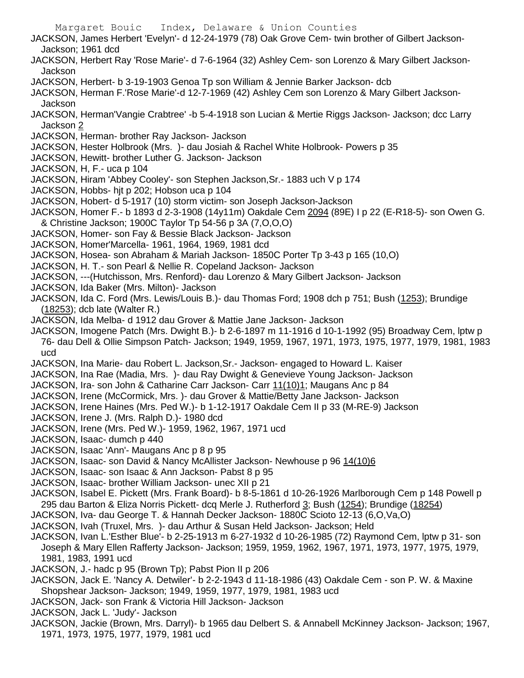Margaret Bouic Index, Delaware & Union Counties JACKSON, James Herbert 'Evelyn'- d 12-24-1979 (78) Oak Grove Cem- twin brother of Gilbert Jackson-Jackson; 1961 dcd JACKSON, Herbert Ray 'Rose Marie'- d 7-6-1964 (32) Ashley Cem- son Lorenzo & Mary Gilbert Jackson-**Jackson** JACKSON, Herbert- b 3-19-1903 Genoa Tp son William & Jennie Barker Jackson- dcb JACKSON, Herman F.'Rose Marie'-d 12-7-1969 (42) Ashley Cem son Lorenzo & Mary Gilbert Jackson-Jackson JACKSON, Herman'Vangie Crabtree' -b 5-4-1918 son Lucian & Mertie Riggs Jackson- Jackson; dcc Larry Jackson 2 JACKSON, Herman- brother Ray Jackson- Jackson JACKSON, Hester Holbrook (Mrs. )- dau Josiah & Rachel White Holbrook- Powers p 35 JACKSON, Hewitt- brother Luther G. Jackson- Jackson JACKSON, H, F.- uca p 104 JACKSON, Hiram 'Abbey Cooley'- son Stephen Jackson,Sr.- 1883 uch V p 174 JACKSON, Hobbs- hjt p 202; Hobson uca p 104 JACKSON, Hobert- d 5-1917 (10) storm victim- son Joseph Jackson-Jackson JACKSON, Homer F.- b 1893 d 2-3-1908 (14y11m) Oakdale Cem 2094 (89E) I p 22 (E-R18-5)- son Owen G. & Christine Jackson; 1900C Taylor Tp 54-56 p 3A (7,O,O,O) JACKSON, Homer- son Fay & Bessie Black Jackson- Jackson JACKSON, Homer'Marcella- 1961, 1964, 1969, 1981 dcd JACKSON, Hosea- son Abraham & Mariah Jackson- 1850C Porter Tp 3-43 p 165 (10,O) JACKSON, H. T.- son Pearl & Nellie R. Copeland Jackson- Jackson JACKSON, ---(Hutchisson, Mrs. Renford)- dau Lorenzo & Mary Gilbert Jackson- Jackson JACKSON, Ida Baker (Mrs. Milton)- Jackson JACKSON, Ida C. Ford (Mrs. Lewis/Louis B.)- dau Thomas Ford; 1908 dch p 751; Bush (1253); Brundige (18253); dcb late (Walter R.) JACKSON, Ida Melba- d 1912 dau Grover & Mattie Jane Jackson- Jackson JACKSON, Imogene Patch (Mrs. Dwight B.)- b 2-6-1897 m 11-1916 d 10-1-1992 (95) Broadway Cem, lptw p 76- dau Dell & Ollie Simpson Patch- Jackson; 1949, 1959, 1967, 1971, 1973, 1975, 1977, 1979, 1981, 1983 ucd JACKSON, Ina Marie- dau Robert L. Jackson,Sr.- Jackson- engaged to Howard L. Kaiser JACKSON, Ina Rae (Madia, Mrs. )- dau Ray Dwight & Genevieve Young Jackson- Jackson JACKSON, Ira- son John & Catharine Carr Jackson- Carr 11(10)1; Maugans Anc p 84 JACKSON, Irene (McCormick, Mrs. )- dau Grover & Mattie/Betty Jane Jackson- Jackson JACKSON, Irene Haines (Mrs. Ped W.)- b 1-12-1917 Oakdale Cem II p 33 (M-RE-9) Jackson JACKSON, Irene J. (Mrs. Ralph D.)- 1980 dcd JACKSON, Irene (Mrs. Ped W.)- 1959, 1962, 1967, 1971 ucd JACKSON, Isaac- dumch p 440 JACKSON, Isaac 'Ann'- Maugans Anc p 8 p 95 JACKSON, Isaac- son David & Nancy McAllister Jackson- Newhouse p 96 14(10)6 JACKSON, Isaac- son Isaac & Ann Jackson- Pabst 8 p 95 JACKSON, Isaac- brother William Jackson- unec XII p 21 JACKSON, Isabel E. Pickett (Mrs. Frank Board)- b 8-5-1861 d 10-26-1926 Marlborough Cem p 148 Powell p 295 dau Barton & Eliza Norris Pickett- dcq Merle J. Rutherford 3; Bush (1254); Brundige (18254) JACKSON, Iva- dau George T. & Hannah Decker Jackson- 1880C Scioto 12-13 (6,O,Va,O) JACKSON, Ivah (Truxel, Mrs. )- dau Arthur & Susan Held Jackson- Jackson; Held JACKSON, Ivan L.'Esther Blue'- b 2-25-1913 m 6-27-1932 d 10-26-1985 (72) Raymond Cem, lptw p 31- son Joseph & Mary Ellen Rafferty Jackson- Jackson; 1959, 1959, 1962, 1967, 1971, 1973, 1977, 1975, 1979, 1981, 1983, 1991 ucd JACKSON, J.- hadc p 95 (Brown Tp); Pabst Pion II p 206 JACKSON, Jack E. 'Nancy A. Detwiler'- b 2-2-1943 d 11-18-1986 (43) Oakdale Cem - son P. W. & Maxine Shopshear Jackson- Jackson; 1949, 1959, 1977, 1979, 1981, 1983 ucd JACKSON, Jack- son Frank & Victoria Hill Jackson- Jackson JACKSON, Jack L. 'Judy'- Jackson

JACKSON, Jackie (Brown, Mrs. Darryl)- b 1965 dau Delbert S. & Annabell McKinney Jackson- Jackson; 1967, 1971, 1973, 1975, 1977, 1979, 1981 ucd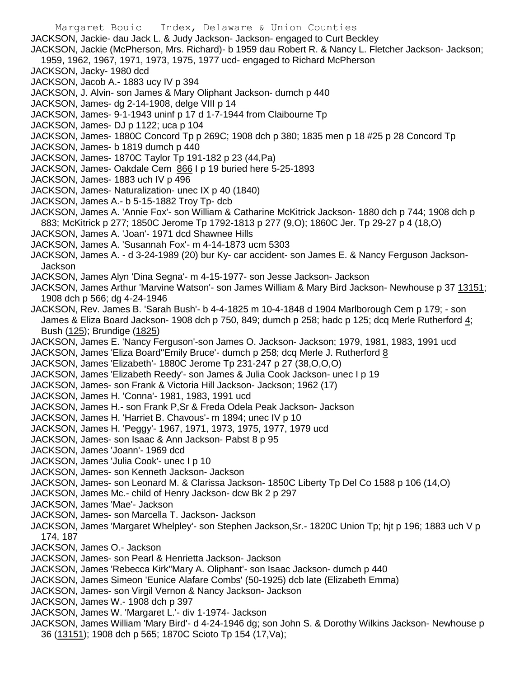Margaret Bouic Index, Delaware & Union Counties JACKSON, Jackie- dau Jack L. & Judy Jackson- Jackson- engaged to Curt Beckley JACKSON, Jackie (McPherson, Mrs. Richard)- b 1959 dau Robert R. & Nancy L. Fletcher Jackson- Jackson; 1959, 1962, 1967, 1971, 1973, 1975, 1977 ucd- engaged to Richard McPherson JACKSON, Jacky- 1980 dcd JACKSON, Jacob A.- 1883 ucy IV p 394 JACKSON, J. Alvin- son James & Mary Oliphant Jackson- dumch p 440 JACKSON, James- dg 2-14-1908, delge VIII p 14 JACKSON, James- 9-1-1943 uninf p 17 d 1-7-1944 from Claibourne Tp JACKSON, James- DJ p 1122; uca p 104 JACKSON, James- 1880C Concord Tp p 269C; 1908 dch p 380; 1835 men p 18 #25 p 28 Concord Tp JACKSON, James- b 1819 dumch p 440 JACKSON, James- 1870C Taylor Tp 191-182 p 23 (44,Pa) JACKSON, James- Oakdale Cem 866 I p 19 buried here 5-25-1893 JACKSON, James- 1883 uch IV p 496 JACKSON, James- Naturalization- unec IX p 40 (1840) JACKSON, James A.- b 5-15-1882 Troy Tp- dcb JACKSON, James A. 'Annie Fox'- son William & Catharine McKitrick Jackson- 1880 dch p 744; 1908 dch p 883; McKitrick p 277; 1850C Jerome Tp 1792-1813 p 277 (9,O); 1860C Jer. Tp 29-27 p 4 (18,O) JACKSON, James A. 'Joan'- 1971 dcd Shawnee Hills JACKSON, James A. 'Susannah Fox'- m 4-14-1873 ucm 5303 JACKSON, James A. - d 3-24-1989 (20) bur Ky- car accident- son James E. & Nancy Ferguson Jackson-Jackson JACKSON, James Alyn 'Dina Segna'- m 4-15-1977- son Jesse Jackson- Jackson JACKSON, James Arthur 'Marvine Watson'- son James William & Mary Bird Jackson- Newhouse p 37 13151; 1908 dch p 566; dg 4-24-1946 JACKSON, Rev. James B. 'Sarah Bush'- b 4-4-1825 m 10-4-1848 d 1904 Marlborough Cem p 179; - son James & Eliza Board Jackson- 1908 dch p 750, 849; dumch p 258; hadc p 125; dcq Merle Rutherford 4; Bush (125); Brundige (1825) JACKSON, James E. 'Nancy Ferguson'-son James O. Jackson- Jackson; 1979, 1981, 1983, 1991 ucd JACKSON, James 'Eliza Board''Emily Bruce'- dumch p 258; dcq Merle J. Rutherford 8 JACKSON, James 'Elizabeth'- 1880C Jerome Tp 231-247 p 27 (38,O,O,O) JACKSON, James 'Elizabeth Reedy'- son James & Julia Cook Jackson- unec I p 19 JACKSON, James- son Frank & Victoria Hill Jackson- Jackson; 1962 (17) JACKSON, James H. 'Conna'- 1981, 1983, 1991 ucd JACKSON, James H.- son Frank P,Sr & Freda Odela Peak Jackson- Jackson JACKSON, James H. 'Harriet B. Chavous'- m 1894; unec IV p 10 JACKSON, James H. 'Peggy'- 1967, 1971, 1973, 1975, 1977, 1979 ucd JACKSON, James- son Isaac & Ann Jackson- Pabst 8 p 95 JACKSON, James 'Joann'- 1969 dcd JACKSON, James 'Julia Cook'- unec I p 10 JACKSON, James- son Kenneth Jackson- Jackson JACKSON, James- son Leonard M. & Clarissa Jackson- 1850C Liberty Tp Del Co 1588 p 106 (14,O) JACKSON, James Mc.- child of Henry Jackson- dcw Bk 2 p 297 JACKSON, James 'Mae'- Jackson JACKSON, James- son Marcella T. Jackson- Jackson JACKSON, James 'Margaret Whelpley'- son Stephen Jackson,Sr.- 1820C Union Tp; hjt p 196; 1883 uch V p 174, 187 JACKSON, James O.- Jackson JACKSON, James- son Pearl & Henrietta Jackson- Jackson JACKSON, James 'Rebecca Kirk''Mary A. Oliphant'- son Isaac Jackson- dumch p 440 JACKSON, James Simeon 'Eunice Alafare Combs' (50-1925) dcb late (Elizabeth Emma) JACKSON, James- son Virgil Vernon & Nancy Jackson- Jackson JACKSON, James W.- 1908 dch p 397 JACKSON, James W. 'Margaret L.'- div 1-1974- Jackson JACKSON, James William 'Mary Bird'- d 4-24-1946 dg; son John S. & Dorothy Wilkins Jackson- Newhouse p 36 (13151); 1908 dch p 565; 1870C Scioto Tp 154 (17,Va);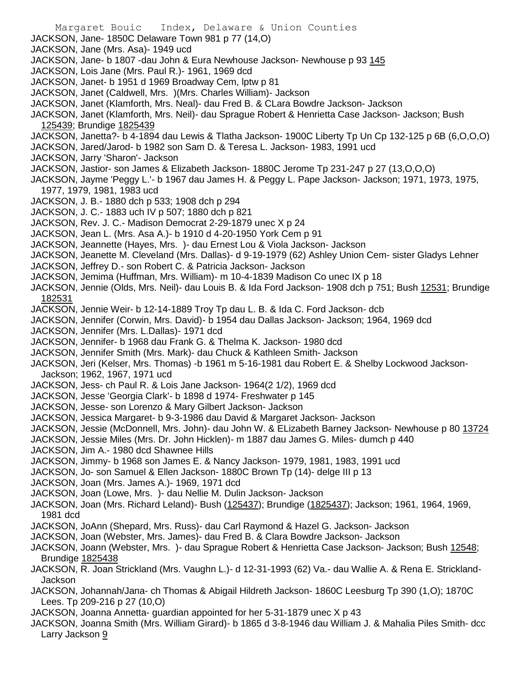- Margaret Bouic Index, Delaware & Union Counties JACKSON, Jane- 1850C Delaware Town 981 p 77 (14,O) JACKSON, Jane (Mrs. Asa)- 1949 ucd JACKSON, Jane- b 1807 -dau John & Eura Newhouse Jackson- Newhouse p 93 145 JACKSON, Lois Jane (Mrs. Paul R.)- 1961, 1969 dcd JACKSON, Janet- b 1951 d 1969 Broadway Cem, lptw p 81 JACKSON, Janet (Caldwell, Mrs. )(Mrs. Charles William)- Jackson JACKSON, Janet (Klamforth, Mrs. Neal)- dau Fred B. & CLara Bowdre Jackson- Jackson JACKSON, Janet (Klamforth, Mrs. Neil)- dau Sprague Robert & Henrietta Case Jackson- Jackson; Bush 125439; Brundige 1825439 JACKSON, Janetta?- b 4-1894 dau Lewis & Tlatha Jackson- 1900C Liberty Tp Un Cp 132-125 p 6B (6,O,O,O) JACKSON, Jared/Jarod- b 1982 son Sam D. & Teresa L. Jackson- 1983, 1991 ucd JACKSON, Jarry 'Sharon'- Jackson JACKSON, Jastior- son James & Elizabeth Jackson- 1880C Jerome Tp 231-247 p 27 (13,O,O,O) JACKSON, Jayme 'Peggy L.'- b 1967 dau James H. & Peggy L. Pape Jackson- Jackson; 1971, 1973, 1975, 1977, 1979, 1981, 1983 ucd JACKSON, J. B.- 1880 dch p 533; 1908 dch p 294 JACKSON, J. C.- 1883 uch IV p 507; 1880 dch p 821 JACKSON, Rev. J. C.- Madison Democrat 2-29-1879 unec X p 24 JACKSON, Jean L. (Mrs. Asa A.)- b 1910 d 4-20-1950 York Cem p 91 JACKSON, Jeannette (Hayes, Mrs. )- dau Ernest Lou & Viola Jackson- Jackson JACKSON, Jeanette M. Cleveland (Mrs. Dallas)- d 9-19-1979 (62) Ashley Union Cem- sister Gladys Lehner JACKSON, Jeffrey D.- son Robert C. & Patricia Jackson- Jackson JACKSON, Jemima (Huffman, Mrs. William)- m 10-4-1839 Madison Co unec IX p 18 JACKSON, Jennie (Olds, Mrs. Neil)- dau Louis B. & Ida Ford Jackson- 1908 dch p 751; Bush 12531; Brundige 182531 JACKSON, Jennie Weir- b 12-14-1889 Troy Tp dau L. B. & Ida C. Ford Jackson- dcb JACKSON, Jennifer (Corwin, Mrs. David)- b 1954 dau Dallas Jackson- Jackson; 1964, 1969 dcd JACKSON, Jennifer (Mrs. L.Dallas)- 1971 dcd JACKSON, Jennifer- b 1968 dau Frank G. & Thelma K. Jackson- 1980 dcd JACKSON, Jennifer Smith (Mrs. Mark)- dau Chuck & Kathleen Smith- Jackson JACKSON, Jeri (Kelser, Mrs. Thomas) -b 1961 m 5-16-1981 dau Robert E. & Shelby Lockwood Jackson-Jackson; 1962, 1967, 1971 ucd JACKSON, Jess- ch Paul R. & Lois Jane Jackson- 1964(2 1/2), 1969 dcd JACKSON, Jesse 'Georgia Clark'- b 1898 d 1974- Freshwater p 145 JACKSON, Jesse- son Lorenzo & Mary Gilbert Jackson- Jackson JACKSON, Jessica Margaret- b 9-3-1986 dau David & Margaret Jackson- Jackson JACKSON, Jessie (McDonnell, Mrs. John)- dau John W. & ELizabeth Barney Jackson- Newhouse p 80 13724 JACKSON, Jessie Miles (Mrs. Dr. John Hicklen)- m 1887 dau James G. Miles- dumch p 440 JACKSON, Jim A.- 1980 dcd Shawnee Hills JACKSON, Jimmy- b 1968 son James E. & Nancy Jackson- 1979, 1981, 1983, 1991 ucd JACKSON, Jo- son Samuel & Ellen Jackson- 1880C Brown Tp (14)- delge III p 13 JACKSON, Joan (Mrs. James A.)- 1969, 1971 dcd JACKSON, Joan (Lowe, Mrs. )- dau Nellie M. Dulin Jackson- Jackson JACKSON, Joan (Mrs. Richard Leland)- Bush (125437); Brundige (1825437); Jackson; 1961, 1964, 1969, 1981 dcd JACKSON, JoAnn (Shepard, Mrs. Russ)- dau Carl Raymond & Hazel G. Jackson- Jackson JACKSON, Joan (Webster, Mrs. James)- dau Fred B. & Clara Bowdre Jackson- Jackson JACKSON, Joann (Webster, Mrs. )- dau Sprague Robert & Henrietta Case Jackson- Jackson; Bush 12548; Brundige 1825438 JACKSON, R. Joan Strickland (Mrs. Vaughn L.)- d 12-31-1993 (62) Va.- dau Wallie A. & Rena E. Strickland-Jackson
- JACKSON, Johannah/Jana- ch Thomas & Abigail Hildreth Jackson- 1860C Leesburg Tp 390 (1,O); 1870C Lees. Tp 209-216 p 27 (10,O)
- JACKSON, Joanna Annetta- guardian appointed for her 5-31-1879 unec X p 43
- JACKSON, Joanna Smith (Mrs. William Girard)- b 1865 d 3-8-1946 dau William J. & Mahalia Piles Smith- dcc Larry Jackson 9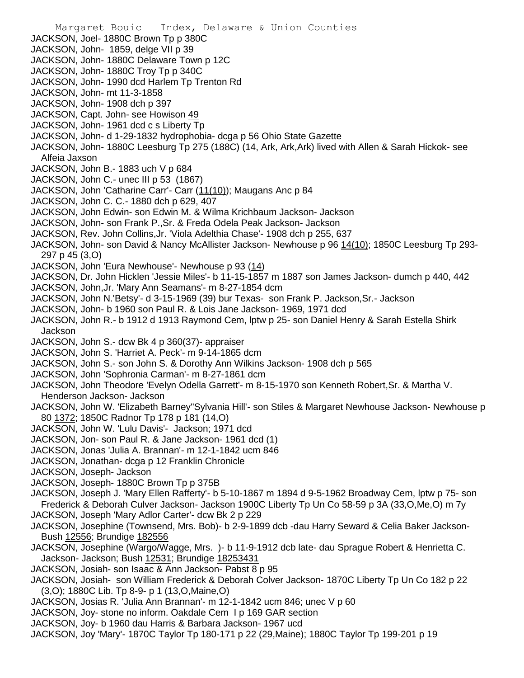- Margaret Bouic Index, Delaware & Union Counties JACKSON, Joel- 1880C Brown Tp p 380C JACKSON, John- 1859, delge VII p 39 JACKSON, John- 1880C Delaware Town p 12C JACKSON, John- 1880C Troy Tp p 340C JACKSON, John- 1990 dcd Harlem Tp Trenton Rd JACKSON, John- mt 11-3-1858 JACKSON, John- 1908 dch p 397 JACKSON, Capt. John- see Howison 49 JACKSON, John- 1961 dcd c s Liberty Tp JACKSON, John- d 1-29-1832 hydrophobia- dcga p 56 Ohio State Gazette JACKSON, John- 1880C Leesburg Tp 275 (188C) (14, Ark, Ark,Ark) lived with Allen & Sarah Hickok- see Alfeia Jaxson JACKSON, John B.- 1883 uch V p 684 JACKSON, John C.- unec III p 53 (1867) JACKSON, John 'Catharine Carr'- Carr (11(10)); Maugans Anc p 84 JACKSON, John C. C.- 1880 dch p 629, 407 JACKSON, John Edwin- son Edwin M. & Wilma Krichbaum Jackson- Jackson JACKSON, John- son Frank P.,Sr. & Freda Odela Peak Jackson- Jackson JACKSON, Rev. John Collins,Jr. 'Viola Adelthia Chase'- 1908 dch p 255, 637 JACKSON, John- son David & Nancy McAllister Jackson- Newhouse p 96 14(10); 1850C Leesburg Tp 293-297 p 45 (3,O) JACKSON, John 'Eura Newhouse'- Newhouse p 93 (14) JACKSON, Dr. John Hicklen 'Jessie Miles'- b 11-15-1857 m 1887 son James Jackson- dumch p 440, 442 JACKSON, John,Jr. 'Mary Ann Seamans'- m 8-27-1854 dcm JACKSON, John N.'Betsy'- d 3-15-1969 (39) bur Texas- son Frank P. Jackson,Sr.- Jackson JACKSON, John- b 1960 son Paul R. & Lois Jane Jackson- 1969, 1971 dcd JACKSON, John R.- b 1912 d 1913 Raymond Cem, lptw p 25- son Daniel Henry & Sarah Estella Shirk Jackson JACKSON, John S.- dcw Bk 4 p 360(37)- appraiser JACKSON, John S. 'Harriet A. Peck'- m 9-14-1865 dcm JACKSON, John S.- son John S. & Dorothy Ann Wilkins Jackson- 1908 dch p 565 JACKSON, John 'Sophronia Carman'- m 8-27-1861 dcm JACKSON, John Theodore 'Evelyn Odella Garrett'- m 8-15-1970 son Kenneth Robert,Sr. & Martha V. Henderson Jackson- Jackson JACKSON, John W. 'Elizabeth Barney''Sylvania Hill'- son Stiles & Margaret Newhouse Jackson- Newhouse p 80 1372; 1850C Radnor Tp 178 p 181 (14,O) JACKSON, John W. 'Lulu Davis'- Jackson; 1971 dcd JACKSON, Jon- son Paul R. & Jane Jackson- 1961 dcd (1) JACKSON, Jonas 'Julia A. Brannan'- m 12-1-1842 ucm 846 JACKSON, Jonathan- dcga p 12 Franklin Chronicle JACKSON, Joseph- Jackson JACKSON, Joseph- 1880C Brown Tp p 375B JACKSON, Joseph J. 'Mary Ellen Rafferty'- b 5-10-1867 m 1894 d 9-5-1962 Broadway Cem, lptw p 75- son Frederick & Deborah Culver Jackson- Jackson 1900C Liberty Tp Un Co 58-59 p 3A (33,O,Me,O) m 7y JACKSON, Joseph 'Mary Adlor Carter'- dcw Bk 2 p 229 JACKSON, Josephine (Townsend, Mrs. Bob)- b 2-9-1899 dcb -dau Harry Seward & Celia Baker Jackson-Bush 12556; Brundige 182556 JACKSON, Josephine (Wargo/Wagge, Mrs. )- b 11-9-1912 dcb late- dau Sprague Robert & Henrietta C. Jackson- Jackson; Bush 12531; Brundige 18253431 JACKSON, Josiah- son Isaac & Ann Jackson- Pabst 8 p 95
- JACKSON, Josiah- son William Frederick & Deborah Colver Jackson- 1870C Liberty Tp Un Co 182 p 22 (3,O); 1880C Lib. Tp 8-9- p 1 (13,O,Maine,O)
- JACKSON, Josias R. 'Julia Ann Brannan'- m 12-1-1842 ucm 846; unec V p 60
- JACKSON, Joy- stone no inform. Oakdale Cem I p 169 GAR section
- JACKSON, Joy- b 1960 dau Harris & Barbara Jackson- 1967 ucd
- JACKSON, Joy 'Mary'- 1870C Taylor Tp 180-171 p 22 (29,Maine); 1880C Taylor Tp 199-201 p 19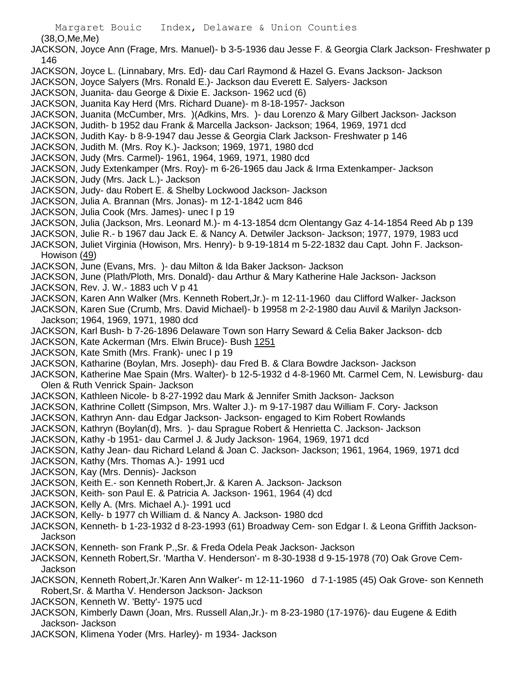(38,O,Me,Me)

JACKSON, Joyce Ann (Frage, Mrs. Manuel)- b 3-5-1936 dau Jesse F. & Georgia Clark Jackson- Freshwater p 146

- JACKSON, Joyce L. (Linnabary, Mrs. Ed)- dau Carl Raymond & Hazel G. Evans Jackson- Jackson
- JACKSON, Joyce Salyers (Mrs. Ronald E.)- Jackson dau Everett E. Salyers- Jackson
- JACKSON, Juanita- dau George & Dixie E. Jackson- 1962 ucd (6)
- JACKSON, Juanita Kay Herd (Mrs. Richard Duane)- m 8-18-1957- Jackson
- JACKSON, Juanita (McCumber, Mrs. )(Adkins, Mrs. )- dau Lorenzo & Mary Gilbert Jackson- Jackson
- JACKSON, Judith- b 1952 dau Frank & Marcella Jackson- Jackson; 1964, 1969, 1971 dcd
- JACKSON, Judith Kay- b 8-9-1947 dau Jesse & Georgia Clark Jackson- Freshwater p 146
- JACKSON, Judith M. (Mrs. Roy K.)- Jackson; 1969, 1971, 1980 dcd
- JACKSON, Judy (Mrs. Carmel)- 1961, 1964, 1969, 1971, 1980 dcd
- JACKSON, Judy Extenkamper (Mrs. Roy)- m 6-26-1965 dau Jack & Irma Extenkamper- Jackson
- JACKSON, Judy (Mrs. Jack L.)- Jackson
- JACKSON, Judy- dau Robert E. & Shelby Lockwood Jackson- Jackson
- JACKSON, Julia A. Brannan (Mrs. Jonas)- m 12-1-1842 ucm 846
- JACKSON, Julia Cook (Mrs. James)- unec I p 19
- JACKSON, Julia (Jackson, Mrs. Leonard M.)- m 4-13-1854 dcm Olentangy Gaz 4-14-1854 Reed Ab p 139
- JACKSON, Julie R.- b 1967 dau Jack E. & Nancy A. Detwiler Jackson- Jackson; 1977, 1979, 1983 ucd
- JACKSON, Juliet Virginia (Howison, Mrs. Henry)- b 9-19-1814 m 5-22-1832 dau Capt. John F. Jackson-Howison (49)
- JACKSON, June (Evans, Mrs. )- dau Milton & Ida Baker Jackson- Jackson
- JACKSON, June (Plath/Ploth, Mrs. Donald)- dau Arthur & Mary Katherine Hale Jackson- Jackson
- JACKSON, Rev. J. W.- 1883 uch V p 41
- JACKSON, Karen Ann Walker (Mrs. Kenneth Robert,Jr.)- m 12-11-1960 dau Clifford Walker- Jackson
- JACKSON, Karen Sue (Crumb, Mrs. David Michael)- b 19958 m 2-2-1980 dau Auvil & Marilyn Jackson-Jackson; 1964, 1969, 1971, 1980 dcd
- JACKSON, Karl Bush- b 7-26-1896 Delaware Town son Harry Seward & Celia Baker Jackson- dcb
- JACKSON, Kate Ackerman (Mrs. Elwin Bruce)- Bush 1251
- JACKSON, Kate Smith (Mrs. Frank)- unec I p 19
- JACKSON, Katharine (Boylan, Mrs. Joseph)- dau Fred B. & Clara Bowdre Jackson- Jackson
- JACKSON, Katherine Mae Spain (Mrs. Walter)- b 12-5-1932 d 4-8-1960 Mt. Carmel Cem, N. Lewisburg- dau Olen & Ruth Venrick Spain- Jackson
- JACKSON, Kathleen Nicole- b 8-27-1992 dau Mark & Jennifer Smith Jackson- Jackson
- JACKSON, Kathrine Collett (Simpson, Mrs. Walter J.)- m 9-17-1987 dau William F. Cory- Jackson
- JACKSON, Kathryn Ann- dau Edgar Jackson- Jackson- engaged to Kim Robert Rowlands
- JACKSON, Kathryn (Boylan(d), Mrs. )- dau Sprague Robert & Henrietta C. Jackson- Jackson
- JACKSON, Kathy -b 1951- dau Carmel J. & Judy Jackson- 1964, 1969, 1971 dcd
- JACKSON, Kathy Jean- dau Richard Leland & Joan C. Jackson- Jackson; 1961, 1964, 1969, 1971 dcd
- JACKSON, Kathy (Mrs. Thomas A.)- 1991 ucd
- JACKSON, Kay (Mrs. Dennis)- Jackson
- JACKSON, Keith E.- son Kenneth Robert,Jr. & Karen A. Jackson- Jackson
- JACKSON, Keith- son Paul E. & Patricia A. Jackson- 1961, 1964 (4) dcd
- JACKSON, Kelly A. (Mrs. Michael A.)- 1991 ucd
- JACKSON, Kelly- b 1977 ch William d. & Nancy A. Jackson- 1980 dcd
- JACKSON, Kenneth- b 1-23-1932 d 8-23-1993 (61) Broadway Cem- son Edgar I. & Leona Griffith Jackson-Jackson
- JACKSON, Kenneth- son Frank P.,Sr. & Freda Odela Peak Jackson- Jackson
- JACKSON, Kenneth Robert,Sr. 'Martha V. Henderson'- m 8-30-1938 d 9-15-1978 (70) Oak Grove Cem-Jackson
- JACKSON, Kenneth Robert,Jr.'Karen Ann Walker'- m 12-11-1960 d 7-1-1985 (45) Oak Grove- son Kenneth Robert,Sr. & Martha V. Henderson Jackson- Jackson
- JACKSON, Kenneth W. 'Betty'- 1975 ucd
- JACKSON, Kimberly Dawn (Joan, Mrs. Russell Alan,Jr.)- m 8-23-1980 (17-1976)- dau Eugene & Edith Jackson- Jackson
- JACKSON, Klimena Yoder (Mrs. Harley)- m 1934- Jackson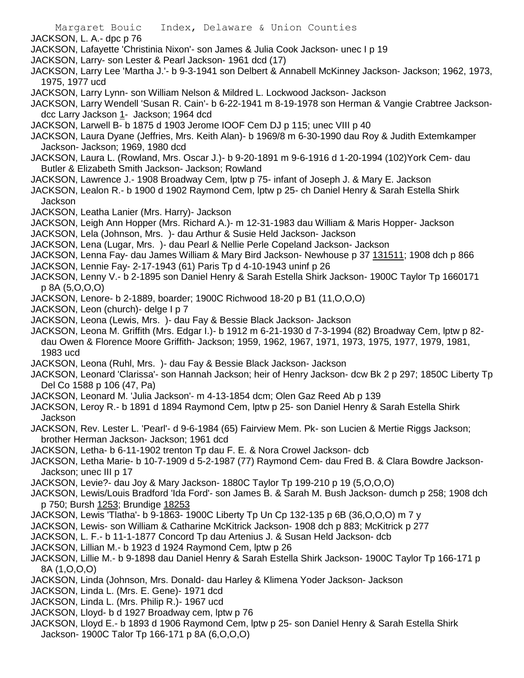- Margaret Bouic Index, Delaware & Union Counties JACKSON, L. A.- dpc p 76 JACKSON, Lafayette 'Christinia Nixon'- son James & Julia Cook Jackson- unec I p 19 JACKSON, Larry- son Lester & Pearl Jackson- 1961 dcd (17) JACKSON, Larry Lee 'Martha J.'- b 9-3-1941 son Delbert & Annabell McKinney Jackson- Jackson; 1962, 1973, 1975, 1977 ucd JACKSON, Larry Lynn- son William Nelson & Mildred L. Lockwood Jackson- Jackson JACKSON, Larry Wendell 'Susan R. Cain'- b 6-22-1941 m 8-19-1978 son Herman & Vangie Crabtree Jacksondcc Larry Jackson 1- Jackson; 1964 dcd JACKSON, Larwell B- b 1875 d 1903 Jerome IOOF Cem DJ p 115; unec VIII p 40 JACKSON, Laura Dyane (Jeffries, Mrs. Keith Alan)- b 1969/8 m 6-30-1990 dau Roy & Judith Extemkamper Jackson- Jackson; 1969, 1980 dcd JACKSON, Laura L. (Rowland, Mrs. Oscar J.)- b 9-20-1891 m 9-6-1916 d 1-20-1994 (102)York Cem- dau Butler & Elizabeth Smith Jackson- Jackson; Rowland JACKSON, Lawrence J.- 1908 Broadway Cem, lptw p 75- infant of Joseph J. & Mary E. Jackson JACKSON, Lealon R.- b 1900 d 1902 Raymond Cem, lptw p 25- ch Daniel Henry & Sarah Estella Shirk Jackson JACKSON, Leatha Lanier (Mrs. Harry)- Jackson JACKSON, Leigh Ann Hopper (Mrs. Richard A.)- m 12-31-1983 dau William & Maris Hopper- Jackson JACKSON, Lela (Johnson, Mrs. )- dau Arthur & Susie Held Jackson- Jackson JACKSON, Lena (Lugar, Mrs. )- dau Pearl & Nellie Perle Copeland Jackson- Jackson JACKSON, Lenna Fay- dau James William & Mary Bird Jackson- Newhouse p 37 131511; 1908 dch p 866 JACKSON, Lennie Fay- 2-17-1943 (61) Paris Tp d 4-10-1943 uninf p 26 JACKSON, Lenny V.- b 2-1895 son Daniel Henry & Sarah Estella Shirk Jackson- 1900C Taylor Tp 1660171 p 8A (5,O,O,O) JACKSON, Lenore- b 2-1889, boarder; 1900C Richwood 18-20 p B1 (11,O,O,O) JACKSON, Leon (church)- delge I p 7 JACKSON, Leona (Lewis, Mrs. )- dau Fay & Bessie Black Jackson- Jackson JACKSON, Leona M. Griffith (Mrs. Edgar I.)- b 1912 m 6-21-1930 d 7-3-1994 (82) Broadway Cem, lptw p 82 dau Owen & Florence Moore Griffith- Jackson; 1959, 1962, 1967, 1971, 1973, 1975, 1977, 1979, 1981, 1983 ucd JACKSON, Leona (Ruhl, Mrs. )- dau Fay & Bessie Black Jackson- Jackson JACKSON, Leonard 'Clarissa'- son Hannah Jackson; heir of Henry Jackson- dcw Bk 2 p 297; 1850C Liberty Tp Del Co 1588 p 106 (47, Pa) JACKSON, Leonard M. 'Julia Jackson'- m 4-13-1854 dcm; Olen Gaz Reed Ab p 139 JACKSON, Leroy R.- b 1891 d 1894 Raymond Cem, lptw p 25- son Daniel Henry & Sarah Estella Shirk Jackson JACKSON, Rev. Lester L. 'Pearl'- d 9-6-1984 (65) Fairview Mem. Pk- son Lucien & Mertie Riggs Jackson; brother Herman Jackson- Jackson; 1961 dcd JACKSON, Letha- b 6-11-1902 trenton Tp dau F. E. & Nora Crowel Jackson- dcb JACKSON, Letha Marie- b 10-7-1909 d 5-2-1987 (77) Raymond Cem- dau Fred B. & Clara Bowdre Jackson-Jackson; unec III p 17 JACKSON, Levie?- dau Joy & Mary Jackson- 1880C Taylor Tp 199-210 p 19 (5,O,O,O) JACKSON, Lewis/Louis Bradford 'Ida Ford'- son James B. & Sarah M. Bush Jackson- dumch p 258; 1908 dch p 750; Bursh 1253; Brundige 18253 JACKSON, Lewis 'Tlatha'- b 9-1863- 1900C Liberty Tp Un Cp 132-135 p 6B (36,O,O,O) m 7 y JACKSON, Lewis- son William & Catharine McKitrick Jackson- 1908 dch p 883; McKitrick p 277 JACKSON, L. F.- b 11-1-1877 Concord Tp dau Artenius J. & Susan Held Jackson- dcb JACKSON, Lillian M.- b 1923 d 1924 Raymond Cem, lptw p 26 JACKSON, Lillie M.- b 9-1898 dau Daniel Henry & Sarah Estella Shirk Jackson- 1900C Taylor Tp 166-171 p 8A (1,O,O,O)
	- JACKSON, Linda (Johnson, Mrs. Donald- dau Harley & Klimena Yoder Jackson- Jackson
	- JACKSON, Linda L. (Mrs. E. Gene)- 1971 dcd
	- JACKSON, Linda L. (Mrs. Philip R.)- 1967 ucd
	- JACKSON, Lloyd- b d 1927 Broadway cem, lptw p 76
	- JACKSON, Lloyd E.- b 1893 d 1906 Raymond Cem, lptw p 25- son Daniel Henry & Sarah Estella Shirk Jackson- 1900C Talor Tp 166-171 p 8A (6,O,O,O)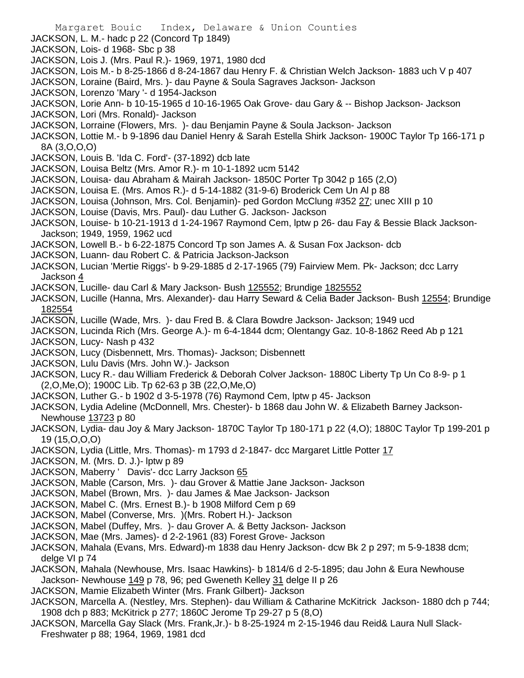- Margaret Bouic Index, Delaware & Union Counties JACKSON, L. M.- hadc p 22 (Concord Tp 1849) JACKSON, Lois- d 1968- Sbc p 38 JACKSON, Lois J. (Mrs. Paul R.)- 1969, 1971, 1980 dcd JACKSON, Lois M.- b 8-25-1866 d 8-24-1867 dau Henry F. & Christian Welch Jackson- 1883 uch V p 407 JACKSON, Loraine (Baird, Mrs. )- dau Payne & Soula Sagraves Jackson- Jackson JACKSON, Lorenzo 'Mary '- d 1954-Jackson JACKSON, Lorie Ann- b 10-15-1965 d 10-16-1965 Oak Grove- dau Gary & -- Bishop Jackson- Jackson JACKSON, Lori (Mrs. Ronald)- Jackson JACKSON, Lorraine (Flowers, Mrs. )- dau Benjamin Payne & Soula Jackson- Jackson JACKSON, Lottie M.- b 9-1896 dau Daniel Henry & Sarah Estella Shirk Jackson- 1900C Taylor Tp 166-171 p 8A (3,O,O,O) JACKSON, Louis B. 'Ida C. Ford'- (37-1892) dcb late JACKSON, Louisa Beltz (Mrs. Amor R.)- m 10-1-1892 ucm 5142 JACKSON, Louisa- dau Abraham & Mairah Jackson- 1850C Porter Tp 3042 p 165 (2,O) JACKSON, Louisa E. (Mrs. Amos R.)- d 5-14-1882 (31-9-6) Broderick Cem Un Al p 88 JACKSON, Louisa (Johnson, Mrs. Col. Benjamin)- ped Gordon McClung #352 27; unec XIII p 10 JACKSON, Louise (Davis, Mrs. Paul)- dau Luther G. Jackson- Jackson JACKSON, Louise- b 10-21-1913 d 1-24-1967 Raymond Cem, lptw p 26- dau Fay & Bessie Black Jackson-Jackson; 1949, 1959, 1962 ucd JACKSON, Lowell B.- b 6-22-1875 Concord Tp son James A. & Susan Fox Jackson- dcb JACKSON, Luann- dau Robert C. & Patricia Jackson-Jackson JACKSON, Lucian 'Mertie Riggs'- b 9-29-1885 d 2-17-1965 (79) Fairview Mem. Pk- Jackson; dcc Larry Jackson 4 JACKSON, Lucille- dau Carl & Mary Jackson- Bush 125552; Brundige 1825552 JACKSON, Lucille (Hanna, Mrs. Alexander)- dau Harry Seward & Celia Bader Jackson- Bush 12554; Brundige 182554 JACKSON, Lucille (Wade, Mrs. )- dau Fred B. & Clara Bowdre Jackson- Jackson; 1949 ucd JACKSON, Lucinda Rich (Mrs. George A.)- m 6-4-1844 dcm; Olentangy Gaz. 10-8-1862 Reed Ab p 121 JACKSON, Lucy- Nash p 432 JACKSON, Lucy (Disbennett, Mrs. Thomas)- Jackson; Disbennett JACKSON, Lulu Davis (Mrs. John W.)- Jackson JACKSON, Lucy R.- dau William Frederick & Deborah Colver Jackson- 1880C Liberty Tp Un Co 8-9- p 1 (2,O,Me,O); 1900C Lib. Tp 62-63 p 3B (22,O,Me,O) JACKSON, Luther G.- b 1902 d 3-5-1978 (76) Raymond Cem, lptw p 45- Jackson JACKSON, Lydia Adeline (McDonnell, Mrs. Chester)- b 1868 dau John W. & Elizabeth Barney Jackson-Newhouse 13723 p 80 JACKSON, Lydia- dau Joy & Mary Jackson- 1870C Taylor Tp 180-171 p 22 (4,O); 1880C Taylor Tp 199-201 p 19 (15,O,O,O) JACKSON, Lydia (Little, Mrs. Thomas)- m 1793 d 2-1847- dcc Margaret Little Potter 17 JACKSON, M. (Mrs. D. J.)- lptw p 89 JACKSON, Maberry ' Davis'- dcc Larry Jackson 65 JACKSON, Mable (Carson, Mrs. )- dau Grover & Mattie Jane Jackson- Jackson JACKSON, Mabel (Brown, Mrs. )- dau James & Mae Jackson- Jackson JACKSON, Mabel C. (Mrs. Ernest B.)- b 1908 Milford Cem p 69 JACKSON, Mabel (Converse, Mrs. )(Mrs. Robert H.)- Jackson JACKSON, Mabel (Duffey, Mrs. )- dau Grover A. & Betty Jackson- Jackson JACKSON, Mae (Mrs. James)- d 2-2-1961 (83) Forest Grove- Jackson JACKSON, Mahala (Evans, Mrs. Edward)-m 1838 dau Henry Jackson- dcw Bk 2 p 297; m 5-9-1838 dcm; delge VI p 74 JACKSON, Mahala (Newhouse, Mrs. Isaac Hawkins)- b 1814/6 d 2-5-1895; dau John & Eura Newhouse Jackson- Newhouse 149 p 78, 96; ped Gweneth Kelley 31 delge II p 26
- JACKSON, Mamie Elizabeth Winter (Mrs. Frank Gilbert)- Jackson
- JACKSON, Marcella A. (Nestley, Mrs. Stephen)- dau William & Catharine McKitrick Jackson- 1880 dch p 744; 1908 dch p 883; McKitrick p 277; 1860C Jerome Tp 29-27 p 5 (8,O)
- JACKSON, Marcella Gay Slack (Mrs. Frank,Jr.)- b 8-25-1924 m 2-15-1946 dau Reid& Laura Null Slack-Freshwater p 88; 1964, 1969, 1981 dcd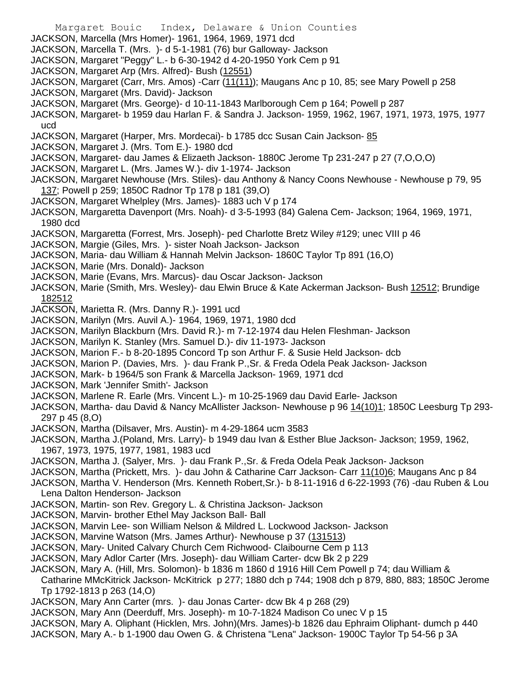Margaret Bouic Index, Delaware & Union Counties JACKSON, Marcella (Mrs Homer)- 1961, 1964, 1969, 1971 dcd JACKSON, Marcella T. (Mrs. )- d 5-1-1981 (76) bur Galloway- Jackson JACKSON, Margaret "Peggy" L.- b 6-30-1942 d 4-20-1950 York Cem p 91 JACKSON, Margaret Arp (Mrs. Alfred)- Bush (12551) JACKSON, Margaret (Carr, Mrs. Amos) -Carr (11(11)); Maugans Anc p 10, 85; see Mary Powell p 258 JACKSON, Margaret (Mrs. David)- Jackson JACKSON, Margaret (Mrs. George)- d 10-11-1843 Marlborough Cem p 164; Powell p 287 JACKSON, Margaret- b 1959 dau Harlan F. & Sandra J. Jackson- 1959, 1962, 1967, 1971, 1973, 1975, 1977 ucd JACKSON, Margaret (Harper, Mrs. Mordecai) - b 1785 dcc Susan Cain Jackson - 85 JACKSON, Margaret J. (Mrs. Tom E.)- 1980 dcd JACKSON, Margaret- dau James & Elizaeth Jackson- 1880C Jerome Tp 231-247 p 27 (7,O,O,O) JACKSON, Margaret L. (Mrs. James W.)- div 1-1974- Jackson JACKSON, Margaret Newhouse (Mrs. Stiles)- dau Anthony & Nancy Coons Newhouse - Newhouse p 79, 95 137; Powell p 259; 1850C Radnor Tp 178 p 181 (39,O) JACKSON, Margaret Whelpley (Mrs. James)- 1883 uch V p 174 JACKSON, Margaretta Davenport (Mrs. Noah)- d 3-5-1993 (84) Galena Cem- Jackson; 1964, 1969, 1971, 1980 dcd JACKSON, Margaretta (Forrest, Mrs. Joseph)- ped Charlotte Bretz Wiley #129; unec VIII p 46 JACKSON, Margie (Giles, Mrs. )- sister Noah Jackson- Jackson JACKSON, Maria- dau William & Hannah Melvin Jackson- 1860C Taylor Tp 891 (16,O) JACKSON, Marie (Mrs. Donald)- Jackson JACKSON, Marie (Evans, Mrs. Marcus)- dau Oscar Jackson- Jackson JACKSON, Marie (Smith, Mrs. Wesley)- dau Elwin Bruce & Kate Ackerman Jackson- Bush 12512; Brundige 182512 JACKSON, Marietta R. (Mrs. Danny R.)- 1991 ucd JACKSON, Marilyn (Mrs. Auvil A.)- 1964, 1969, 1971, 1980 dcd JACKSON, Marilyn Blackburn (Mrs. David R.)- m 7-12-1974 dau Helen Fleshman- Jackson JACKSON, Marilyn K. Stanley (Mrs. Samuel D.)- div 11-1973- Jackson JACKSON, Marion F.- b 8-20-1895 Concord Tp son Arthur F. & Susie Held Jackson- dcb JACKSON, Marion P. (Davies, Mrs. )- dau Frank P.,Sr. & Freda Odela Peak Jackson- Jackson JACKSON, Mark- b 1964/5 son Frank & Marcella Jackson- 1969, 1971 dcd JACKSON, Mark 'Jennifer Smith'- Jackson JACKSON, Marlene R. Earle (Mrs. Vincent L.)- m 10-25-1969 dau David Earle- Jackson JACKSON, Martha- dau David & Nancy McAllister Jackson- Newhouse p 96 14(10)1; 1850C Leesburg Tp 293-297 p 45 (8,O) JACKSON, Martha (Dilsaver, Mrs. Austin)- m 4-29-1864 ucm 3583 JACKSON, Martha J.(Poland, Mrs. Larry)- b 1949 dau Ivan & Esther Blue Jackson- Jackson; 1959, 1962, 1967, 1973, 1975, 1977, 1981, 1983 ucd JACKSON, Martha J. (Salyer, Mrs. )- dau Frank P.,Sr. & Freda Odela Peak Jackson- Jackson JACKSON, Martha (Prickett, Mrs. )- dau John & Catharine Carr Jackson- Carr 11(10)6; Maugans Anc p 84 JACKSON, Martha V. Henderson (Mrs. Kenneth Robert,Sr.)- b 8-11-1916 d 6-22-1993 (76) -dau Ruben & Lou Lena Dalton Henderson- Jackson JACKSON, Martin- son Rev. Gregory L. & Christina Jackson- Jackson JACKSON, Marvin- brother Ethel May Jackson Ball- Ball JACKSON, Marvin Lee- son William Nelson & Mildred L. Lockwood Jackson- Jackson JACKSON, Marvine Watson (Mrs. James Arthur)- Newhouse p 37 (131513) JACKSON, Mary- United Calvary Church Cem Richwood- Claibourne Cem p 113 JACKSON, Mary Adlor Carter (Mrs. Joseph)- dau William Carter- dcw Bk 2 p 229 JACKSON, Mary A. (Hill, Mrs. Solomon)- b 1836 m 1860 d 1916 Hill Cem Powell p 74; dau William & Catharine MMcKitrick Jackson- McKitrick p 277; 1880 dch p 744; 1908 dch p 879, 880, 883; 1850C Jerome Tp 1792-1813 p 263 (14,O) JACKSON, Mary Ann Carter (mrs. )- dau Jonas Carter- dcw Bk 4 p 268 (29) JACKSON, Mary Ann (Deerduff, Mrs. Joseph)- m 10-7-1824 Madison Co unec V p 15 JACKSON, Mary A. Oliphant (Hicklen, Mrs. John)(Mrs. James)-b 1826 dau Ephraim Oliphant- dumch p 440 JACKSON, Mary A.- b 1-1900 dau Owen G. & Christena "Lena" Jackson- 1900C Taylor Tp 54-56 p 3A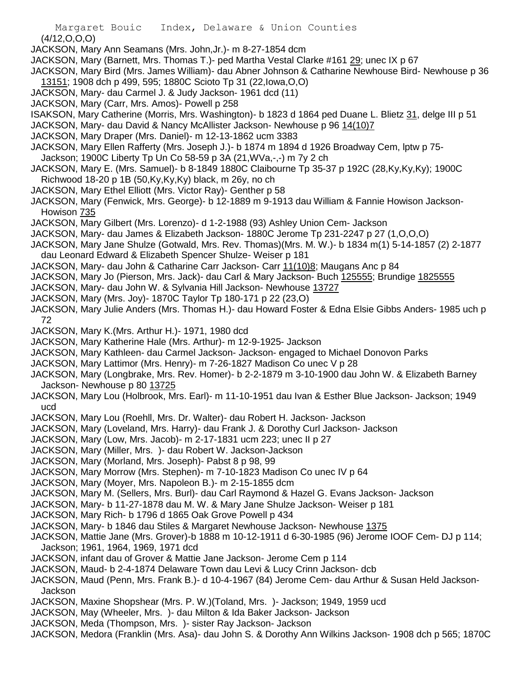(4/12,O,O,O)

- JACKSON, Mary Ann Seamans (Mrs. John,Jr.)- m 8-27-1854 dcm
- JACKSON, Mary (Barnett, Mrs. Thomas T.)- ped Martha Vestal Clarke #161 29; unec IX p 67
- JACKSON, Mary Bird (Mrs. James William)- dau Abner Johnson & Catharine Newhouse Bird- Newhouse p 36 13151; 1908 dch p 499, 595; 1880C Scioto Tp 31 (22,Iowa,O,O)
- JACKSON, Mary- dau Carmel J. & Judy Jackson- 1961 dcd (11)
- JACKSON, Mary (Carr, Mrs. Amos)- Powell p 258
- ISAKSON, Mary Catherine (Morris, Mrs. Washington)- b 1823 d 1864 ped Duane L. Blietz 31, delge III p 51
- JACKSON, Mary- dau David & Nancy McAllister Jackson- Newhouse p 96 14(10)7
- JACKSON, Mary Draper (Mrs. Daniel)- m 12-13-1862 ucm 3383
- JACKSON, Mary Ellen Rafferty (Mrs. Joseph J.)- b 1874 m 1894 d 1926 Broadway Cem, lptw p 75- Jackson; 1900C Liberty Tp Un Co 58-59 p 3A (21,WVa,-,-) m 7y 2 ch
- JACKSON, Mary E. (Mrs. Samuel)- b 8-1849 1880C Claibourne Tp 35-37 p 192C (28,Ky,Ky,Ky); 1900C Richwood 18-20 p 1B (50,Ky,Ky,Ky) black, m 26y, no ch
- JACKSON, Mary Ethel Elliott (Mrs. Victor Ray)- Genther p 58
- JACKSON, Mary (Fenwick, Mrs. George)- b 12-1889 m 9-1913 dau William & Fannie Howison Jackson-Howison 735
- JACKSON, Mary Gilbert (Mrs. Lorenzo)- d 1-2-1988 (93) Ashley Union Cem- Jackson
- JACKSON, Mary- dau James & Elizabeth Jackson- 1880C Jerome Tp 231-2247 p 27 (1,O,O,O)
- JACKSON, Mary Jane Shulze (Gotwald, Mrs. Rev. Thomas)(Mrs. M. W.)- b 1834 m(1) 5-14-1857 (2) 2-1877 dau Leonard Edward & Elizabeth Spencer Shulze- Weiser p 181
- JACKSON, Mary- dau John & Catharine Carr Jackson- Carr 11(10)8; Maugans Anc p 84
- JACKSON, Mary Jo (Pierson, Mrs. Jack)- dau Carl & Mary Jackson- Buch 125555; Brundige 1825555
- JACKSON, Mary- dau John W. & Sylvania Hill Jackson- Newhouse 13727
- JACKSON, Mary (Mrs. Joy)- 1870C Taylor Tp 180-171 p 22 (23,O)
- JACKSON, Mary Julie Anders (Mrs. Thomas H.)- dau Howard Foster & Edna Elsie Gibbs Anders- 1985 uch p 72
- JACKSON, Mary K.(Mrs. Arthur H.)- 1971, 1980 dcd
- JACKSON, Mary Katherine Hale (Mrs. Arthur)- m 12-9-1925- Jackson
- JACKSON, Mary Kathleen- dau Carmel Jackson- Jackson- engaged to Michael Donovon Parks
- JACKSON, Mary Lattimor (Mrs. Henry)- m 7-26-1827 Madison Co unec V p 28
- JACKSON, Mary (Longbrake, Mrs. Rev. Homer)- b 2-2-1879 m 3-10-1900 dau John W. & Elizabeth Barney Jackson- Newhouse p 80 13725
- JACKSON, Mary Lou (Holbrook, Mrs. Earl)- m 11-10-1951 dau Ivan & Esther Blue Jackson- Jackson; 1949 ucd
- JACKSON, Mary Lou (Roehll, Mrs. Dr. Walter)- dau Robert H. Jackson- Jackson
- JACKSON, Mary (Loveland, Mrs. Harry)- dau Frank J. & Dorothy Curl Jackson- Jackson
- JACKSON, Mary (Low, Mrs. Jacob)- m 2-17-1831 ucm 223; unec II p 27
- JACKSON, Mary (Miller, Mrs. )- dau Robert W. Jackson-Jackson
- JACKSON, Mary (Morland, Mrs. Joseph)- Pabst 8 p 98, 99
- JACKSON, Mary Morrow (Mrs. Stephen)- m 7-10-1823 Madison Co unec IV p 64
- JACKSON, Mary (Moyer, Mrs. Napoleon B.)- m 2-15-1855 dcm
- JACKSON, Mary M. (Sellers, Mrs. Burl)- dau Carl Raymond & Hazel G. Evans Jackson- Jackson
- JACKSON, Mary- b 11-27-1878 dau M. W. & Mary Jane Shulze Jackson- Weiser p 181
- JACKSON, Mary Rich- b 1796 d 1865 Oak Grove Powell p 434
- JACKSON, Mary- b 1846 dau Stiles & Margaret Newhouse Jackson- Newhouse 1375
- JACKSON, Mattie Jane (Mrs. Grover)-b 1888 m 10-12-1911 d 6-30-1985 (96) Jerome IOOF Cem- DJ p 114; Jackson; 1961, 1964, 1969, 1971 dcd
- JACKSON, infant dau of Grover & Mattie Jane Jackson- Jerome Cem p 114
- JACKSON, Maud- b 2-4-1874 Delaware Town dau Levi & Lucy Crinn Jackson- dcb
- JACKSON, Maud (Penn, Mrs. Frank B.)- d 10-4-1967 (84) Jerome Cem- dau Arthur & Susan Held Jackson-Jackson
- JACKSON, Maxine Shopshear (Mrs. P. W.)(Toland, Mrs. )- Jackson; 1949, 1959 ucd
- JACKSON, May (Wheeler, Mrs. )- dau Milton & Ida Baker Jackson- Jackson
- JACKSON, Meda (Thompson, Mrs. )- sister Ray Jackson- Jackson
- JACKSON, Medora (Franklin (Mrs. Asa)- dau John S. & Dorothy Ann Wilkins Jackson- 1908 dch p 565; 1870C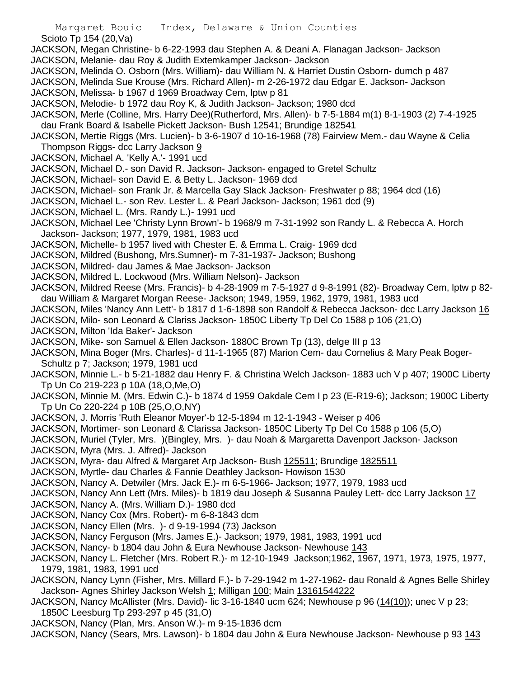Scioto Tp 154 (20,Va)

- JACKSON, Megan Christine- b 6-22-1993 dau Stephen A. & Deani A. Flanagan Jackson- Jackson
- JACKSON, Melanie- dau Roy & Judith Extemkamper Jackson- Jackson
- JACKSON, Melinda O. Osborn (Mrs. William)- dau William N. & Harriet Dustin Osborn- dumch p 487

JACKSON, Melinda Sue Krouse (Mrs. Richard Allen)- m 2-26-1972 dau Edgar E. Jackson- Jackson

- JACKSON, Melissa- b 1967 d 1969 Broadway Cem, lptw p 81
- JACKSON, Melodie- b 1972 dau Roy K, & Judith Jackson- Jackson; 1980 dcd
- JACKSON, Merle (Colline, Mrs. Harry Dee)(Rutherford, Mrs. Allen)- b 7-5-1884 m(1) 8-1-1903 (2) 7-4-1925 dau Frank Board & Isabelle Pickett Jackson- Bush 12541; Brundige 182541
- JACKSON, Mertie Riggs (Mrs. Lucien)- b 3-6-1907 d 10-16-1968 (78) Fairview Mem.- dau Wayne & Celia Thompson Riggs- dcc Larry Jackson 9
- JACKSON, Michael A. 'Kelly A.'- 1991 ucd
- JACKSON, Michael D.- son David R. Jackson- Jackson- engaged to Gretel Schultz
- JACKSON, Michael- son David E. & Betty L. Jackson- 1969 dcd
- JACKSON, Michael- son Frank Jr. & Marcella Gay Slack Jackson- Freshwater p 88; 1964 dcd (16)
- JACKSON, Michael L.- son Rev. Lester L. & Pearl Jackson- Jackson; 1961 dcd (9)
- JACKSON, Michael L. (Mrs. Randy L.)- 1991 ucd
- JACKSON, Michael Lee 'Christy Lynn Brown'- b 1968/9 m 7-31-1992 son Randy L. & Rebecca A. Horch Jackson- Jackson; 1977, 1979, 1981, 1983 ucd
- JACKSON, Michelle- b 1957 lived with Chester E. & Emma L. Craig- 1969 dcd
- JACKSON, Mildred (Bushong, Mrs.Sumner)- m 7-31-1937- Jackson; Bushong
- JACKSON, Mildred- dau James & Mae Jackson- Jackson
- JACKSON, Mildred L. Lockwood (Mrs. William Nelson)- Jackson
- JACKSON, Mildred Reese (Mrs. Francis)- b 4-28-1909 m 7-5-1927 d 9-8-1991 (82)- Broadway Cem, lptw p 82 dau William & Margaret Morgan Reese- Jackson; 1949, 1959, 1962, 1979, 1981, 1983 ucd
- JACKSON, Miles 'Nancy Ann Lett'- b 1817 d 1-6-1898 son Randolf & Rebecca Jackson- dcc Larry Jackson 16
- JACKSON, Milo- son Leonard & Clariss Jackson- 1850C Liberty Tp Del Co 1588 p 106 (21,O)
- JACKSON, Milton 'Ida Baker'- Jackson
- JACKSON, Mike- son Samuel & Ellen Jackson- 1880C Brown Tp (13), delge III p 13
- JACKSON, Mina Boger (Mrs. Charles)- d 11-1-1965 (87) Marion Cem- dau Cornelius & Mary Peak Boger-Schultz p 7; Jackson; 1979, 1981 ucd
- JACKSON, Minnie L.- b 5-21-1882 dau Henry F. & Christina Welch Jackson- 1883 uch V p 407; 1900C Liberty Tp Un Co 219-223 p 10A (18,O,Me,O)
- JACKSON, Minnie M. (Mrs. Edwin C.)- b 1874 d 1959 Oakdale Cem I p 23 (E-R19-6); Jackson; 1900C Liberty Tp Un Co 220-224 p 10B (25,O,O,NY)
- JACKSON, J. Morris 'Ruth Eleanor Moyer'-b 12-5-1894 m 12-1-1943 Weiser p 406
- JACKSON, Mortimer- son Leonard & Clarissa Jackson- 1850C Liberty Tp Del Co 1588 p 106 (5,O)
- JACKSON, Muriel (Tyler, Mrs. )(Bingley, Mrs. )- dau Noah & Margaretta Davenport Jackson- Jackson
- JACKSON, Myra (Mrs. J. Alfred)- Jackson
- JACKSON, Myra- dau Alfred & Margaret Arp Jackson- Bush 125511; Brundige 1825511
- JACKSON, Myrtle- dau Charles & Fannie Deathley Jackson- Howison 1530
- JACKSON, Nancy A. Detwiler (Mrs. Jack E.)- m 6-5-1966- Jackson; 1977, 1979, 1983 ucd
- JACKSON, Nancy Ann Lett (Mrs. Miles)- b 1819 dau Joseph & Susanna Pauley Lett- dcc Larry Jackson 17
- JACKSON, Nancy A. (Mrs. William D.)- 1980 dcd
- JACKSON, Nancy Cox (Mrs. Robert)- m 6-8-1843 dcm
- JACKSON, Nancy Ellen (Mrs. )- d 9-19-1994 (73) Jackson
- JACKSON, Nancy Ferguson (Mrs. James E.)- Jackson; 1979, 1981, 1983, 1991 ucd
- JACKSON, Nancy- b 1804 dau John & Eura Newhouse Jackson- Newhouse 143
- JACKSON, Nancy L. Fletcher (Mrs. Robert R.)- m 12-10-1949 Jackson;1962, 1967, 1971, 1973, 1975, 1977, 1979, 1981, 1983, 1991 ucd
- JACKSON, Nancy Lynn (Fisher, Mrs. Millard F.)- b 7-29-1942 m 1-27-1962- dau Ronald & Agnes Belle Shirley Jackson- Agnes Shirley Jackson Welsh 1; Milligan 100; Main 13161544222
- JACKSON, Nancy McAllister (Mrs. David)- lic 3-16-1840 ucm 624; Newhouse p 96 (14(10)); unec V p 23; 1850C Leesburg Tp 293-297 p 45 (31,O)
- JACKSON, Nancy (Plan, Mrs. Anson W.)- m 9-15-1836 dcm
- JACKSON, Nancy (Sears, Mrs. Lawson)- b 1804 dau John & Eura Newhouse Jackson- Newhouse p 93 143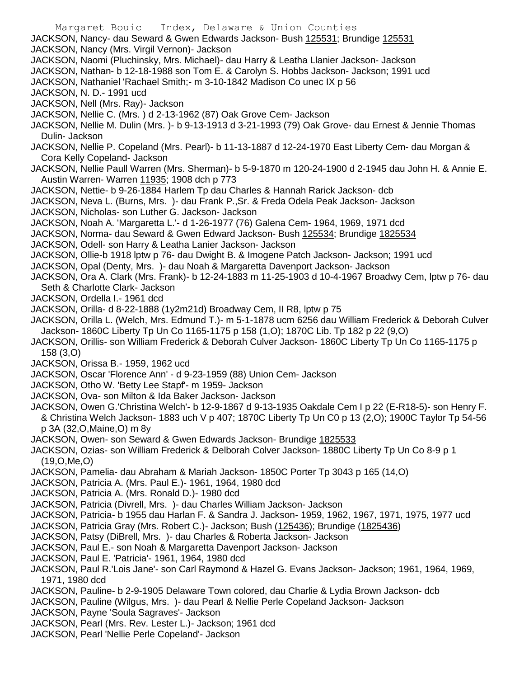Margaret Bouic Index, Delaware & Union Counties JACKSON, Nancy- dau Seward & Gwen Edwards Jackson- Bush 125531; Brundige 125531 JACKSON, Nancy (Mrs. Virgil Vernon)- Jackson JACKSON, Naomi (Pluchinsky, Mrs. Michael)- dau Harry & Leatha Llanier Jackson- Jackson JACKSON, Nathan- b 12-18-1988 son Tom E. & Carolyn S. Hobbs Jackson- Jackson; 1991 ucd JACKSON, Nathaniel 'Rachael Smith;- m 3-10-1842 Madison Co unec IX p 56 JACKSON, N. D.- 1991 ucd JACKSON, Nell (Mrs. Ray)- Jackson JACKSON, Nellie C. (Mrs. ) d 2-13-1962 (87) Oak Grove Cem- Jackson JACKSON, Nellie M. Dulin (Mrs. )- b 9-13-1913 d 3-21-1993 (79) Oak Grove- dau Ernest & Jennie Thomas Dulin- Jackson JACKSON, Nellie P. Copeland (Mrs. Pearl)- b 11-13-1887 d 12-24-1970 East Liberty Cem- dau Morgan & Cora Kelly Copeland- Jackson JACKSON, Nellie Paull Warren (Mrs. Sherman)- b 5-9-1870 m 120-24-1900 d 2-1945 dau John H. & Annie E. Austin Warren- Warren 11935; 1908 dch p 773 JACKSON, Nettie- b 9-26-1884 Harlem Tp dau Charles & Hannah Rarick Jackson- dcb JACKSON, Neva L. (Burns, Mrs. )- dau Frank P.,Sr. & Freda Odela Peak Jackson- Jackson JACKSON, Nicholas- son Luther G. Jackson- Jackson JACKSON, Noah A. 'Margaretta L.'- d 1-26-1977 (76) Galena Cem- 1964, 1969, 1971 dcd JACKSON, Norma- dau Seward & Gwen Edward Jackson- Bush 125534; Brundige 1825534 JACKSON, Odell- son Harry & Leatha Lanier Jackson- Jackson JACKSON, Ollie-b 1918 lptw p 76- dau Dwight B. & Imogene Patch Jackson- Jackson; 1991 ucd JACKSON, Opal (Denty, Mrs. )- dau Noah & Margaretta Davenport Jackson- Jackson JACKSON, Ora A. Clark (Mrs. Frank)- b 12-24-1883 m 11-25-1903 d 10-4-1967 Broadwy Cem, lptw p 76- dau Seth & Charlotte Clark- Jackson JACKSON, Ordella I.- 1961 dcd JACKSON, Orilla- d 8-22-1888 (1y2m21d) Broadway Cem, II R8, lptw p 75 JACKSON, Orilla L. (Welch, Mrs. Edmund T.)- m 5-1-1878 ucm 6256 dau William Frederick & Deborah Culver Jackson- 1860C Liberty Tp Un Co 1165-1175 p 158 (1,O); 1870C Lib. Tp 182 p 22 (9,O) JACKSON, Orillis- son William Frederick & Deborah Culver Jackson- 1860C Liberty Tp Un Co 1165-1175 p 158 (3,O) JACKSON, Orissa B.- 1959, 1962 ucd JACKSON, Oscar 'Florence Ann' - d 9-23-1959 (88) Union Cem- Jackson JACKSON, Otho W. 'Betty Lee Stapf'- m 1959- Jackson JACKSON, Ova- son Milton & Ida Baker Jackson- Jackson JACKSON, Owen G.'Christina Welch'- b 12-9-1867 d 9-13-1935 Oakdale Cem I p 22 (E-R18-5)- son Henry F. & Christina Welch Jackson- 1883 uch V p 407; 1870C Liberty Tp Un C0 p 13 (2,O); 1900C Taylor Tp 54-56 p 3A (32,O,Maine,O) m 8y JACKSON, Owen- son Seward & Gwen Edwards Jackson- Brundige 1825533 JACKSON, Ozias- son William Frederick & Delborah Colver Jackson- 1880C Liberty Tp Un Co 8-9 p 1 (19,O,Me,O) JACKSON, Pamelia- dau Abraham & Mariah Jackson- 1850C Porter Tp 3043 p 165 (14,O) JACKSON, Patricia A. (Mrs. Paul E.)- 1961, 1964, 1980 dcd JACKSON, Patricia A. (Mrs. Ronald D.)- 1980 dcd JACKSON, Patricia (Divrell, Mrs. )- dau Charles William Jackson- Jackson JACKSON, Patricia- b 1955 dau Harlan F. & Sandra J. Jackson- 1959, 1962, 1967, 1971, 1975, 1977 ucd JACKSON, Patricia Gray (Mrs. Robert C.)- Jackson; Bush (125436); Brundige (1825436) JACKSON, Patsy (DiBrell, Mrs. )- dau Charles & Roberta Jackson- Jackson JACKSON, Paul E.- son Noah & Margaretta Davenport Jackson- Jackson JACKSON, Paul E. 'Patricia'- 1961, 1964, 1980 dcd JACKSON, Paul R.'Lois Jane'- son Carl Raymond & Hazel G. Evans Jackson- Jackson; 1961, 1964, 1969, 1971, 1980 dcd JACKSON, Pauline- b 2-9-1905 Delaware Town colored, dau Charlie & Lydia Brown Jackson- dcb JACKSON, Pauline (Wilgus, Mrs. )- dau Pearl & Nellie Perle Copeland Jackson- Jackson JACKSON, Payne 'Soula Sagraves'- Jackson JACKSON, Pearl (Mrs. Rev. Lester L.)- Jackson; 1961 dcd

JACKSON, Pearl 'Nellie Perle Copeland'- Jackson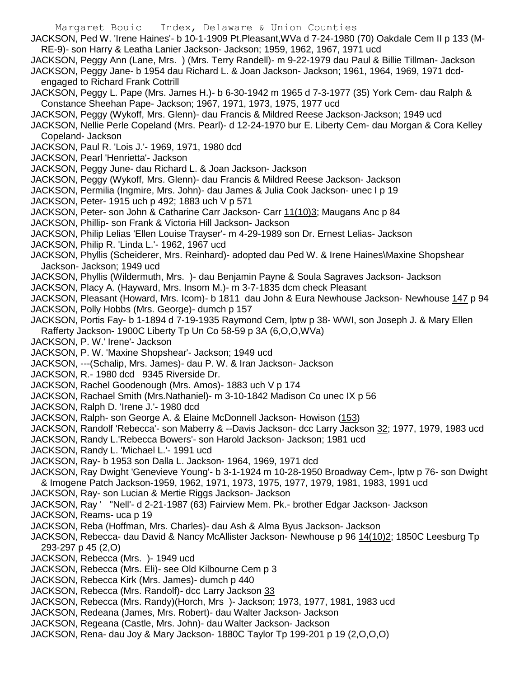Margaret Bouic Index, Delaware & Union Counties JACKSON, Ped W. 'Irene Haines'- b 10-1-1909 Pt.Pleasant,WVa d 7-24-1980 (70) Oakdale Cem II p 133 (M-RE-9)- son Harry & Leatha Lanier Jackson- Jackson; 1959, 1962, 1967, 1971 ucd JACKSON, Peggy Ann (Lane, Mrs. ) (Mrs. Terry Randell)- m 9-22-1979 dau Paul & Billie Tillman- Jackson JACKSON, Peggy Jane- b 1954 dau Richard L. & Joan Jackson- Jackson; 1961, 1964, 1969, 1971 dcdengaged to Richard Frank Cottrill JACKSON, Peggy L. Pape (Mrs. James H.)- b 6-30-1942 m 1965 d 7-3-1977 (35) York Cem- dau Ralph & Constance Sheehan Pape- Jackson; 1967, 1971, 1973, 1975, 1977 ucd JACKSON, Peggy (Wykoff, Mrs. Glenn)- dau Francis & Mildred Reese Jackson-Jackson; 1949 ucd JACKSON, Nellie Perle Copeland (Mrs. Pearl)- d 12-24-1970 bur E. Liberty Cem- dau Morgan & Cora Kelley Copeland- Jackson JACKSON, Paul R. 'Lois J.'- 1969, 1971, 1980 dcd JACKSON, Pearl 'Henrietta'- Jackson JACKSON, Peggy June- dau Richard L. & Joan Jackson- Jackson JACKSON, Peggy (Wykoff, Mrs. Glenn)- dau Francis & Mildred Reese Jackson- Jackson JACKSON, Permilia (Ingmire, Mrs. John)- dau James & Julia Cook Jackson- unec I p 19 JACKSON, Peter- 1915 uch p 492; 1883 uch V p 571 JACKSON, Peter- son John & Catharine Carr Jackson- Carr 11(10)3; Maugans Anc p 84 JACKSON, Phillip- son Frank & Victoria Hill Jackson- Jackson JACKSON, Philip Lelias 'Ellen Louise Trayser'- m 4-29-1989 son Dr. Ernest Lelias- Jackson JACKSON, Philip R. 'Linda L.'- 1962, 1967 ucd JACKSON, Phyllis (Scheiderer, Mrs. Reinhard)- adopted dau Ped W. & Irene Haines\Maxine Shopshear Jackson- Jackson; 1949 ucd JACKSON, Phyllis (Wildermuth, Mrs. )- dau Benjamin Payne & Soula Sagraves Jackson- Jackson JACKSON, Placy A. (Hayward, Mrs. Insom M.)- m 3-7-1835 dcm check Pleasant JACKSON, Pleasant (Howard, Mrs. Icom)- b 1811 dau John & Eura Newhouse Jackson- Newhouse 147 p 94 JACKSON, Polly Hobbs (Mrs. George)- dumch p 157 JACKSON, Portis Fay- b 1-1894 d 7-19-1935 Raymond Cem, lptw p 38- WWI, son Joseph J. & Mary Ellen Rafferty Jackson- 1900C Liberty Tp Un Co 58-59 p 3A (6,O,O,WVa) JACKSON, P. W.' Irene'- Jackson JACKSON, P. W. 'Maxine Shopshear'- Jackson; 1949 ucd JACKSON, ---(Schalip, Mrs. James)- dau P. W. & Iran Jackson- Jackson JACKSON, R.- 1980 dcd 9345 Riverside Dr. JACKSON, Rachel Goodenough (Mrs. Amos)- 1883 uch V p 174 JACKSON, Rachael Smith (Mrs.Nathaniel)- m 3-10-1842 Madison Co unec IX p 56 JACKSON, Ralph D. 'Irene J.'- 1980 dcd JACKSON, Ralph- son George A. & Elaine McDonnell Jackson- Howison (153) JACKSON, Randolf 'Rebecca'- son Maberry & --Davis Jackson- dcc Larry Jackson 32; 1977, 1979, 1983 ucd JACKSON, Randy L.'Rebecca Bowers'- son Harold Jackson- Jackson; 1981 ucd JACKSON, Randy L. 'Michael L.'- 1991 ucd JACKSON, Ray- b 1953 son Dalla L. Jackson- 1964, 1969, 1971 dcd JACKSON, Ray Dwight 'Genevieve Young'- b 3-1-1924 m 10-28-1950 Broadway Cem-, lptw p 76- son Dwight & Imogene Patch Jackson-1959, 1962, 1971, 1973, 1975, 1977, 1979, 1981, 1983, 1991 ucd JACKSON, Ray- son Lucian & Mertie Riggs Jackson- Jackson JACKSON, Ray ' ''Nell'- d 2-21-1987 (63) Fairview Mem. Pk.- brother Edgar Jackson- Jackson JACKSON, Reams- uca p 19 JACKSON, Reba (Hoffman, Mrs. Charles)- dau Ash & Alma Byus Jackson- Jackson JACKSON, Rebecca- dau David & Nancy McAllister Jackson- Newhouse p 96 14(10)2; 1850C Leesburg Tp 293-297 p 45 (2,O) JACKSON, Rebecca (Mrs. )- 1949 ucd JACKSON, Rebecca (Mrs. Eli)- see Old Kilbourne Cem p 3 JACKSON, Rebecca Kirk (Mrs. James)- dumch p 440 JACKSON, Rebecca (Mrs. Randolf)- dcc Larry Jackson 33 JACKSON, Rebecca (Mrs. Randy)(Horch, Mrs )- Jackson; 1973, 1977, 1981, 1983 ucd JACKSON, Redeana (James, Mrs. Robert)- dau Walter Jackson- Jackson JACKSON, Regeana (Castle, Mrs. John)- dau Walter Jackson- Jackson JACKSON, Rena- dau Joy & Mary Jackson- 1880C Taylor Tp 199-201 p 19 (2,O,O,O)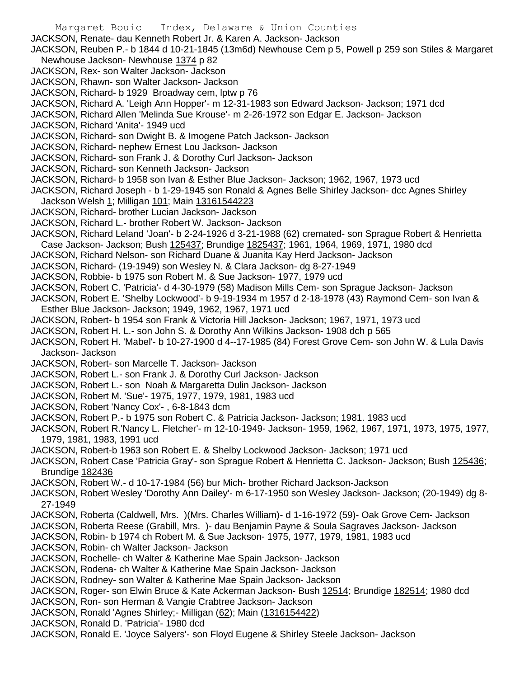Margaret Bouic Index, Delaware & Union Counties JACKSON, Renate- dau Kenneth Robert Jr. & Karen A. Jackson- Jackson JACKSON, Reuben P.- b 1844 d 10-21-1845 (13m6d) Newhouse Cem p 5, Powell p 259 son Stiles & Margaret Newhouse Jackson- Newhouse 1374 p 82 JACKSON, Rex- son Walter Jackson- Jackson JACKSON, Rhawn- son Walter Jackson- Jackson JACKSON, Richard- b 1929 Broadway cem, lptw p 76 JACKSON, Richard A. 'Leigh Ann Hopper'- m 12-31-1983 son Edward Jackson- Jackson; 1971 dcd JACKSON, Richard Allen 'Melinda Sue Krouse'- m 2-26-1972 son Edgar E. Jackson- Jackson JACKSON, Richard 'Anita'- 1949 ucd JACKSON, Richard- son Dwight B. & Imogene Patch Jackson- Jackson JACKSON, Richard- nephew Ernest Lou Jackson- Jackson JACKSON, Richard- son Frank J. & Dorothy Curl Jackson- Jackson JACKSON, Richard- son Kenneth Jackson- Jackson JACKSON, Richard- b 1958 son Ivan & Esther Blue Jackson- Jackson; 1962, 1967, 1973 ucd JACKSON, Richard Joseph - b 1-29-1945 son Ronald & Agnes Belle Shirley Jackson- dcc Agnes Shirley Jackson Welsh 1; Milligan 101; Main 13161544223 JACKSON, Richard- brother Lucian Jackson- Jackson JACKSON, Richard L.- brother Robert W. Jackson- Jackson JACKSON, Richard Leland 'Joan'- b 2-24-1926 d 3-21-1988 (62) cremated- son Sprague Robert & Henrietta Case Jackson- Jackson; Bush 125437; Brundige 1825437; 1961, 1964, 1969, 1971, 1980 dcd JACKSON, Richard Nelson- son Richard Duane & Juanita Kay Herd Jackson- Jackson JACKSON, Richard- (19-1949) son Wesley N. & Clara Jackson- dg 8-27-1949 JACKSON, Robbie- b 1975 son Robert M. & Sue Jackson- 1977, 1979 ucd JACKSON, Robert C. 'Patricia'- d 4-30-1979 (58) Madison Mills Cem- son Sprague Jackson- Jackson JACKSON, Robert E. 'Shelby Lockwood'- b 9-19-1934 m 1957 d 2-18-1978 (43) Raymond Cem- son Ivan & Esther Blue Jackson- Jackson; 1949, 1962, 1967, 1971 ucd JACKSON, Robert- b 1954 son Frank & Victoria Hill Jackson- Jackson; 1967, 1971, 1973 ucd JACKSON, Robert H. L.- son John S. & Dorothy Ann Wilkins Jackson- 1908 dch p 565 JACKSON, Robert H. 'Mabel'- b 10-27-1900 d 4--17-1985 (84) Forest Grove Cem- son John W. & Lula Davis Jackson- Jackson JACKSON, Robert- son Marcelle T. Jackson- Jackson JACKSON, Robert L.- son Frank J. & Dorothy Curl Jackson- Jackson JACKSON, Robert L.- son Noah & Margaretta Dulin Jackson- Jackson JACKSON, Robert M. 'Sue'- 1975, 1977, 1979, 1981, 1983 ucd JACKSON, Robert 'Nancy Cox'- , 6-8-1843 dcm JACKSON, Robert P.- b 1975 son Robert C. & Patricia Jackson- Jackson; 1981. 1983 ucd JACKSON, Robert R.'Nancy L. Fletcher'- m 12-10-1949- Jackson- 1959, 1962, 1967, 1971, 1973, 1975, 1977, 1979, 1981, 1983, 1991 ucd JACKSON, Robert-b 1963 son Robert E. & Shelby Lockwood Jackson- Jackson; 1971 ucd JACKSON, Robert Case 'Patricia Gray'- son Sprague Robert & Henrietta C. Jackson- Jackson; Bush 125436; Brundige 182436 JACKSON, Robert W.- d 10-17-1984 (56) bur Mich- brother Richard Jackson-Jackson JACKSON, Robert Wesley 'Dorothy Ann Dailey'- m 6-17-1950 son Wesley Jackson- Jackson; (20-1949) dg 8- 27-1949 JACKSON, Roberta (Caldwell, Mrs. )(Mrs. Charles William)- d 1-16-1972 (59)- Oak Grove Cem- Jackson JACKSON, Roberta Reese (Grabill, Mrs. )- dau Benjamin Payne & Soula Sagraves Jackson- Jackson JACKSON, Robin- b 1974 ch Robert M. & Sue Jackson- 1975, 1977, 1979, 1981, 1983 ucd JACKSON, Robin- ch Walter Jackson- Jackson JACKSON, Rochelle- ch Walter & Katherine Mae Spain Jackson- Jackson JACKSON, Rodena- ch Walter & Katherine Mae Spain Jackson- Jackson JACKSON, Rodney- son Walter & Katherine Mae Spain Jackson- Jackson JACKSON, Roger- son Elwin Bruce & Kate Ackerman Jackson- Bush 12514; Brundige 182514; 1980 dcd JACKSON, Ron- son Herman & Vangie Crabtree Jackson- Jackson JACKSON, Ronald 'Agnes Shirley;- Milligan (62); Main (1316154422) JACKSON, Ronald D. 'Patricia'- 1980 dcd JACKSON, Ronald E. 'Joyce Salyers'- son Floyd Eugene & Shirley Steele Jackson- Jackson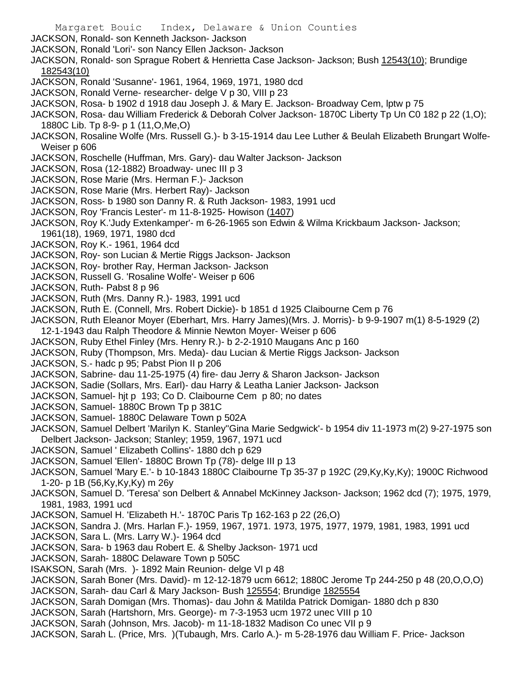Margaret Bouic Index, Delaware & Union Counties JACKSON, Ronald- son Kenneth Jackson- Jackson JACKSON, Ronald 'Lori'- son Nancy Ellen Jackson- Jackson JACKSON, Ronald- son Sprague Robert & Henrietta Case Jackson- Jackson; Bush 12543(10); Brundige 182543(10) JACKSON, Ronald 'Susanne'- 1961, 1964, 1969, 1971, 1980 dcd JACKSON, Ronald Verne- researcher- delge V p 30, VIII p 23 JACKSON, Rosa- b 1902 d 1918 dau Joseph J. & Mary E. Jackson- Broadway Cem, lptw p 75 JACKSON, Rosa- dau William Frederick & Deborah Colver Jackson- 1870C Liberty Tp Un C0 182 p 22 (1,O); 1880C Lib. Tp 8-9- p 1 (11,O,Me,O) JACKSON, Rosaline Wolfe (Mrs. Russell G.)- b 3-15-1914 dau Lee Luther & Beulah Elizabeth Brungart Wolfe-Weiser p 606 JACKSON, Roschelle (Huffman, Mrs. Gary)- dau Walter Jackson- Jackson JACKSON, Rosa (12-1882) Broadway- unec III p 3 JACKSON, Rose Marie (Mrs. Herman F.)- Jackson JACKSON, Rose Marie (Mrs. Herbert Ray)- Jackson JACKSON, Ross- b 1980 son Danny R. & Ruth Jackson- 1983, 1991 ucd JACKSON, Roy 'Francis Lester'- m 11-8-1925- Howison (1407) JACKSON, Roy K.'Judy Extenkamper'- m 6-26-1965 son Edwin & Wilma Krickbaum Jackson- Jackson; 1961(18), 1969, 1971, 1980 dcd JACKSON, Roy K.- 1961, 1964 dcd JACKSON, Roy- son Lucian & Mertie Riggs Jackson- Jackson JACKSON, Roy- brother Ray, Herman Jackson- Jackson JACKSON, Russell G. 'Rosaline Wolfe'- Weiser p 606 JACKSON, Ruth- Pabst 8 p 96 JACKSON, Ruth (Mrs. Danny R.)- 1983, 1991 ucd JACKSON, Ruth E. (Connell, Mrs. Robert Dickie)- b 1851 d 1925 Claibourne Cem p 76 JACKSON, Ruth Eleanor Moyer (Eberhart, Mrs. Harry James)(Mrs. J. Morris)- b 9-9-1907 m(1) 8-5-1929 (2) 12-1-1943 dau Ralph Theodore & Minnie Newton Moyer- Weiser p 606 JACKSON, Ruby Ethel Finley (Mrs. Henry R.)- b 2-2-1910 Maugans Anc p 160 JACKSON, Ruby (Thompson, Mrs. Meda)- dau Lucian & Mertie Riggs Jackson- Jackson JACKSON, S.- hadc p 95; Pabst Pion II p 206 JACKSON, Sabrine- dau 11-25-1975 (4) fire- dau Jerry & Sharon Jackson- Jackson JACKSON, Sadie (Sollars, Mrs. Earl)- dau Harry & Leatha Lanier Jackson- Jackson JACKSON, Samuel- hjt p 193; Co D. Claibourne Cem p 80; no dates JACKSON, Samuel- 1880C Brown Tp p 381C JACKSON, Samuel- 1880C Delaware Town p 502A JACKSON, Samuel Delbert 'Marilyn K. Stanley''Gina Marie Sedgwick'- b 1954 div 11-1973 m(2) 9-27-1975 son Delbert Jackson- Jackson; Stanley; 1959, 1967, 1971 ucd JACKSON, Samuel ' Elizabeth Collins'- 1880 dch p 629 JACKSON, Samuel 'Ellen'- 1880C Brown Tp (78)- delge III p 13 JACKSON, Samuel 'Mary E.'- b 10-1843 1880C Claibourne Tp 35-37 p 192C (29,Ky,Ky,Ky); 1900C Richwood 1-20- p 1B (56,Ky,Ky,Ky) m 26y JACKSON, Samuel D. 'Teresa' son Delbert & Annabel McKinney Jackson- Jackson; 1962 dcd (7); 1975, 1979, 1981, 1983, 1991 ucd JACKSON, Samuel H. 'Elizabeth H.'- 1870C Paris Tp 162-163 p 22 (26,O) JACKSON, Sandra J. (Mrs. Harlan F.)- 1959, 1967, 1971. 1973, 1975, 1977, 1979, 1981, 1983, 1991 ucd JACKSON, Sara L. (Mrs. Larry W.)- 1964 dcd JACKSON, Sara- b 1963 dau Robert E. & Shelby Jackson- 1971 ucd JACKSON, Sarah- 1880C Delaware Town p 505C ISAKSON, Sarah (Mrs. )- 1892 Main Reunion- delge VI p 48 JACKSON, Sarah Boner (Mrs. David)- m 12-12-1879 ucm 6612; 1880C Jerome Tp 244-250 p 48 (20,O,O,O) JACKSON, Sarah- dau Carl & Mary Jackson- Bush 125554; Brundige 1825554 JACKSON, Sarah Domigan (Mrs. Thomas)- dau John & Matilda Patrick Domigan- 1880 dch p 830 JACKSON, Sarah (Hartshorn, Mrs. George)- m 7-3-1953 ucm 1972 unec VIII p 10 JACKSON, Sarah (Johnson, Mrs. Jacob)- m 11-18-1832 Madison Co unec VII p 9 JACKSON, Sarah L. (Price, Mrs. )(Tubaugh, Mrs. Carlo A.)- m 5-28-1976 dau William F. Price- Jackson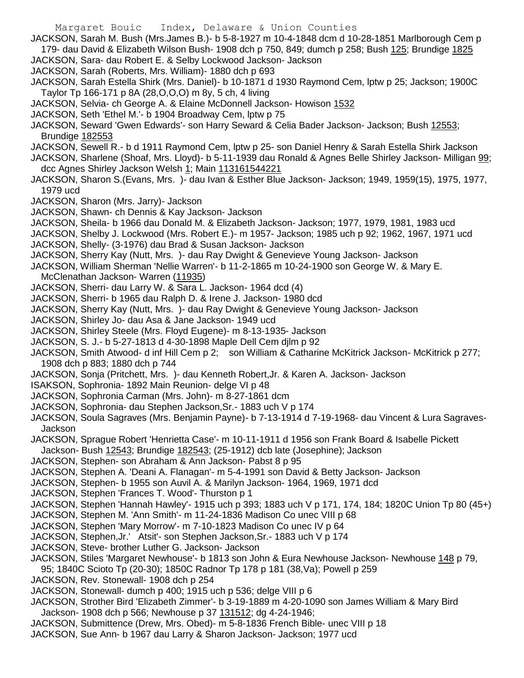- Margaret Bouic Index, Delaware & Union Counties
- JACKSON, Sarah M. Bush (Mrs.James B.)- b 5-8-1927 m 10-4-1848 dcm d 10-28-1851 Marlborough Cem p 179- dau David & Elizabeth Wilson Bush- 1908 dch p 750, 849; dumch p 258; Bush 125; Brundige 1825
- JACKSON, Sara- dau Robert E. & Selby Lockwood Jackson- Jackson
- JACKSON, Sarah (Roberts, Mrs. William)- 1880 dch p 693
- JACKSON, Sarah Estella Shirk (Mrs. Daniel)- b 10-1871 d 1930 Raymond Cem, lptw p 25; Jackson; 1900C Taylor Tp 166-171 p 8A (28,O,O,O) m 8y, 5 ch, 4 living
- JACKSON, Selvia- ch George A. & Elaine McDonnell Jackson- Howison 1532
- JACKSON, Seth 'Ethel M.'- b 1904 Broadway Cem, lptw p 75
- JACKSON, Seward 'Gwen Edwards'- son Harry Seward & Celia Bader Jackson- Jackson; Bush 12553; Brundige 182553
- JACKSON, Sewell R.- b d 1911 Raymond Cem, lptw p 25- son Daniel Henry & Sarah Estella Shirk Jackson
- JACKSON, Sharlene (Shoaf, Mrs. Lloyd)- b 5-11-1939 dau Ronald & Agnes Belle Shirley Jackson- Milligan 99; dcc Agnes Shirley Jackson Welsh 1; Main 113161544221
- JACKSON, Sharon S.(Evans, Mrs. )- dau Ivan & Esther Blue Jackson- Jackson; 1949, 1959(15), 1975, 1977, 1979 ucd
- JACKSON, Sharon (Mrs. Jarry)- Jackson
- JACKSON, Shawn- ch Dennis & Kay Jackson- Jackson
- JACKSON, Sheila- b 1966 dau Donald M. & Elizabeth Jackson- Jackson; 1977, 1979, 1981, 1983 ucd
- JACKSON, Shelby J. Lockwood (Mrs. Robert E.)- m 1957- Jackson; 1985 uch p 92; 1962, 1967, 1971 ucd
- JACKSON, Shelly- (3-1976) dau Brad & Susan Jackson- Jackson
- JACKSON, Sherry Kay (Nutt, Mrs. )- dau Ray Dwight & Genevieve Young Jackson- Jackson
- JACKSON, William Sherman 'Nellie Warren'- b 11-2-1865 m 10-24-1900 son George W. & Mary E. McClenathan Jackson- Warren (11935)
- JACKSON, Sherri- dau Larry W. & Sara L. Jackson- 1964 dcd (4)
- JACKSON, Sherri- b 1965 dau Ralph D. & Irene J. Jackson- 1980 dcd
- JACKSON, Sherry Kay (Nutt, Mrs. )- dau Ray Dwight & Genevieve Young Jackson- Jackson
- JACKSON, Shirley Jo- dau Asa & Jane Jackson- 1949 ucd
- JACKSON, Shirley Steele (Mrs. Floyd Eugene)- m 8-13-1935- Jackson
- JACKSON, S. J.- b 5-27-1813 d 4-30-1898 Maple Dell Cem djlm p 92
- JACKSON, Smith Atwood- d inf Hill Cem p 2; son William & Catharine McKitrick Jackson- McKitrick p 277; 1908 dch p 883; 1880 dch p 744
- JACKSON, Sonja (Pritchett, Mrs. )- dau Kenneth Robert,Jr. & Karen A. Jackson- Jackson
- ISAKSON, Sophronia- 1892 Main Reunion- delge VI p 48
- JACKSON, Sophronia Carman (Mrs. John)- m 8-27-1861 dcm
- JACKSON, Sophronia- dau Stephen Jackson,Sr.- 1883 uch V p 174
- JACKSON, Soula Sagraves (Mrs. Benjamin Payne)- b 7-13-1914 d 7-19-1968- dau Vincent & Lura Sagraves-Jackson
- JACKSON, Sprague Robert 'Henrietta Case'- m 10-11-1911 d 1956 son Frank Board & Isabelle Pickett Jackson- Bush 12543; Brundige 182543; (25-1912) dcb late (Josephine); Jackson
- JACKSON, Stephen- son Abraham & Ann Jackson- Pabst 8 p 95
- JACKSON, Stephen A. 'Deani A. Flanagan'- m 5-4-1991 son David & Betty Jackson- Jackson
- JACKSON, Stephen- b 1955 son Auvil A. & Marilyn Jackson- 1964, 1969, 1971 dcd
- JACKSON, Stephen 'Frances T. Wood'- Thurston p 1
- JACKSON, Stephen 'Hannah Hawley'- 1915 uch p 393; 1883 uch V p 171, 174, 184; 1820C Union Tp 80 (45+)
- JACKSON, Stephen M. 'Ann Smith'- m 11-24-1836 Madison Co unec VIII p 68
- JACKSON, Stephen 'Mary Morrow'- m 7-10-1823 Madison Co unec IV p 64
- JACKSON, Stephen,Jr.' Atsit'- son Stephen Jackson,Sr.- 1883 uch V p 174
- JACKSON, Steve- brother Luther G. Jackson- Jackson
- JACKSON, Stiles 'Margaret Newhouse'- b 1813 son John & Eura Newhouse Jackson- Newhouse 148 p 79,
- 95; 1840C Scioto Tp (20-30); 1850C Radnor Tp 178 p 181 (38,Va); Powell p 259
- JACKSON, Rev. Stonewall- 1908 dch p 254
- JACKSON, Stonewall- dumch p 400; 1915 uch p 536; delge VIII p 6
- JACKSON, Strother Bird 'Elizabeth Zimmer'- b 3-19-1889 m 4-20-1090 son James William & Mary Bird Jackson- 1908 dch p 566; Newhouse p 37 131512; dg 4-24-1946;
- JACKSON, Submittence (Drew, Mrs. Obed)- m 5-8-1836 French Bible- unec VIII p 18
- JACKSON, Sue Ann- b 1967 dau Larry & Sharon Jackson- Jackson; 1977 ucd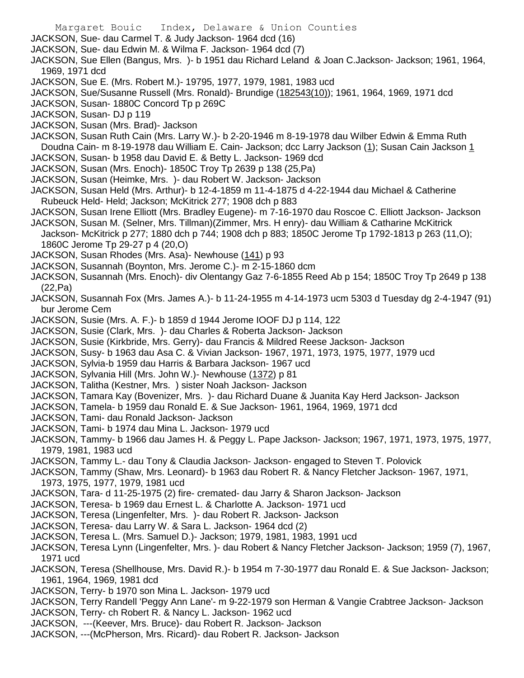Margaret Bouic Index, Delaware & Union Counties JACKSON, Sue- dau Carmel T. & Judy Jackson- 1964 dcd (16) JACKSON, Sue- dau Edwin M. & Wilma F. Jackson- 1964 dcd (7) JACKSON, Sue Ellen (Bangus, Mrs. )- b 1951 dau Richard Leland & Joan C.Jackson- Jackson; 1961, 1964, 1969, 1971 dcd JACKSON, Sue E. (Mrs. Robert M.)- 19795, 1977, 1979, 1981, 1983 ucd JACKSON, Sue/Susanne Russell (Mrs. Ronald)- Brundige (182543(10)); 1961, 1964, 1969, 1971 dcd JACKSON, Susan- 1880C Concord Tp p 269C JACKSON, Susan- DJ p 119 JACKSON, Susan (Mrs. Brad)- Jackson JACKSON, Susan Ruth Cain (Mrs. Larry W.)- b 2-20-1946 m 8-19-1978 dau Wilber Edwin & Emma Ruth Doudna Cain- m 8-19-1978 dau William E. Cain- Jackson; dcc Larry Jackson (1); Susan Cain Jackson 1 JACKSON, Susan- b 1958 dau David E. & Betty L. Jackson- 1969 dcd JACKSON, Susan (Mrs. Enoch)- 1850C Troy Tp 2639 p 138 (25,Pa) JACKSON, Susan (Heimke, Mrs. )- dau Robert W. Jackson- Jackson JACKSON, Susan Held (Mrs. Arthur)- b 12-4-1859 m 11-4-1875 d 4-22-1944 dau Michael & Catherine Rubeuck Held- Held; Jackson; McKitrick 277; 1908 dch p 883 JACKSON, Susan Irene Elliott (Mrs. Bradley Eugene)- m 7-16-1970 dau Roscoe C. Elliott Jackson- Jackson JACKSON, Susan M. (Selner, Mrs. Tillman)(Zimmer, Mrs. H enry)- dau William & Catharine McKitrick Jackson- McKitrick p 277; 1880 dch p 744; 1908 dch p 883; 1850C Jerome Tp 1792-1813 p 263 (11,O); 1860C Jerome Tp 29-27 p 4 (20,O) JACKSON, Susan Rhodes (Mrs. Asa)- Newhouse (141) p 93 JACKSON, Susannah (Boynton, Mrs. Jerome C.)- m 2-15-1860 dcm JACKSON, Susannah (Mrs. Enoch)- div Olentangy Gaz 7-6-1855 Reed Ab p 154; 1850C Troy Tp 2649 p 138 (22,Pa) JACKSON, Susannah Fox (Mrs. James A.)- b 11-24-1955 m 4-14-1973 ucm 5303 d Tuesday dg 2-4-1947 (91) bur Jerome Cem JACKSON, Susie (Mrs. A. F.)- b 1859 d 1944 Jerome IOOF DJ p 114, 122 JACKSON, Susie (Clark, Mrs. )- dau Charles & Roberta Jackson- Jackson JACKSON, Susie (Kirkbride, Mrs. Gerry)- dau Francis & Mildred Reese Jackson- Jackson JACKSON, Susy- b 1963 dau Asa C. & Vivian Jackson- 1967, 1971, 1973, 1975, 1977, 1979 ucd JACKSON, Sylvia-b 1959 dau Harris & Barbara Jackson- 1967 ucd JACKSON, Sylvania Hill (Mrs. John W.)- Newhouse (1372) p 81 JACKSON, Talitha (Kestner, Mrs. ) sister Noah Jackson- Jackson JACKSON, Tamara Kay (Bovenizer, Mrs. )- dau Richard Duane & Juanita Kay Herd Jackson- Jackson JACKSON, Tamela- b 1959 dau Ronald E. & Sue Jackson- 1961, 1964, 1969, 1971 dcd JACKSON, Tami- dau Ronald Jackson- Jackson JACKSON, Tami- b 1974 dau Mina L. Jackson- 1979 ucd JACKSON, Tammy- b 1966 dau James H. & Peggy L. Pape Jackson- Jackson; 1967, 1971, 1973, 1975, 1977, 1979, 1981, 1983 ucd

JACKSON, Tammy L.- dau Tony & Claudia Jackson- Jackson- engaged to Steven T. Polovick

JACKSON, Tammy (Shaw, Mrs. Leonard)- b 1963 dau Robert R. & Nancy Fletcher Jackson- 1967, 1971, 1973, 1975, 1977, 1979, 1981 ucd

- JACKSON, Tara- d 11-25-1975 (2) fire- cremated- dau Jarry & Sharon Jackson- Jackson
- JACKSON, Teresa- b 1969 dau Ernest L. & Charlotte A. Jackson- 1971 ucd
- JACKSON, Teresa (Lingenfelter, Mrs. )- dau Robert R. Jackson- Jackson
- JACKSON, Teresa- dau Larry W. & Sara L. Jackson- 1964 dcd (2)
- JACKSON, Teresa L. (Mrs. Samuel D.)- Jackson; 1979, 1981, 1983, 1991 ucd
- JACKSON, Teresa Lynn (Lingenfelter, Mrs. )- dau Robert & Nancy Fletcher Jackson- Jackson; 1959 (7), 1967, 1971 ucd
- JACKSON, Teresa (Shellhouse, Mrs. David R.)- b 1954 m 7-30-1977 dau Ronald E. & Sue Jackson- Jackson; 1961, 1964, 1969, 1981 dcd
- JACKSON, Terry- b 1970 son Mina L. Jackson- 1979 ucd
- JACKSON, Terry Randell 'Peggy Ann Lane'- m 9-22-1979 son Herman & Vangie Crabtree Jackson- Jackson
- JACKSON, Terry- ch Robert R. & Nancy L. Jackson- 1962 ucd
- JACKSON, ---(Keever, Mrs. Bruce)- dau Robert R. Jackson- Jackson
- JACKSON, ---(McPherson, Mrs. Ricard)- dau Robert R. Jackson- Jackson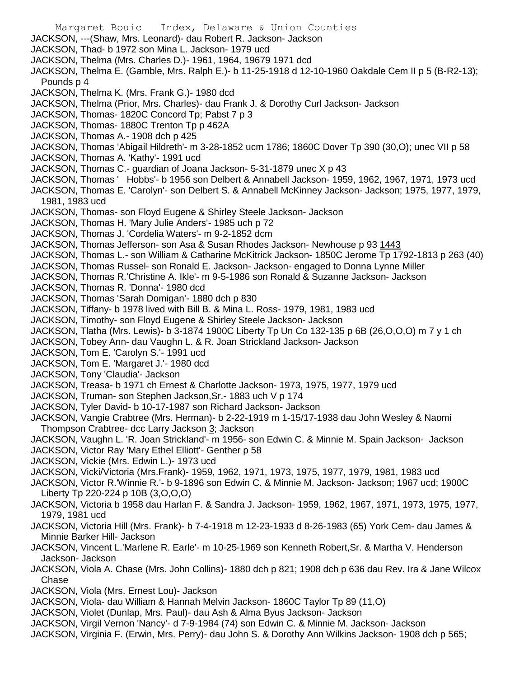- Margaret Bouic Index, Delaware & Union Counties JACKSON, ---(Shaw, Mrs. Leonard)- dau Robert R. Jackson- Jackson JACKSON, Thad- b 1972 son Mina L. Jackson- 1979 ucd JACKSON, Thelma (Mrs. Charles D.)- 1961, 1964, 19679 1971 dcd JACKSON, Thelma E. (Gamble, Mrs. Ralph E.)- b 11-25-1918 d 12-10-1960 Oakdale Cem II p 5 (B-R2-13); Pounds p 4 JACKSON, Thelma K. (Mrs. Frank G.)- 1980 dcd JACKSON, Thelma (Prior, Mrs. Charles)- dau Frank J. & Dorothy Curl Jackson- Jackson JACKSON, Thomas- 1820C Concord Tp; Pabst 7 p 3 JACKSON, Thomas- 1880C Trenton Tp p 462A JACKSON, Thomas A.- 1908 dch p 425 JACKSON, Thomas 'Abigail Hildreth'- m 3-28-1852 ucm 1786; 1860C Dover Tp 390 (30,O); unec VII p 58 JACKSON, Thomas A. 'Kathy'- 1991 ucd JACKSON, Thomas C.- guardian of Joana Jackson- 5-31-1879 unec X p 43 JACKSON, Thomas ' Hobbs'- b 1956 son Delbert & Annabell Jackson- 1959, 1962, 1967, 1971, 1973 ucd JACKSON, Thomas E. 'Carolyn'- son Delbert S. & Annabell McKinney Jackson- Jackson; 1975, 1977, 1979, 1981, 1983 ucd JACKSON, Thomas- son Floyd Eugene & Shirley Steele Jackson- Jackson JACKSON, Thomas H. 'Mary Julie Anders'- 1985 uch p 72 JACKSON, Thomas J. 'Cordelia Waters'- m 9-2-1852 dcm JACKSON, Thomas Jefferson- son Asa & Susan Rhodes Jackson- Newhouse p 93 1443 JACKSON, Thomas L.- son William & Catharine McKitrick Jackson- 1850C Jerome Tp 1792-1813 p 263 (40) JACKSON, Thomas Russel- son Ronald E. Jackson- Jackson- engaged to Donna Lynne Miller JACKSON, Thomas R.'Christine A. Ikle'- m 9-5-1986 son Ronald & Suzanne Jackson- Jackson JACKSON, Thomas R. 'Donna'- 1980 dcd JACKSON, Thomas 'Sarah Domigan'- 1880 dch p 830 JACKSON, Tiffany- b 1978 lived with Bill B. & Mina L. Ross- 1979, 1981, 1983 ucd JACKSON, Timothy- son Floyd Eugene & Shirley Steele Jackson- Jackson JACKSON, Tlatha (Mrs. Lewis)- b 3-1874 1900C Liberty Tp Un Co 132-135 p 6B (26,O,O,O) m 7 y 1 ch JACKSON, Tobey Ann- dau Vaughn L. & R. Joan Strickland Jackson- Jackson JACKSON, Tom E. 'Carolyn S.'- 1991 ucd JACKSON, Tom E. 'Margaret J.'- 1980 dcd JACKSON, Tony 'Claudia'- Jackson JACKSON, Treasa- b 1971 ch Ernest & Charlotte Jackson- 1973, 1975, 1977, 1979 ucd JACKSON, Truman- son Stephen Jackson,Sr.- 1883 uch V p 174 JACKSON, Tyler David- b 10-17-1987 son Richard Jackson- Jackson JACKSON, Vangie Crabtree (Mrs. Herman)- b 2-22-1919 m 1-15/17-1938 dau John Wesley & Naomi Thompson Crabtree- dcc Larry Jackson 3; Jackson JACKSON, Vaughn L. 'R. Joan Strickland'- m 1956- son Edwin C. & Minnie M. Spain Jackson- Jackson JACKSON, Victor Ray 'Mary Ethel Elliott'- Genther p 58 JACKSON, Vickie (Mrs. Edwin L.)- 1973 ucd JACKSON, Vicki/Victoria (Mrs.Frank)- 1959, 1962, 1971, 1973, 1975, 1977, 1979, 1981, 1983 ucd JACKSON, Victor R.'Winnie R.'- b 9-1896 son Edwin C. & Minnie M. Jackson- Jackson; 1967 ucd; 1900C Liberty Tp 220-224 p 10B (3,O,O,O) JACKSON, Victoria b 1958 dau Harlan F. & Sandra J. Jackson- 1959, 1962, 1967, 1971, 1973, 1975, 1977, 1979, 1981 ucd JACKSON, Victoria Hill (Mrs. Frank)- b 7-4-1918 m 12-23-1933 d 8-26-1983 (65) York Cem- dau James & Minnie Barker Hill- Jackson JACKSON, Vincent L.'Marlene R. Earle'- m 10-25-1969 son Kenneth Robert,Sr. & Martha V. Henderson Jackson- Jackson JACKSON, Viola A. Chase (Mrs. John Collins)- 1880 dch p 821; 1908 dch p 636 dau Rev. Ira & Jane Wilcox Chase JACKSON, Viola (Mrs. Ernest Lou)- Jackson JACKSON, Viola- dau William & Hannah Melvin Jackson- 1860C Taylor Tp 89 (11,O)
- JACKSON, Violet (Dunlap, Mrs. Paul)- dau Ash & Alma Byus Jackson- Jackson
- JACKSON, Virgil Vernon 'Nancy'- d 7-9-1984 (74) son Edwin C. & Minnie M. Jackson- Jackson
- JACKSON, Virginia F. (Erwin, Mrs. Perry)- dau John S. & Dorothy Ann Wilkins Jackson- 1908 dch p 565;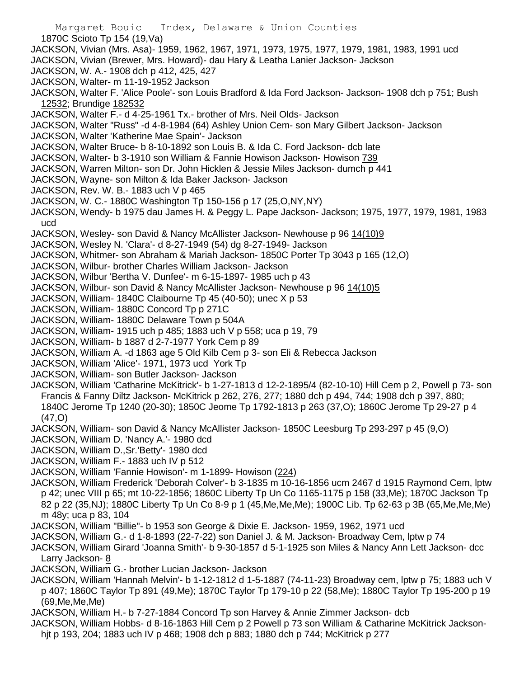- Margaret Bouic Index, Delaware & Union Counties 1870C Scioto Tp 154 (19,Va) JACKSON, Vivian (Mrs. Asa)- 1959, 1962, 1967, 1971, 1973, 1975, 1977, 1979, 1981, 1983, 1991 ucd JACKSON, Vivian (Brewer, Mrs. Howard)- dau Hary & Leatha Lanier Jackson- Jackson JACKSON, W. A.- 1908 dch p 412, 425, 427 JACKSON, Walter- m 11-19-1952 Jackson JACKSON, Walter F. 'Alice Poole'- son Louis Bradford & Ida Ford Jackson- Jackson- 1908 dch p 751; Bush 12532; Brundige 182532 JACKSON, Walter F.- d 4-25-1961 Tx.- brother of Mrs. Neil Olds- Jackson JACKSON, Walter "Russ" -d 4-8-1984 (64) Ashley Union Cem- son Mary Gilbert Jackson- Jackson JACKSON, Walter 'Katherine Mae Spain'- Jackson JACKSON, Walter Bruce- b 8-10-1892 son Louis B. & Ida C. Ford Jackson- dcb late JACKSON, Walter- b 3-1910 son William & Fannie Howison Jackson- Howison 739 JACKSON, Warren Milton- son Dr. John Hicklen & Jessie Miles Jackson- dumch p 441 JACKSON, Wayne- son Milton & Ida Baker Jackson- Jackson JACKSON, Rev. W. B.- 1883 uch V p 465 JACKSON, W. C.- 1880C Washington Tp 150-156 p 17 (25,O,NY,NY) JACKSON, Wendy- b 1975 dau James H. & Peggy L. Pape Jackson- Jackson; 1975, 1977, 1979, 1981, 1983 ucd JACKSON, Wesley- son David & Nancy McAllister Jackson- Newhouse p 96 14(10)9 JACKSON, Wesley N. 'Clara'- d 8-27-1949 (54) dg 8-27-1949- Jackson JACKSON, Whitmer- son Abraham & Mariah Jackson- 1850C Porter Tp 3043 p 165 (12,O) JACKSON, Wilbur- brother Charles William Jackson- Jackson JACKSON, Wilbur 'Bertha V. Dunfee'- m 6-15-1897- 1985 uch p 43 JACKSON, Wilbur- son David & Nancy McAllister Jackson- Newhouse p 96 14(10)5 JACKSON, William- 1840C Claibourne Tp 45 (40-50); unec X p 53 JACKSON, William- 1880C Concord Tp p 271C JACKSON, William- 1880C Delaware Town p 504A JACKSON, William- 1915 uch p 485; 1883 uch V p 558; uca p 19, 79 JACKSON, William- b 1887 d 2-7-1977 York Cem p 89 JACKSON, William A. -d 1863 age 5 Old Kilb Cem p 3- son Eli & Rebecca Jackson JACKSON, William 'Alice'- 1971, 1973 ucd York Tp JACKSON, William- son Butler Jackson- Jackson JACKSON, William 'Catharine McKitrick'- b 1-27-1813 d 12-2-1895/4 (82-10-10) Hill Cem p 2, Powell p 73- son Francis & Fanny Diltz Jackson- McKitrick p 262, 276, 277; 1880 dch p 494, 744; 1908 dch p 397, 880; 1840C Jerome Tp 1240 (20-30); 1850C Jeome Tp 1792-1813 p 263 (37,O); 1860C Jerome Tp 29-27 p 4 (47,O) JACKSON, William- son David & Nancy McAllister Jackson- 1850C Leesburg Tp 293-297 p 45 (9,O) JACKSON, William D. 'Nancy A.'- 1980 dcd JACKSON, William D.,Sr.'Betty'- 1980 dcd JACKSON, William F.- 1883 uch IV p 512 JACKSON, William 'Fannie Howison'- m 1-1899- Howison (224) JACKSON, William Frederick 'Deborah Colver'- b 3-1835 m 10-16-1856 ucm 2467 d 1915 Raymond Cem, lptw p 42; unec VIII p 65; mt 10-22-1856; 1860C Liberty Tp Un Co 1165-1175 p 158 (33,Me); 1870C Jackson Tp 82 p 22 (35,NJ); 1880C Liberty Tp Un Co 8-9 p 1 (45,Me,Me,Me); 1900C Lib. Tp 62-63 p 3B (65,Me,Me,Me) m 48y; uca p 83, 104
- JACKSON, William "Billie"- b 1953 son George & Dixie E. Jackson- 1959, 1962, 1971 ucd
- JACKSON, William G.- d 1-8-1893 (22-7-22) son Daniel J. & M. Jackson- Broadway Cem, lptw p 74
- JACKSON, William Girard 'Joanna Smith'- b 9-30-1857 d 5-1-1925 son Miles & Nancy Ann Lett Jackson- dcc Larry Jackson- 8
- JACKSON, William G.- brother Lucian Jackson- Jackson
- JACKSON, William 'Hannah Melvin'- b 1-12-1812 d 1-5-1887 (74-11-23) Broadway cem, lptw p 75; 1883 uch V p 407; 1860C Taylor Tp 891 (49,Me); 1870C Taylor Tp 179-10 p 22 (58,Me); 1880C Taylor Tp 195-200 p 19 (69,Me,Me,Me)
- JACKSON, William H.- b 7-27-1884 Concord Tp son Harvey & Annie Zimmer Jackson- dcb
- JACKSON, William Hobbs- d 8-16-1863 Hill Cem p 2 Powell p 73 son William & Catharine McKitrick Jacksonhjt p 193, 204; 1883 uch IV p 468; 1908 dch p 883; 1880 dch p 744; McKitrick p 277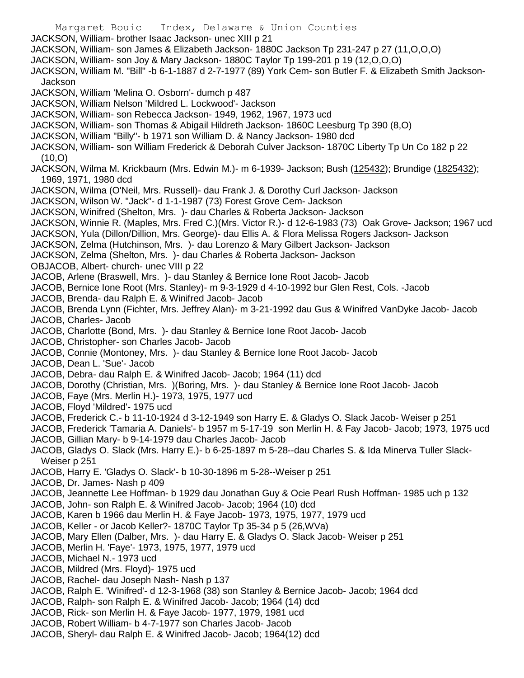Margaret Bouic Index, Delaware & Union Counties JACKSON, William- brother Isaac Jackson- unec XIII p 21 JACKSON, William- son James & Elizabeth Jackson- 1880C Jackson Tp 231-247 p 27 (11,O,O,O) JACKSON, William- son Joy & Mary Jackson- 1880C Taylor Tp 199-201 p 19 (12,O,O,O) JACKSON, William M. "Bill" -b 6-1-1887 d 2-7-1977 (89) York Cem- son Butler F. & Elizabeth Smith Jackson-Jackson JACKSON, William 'Melina O. Osborn'- dumch p 487 JACKSON, William Nelson 'Mildred L. Lockwood'- Jackson JACKSON, William- son Rebecca Jackson- 1949, 1962, 1967, 1973 ucd JACKSON, William- son Thomas & Abigail Hildreth Jackson- 1860C Leesburg Tp 390 (8,O) JACKSON, William "Billy"- b 1971 son William D. & Nancy Jackson- 1980 dcd JACKSON, William- son William Frederick & Deborah Culver Jackson- 1870C Liberty Tp Un Co 182 p 22  $(10, 0)$ JACKSON, Wilma M. Krickbaum (Mrs. Edwin M.)- m 6-1939- Jackson; Bush (125432); Brundige (1825432); 1969, 1971, 1980 dcd JACKSON, Wilma (O'Neil, Mrs. Russell)- dau Frank J. & Dorothy Curl Jackson- Jackson JACKSON, Wilson W. "Jack"- d 1-1-1987 (73) Forest Grove Cem- Jackson JACKSON, Winifred (Shelton, Mrs. )- dau Charles & Roberta Jackson- Jackson JACKSON, Winnie R. (Maples, Mrs. Fred C.)(Mrs. Victor R.)- d 12-6-1983 (73) Oak Grove- Jackson; 1967 ucd JACKSON, Yula (Dillon/Dillion, Mrs. George)- dau Ellis A. & Flora Melissa Rogers Jackson- Jackson JACKSON, Zelma (Hutchinson, Mrs. )- dau Lorenzo & Mary Gilbert Jackson- Jackson JACKSON, Zelma (Shelton, Mrs. )- dau Charles & Roberta Jackson- Jackson OBJACOB, Albert- church- unec VIII p 22 JACOB, Arlene (Braswell, Mrs. )- dau Stanley & Bernice Ione Root Jacob- Jacob JACOB, Bernice Ione Root (Mrs. Stanley)- m 9-3-1929 d 4-10-1992 bur Glen Rest, Cols. -Jacob JACOB, Brenda- dau Ralph E. & Winifred Jacob- Jacob JACOB, Brenda Lynn (Fichter, Mrs. Jeffrey Alan)- m 3-21-1992 dau Gus & Winifred VanDyke Jacob- Jacob JACOB, Charles- Jacob JACOB, Charlotte (Bond, Mrs. )- dau Stanley & Bernice Ione Root Jacob- Jacob JACOB, Christopher- son Charles Jacob- Jacob JACOB, Connie (Montoney, Mrs. )- dau Stanley & Bernice Ione Root Jacob- Jacob JACOB, Dean L. 'Sue'- Jacob JACOB, Debra- dau Ralph E. & Winifred Jacob- Jacob; 1964 (11) dcd JACOB, Dorothy (Christian, Mrs. )(Boring, Mrs. )- dau Stanley & Bernice Ione Root Jacob- Jacob JACOB, Faye (Mrs. Merlin H.)- 1973, 1975, 1977 ucd JACOB, Floyd 'Mildred'- 1975 ucd JACOB, Frederick C.- b 11-10-1924 d 3-12-1949 son Harry E. & Gladys O. Slack Jacob- Weiser p 251 JACOB, Frederick 'Tamaria A. Daniels'- b 1957 m 5-17-19 son Merlin H. & Fay Jacob- Jacob; 1973, 1975 ucd JACOB, Gillian Mary- b 9-14-1979 dau Charles Jacob- Jacob JACOB, Gladys O. Slack (Mrs. Harry E.)- b 6-25-1897 m 5-28--dau Charles S. & Ida Minerva Tuller Slack-Weiser p 251 JACOB, Harry E. 'Gladys O. Slack'- b 10-30-1896 m 5-28--Weiser p 251 JACOB, Dr. James- Nash p 409 JACOB, Jeannette Lee Hoffman- b 1929 dau Jonathan Guy & Ocie Pearl Rush Hoffman- 1985 uch p 132 JACOB, John- son Ralph E. & Winifred Jacob- Jacob; 1964 (10) dcd JACOB, Karen b 1966 dau Merlin H. & Faye Jacob- 1973, 1975, 1977, 1979 ucd JACOB, Keller - or Jacob Keller?- 1870C Taylor Tp 35-34 p 5 (26,WVa) JACOB, Mary Ellen (Dalber, Mrs. )- dau Harry E. & Gladys O. Slack Jacob- Weiser p 251 JACOB, Merlin H. 'Faye'- 1973, 1975, 1977, 1979 ucd JACOB, Michael N.- 1973 ucd JACOB, Mildred (Mrs. Floyd)- 1975 ucd JACOB, Rachel- dau Joseph Nash- Nash p 137 JACOB, Ralph E. 'Winifred'- d 12-3-1968 (38) son Stanley & Bernice Jacob- Jacob; 1964 dcd JACOB, Ralph- son Ralph E. & Winifred Jacob- Jacob; 1964 (14) dcd JACOB, Rick- son Merlin H. & Faye Jacob- 1977, 1979, 1981 ucd JACOB, Robert William- b 4-7-1977 son Charles Jacob- Jacob

JACOB, Sheryl- dau Ralph E. & Winifred Jacob- Jacob; 1964(12) dcd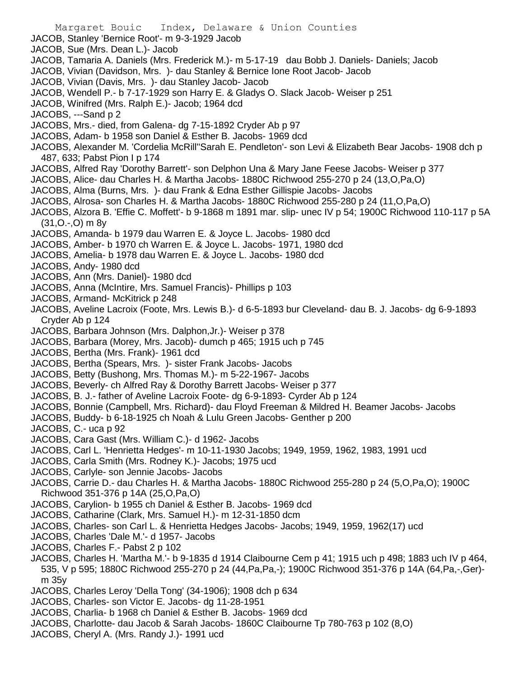- Margaret Bouic Index, Delaware & Union Counties
- JACOB, Stanley 'Bernice Root'- m 9-3-1929 Jacob
- JACOB, Sue (Mrs. Dean L.)- Jacob
- JACOB, Tamaria A. Daniels (Mrs. Frederick M.)- m 5-17-19 dau Bobb J. Daniels- Daniels; Jacob
- JACOB, Vivian (Davidson, Mrs. )- dau Stanley & Bernice Ione Root Jacob- Jacob
- JACOB, Vivian (Davis, Mrs. )- dau Stanley Jacob- Jacob
- JACOB, Wendell P.- b 7-17-1929 son Harry E. & Gladys O. Slack Jacob- Weiser p 251
- JACOB, Winifred (Mrs. Ralph E.)- Jacob; 1964 dcd
- JACOBS, ---Sand p 2
- JACOBS, Mrs.- died, from Galena- dg 7-15-1892 Cryder Ab p 97
- JACOBS, Adam- b 1958 son Daniel & Esther B. Jacobs- 1969 dcd
- JACOBS, Alexander M. 'Cordelia McRill''Sarah E. Pendleton'- son Levi & Elizabeth Bear Jacobs- 1908 dch p 487, 633; Pabst Pion I p 174
- JACOBS, Alfred Ray 'Dorothy Barrett'- son Delphon Una & Mary Jane Feese Jacobs- Weiser p 377
- JACOBS, Alice- dau Charles H. & Martha Jacobs- 1880C Richwood 255-270 p 24 (13,O,Pa,O)
- JACOBS, Alma (Burns, Mrs. )- dau Frank & Edna Esther Gillispie Jacobs- Jacobs
- JACOBS, Alrosa- son Charles H. & Martha Jacobs- 1880C Richwood 255-280 p 24 (11,O,Pa,O)
- JACOBS, Alzora B. 'Effie C. Moffett'- b 9-1868 m 1891 mar. slip- unec IV p 54; 1900C Richwood 110-117 p 5A (31,O.-,O) m 8y
- JACOBS, Amanda- b 1979 dau Warren E. & Joyce L. Jacobs- 1980 dcd
- JACOBS, Amber- b 1970 ch Warren E. & Joyce L. Jacobs- 1971, 1980 dcd
- JACOBS, Amelia- b 1978 dau Warren E. & Joyce L. Jacobs- 1980 dcd
- JACOBS, Andy- 1980 dcd
- JACOBS, Ann (Mrs. Daniel)- 1980 dcd
- JACOBS, Anna (McIntire, Mrs. Samuel Francis)- Phillips p 103
- JACOBS, Armand- McKitrick p 248
- JACOBS, Aveline Lacroix (Foote, Mrs. Lewis B.)- d 6-5-1893 bur Cleveland- dau B. J. Jacobs- dg 6-9-1893 Cryder Ab p 124
- JACOBS, Barbara Johnson (Mrs. Dalphon,Jr.)- Weiser p 378
- JACOBS, Barbara (Morey, Mrs. Jacob)- dumch p 465; 1915 uch p 745
- JACOBS, Bertha (Mrs. Frank)- 1961 dcd
- JACOBS, Bertha (Spears, Mrs. )- sister Frank Jacobs- Jacobs
- JACOBS, Betty (Bushong, Mrs. Thomas M.)- m 5-22-1967- Jacobs
- JACOBS, Beverly- ch Alfred Ray & Dorothy Barrett Jacobs- Weiser p 377
- JACOBS, B. J.- father of Aveline Lacroix Foote- dg 6-9-1893- Cyrder Ab p 124
- JACOBS, Bonnie (Campbell, Mrs. Richard)- dau Floyd Freeman & Mildred H. Beamer Jacobs- Jacobs
- JACOBS, Buddy- b 6-18-1925 ch Noah & Lulu Green Jacobs- Genther p 200
- JACOBS, C.- uca p 92
- JACOBS, Cara Gast (Mrs. William C.)- d 1962- Jacobs
- JACOBS, Carl L. 'Henrietta Hedges'- m 10-11-1930 Jacobs; 1949, 1959, 1962, 1983, 1991 ucd
- JACOBS, Carla Smith (Mrs. Rodney K.)- Jacobs; 1975 ucd
- JACOBS, Carlyle- son Jennie Jacobs- Jacobs
- JACOBS, Carrie D.- dau Charles H. & Martha Jacobs- 1880C Richwood 255-280 p 24 (5,O,Pa,O); 1900C Richwood 351-376 p 14A (25,O,Pa,O)
- JACOBS, Carylion- b 1955 ch Daniel & Esther B. Jacobs- 1969 dcd
- JACOBS, Catharine (Clark, Mrs. Samuel H.)- m 12-31-1850 dcm
- JACOBS, Charles- son Carl L. & Henrietta Hedges Jacobs- Jacobs; 1949, 1959, 1962(17) ucd
- JACOBS, Charles 'Dale M.'- d 1957- Jacobs
- JACOBS, Charles F.- Pabst 2 p 102
- JACOBS, Charles H. 'Martha M.'- b 9-1835 d 1914 Claibourne Cem p 41; 1915 uch p 498; 1883 uch IV p 464, 535, V p 595; 1880C Richwood 255-270 p 24 (44,Pa,Pa,-); 1900C Richwood 351-376 p 14A (64,Pa,-,Ger) m 35y
- JACOBS, Charles Leroy 'Della Tong' (34-1906); 1908 dch p 634
- JACOBS, Charles- son Victor E. Jacobs- dg 11-28-1951
- JACOBS, Charlia- b 1968 ch Daniel & Esther B. Jacobs- 1969 dcd
- JACOBS, Charlotte- dau Jacob & Sarah Jacobs- 1860C Claibourne Tp 780-763 p 102 (8,O)
- JACOBS, Cheryl A. (Mrs. Randy J.)- 1991 ucd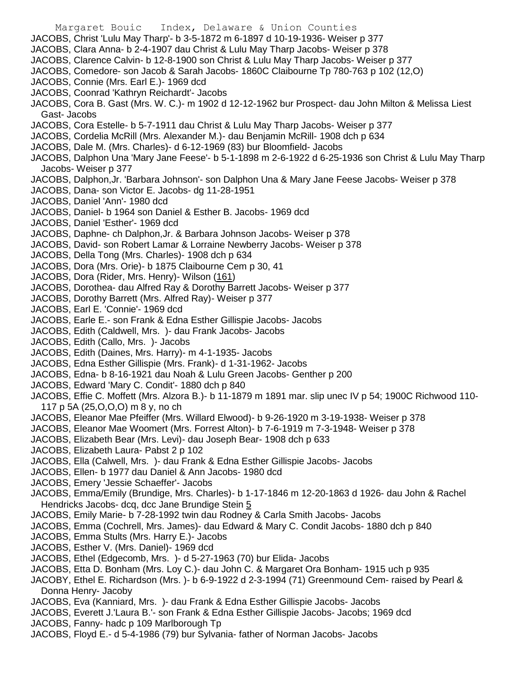- Margaret Bouic Index, Delaware & Union Counties JACOBS, Christ 'Lulu May Tharp'- b 3-5-1872 m 6-1897 d 10-19-1936- Weiser p 377 JACOBS, Clara Anna- b 2-4-1907 dau Christ & Lulu May Tharp Jacobs- Weiser p 378 JACOBS, Clarence Calvin- b 12-8-1900 son Christ & Lulu May Tharp Jacobs- Weiser p 377 JACOBS, Comedore- son Jacob & Sarah Jacobs- 1860C Claibourne Tp 780-763 p 102 (12,O) JACOBS, Connie (Mrs. Earl E.)- 1969 dcd JACOBS, Coonrad 'Kathryn Reichardt'- Jacobs JACOBS, Cora B. Gast (Mrs. W. C.)- m 1902 d 12-12-1962 bur Prospect- dau John Milton & Melissa Liest Gast- Jacobs JACOBS, Cora Estelle- b 5-7-1911 dau Christ & Lulu May Tharp Jacobs- Weiser p 377 JACOBS, Cordelia McRill (Mrs. Alexander M.)- dau Benjamin McRill- 1908 dch p 634 JACOBS, Dale M. (Mrs. Charles)- d 6-12-1969 (83) bur Bloomfield- Jacobs JACOBS, Dalphon Una 'Mary Jane Feese'- b 5-1-1898 m 2-6-1922 d 6-25-1936 son Christ & Lulu May Tharp Jacobs- Weiser p 377 JACOBS, Dalphon,Jr. 'Barbara Johnson'- son Dalphon Una & Mary Jane Feese Jacobs- Weiser p 378 JACOBS, Dana- son Victor E. Jacobs- dg 11-28-1951 JACOBS, Daniel 'Ann'- 1980 dcd JACOBS, Daniel- b 1964 son Daniel & Esther B. Jacobs- 1969 dcd JACOBS, Daniel 'Esther'- 1969 dcd JACOBS, Daphne- ch Dalphon,Jr. & Barbara Johnson Jacobs- Weiser p 378 JACOBS, David- son Robert Lamar & Lorraine Newberry Jacobs- Weiser p 378 JACOBS, Della Tong (Mrs. Charles)- 1908 dch p 634 JACOBS, Dora (Mrs. Orie)- b 1875 Claibourne Cem p 30, 41 JACOBS, Dora (Rider, Mrs. Henry)- Wilson (161) JACOBS, Dorothea- dau Alfred Ray & Dorothy Barrett Jacobs- Weiser p 377 JACOBS, Dorothy Barrett (Mrs. Alfred Ray)- Weiser p 377 JACOBS, Earl E. 'Connie'- 1969 dcd JACOBS, Earle E.- son Frank & Edna Esther Gillispie Jacobs- Jacobs JACOBS, Edith (Caldwell, Mrs. )- dau Frank Jacobs- Jacobs JACOBS, Edith (Callo, Mrs. )- Jacobs JACOBS, Edith (Daines, Mrs. Harry)- m 4-1-1935- Jacobs JACOBS, Edna Esther Gillispie (Mrs. Frank)- d 1-31-1962- Jacobs JACOBS, Edna- b 8-16-1921 dau Noah & Lulu Green Jacobs- Genther p 200 JACOBS, Edward 'Mary C. Condit'- 1880 dch p 840 JACOBS, Effie C. Moffett (Mrs. Alzora B.)- b 11-1879 m 1891 mar. slip unec IV p 54; 1900C Richwood 110- 117 p 5A (25,O,O,O) m 8 y, no ch JACOBS, Eleanor Mae Pfeiffer (Mrs. Willard Elwood)- b 9-26-1920 m 3-19-1938- Weiser p 378 JACOBS, Eleanor Mae Woomert (Mrs. Forrest Alton)- b 7-6-1919 m 7-3-1948- Weiser p 378 JACOBS, Elizabeth Bear (Mrs. Levi)- dau Joseph Bear- 1908 dch p 633 JACOBS, Elizabeth Laura- Pabst 2 p 102 JACOBS, Ella (Calwell, Mrs. )- dau Frank & Edna Esther Gillispie Jacobs- Jacobs JACOBS, Ellen- b 1977 dau Daniel & Ann Jacobs- 1980 dcd JACOBS, Emery 'Jessie Schaeffer'- Jacobs JACOBS, Emma/Emily (Brundige, Mrs. Charles)- b 1-17-1846 m 12-20-1863 d 1926- dau John & Rachel Hendricks Jacobs- dcq, dcc Jane Brundige Stein 5 JACOBS, Emily Marie- b 7-28-1992 twin dau Rodney & Carla Smith Jacobs- Jacobs JACOBS, Emma (Cochrell, Mrs. James)- dau Edward & Mary C. Condit Jacobs- 1880 dch p 840 JACOBS, Emma Stults (Mrs. Harry E.)- Jacobs JACOBS, Esther V. (Mrs. Daniel)- 1969 dcd JACOBS, Ethel (Edgecomb, Mrs. )- d 5-27-1963 (70) bur Elida- Jacobs JACOBS, Etta D. Bonham (Mrs. Loy C.)- dau John C. & Margaret Ora Bonham- 1915 uch p 935 JACOBY, Ethel E. Richardson (Mrs. )- b 6-9-1922 d 2-3-1994 (71) Greenmound Cem- raised by Pearl & Donna Henry- Jacoby JACOBS, Eva (Kanniard, Mrs. )- dau Frank & Edna Esther Gillispie Jacobs- Jacobs JACOBS, Everett J.'Laura B.'- son Frank & Edna Esther Gillispie Jacobs- Jacobs; 1969 dcd JACOBS, Fanny- hadc p 109 Marlborough Tp
- JACOBS, Floyd E.- d 5-4-1986 (79) bur Sylvania- father of Norman Jacobs- Jacobs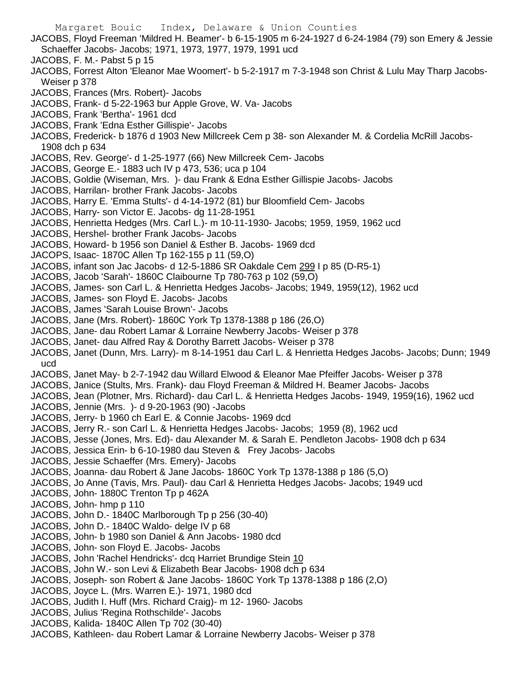Margaret Bouic Index, Delaware & Union Counties JACOBS, Floyd Freeman 'Mildred H. Beamer'- b 6-15-1905 m 6-24-1927 d 6-24-1984 (79) son Emery & Jessie Schaeffer Jacobs- Jacobs; 1971, 1973, 1977, 1979, 1991 ucd JACOBS, F. M.- Pabst 5 p 15 JACOBS, Forrest Alton 'Eleanor Mae Woomert'- b 5-2-1917 m 7-3-1948 son Christ & Lulu May Tharp Jacobs-Weiser p 378 JACOBS, Frances (Mrs. Robert)- Jacobs JACOBS, Frank- d 5-22-1963 bur Apple Grove, W. Va- Jacobs JACOBS, Frank 'Bertha'- 1961 dcd JACOBS, Frank 'Edna Esther Gillispie'- Jacobs JACOBS, Frederick- b 1876 d 1903 New Millcreek Cem p 38- son Alexander M. & Cordelia McRill Jacobs-1908 dch p 634 JACOBS, Rev. George'- d 1-25-1977 (66) New Millcreek Cem- Jacobs JACOBS, George E.- 1883 uch IV p 473, 536; uca p 104 JACOBS, Goldie (Wiseman, Mrs. )- dau Frank & Edna Esther Gillispie Jacobs- Jacobs JACOBS, Harrilan- brother Frank Jacobs- Jacobs JACOBS, Harry E. 'Emma Stults'- d 4-14-1972 (81) bur Bloomfield Cem- Jacobs JACOBS, Harry- son Victor E. Jacobs- dg 11-28-1951 JACOBS, Henrietta Hedges (Mrs. Carl L.)- m 10-11-1930- Jacobs; 1959, 1959, 1962 ucd JACOBS, Hershel- brother Frank Jacobs- Jacobs JACOBS, Howard- b 1956 son Daniel & Esther B. Jacobs- 1969 dcd JACOPS, Isaac- 1870C Allen Tp 162-155 p 11 (59,O) JACOBS, infant son Jac Jacobs- d 12-5-1886 SR Oakdale Cem 299 I p 85 (D-R5-1) JACOBS, Jacob 'Sarah'- 1860C Claibourne Tp 780-763 p 102 (59,O) JACOBS, James- son Carl L. & Henrietta Hedges Jacobs- Jacobs; 1949, 1959(12), 1962 ucd JACOBS, James- son Floyd E. Jacobs- Jacobs JACOBS, James 'Sarah Louise Brown'- Jacobs JACOBS, Jane (Mrs. Robert)- 1860C York Tp 1378-1388 p 186 (26,O) JACOBS, Jane- dau Robert Lamar & Lorraine Newberry Jacobs- Weiser p 378 JACOBS, Janet- dau Alfred Ray & Dorothy Barrett Jacobs- Weiser p 378 JACOBS, Janet (Dunn, Mrs. Larry)- m 8-14-1951 dau Carl L. & Henrietta Hedges Jacobs- Jacobs; Dunn; 1949 ucd JACOBS, Janet May- b 2-7-1942 dau Willard Elwood & Eleanor Mae Pfeiffer Jacobs- Weiser p 378 JACOBS, Janice (Stults, Mrs. Frank)- dau Floyd Freeman & Mildred H. Beamer Jacobs- Jacobs JACOBS, Jean (Plotner, Mrs. Richard)- dau Carl L. & Henrietta Hedges Jacobs- 1949, 1959(16), 1962 ucd JACOBS, Jennie (Mrs. )- d 9-20-1963 (90) -Jacobs JACOBS, Jerry- b 1960 ch Earl E. & Connie Jacobs- 1969 dcd JACOBS, Jerry R.- son Carl L. & Henrietta Hedges Jacobs- Jacobs; 1959 (8), 1962 ucd JACOBS, Jesse (Jones, Mrs. Ed)- dau Alexander M. & Sarah E. Pendleton Jacobs- 1908 dch p 634 JACOBS, Jessica Erin- b 6-10-1980 dau Steven & Frey Jacobs- Jacobs JACOBS, Jessie Schaeffer (Mrs. Emery)- Jacobs JACOBS, Joanna- dau Robert & Jane Jacobs- 1860C York Tp 1378-1388 p 186 (5,O) JACOBS, Jo Anne (Tavis, Mrs. Paul)- dau Carl & Henrietta Hedges Jacobs- Jacobs; 1949 ucd JACOBS, John- 1880C Trenton Tp p 462A JACOBS, John- hmp p 110 JACOBS, John D.- 1840C Marlborough Tp p 256 (30-40) JACOBS, John D.- 1840C Waldo- delge IV p 68 JACOBS, John- b 1980 son Daniel & Ann Jacobs- 1980 dcd JACOBS, John- son Floyd E. Jacobs- Jacobs JACOBS, John 'Rachel Hendricks'- dcq Harriet Brundige Stein 10 JACOBS, John W.- son Levi & Elizabeth Bear Jacobs- 1908 dch p 634 JACOBS, Joseph- son Robert & Jane Jacobs- 1860C York Tp 1378-1388 p 186 (2,O) JACOBS, Joyce L. (Mrs. Warren E.)- 1971, 1980 dcd JACOBS, Judith I. Huff (Mrs. Richard Craig)- m 12- 1960- Jacobs JACOBS, Julius 'Regina Rothschilde'- Jacobs JACOBS, Kalida- 1840C Allen Tp 702 (30-40) JACOBS, Kathleen- dau Robert Lamar & Lorraine Newberry Jacobs- Weiser p 378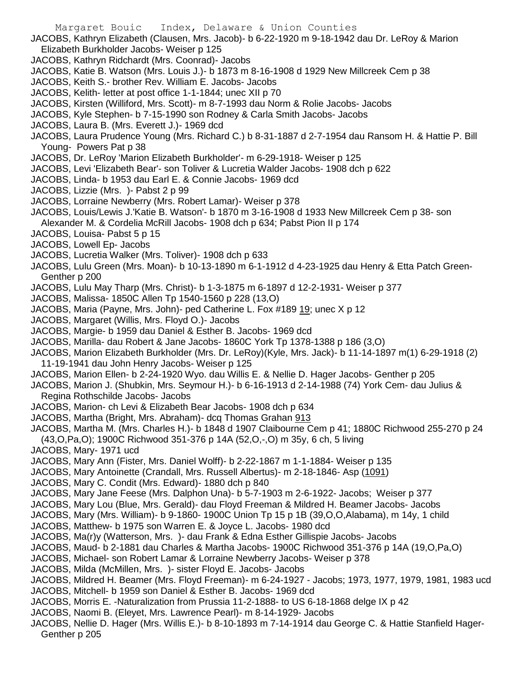- JACOBS, Kathryn Elizabeth (Clausen, Mrs. Jacob)- b 6-22-1920 m 9-18-1942 dau Dr. LeRoy & Marion Elizabeth Burkholder Jacobs- Weiser p 125
- JACOBS, Kathryn Ridchardt (Mrs. Coonrad)- Jacobs
- JACOBS, Katie B. Watson (Mrs. Louis J.)- b 1873 m 8-16-1908 d 1929 New Millcreek Cem p 38
- JACOBS, Keith S.- brother Rev. William E. Jacobs- Jacobs
- JACOBS, Kelith- letter at post office 1-1-1844; unec XII p 70
- JACOBS, Kirsten (Williford, Mrs. Scott)- m 8-7-1993 dau Norm & Rolie Jacobs- Jacobs
- JACOBS, Kyle Stephen- b 7-15-1990 son Rodney & Carla Smith Jacobs- Jacobs
- JACOBS, Laura B. (Mrs. Everett J.)- 1969 dcd
- JACOBS, Laura Prudence Young (Mrs. Richard C.) b 8-31-1887 d 2-7-1954 dau Ransom H. & Hattie P. Bill Young- Powers Pat p 38
- JACOBS, Dr. LeRoy 'Marion Elizabeth Burkholder'- m 6-29-1918- Weiser p 125
- JACOBS, Levi 'Elizabeth Bear'- son Toliver & Lucretia Walder Jacobs- 1908 dch p 622
- JACOBS, Linda- b 1953 dau Earl E. & Connie Jacobs- 1969 dcd
- JACOBS, Lizzie (Mrs. )- Pabst 2 p 99
- JACOBS, Lorraine Newberry (Mrs. Robert Lamar)- Weiser p 378
- JACOBS, Louis/Lewis J.'Katie B. Watson'- b 1870 m 3-16-1908 d 1933 New Millcreek Cem p 38- son Alexander M. & Cordelia McRill Jacobs- 1908 dch p 634; Pabst Pion II p 174
- JACOBS, Louisa- Pabst 5 p 15
- JACOBS, Lowell Ep- Jacobs
- JACOBS, Lucretia Walker (Mrs. Toliver)- 1908 dch p 633
- JACOBS, Lulu Green (Mrs. Moan)- b 10-13-1890 m 6-1-1912 d 4-23-1925 dau Henry & Etta Patch Green-Genther p 200
- JACOBS, Lulu May Tharp (Mrs. Christ)- b 1-3-1875 m 6-1897 d 12-2-1931- Weiser p 377
- JACOBS, Malissa- 1850C Allen Tp 1540-1560 p 228 (13,O)
- JACOBS, Maria (Payne, Mrs. John)- ped Catherine L. Fox #189 19; unec X p 12
- JACOBS, Margaret (Willis, Mrs. Floyd O.)- Jacobs
- JACOBS, Margie- b 1959 dau Daniel & Esther B. Jacobs- 1969 dcd
- JACOBS, Marilla- dau Robert & Jane Jacobs- 1860C York Tp 1378-1388 p 186 (3,O)
- JACOBS, Marion Elizabeth Burkholder (Mrs. Dr. LeRoy)(Kyle, Mrs. Jack)- b 11-14-1897 m(1) 6-29-1918 (2) 11-19-1941 dau John Henry Jacobs- Weiser p 125
- JACOBS, Marion Ellen- b 2-24-1920 Wyo. dau Willis E. & Nellie D. Hager Jacobs- Genther p 205
- JACOBS, Marion J. (Shubkin, Mrs. Seymour H.)- b 6-16-1913 d 2-14-1988 (74) York Cem- dau Julius & Regina Rothschilde Jacobs- Jacobs
- JACOBS, Marion- ch Levi & Elizabeth Bear Jacobs- 1908 dch p 634
- JACOBS, Martha (Bright, Mrs. Abraham)- dcq Thomas Grahan 913
- JACOBS, Martha M. (Mrs. Charles H.)- b 1848 d 1907 Claibourne Cem p 41; 1880C Richwood 255-270 p 24 (43,O,Pa,O); 1900C Richwood 351-376 p 14A (52,O,-,O) m 35y, 6 ch, 5 living
- JACOBS, Mary- 1971 ucd
- JACOBS, Mary Ann (Fister, Mrs. Daniel Wolff)- b 2-22-1867 m 1-1-1884- Weiser p 135
- JACOBS, Mary Antoinette (Crandall, Mrs. Russell Albertus)- m 2-18-1846- Asp (1091)
- JACOBS, Mary C. Condit (Mrs. Edward)- 1880 dch p 840
- JACOBS, Mary Jane Feese (Mrs. Dalphon Una)- b 5-7-1903 m 2-6-1922- Jacobs; Weiser p 377
- JACOBS, Mary Lou (Blue, Mrs. Gerald)- dau Floyd Freeman & Mildred H. Beamer Jacobs- Jacobs
- JACOBS, Mary (Mrs. William)- b 9-1860- 1900C Union Tp 15 p 1B (39,O,O,Alabama), m 14y, 1 child
- JACOBS, Matthew- b 1975 son Warren E. & Joyce L. Jacobs- 1980 dcd
- JACOBS, Ma(r)y (Watterson, Mrs. )- dau Frank & Edna Esther Gillispie Jacobs- Jacobs
- JACOBS, Maud- b 2-1881 dau Charles & Martha Jacobs- 1900C Richwood 351-376 p 14A (19,O,Pa,O)
- JACOBS, Michael- son Robert Lamar & Lorraine Newberry Jacobs- Weiser p 378
- JACOBS, Milda (McMillen, Mrs. )- sister Floyd E. Jacobs- Jacobs
- JACOBS, Mildred H. Beamer (Mrs. Floyd Freeman)- m 6-24-1927 Jacobs; 1973, 1977, 1979, 1981, 1983 ucd
- JACOBS, Mitchell- b 1959 son Daniel & Esther B. Jacobs- 1969 dcd
- JACOBS, Morris E. -Naturalization from Prussia 11-2-1888- to US 6-18-1868 delge IX p 42
- JACOBS, Naomi B. (Eleyet, Mrs. Lawrence Pearl)- m 8-14-1929- Jacobs
- JACOBS, Nellie D. Hager (Mrs. Willis E.)- b 8-10-1893 m 7-14-1914 dau George C. & Hattie Stanfield Hager-Genther p 205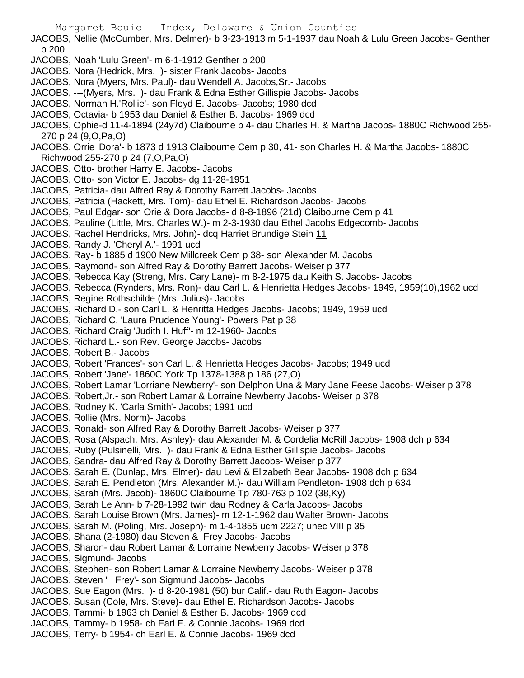JACOBS, Nellie (McCumber, Mrs. Delmer)- b 3-23-1913 m 5-1-1937 dau Noah & Lulu Green Jacobs- Genther p 200

- JACOBS, Noah 'Lulu Green'- m 6-1-1912 Genther p 200
- JACOBS, Nora (Hedrick, Mrs. )- sister Frank Jacobs- Jacobs
- JACOBS, Nora (Myers, Mrs. Paul)- dau Wendell A. Jacobs,Sr.- Jacobs
- JACOBS, ---(Myers, Mrs. )- dau Frank & Edna Esther Gillispie Jacobs- Jacobs
- JACOBS, Norman H.'Rollie'- son Floyd E. Jacobs- Jacobs; 1980 dcd
- JACOBS, Octavia- b 1953 dau Daniel & Esther B. Jacobs- 1969 dcd
- JACOBS, Ophie-d 11-4-1894 (24y7d) Claibourne p 4- dau Charles H. & Martha Jacobs- 1880C Richwood 255- 270 p 24 (9,O,Pa,O)
- JACOBS, Orrie 'Dora'- b 1873 d 1913 Claibourne Cem p 30, 41- son Charles H. & Martha Jacobs- 1880C Richwood 255-270 p 24 (7,O,Pa,O)
- JACOBS, Otto- brother Harry E. Jacobs- Jacobs
- JACOBS, Otto- son Victor E. Jacobs- dg 11-28-1951
- JACOBS, Patricia- dau Alfred Ray & Dorothy Barrett Jacobs- Jacobs
- JACOBS, Patricia (Hackett, Mrs. Tom)- dau Ethel E. Richardson Jacobs- Jacobs
- JACOBS, Paul Edgar- son Orie & Dora Jacobs- d 8-8-1896 (21d) Claibourne Cem p 41
- JACOBS, Pauline (Little, Mrs. Charles W.)- m 2-3-1930 dau Ethel Jacobs Edgecomb- Jacobs
- JACOBS, Rachel Hendricks, Mrs. John)- dcq Harriet Brundige Stein 11
- JACOBS, Randy J. 'Cheryl A.'- 1991 ucd
- JACOBS, Ray- b 1885 d 1900 New Millcreek Cem p 38- son Alexander M. Jacobs
- JACOBS, Raymond- son Alfred Ray & Dorothy Barrett Jacobs- Weiser p 377
- JACOBS, Rebecca Kay (Streng, Mrs. Cary Lane)- m 8-2-1975 dau Keith S. Jacobs- Jacobs
- JACOBS, Rebecca (Rynders, Mrs. Ron)- dau Carl L. & Henrietta Hedges Jacobs- 1949, 1959(10),1962 ucd
- JACOBS, Regine Rothschilde (Mrs. Julius)- Jacobs
- JACOBS, Richard D.- son Carl L. & Henritta Hedges Jacobs- Jacobs; 1949, 1959 ucd
- JACOBS, Richard C. 'Laura Prudence Young'- Powers Pat p 38
- JACOBS, Richard Craig 'Judith I. Huff'- m 12-1960- Jacobs
- JACOBS, Richard L.- son Rev. George Jacobs- Jacobs
- JACOBS, Robert B.- Jacobs
- JACOBS, Robert 'Frances'- son Carl L. & Henrietta Hedges Jacobs- Jacobs; 1949 ucd
- JACOBS, Robert 'Jane'- 1860C York Tp 1378-1388 p 186 (27,O)
- JACOBS, Robert Lamar 'Lorriane Newberry'- son Delphon Una & Mary Jane Feese Jacobs- Weiser p 378
- JACOBS, Robert,Jr.- son Robert Lamar & Lorraine Newberry Jacobs- Weiser p 378
- JACOBS, Rodney K. 'Carla Smith'- Jacobs; 1991 ucd
- JACOBS, Rollie (Mrs. Norm)- Jacobs
- JACOBS, Ronald- son Alfred Ray & Dorothy Barrett Jacobs- Weiser p 377
- JACOBS, Rosa (Alspach, Mrs. Ashley)- dau Alexander M. & Cordelia McRill Jacobs- 1908 dch p 634
- JACOBS, Ruby (Pulsinelli, Mrs. )- dau Frank & Edna Esther Gillispie Jacobs- Jacobs
- JACOBS, Sandra- dau Alfred Ray & Dorothy Barrett Jacobs- Weiser p 377
- JACOBS, Sarah E. (Dunlap, Mrs. Elmer)- dau Levi & Elizabeth Bear Jacobs- 1908 dch p 634
- JACOBS, Sarah E. Pendleton (Mrs. Alexander M.)- dau William Pendleton- 1908 dch p 634
- JACOBS, Sarah (Mrs. Jacob)- 1860C Claibourne Tp 780-763 p 102 (38,Ky)
- JACOBS, Sarah Le Ann- b 7-28-1992 twin dau Rodney & Carla Jacobs- Jacobs
- JACOBS, Sarah Louise Brown (Mrs. James)- m 12-1-1962 dau Walter Brown- Jacobs
- JACOBS, Sarah M. (Poling, Mrs. Joseph)- m 1-4-1855 ucm 2227; unec VIII p 35
- JACOBS, Shana (2-1980) dau Steven & Frey Jacobs- Jacobs
- JACOBS, Sharon- dau Robert Lamar & Lorraine Newberry Jacobs- Weiser p 378
- JACOBS, Sigmund- Jacobs
- JACOBS, Stephen- son Robert Lamar & Lorraine Newberry Jacobs- Weiser p 378
- JACOBS, Steven ' Frey'- son Sigmund Jacobs- Jacobs
- JACOBS, Sue Eagon (Mrs. )- d 8-20-1981 (50) bur Calif.- dau Ruth Eagon- Jacobs
- JACOBS, Susan (Cole, Mrs. Steve)- dau Ethel E. Richardson Jacobs- Jacobs
- JACOBS, Tammi- b 1963 ch Daniel & Esther B. Jacobs- 1969 dcd
- JACOBS, Tammy- b 1958- ch Earl E. & Connie Jacobs- 1969 dcd
- JACOBS, Terry- b 1954- ch Earl E. & Connie Jacobs- 1969 dcd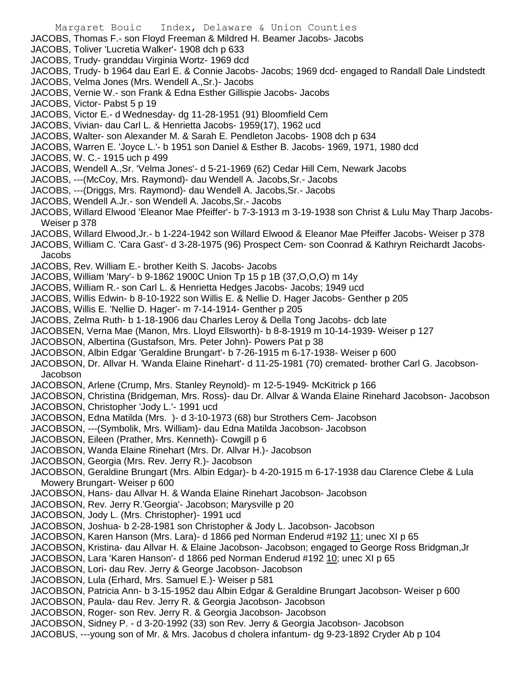JACOBS, Thomas F.- son Floyd Freeman & Mildred H. Beamer Jacobs- Jacobs

- JACOBS, Toliver 'Lucretia Walker'- 1908 dch p 633
- JACOBS, Trudy- granddau Virginia Wortz- 1969 dcd
- JACOBS, Trudy- b 1964 dau Earl E. & Connie Jacobs- Jacobs; 1969 dcd- engaged to Randall Dale Lindstedt
- JACOBS, Velma Jones (Mrs. Wendell A.,Sr.)- Jacobs
- JACOBS, Vernie W.- son Frank & Edna Esther Gillispie Jacobs- Jacobs
- JACOBS, Victor- Pabst 5 p 19
- JACOBS, Victor E.- d Wednesday- dg 11-28-1951 (91) Bloomfield Cem
- JACOBS, Vivian- dau Carl L. & Henrietta Jacobs- 1959(17), 1962 ucd
- JACOBS, Walter- son Alexander M. & Sarah E. Pendleton Jacobs- 1908 dch p 634
- JACOBS, Warren E. 'Joyce L.'- b 1951 son Daniel & Esther B. Jacobs- 1969, 1971, 1980 dcd
- JACOBS, W. C.- 1915 uch p 499
- JACOBS, Wendell A.,Sr. 'Velma Jones'- d 5-21-1969 (62) Cedar Hill Cem, Newark Jacobs
- JACOBS, ---(McCoy, Mrs. Raymond)- dau Wendell A. Jacobs,Sr.- Jacobs
- JACOBS, ---(Driggs, Mrs. Raymond)- dau Wendell A. Jacobs,Sr.- Jacobs
- JACOBS, Wendell A.Jr.- son Wendell A. Jacobs,Sr.- Jacobs
- JACOBS, Willard Elwood 'Eleanor Mae Pfeiffer'- b 7-3-1913 m 3-19-1938 son Christ & Lulu May Tharp Jacobs-Weiser p 378
- JACOBS, Willard Elwood,Jr.- b 1-224-1942 son Willard Elwood & Eleanor Mae Pfeiffer Jacobs- Weiser p 378
- JACOBS, William C. 'Cara Gast'- d 3-28-1975 (96) Prospect Cem- son Coonrad & Kathryn Reichardt Jacobs-Jacobs
- JACOBS, Rev. William E.- brother Keith S. Jacobs- Jacobs
- JACOBS, William 'Mary'- b 9-1862 1900C Union Tp 15 p 1B (37,O,O,O) m 14y
- JACOBS, William R.- son Carl L. & Henrietta Hedges Jacobs- Jacobs; 1949 ucd
- JACOBS, Willis Edwin- b 8-10-1922 son Willis E. & Nellie D. Hager Jacobs- Genther p 205
- JACOBS, Willis E. 'Nellie D. Hager'- m 7-14-1914- Genther p 205
- JACOBS, Zelma Ruth- b 1-18-1906 dau Charles Leroy & Della Tong Jacobs- dcb late
- JACOBSEN, Verna Mae (Manon, Mrs. Lloyd Ellsworth)- b 8-8-1919 m 10-14-1939- Weiser p 127
- JACOBSON, Albertina (Gustafson, Mrs. Peter John)- Powers Pat p 38
- JACOBSON, Albin Edgar 'Geraldine Brungart'- b 7-26-1915 m 6-17-1938- Weiser p 600
- JACOBSON, Dr. Allvar H. 'Wanda Elaine Rinehart'- d 11-25-1981 (70) cremated- brother Carl G. Jacobson-Jacobson
- JACOBSON, Arlene (Crump, Mrs. Stanley Reynold)- m 12-5-1949- McKitrick p 166
- JACOBSON, Christina (Bridgeman, Mrs. Ross)- dau Dr. Allvar & Wanda Elaine Rinehard Jacobson- Jacobson JACOBSON, Christopher 'Jody L.'- 1991 ucd
- 
- JACOBSON, Edna Matilda (Mrs. )- d 3-10-1973 (68) bur Strothers Cem- Jacobson
- JACOBSON, ---(Symbolik, Mrs. William)- dau Edna Matilda Jacobson- Jacobson
- JACOBSON, Eileen (Prather, Mrs. Kenneth)- Cowgill p 6
- JACOBSON, Wanda Elaine Rinehart (Mrs. Dr. Allvar H.)- Jacobson
- JACOBSON, Georgia (Mrs. Rev. Jerry R.)- Jacobson
- JACOBSON, Geraldine Brungart (Mrs. Albin Edgar)- b 4-20-1915 m 6-17-1938 dau Clarence Clebe & Lula Mowery Brungart- Weiser p 600
- JACOBSON, Hans- dau Allvar H. & Wanda Elaine Rinehart Jacobson- Jacobson
- JACOBSON, Rev. Jerry R.'Georgia'- Jacobson; Marysville p 20
- JACOBSON, Jody L. (Mrs. Christopher)- 1991 ucd
- JACOBSON, Joshua- b 2-28-1981 son Christopher & Jody L. Jacobson- Jacobson
- JACOBSON, Karen Hanson (Mrs. Lara)- d 1866 ped Norman Enderud #192 11; unec XI p 65
- JACOBSON, Kristina- dau Allvar H. & Elaine Jacobson- Jacobson; engaged to George Ross Bridgman,Jr
- JACOBSON, Lara 'Karen Hanson'- d 1866 ped Norman Enderud #192 10; unec XI p 65
- JACOBSON, Lori- dau Rev. Jerry & George Jacobson- Jacobson
- JACOBSON, Lula (Erhard, Mrs. Samuel E.)- Weiser p 581
- JACOBSON, Patricia Ann- b 3-15-1952 dau Albin Edgar & Geraldine Brungart Jacobson- Weiser p 600
- JACOBSON, Paula- dau Rev. Jerry R. & Georgia Jacobson- Jacobson
- JACOBSON, Roger- son Rev. Jerry R. & Georgia Jacobson- Jacobson
- JACOBSON, Sidney P. d 3-20-1992 (33) son Rev. Jerry & Georgia Jacobson- Jacobson
- JACOBUS, ---young son of Mr. & Mrs. Jacobus d cholera infantum- dg 9-23-1892 Cryder Ab p 104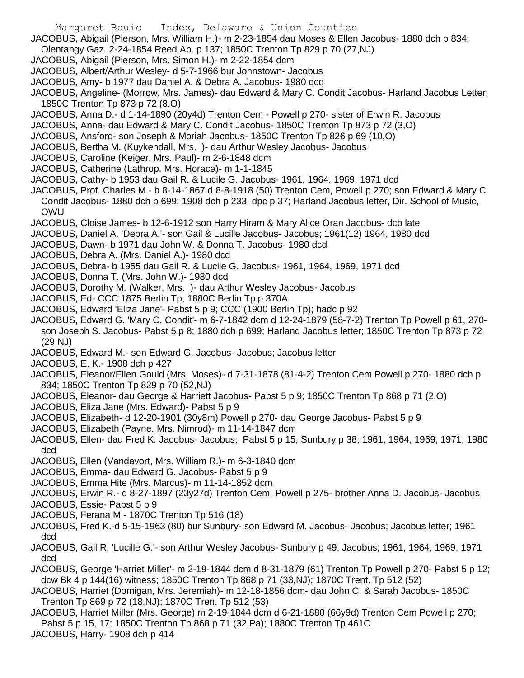- JACOBUS, Abigail (Pierson, Mrs. William H.)- m 2-23-1854 dau Moses & Ellen Jacobus- 1880 dch p 834;
- Olentangy Gaz. 2-24-1854 Reed Ab. p 137; 1850C Trenton Tp 829 p 70 (27,NJ)
- JACOBUS, Abigail (Pierson, Mrs. Simon H.)- m 2-22-1854 dcm
- JACOBUS, Albert/Arthur Wesley- d 5-7-1966 bur Johnstown- Jacobus
- JACOBUS, Amy- b 1977 dau Daniel A. & Debra A. Jacobus- 1980 dcd
- JACOBUS, Angeline- (Morrow, Mrs. James)- dau Edward & Mary C. Condit Jacobus- Harland Jacobus Letter; 1850C Trenton Tp 873 p 72 (8,O)
- JACOBUS, Anna D.- d 1-14-1890 (20y4d) Trenton Cem Powell p 270- sister of Erwin R. Jacobus
- JACOBUS, Anna- dau Edward & Mary C. Condit Jacobus- 1850C Trenton Tp 873 p 72 (3,O)
- JACOBUS, Ansford- son Joseph & Moriah Jacobus- 1850C Trenton Tp 826 p 69 (10,O)
- JACOBUS, Bertha M. (Kuykendall, Mrs. )- dau Arthur Wesley Jacobus- Jacobus
- JACOBUS, Caroline (Keiger, Mrs. Paul)- m 2-6-1848 dcm
- JACOBUS, Catherine (Lathrop, Mrs. Horace)- m 1-1-1845
- JACOBUS, Cathy- b 1953 dau Gail R. & Lucile G. Jacobus- 1961, 1964, 1969, 1971 dcd
- JACOBUS, Prof. Charles M.- b 8-14-1867 d 8-8-1918 (50) Trenton Cem, Powell p 270; son Edward & Mary C. Condit Jacobus- 1880 dch p 699; 1908 dch p 233; dpc p 37; Harland Jacobus letter, Dir. School of Music, OWU
- JACOBUS, Cloise James- b 12-6-1912 son Harry Hiram & Mary Alice Oran Jacobus- dcb late
- JACOBUS, Daniel A. 'Debra A.'- son Gail & Lucille Jacobus- Jacobus; 1961(12) 1964, 1980 dcd
- JACOBUS, Dawn- b 1971 dau John W. & Donna T. Jacobus- 1980 dcd
- JACOBUS, Debra A. (Mrs. Daniel A.)- 1980 dcd
- JACOBUS, Debra- b 1955 dau Gail R. & Lucile G. Jacobus- 1961, 1964, 1969, 1971 dcd
- JACOBUS, Donna T. (Mrs. John W.)- 1980 dcd
- JACOBUS, Dorothy M. (Walker, Mrs. )- dau Arthur Wesley Jacobus- Jacobus
- JACOBUS, Ed- CCC 1875 Berlin Tp; 1880C Berlin Tp p 370A
- JACOBUS, Edward 'Eliza Jane'- Pabst 5 p 9; CCC (1900 Berlin Tp); hadc p 92
- JACOBUS, Edward G. 'Mary C. Condit'- m 6-7-1842 dcm d 12-24-1879 (58-7-2) Trenton Tp Powell p 61, 270 son Joseph S. Jacobus- Pabst 5 p 8; 1880 dch p 699; Harland Jacobus letter; 1850C Trenton Tp 873 p 72 (29,NJ)
- JACOBUS, Edward M.- son Edward G. Jacobus- Jacobus; Jacobus letter
- JACOBUS, E. K.- 1908 dch p 427
- JACOBUS, Eleanor/Ellen Gould (Mrs. Moses)- d 7-31-1878 (81-4-2) Trenton Cem Powell p 270- 1880 dch p 834; 1850C Trenton Tp 829 p 70 (52,NJ)
- JACOBUS, Eleanor- dau George & Harriett Jacobus- Pabst 5 p 9; 1850C Trenton Tp 868 p 71 (2,O)
- JACOBUS, Eliza Jane (Mrs. Edward)- Pabst 5 p 9
- JACOBUS, Elizabeth- d 12-20-1901 (30y8m) Powell p 270- dau George Jacobus- Pabst 5 p 9
- JACOBUS, Elizabeth (Payne, Mrs. Nimrod)- m 11-14-1847 dcm
- JACOBUS, Ellen- dau Fred K. Jacobus- Jacobus; Pabst 5 p 15; Sunbury p 38; 1961, 1964, 1969, 1971, 1980 dcd
- JACOBUS, Ellen (Vandavort, Mrs. William R.)- m 6-3-1840 dcm
- JACOBUS, Emma- dau Edward G. Jacobus- Pabst 5 p 9
- JACOBUS, Emma Hite (Mrs. Marcus)- m 11-14-1852 dcm
- JACOBUS, Erwin R.- d 8-27-1897 (23y27d) Trenton Cem, Powell p 275- brother Anna D. Jacobus- Jacobus
- JACOBUS, Essie- Pabst 5 p 9
- JACOBUS, Ferana M.- 1870C Trenton Tp 516 (18)
- JACOBUS, Fred K.-d 5-15-1963 (80) bur Sunbury- son Edward M. Jacobus- Jacobus; Jacobus letter; 1961 dcd
- JACOBUS, Gail R. 'Lucille G.'- son Arthur Wesley Jacobus- Sunbury p 49; Jacobus; 1961, 1964, 1969, 1971 dcd
- JACOBUS, George 'Harriet Miller'- m 2-19-1844 dcm d 8-31-1879 (61) Trenton Tp Powell p 270- Pabst 5 p 12; dcw Bk 4 p 144(16) witness; 1850C Trenton Tp 868 p 71 (33,NJ); 1870C Trent. Tp 512 (52)
- JACOBUS, Harriet (Domigan, Mrs. Jeremiah)- m 12-18-1856 dcm- dau John C. & Sarah Jacobus- 1850C Trenton Tp 869 p 72 (18,NJ); 1870C Tren. Tp 512 (53)
- JACOBUS, Harriet Miller (Mrs. George) m 2-19-1844 dcm d 6-21-1880 (66y9d) Trenton Cem Powell p 270; Pabst 5 p 15, 17; 1850C Trenton Tp 868 p 71 (32,Pa); 1880C Trenton Tp 461C JACOBUS, Harry- 1908 dch p 414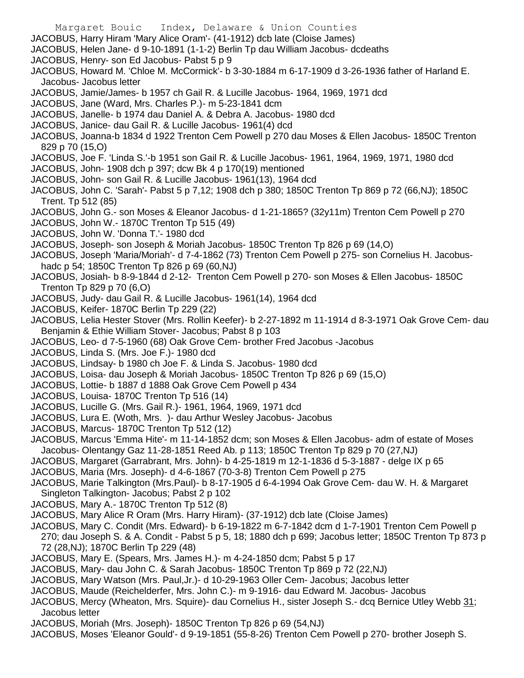Margaret Bouic Index, Delaware & Union Counties JACOBUS, Harry Hiram 'Mary Alice Oram'- (41-1912) dcb late (Cloise James) JACOBUS, Helen Jane- d 9-10-1891 (1-1-2) Berlin Tp dau William Jacobus- dcdeaths JACOBUS, Henry- son Ed Jacobus- Pabst 5 p 9 JACOBUS, Howard M. 'Chloe M. McCormick'- b 3-30-1884 m 6-17-1909 d 3-26-1936 father of Harland E. Jacobus- Jacobus letter JACOBUS, Jamie/James- b 1957 ch Gail R. & Lucille Jacobus- 1964, 1969, 1971 dcd JACOBUS, Jane (Ward, Mrs. Charles P.)- m 5-23-1841 dcm JACOBUS, Janelle- b 1974 dau Daniel A. & Debra A. Jacobus- 1980 dcd JACOBUS, Janice- dau Gail R. & Lucille Jacobus- 1961(4) dcd JACOBUS, Joanna-b 1834 d 1922 Trenton Cem Powell p 270 dau Moses & Ellen Jacobus- 1850C Trenton 829 p 70 (15,O) JACOBUS, Joe F. 'Linda S.'-b 1951 son Gail R. & Lucille Jacobus- 1961, 1964, 1969, 1971, 1980 dcd JACOBUS, John- 1908 dch p 397; dcw Bk 4 p 170(19) mentioned JACOBUS, John- son Gail R. & Lucille Jacobus- 1961(13), 1964 dcd JACOBUS, John C. 'Sarah'- Pabst 5 p 7,12; 1908 dch p 380; 1850C Trenton Tp 869 p 72 (66,NJ); 1850C Trent. Tp 512 (85) JACOBUS, John G.- son Moses & Eleanor Jacobus- d 1-21-1865? (32y11m) Trenton Cem Powell p 270 JACOBUS, John W.- 1870C Trenton Tp 515 (49) JACOBUS, John W. 'Donna T.'- 1980 dcd JACOBUS, Joseph- son Joseph & Moriah Jacobus- 1850C Trenton Tp 826 p 69 (14,O) JACOBUS, Joseph 'Maria/Moriah'- d 7-4-1862 (73) Trenton Cem Powell p 275- son Cornelius H. Jacobushadc p 54; 1850C Trenton Tp 826 p 69 (60,NJ) JACOBUS, Josiah- b 8-9-1844 d 2-12- Trenton Cem Powell p 270- son Moses & Ellen Jacobus- 1850C Trenton Tp 829 p 70 (6,O) JACOBUS, Judy- dau Gail R. & Lucille Jacobus- 1961(14), 1964 dcd JACOBUS, Keifer- 1870C Berlin Tp 229 (22) JACOBUS, Lelia Hester Stover (Mrs. Rollin Keefer)- b 2-27-1892 m 11-1914 d 8-3-1971 Oak Grove Cem- dau Benjamin & Ethie William Stover- Jacobus; Pabst 8 p 103 JACOBUS, Leo- d 7-5-1960 (68) Oak Grove Cem- brother Fred Jacobus -Jacobus JACOBUS, Linda S. (Mrs. Joe F.)- 1980 dcd JACOBUS, Lindsay- b 1980 ch Joe F. & Linda S. Jacobus- 1980 dcd JACOBUS, Loisa- dau Joseph & Moriah Jacobus- 1850C Trenton Tp 826 p 69 (15,O) JACOBUS, Lottie- b 1887 d 1888 Oak Grove Cem Powell p 434 JACOBUS, Louisa- 1870C Trenton Tp 516 (14) JACOBUS, Lucille G. (Mrs. Gail R.)- 1961, 1964, 1969, 1971 dcd JACOBUS, Lura E. (Woth, Mrs. )- dau Arthur Wesley Jacobus- Jacobus JACOBUS, Marcus- 1870C Trenton Tp 512 (12) JACOBUS, Marcus 'Emma Hite'- m 11-14-1852 dcm; son Moses & Ellen Jacobus- adm of estate of Moses Jacobus- Olentangy Gaz 11-28-1851 Reed Ab. p 113; 1850C Trenton Tp 829 p 70 (27,NJ) JACOBUS, Margaret (Garrabrant, Mrs. John)- b 4-25-1819 m 12-1-1836 d 5-3-1887 - delge IX p 65 JACOBUS, Maria (Mrs. Joseph)- d 4-6-1867 (70-3-8) Trenton Cem Powell p 275 JACOBUS, Marie Talkington (Mrs.Paul)- b 8-17-1905 d 6-4-1994 Oak Grove Cem- dau W. H. & Margaret Singleton Talkington- Jacobus; Pabst 2 p 102 JACOBUS, Mary A.- 1870C Trenton Tp 512 (8)

- JACOBUS, Mary Alice R Oram (Mrs. Harry Hiram)- (37-1912) dcb late (Cloise James)
- JACOBUS, Mary C. Condit (Mrs. Edward)- b 6-19-1822 m 6-7-1842 dcm d 1-7-1901 Trenton Cem Powell p 270; dau Joseph S. & A. Condit - Pabst 5 p 5, 18; 1880 dch p 699; Jacobus letter; 1850C Trenton Tp 873 p 72 (28,NJ); 1870C Berlin Tp 229 (48)
- JACOBUS, Mary E. (Spears, Mrs. James H.)- m 4-24-1850 dcm; Pabst 5 p 17
- JACOBUS, Mary- dau John C. & Sarah Jacobus- 1850C Trenton Tp 869 p 72 (22,NJ)
- JACOBUS, Mary Watson (Mrs. Paul,Jr.)- d 10-29-1963 Oller Cem- Jacobus; Jacobus letter
- JACOBUS, Maude (Reichelderfer, Mrs. John C.)- m 9-1916- dau Edward M. Jacobus- Jacobus
- JACOBUS, Mercy (Wheaton, Mrs. Squire)- dau Cornelius H., sister Joseph S.- dcq Bernice Utley Webb 31; Jacobus letter
- JACOBUS, Moriah (Mrs. Joseph)- 1850C Trenton Tp 826 p 69 (54,NJ)
- JACOBUS, Moses 'Eleanor Gould'- d 9-19-1851 (55-8-26) Trenton Cem Powell p 270- brother Joseph S.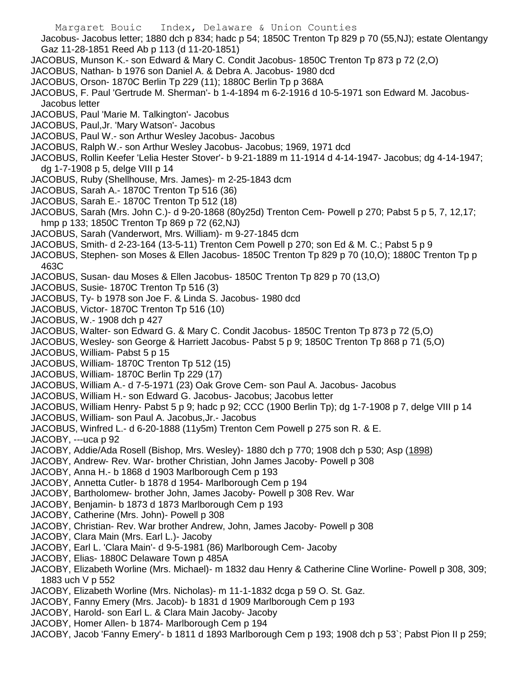Margaret Bouic Index, Delaware & Union Counties Jacobus- Jacobus letter; 1880 dch p 834; hadc p 54; 1850C Trenton Tp 829 p 70 (55,NJ); estate Olentangy Gaz 11-28-1851 Reed Ab p 113 (d 11-20-1851) JACOBUS, Munson K.- son Edward & Mary C. Condit Jacobus- 1850C Trenton Tp 873 p 72 (2,O) JACOBUS, Nathan- b 1976 son Daniel A. & Debra A. Jacobus- 1980 dcd JACOBUS, Orson- 1870C Berlin Tp 229 (11); 1880C Berlin Tp p 368A JACOBUS, F. Paul 'Gertrude M. Sherman'- b 1-4-1894 m 6-2-1916 d 10-5-1971 son Edward M. Jacobus-Jacobus letter JACOBUS, Paul 'Marie M. Talkington'- Jacobus JACOBUS, Paul,Jr. 'Mary Watson'- Jacobus JACOBUS, Paul W.- son Arthur Wesley Jacobus- Jacobus JACOBUS, Ralph W.- son Arthur Wesley Jacobus- Jacobus; 1969, 1971 dcd JACOBUS, Rollin Keefer 'Lelia Hester Stover'- b 9-21-1889 m 11-1914 d 4-14-1947- Jacobus; dg 4-14-1947; dg 1-7-1908 p 5, delge VIII p 14 JACOBUS, Ruby (Shellhouse, Mrs. James)- m 2-25-1843 dcm JACOBUS, Sarah A.- 1870C Trenton Tp 516 (36) JACOBUS, Sarah E.- 1870C Trenton Tp 512 (18) JACOBUS, Sarah (Mrs. John C.)- d 9-20-1868 (80y25d) Trenton Cem- Powell p 270; Pabst 5 p 5, 7, 12,17; hmp p 133; 1850C Trenton Tp 869 p 72 (62,NJ) JACOBUS, Sarah (Vanderwort, Mrs. William)- m 9-27-1845 dcm JACOBUS, Smith- d 2-23-164 (13-5-11) Trenton Cem Powell p 270; son Ed & M. C.; Pabst 5 p 9 JACOBUS, Stephen- son Moses & Ellen Jacobus- 1850C Trenton Tp 829 p 70 (10,O); 1880C Trenton Tp p 463C JACOBUS, Susan- dau Moses & Ellen Jacobus- 1850C Trenton Tp 829 p 70 (13,O) JACOBUS, Susie- 1870C Trenton Tp 516 (3) JACOBUS, Ty- b 1978 son Joe F. & Linda S. Jacobus- 1980 dcd JACOBUS, Victor- 1870C Trenton Tp 516 (10) JACOBUS, W.- 1908 dch p 427 JACOBUS, Walter- son Edward G. & Mary C. Condit Jacobus- 1850C Trenton Tp 873 p 72 (5,O) JACOBUS, Wesley- son George & Harriett Jacobus- Pabst 5 p 9; 1850C Trenton Tp 868 p 71 (5,O) JACOBUS, William- Pabst 5 p 15 JACOBUS, William- 1870C Trenton Tp 512 (15) JACOBUS, William- 1870C Berlin Tp 229 (17) JACOBUS, William A.- d 7-5-1971 (23) Oak Grove Cem- son Paul A. Jacobus- Jacobus JACOBUS, William H.- son Edward G. Jacobus- Jacobus; Jacobus letter

- JACOBUS, William Henry- Pabst 5 p 9; hadc p 92; CCC (1900 Berlin Tp); dg 1-7-1908 p 7, delge VIII p 14
- JACOBUS, William- son Paul A. Jacobus,Jr.- Jacobus
- JACOBUS, Winfred L.- d 6-20-1888 (11y5m) Trenton Cem Powell p 275 son R. & E.
- JACOBY, ---uca p 92
- JACOBY, Addie/Ada Rosell (Bishop, Mrs. Wesley)- 1880 dch p 770; 1908 dch p 530; Asp (1898)
- JACOBY, Andrew- Rev. War- brother Christian, John James Jacoby- Powell p 308
- JACOBY, Anna H.- b 1868 d 1903 Marlborough Cem p 193
- JACOBY, Annetta Cutler- b 1878 d 1954- Marlborough Cem p 194
- JACOBY, Bartholomew- brother John, James Jacoby- Powell p 308 Rev. War
- JACOBY, Benjamin- b 1873 d 1873 Marlborough Cem p 193
- JACOBY, Catherine (Mrs. John)- Powell p 308
- JACOBY, Christian- Rev. War brother Andrew, John, James Jacoby- Powell p 308
- JACOBY, Clara Main (Mrs. Earl L.)- Jacoby
- JACOBY, Earl L. 'Clara Main'- d 9-5-1981 (86) Marlborough Cem- Jacoby
- JACOBY, Elias- 1880C Delaware Town p 485A
- JACOBY, Elizabeth Worline (Mrs. Michael)- m 1832 dau Henry & Catherine Cline Worline- Powell p 308, 309; 1883 uch V p 552
- JACOBY, Elizabeth Worline (Mrs. Nicholas)- m 11-1-1832 dcga p 59 O. St. Gaz.
- JACOBY, Fanny Emery (Mrs. Jacob)- b 1831 d 1909 Marlborough Cem p 193
- JACOBY, Harold- son Earl L. & Clara Main Jacoby- Jacoby
- JACOBY, Homer Allen- b 1874- Marlborough Cem p 194
- JACOBY, Jacob 'Fanny Emery'- b 1811 d 1893 Marlborough Cem p 193; 1908 dch p 53`; Pabst Pion II p 259;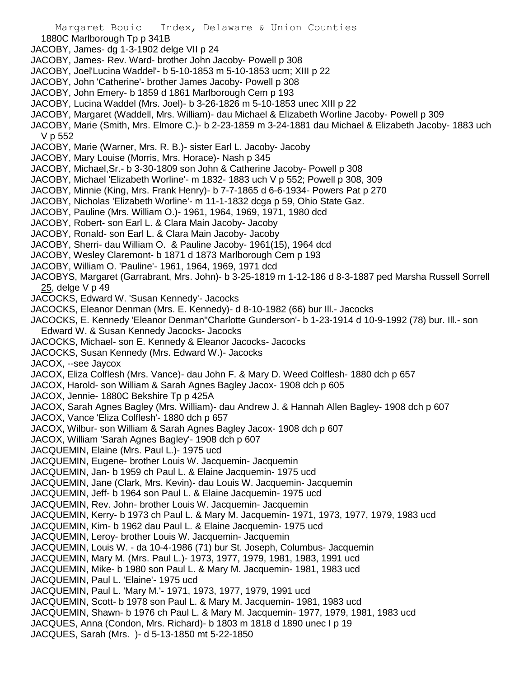- 1880C Marlborough Tp p 341B
- JACOBY, James- dg 1-3-1902 delge VII p 24
- JACOBY, James- Rev. Ward- brother John Jacoby- Powell p 308
- JACOBY, Joel'Lucina Waddel'- b 5-10-1853 m 5-10-1853 ucm; XIII p 22
- JACOBY, John 'Catherine'- brother James Jacoby- Powell p 308
- JACOBY, John Emery- b 1859 d 1861 Marlborough Cem p 193
- JACOBY, Lucina Waddel (Mrs. Joel)- b 3-26-1826 m 5-10-1853 unec XIII p 22
- JACOBY, Margaret (Waddell, Mrs. William)- dau Michael & Elizabeth Worline Jacoby- Powell p 309
- JACOBY, Marie (Smith, Mrs. Elmore C.)- b 2-23-1859 m 3-24-1881 dau Michael & Elizabeth Jacoby- 1883 uch V p 552
- JACOBY, Marie (Warner, Mrs. R. B.)- sister Earl L. Jacoby- Jacoby
- JACOBY, Mary Louise (Morris, Mrs. Horace)- Nash p 345
- JACOBY, Michael,Sr.- b 3-30-1809 son John & Catherine Jacoby- Powell p 308
- JACOBY, Michael 'Elizabeth Worline'- m 1832- 1883 uch V p 552; Powell p 308, 309
- JACOBY, Minnie (King, Mrs. Frank Henry)- b 7-7-1865 d 6-6-1934- Powers Pat p 270
- JACOBY, Nicholas 'Elizabeth Worline'- m 11-1-1832 dcga p 59, Ohio State Gaz.
- JACOBY, Pauline (Mrs. William O.)- 1961, 1964, 1969, 1971, 1980 dcd
- JACOBY, Robert- son Earl L. & Clara Main Jacoby- Jacoby
- JACOBY, Ronald- son Earl L. & Clara Main Jacoby- Jacoby
- JACOBY, Sherri- dau William O. & Pauline Jacoby- 1961(15), 1964 dcd
- JACOBY, Wesley Claremont- b 1871 d 1873 Marlborough Cem p 193
- JACOBY, William O. 'Pauline'- 1961, 1964, 1969, 1971 dcd
- JACOBYS, Margaret (Garrabrant, Mrs. John)- b 3-25-1819 m 1-12-186 d 8-3-1887 ped Marsha Russell Sorrell 25, delge V p 49
- JACOCKS, Edward W. 'Susan Kennedy'- Jacocks
- JACOCKS, Eleanor Denman (Mrs. E. Kennedy)- d 8-10-1982 (66) bur Ill.- Jacocks
- JACOCKS, E. Kennedy 'Eleanor Denman''Charlotte Gunderson'- b 1-23-1914 d 10-9-1992 (78) bur. Ill.- son Edward W. & Susan Kennedy Jacocks- Jacocks
- JACOCKS, Michael- son E. Kennedy & Eleanor Jacocks- Jacocks
- JACOCKS, Susan Kennedy (Mrs. Edward W.)- Jacocks

JACOX, --see Jaycox

- JACOX, Eliza Colflesh (Mrs. Vance)- dau John F. & Mary D. Weed Colflesh- 1880 dch p 657
- JACOX, Harold- son William & Sarah Agnes Bagley Jacox- 1908 dch p 605
- JACOX, Jennie- 1880C Bekshire Tp p 425A
- JACOX, Sarah Agnes Bagley (Mrs. William)- dau Andrew J. & Hannah Allen Bagley- 1908 dch p 607
- JACOX, Vance 'Eliza Colflesh'- 1880 dch p 657
- JACOX, Wilbur- son William & Sarah Agnes Bagley Jacox- 1908 dch p 607
- JACOX, William 'Sarah Agnes Bagley'- 1908 dch p 607
- JACQUEMIN, Elaine (Mrs. Paul L.)- 1975 ucd
- JACQUEMIN, Eugene- brother Louis W. Jacquemin- Jacquemin
- JACQUEMIN, Jan- b 1959 ch Paul L. & Elaine Jacquemin- 1975 ucd
- JACQUEMIN, Jane (Clark, Mrs. Kevin)- dau Louis W. Jacquemin- Jacquemin
- JACQUEMIN, Jeff- b 1964 son Paul L. & Elaine Jacquemin- 1975 ucd
- JACQUEMIN, Rev. John- brother Louis W. Jacquemin- Jacquemin
- JACQUEMIN, Kerry- b 1973 ch Paul L. & Mary M. Jacquemin- 1971, 1973, 1977, 1979, 1983 ucd
- JACQUEMIN, Kim- b 1962 dau Paul L. & Elaine Jacquemin- 1975 ucd
- JACQUEMIN, Leroy- brother Louis W. Jacquemin- Jacquemin
- JACQUEMIN, Louis W. da 10-4-1986 (71) bur St. Joseph, Columbus- Jacquemin
- JACQUEMIN, Mary M. (Mrs. Paul L.)- 1973, 1977, 1979, 1981, 1983, 1991 ucd
- JACQUEMIN, Mike- b 1980 son Paul L. & Mary M. Jacquemin- 1981, 1983 ucd
- JACQUEMIN, Paul L. 'Elaine'- 1975 ucd
- JACQUEMIN, Paul L. 'Mary M.'- 1971, 1973, 1977, 1979, 1991 ucd
- JACQUEMIN, Scott- b 1978 son Paul L. & Mary M. Jacquemin- 1981, 1983 ucd
- JACQUEMIN, Shawn- b 1976 ch Paul L. & Mary M. Jacquemin- 1977, 1979, 1981, 1983 ucd
- JACQUES, Anna (Condon, Mrs. Richard)- b 1803 m 1818 d 1890 unec I p 19
- JACQUES, Sarah (Mrs. )- d 5-13-1850 mt 5-22-1850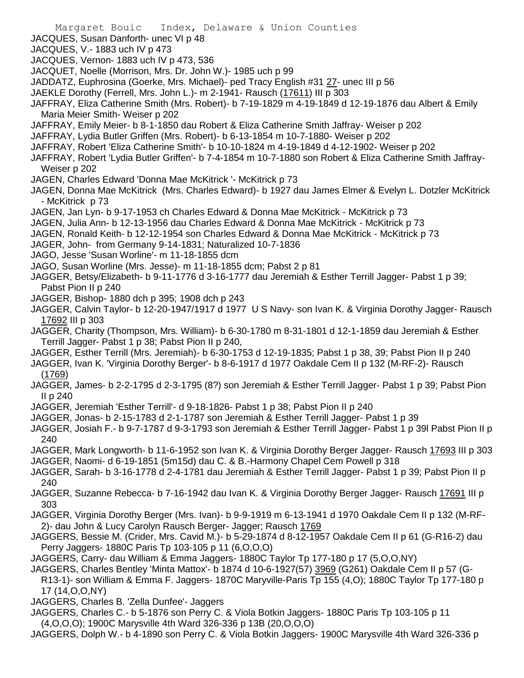- Margaret Bouic Index, Delaware & Union Counties
- JACQUES, Susan Danforth- unec VI p 48
- JACQUES, V.- 1883 uch IV p 473
- JACQUES, Vernon- 1883 uch IV p 473, 536
- JACQUET, Noelle (Morrison, Mrs. Dr. John W.)- 1985 uch p 99
- JADDATZ, Euphrosina (Goerke, Mrs. Michael)- ped Tracy English #31 27- unec III p 56
- JAEKLE Dorothy (Ferrell, Mrs. John L.)- m 2-1941- Rausch (17611) III p 303
- JAFFRAY, Eliza Catherine Smith (Mrs. Robert)- b 7-19-1829 m 4-19-1849 d 12-19-1876 dau Albert & Emily Maria Meier Smith- Weiser p 202
- JAFFRAY, Emily Meier- b 8-1-1850 dau Robert & Eliza Catherine Smith Jaffray- Weiser p 202
- JAFFRAY, Lydia Butler Griffen (Mrs. Robert)- b 6-13-1854 m 10-7-1880- Weiser p 202
- JAFFRAY, Robert 'Eliza Catherine Smith'- b 10-10-1824 m 4-19-1849 d 4-12-1902- Weiser p 202
- JAFFRAY, Robert 'Lydia Butler Griffen'- b 7-4-1854 m 10-7-1880 son Robert & Eliza Catherine Smith Jaffray-Weiser p 202
- JAGEN, Charles Edward 'Donna Mae McKitrick '- McKitrick p 73
- JAGEN, Donna Mae McKitrick (Mrs. Charles Edward)- b 1927 dau James Elmer & Evelyn L. Dotzler McKitrick - McKitrick p 73
- JAGEN, Jan Lyn- b 9-17-1953 ch Charles Edward & Donna Mae McKitrick McKitrick p 73
- JAGEN, Julia Ann- b 12-13-1956 dau Charles Edward & Donna Mae McKitrick McKitrick p 73
- JAGEN, Ronald Keith- b 12-12-1954 son Charles Edward & Donna Mae McKitrick McKitrick p 73
- JAGER, John- from Germany 9-14-1831; Naturalized 10-7-1836
- JAGO, Jesse 'Susan Worline'- m 11-18-1855 dcm
- JAGO, Susan Worline (Mrs. Jesse)- m 11-18-1855 dcm; Pabst 2 p 81
- JAGGER, Betsy/Elizabeth- b 9-11-1776 d 3-16-1777 dau Jeremiah & Esther Terrill Jagger- Pabst 1 p 39; Pabst Pion II p 240
- JAGGER, Bishop- 1880 dch p 395; 1908 dch p 243
- JAGGER, Calvin Taylor- b 12-20-1947/1917 d 1977 U S Navy- son Ivan K. & Virginia Dorothy Jagger- Rausch 17692 III p 303
- JAGGER, Charity (Thompson, Mrs. William)- b 6-30-1780 m 8-31-1801 d 12-1-1859 dau Jeremiah & Esther Terrill Jagger- Pabst 1 p 38; Pabst Pion II p 240,
- JAGGER, Esther Terrill (Mrs. Jeremiah)- b 6-30-1753 d 12-19-1835; Pabst 1 p 38, 39; Pabst Pion II p 240
- JAGGER, Ivan K. 'Virginia Dorothy Berger'- b 8-6-1917 d 1977 Oakdale Cem II p 132 (M-RF-2)- Rausch (1769)
- JAGGER, James- b 2-2-1795 d 2-3-1795 (8?) son Jeremiah & Esther Terrill Jagger- Pabst 1 p 39; Pabst Pion II p 240
- JAGGER, Jeremiah 'Esther Terrill'- d 9-18-1826- Pabst 1 p 38; Pabst Pion II p 240
- JAGGER, Jonas- b 2-15-1783 d 2-1-1787 son Jeremiah & Esther Terrill Jagger- Pabst 1 p 39
- JAGGER, Josiah F.- b 9-7-1787 d 9-3-1793 son Jeremiah & Esther Terrill Jagger- Pabst 1 p 39l Pabst Pion II p 240
- JAGGER, Mark Longworth- b 11-6-1952 son Ivan K. & Virginia Dorothy Berger Jagger- Rausch 17693 III p 303 JAGGER, Naomi- d 6-19-1851 (5m15d) dau C. & B.-Harmony Chapel Cem Powell p 318
- JAGGER, Sarah- b 3-16-1778 d 2-4-1781 dau Jeremiah & Esther Terrill Jagger- Pabst 1 p 39; Pabst Pion II p 240
- JAGGER, Suzanne Rebecca- b 7-16-1942 dau Ivan K. & Virginia Dorothy Berger Jagger- Rausch 17691 III p 303
- JAGGER, Virginia Dorothy Berger (Mrs. Ivan)- b 9-9-1919 m 6-13-1941 d 1970 Oakdale Cem II p 132 (M-RF-2)- dau John & Lucy Carolyn Rausch Berger- Jagger; Rausch 1769
- JAGGERS, Bessie M. (Crider, Mrs. Cavid M.)- b 5-29-1874 d 8-12-1957 Oakdale Cem II p 61 (G-R16-2) dau Perry Jaggers- 1880C Paris Tp 103-105 p 11 (6,O,O,O)
- JAGGERS, Carry- dau William & Emma Jaggers- 1880C Taylor Tp 177-180 p 17 (5,O,O,NY)
- JAGGERS, Charles Bentley 'Minta Mattox'- b 1874 d 10-6-1927(57) 3969 (G261) Oakdale Cem II p 57 (G-R13-1)- son William & Emma F. Jaggers- 1870C Maryville-Paris Tp 155 (4,O); 1880C Taylor Tp 177-180 p
- 17 (14,O,O,NY)
- JAGGERS, Charles B. 'Zella Dunfee'- Jaggers
- JAGGERS, Charles C.- b 5-1876 son Perry C. & Viola Botkin Jaggers- 1880C Paris Tp 103-105 p 11 (4,O,O,O); 1900C Marysville 4th Ward 326-336 p 13B (20,O,O,O)
- JAGGERS, Dolph W.- b 4-1890 son Perry C. & Viola Botkin Jaggers- 1900C Marysville 4th Ward 326-336 p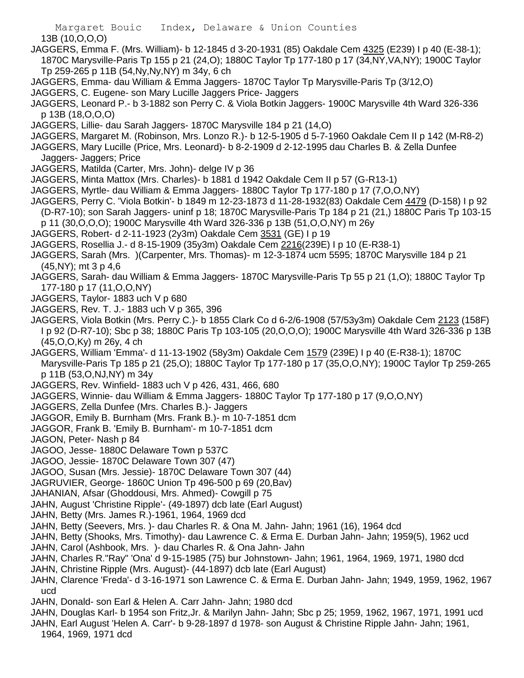Margaret Bouic Index, Delaware & Union Counties 13B (10,O,O,O)

- JAGGERS, Emma F. (Mrs. William)- b 12-1845 d 3-20-1931 (85) Oakdale Cem 4325 (E239) I p 40 (E-38-1); 1870C Marysville-Paris Tp 155 p 21 (24,O); 1880C Taylor Tp 177-180 p 17 (34,NY,VA,NY); 1900C Taylor Tp 259-265 p 11B (54,Ny,Ny,NY) m 34y, 6 ch
- JAGGERS, Emma- dau William & Emma Jaggers- 1870C Taylor Tp Marysville-Paris Tp (3/12,O)
- JAGGERS, C. Eugene- son Mary Lucille Jaggers Price- Jaggers
- JAGGERS, Leonard P.- b 3-1882 son Perry C. & Viola Botkin Jaggers- 1900C Marysville 4th Ward 326-336 p 13B (18,O,O,O)
- JAGGERS, Lillie- dau Sarah Jaggers- 1870C Marysville 184 p 21 (14,O)
- JAGGERS, Margaret M. (Robinson, Mrs. Lonzo R.)- b 12-5-1905 d 5-7-1960 Oakdale Cem II p 142 (M-R8-2)
- JAGGERS, Mary Lucille (Price, Mrs. Leonard)- b 8-2-1909 d 2-12-1995 dau Charles B. & Zella Dunfee Jaggers- Jaggers; Price
- JAGGERS, Matilda (Carter, Mrs. John)- delge IV p 36
- JAGGERS, Minta Mattox (Mrs. Charles)- b 1881 d 1942 Oakdale Cem II p 57 (G-R13-1)
- JAGGERS, Myrtle- dau William & Emma Jaggers- 1880C Taylor Tp 177-180 p 17 (7,O,O,NY)
- JAGGERS, Perry C. 'Viola Botkin'- b 1849 m 12-23-1873 d 11-28-1932(83) Oakdale Cem 4479 (D-158) I p 92 (D-R7-10); son Sarah Jaggers- uninf p 18; 1870C Marysville-Paris Tp 184 p 21 (21,) 1880C Paris Tp 103-15
- p 11 (30,O,O,O); 1900C Marysville 4th Ward 326-336 p 13B (51,O,O,NY) m 26y
- JAGGERS, Robert- d 2-11-1923 (2y3m) Oakdale Cem 3531 (GE) I p 19
- JAGGERS, Rosellia J.- d 8-15-1909 (35y3m) Oakdale Cem 2216(239E) I p 10 (E-R38-1)
- JAGGERS, Sarah (Mrs. )(Carpenter, Mrs. Thomas)- m 12-3-1874 ucm 5595; 1870C Marysville 184 p 21 (45,NY); mt 3 p 4,6
- JAGGERS, Sarah- dau William & Emma Jaggers- 1870C Marysville-Paris Tp 55 p 21 (1,O); 1880C Taylor Tp 177-180 p 17 (11,O,O,NY)
- JAGGERS, Taylor- 1883 uch V p 680
- JAGGERS, Rev. T. J.- 1883 uch V p 365, 396
- JAGGERS, Viola Botkin (Mrs. Perry C.)- b 1855 Clark Co d 6-2/6-1908 (57/53y3m) Oakdale Cem 2123 (158F) I p 92 (D-R7-10); Sbc p 38; 1880C Paris Tp 103-105 (20,O,O,O); 1900C Marysville 4th Ward 326-336 p 13B (45,O,O,Ky) m 26y, 4 ch
- JAGGERS, William 'Emma'- d 11-13-1902 (58y3m) Oakdale Cem 1579 (239E) I p 40 (E-R38-1); 1870C Marysville-Paris Tp 185 p 21 (25,O); 1880C Taylor Tp 177-180 p 17 (35,O,O,NY); 1900C Taylor Tp 259-265 p 11B (53,O,NJ,NY) m 34y
- JAGGERS, Rev. Winfield- 1883 uch V p 426, 431, 466, 680
- JAGGERS, Winnie- dau William & Emma Jaggers- 1880C Taylor Tp 177-180 p 17 (9,O,O,NY)
- JAGGERS, Zella Dunfee (Mrs. Charles B.)- Jaggers
- JAGGOR, Emily B. Burnham (Mrs. Frank B.)- m 10-7-1851 dcm
- JAGGOR, Frank B. 'Emily B. Burnham'- m 10-7-1851 dcm
- JAGON, Peter- Nash p 84
- JAGOO, Jesse- 1880C Delaware Town p 537C
- JAGOO, Jessie- 1870C Delaware Town 307 (47)
- JAGOO, Susan (Mrs. Jessie)- 1870C Delaware Town 307 (44)
- JAGRUVIER, George- 1860C Union Tp 496-500 p 69 (20,Bav)
- JAHANIAN, Afsar (Ghoddousi, Mrs. Ahmed) Cowgill p 75
- JAHN, August 'Christine Ripple'- (49-1897) dcb late (Earl August)
- JAHN, Betty (Mrs. James R.)-1961, 1964, 1969 dcd
- JAHN, Betty (Seevers, Mrs. )- dau Charles R. & Ona M. Jahn- Jahn; 1961 (16), 1964 dcd
- JAHN, Betty (Shooks, Mrs. Timothy)- dau Lawrence C. & Erma E. Durban Jahn- Jahn; 1959(5), 1962 ucd
- JAHN, Carol (Ashbook, Mrs. )- dau Charles R. & Ona Jahn- Jahn
- JAHN, Charles R."Ray" 'Ona' d 9-15-1985 (75) bur Johnstown- Jahn; 1961, 1964, 1969, 1971, 1980 dcd
- JAHN, Christine Ripple (Mrs. August)- (44-1897) dcb late (Earl August)
- JAHN, Clarence 'Freda'- d 3-16-1971 son Lawrence C. & Erma E. Durban Jahn- Jahn; 1949, 1959, 1962, 1967 ucd
- JAHN, Donald- son Earl & Helen A. Carr Jahn- Jahn; 1980 dcd
- JAHN, Douglas Karl- b 1954 son Fritz,Jr. & Marilyn Jahn- Jahn; Sbc p 25; 1959, 1962, 1967, 1971, 1991 ucd
- JAHN, Earl August 'Helen A. Carr'- b 9-28-1897 d 1978- son August & Christine Ripple Jahn- Jahn; 1961, 1964, 1969, 1971 dcd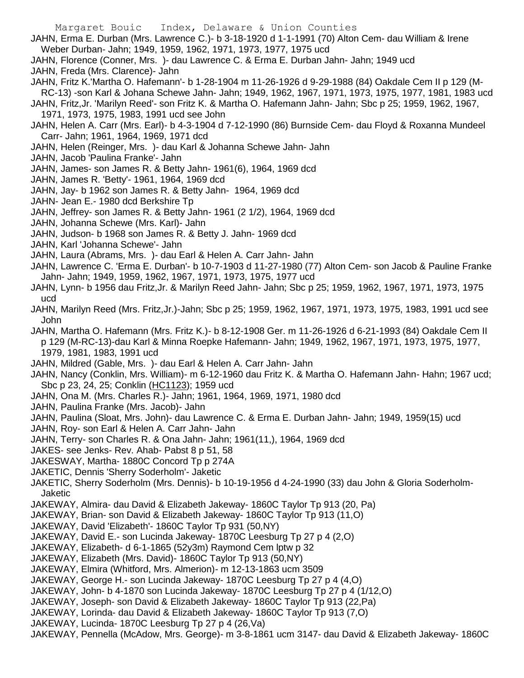- JAHN, Erma E. Durban (Mrs. Lawrence C.)- b 3-18-1920 d 1-1-1991 (70) Alton Cem- dau William & Irene Weber Durban- Jahn; 1949, 1959, 1962, 1971, 1973, 1977, 1975 ucd
- JAHN, Florence (Conner, Mrs. )- dau Lawrence C. & Erma E. Durban Jahn- Jahn; 1949 ucd
- JAHN, Freda (Mrs. Clarence)- Jahn
- JAHN, Fritz K.'Martha O. Hafemann'- b 1-28-1904 m 11-26-1926 d 9-29-1988 (84) Oakdale Cem II p 129 (M-RC-13) -son Karl & Johana Schewe Jahn- Jahn; 1949, 1962, 1967, 1971, 1973, 1975, 1977, 1981, 1983 ucd
- JAHN, Fritz,Jr. 'Marilyn Reed'- son Fritz K. & Martha O. Hafemann Jahn- Jahn; Sbc p 25; 1959, 1962, 1967, 1971, 1973, 1975, 1983, 1991 ucd see John
- JAHN, Helen A. Carr (Mrs. Earl)- b 4-3-1904 d 7-12-1990 (86) Burnside Cem- dau Floyd & Roxanna Mundeel Carr- Jahn; 1961, 1964, 1969, 1971 dcd
- JAHN, Helen (Reinger, Mrs. )- dau Karl & Johanna Schewe Jahn- Jahn
- JAHN, Jacob 'Paulina Franke'- Jahn
- JAHN, James- son James R. & Betty Jahn- 1961(6), 1964, 1969 dcd
- JAHN, James R. 'Betty'- 1961, 1964, 1969 dcd
- JAHN, Jay- b 1962 son James R. & Betty Jahn- 1964, 1969 dcd
- JAHN- Jean E.- 1980 dcd Berkshire Tp
- JAHN, Jeffrey- son James R. & Betty Jahn- 1961 (2 1/2), 1964, 1969 dcd
- JAHN, Johanna Schewe (Mrs. Karl)- Jahn
- JAHN, Judson- b 1968 son James R. & Betty J. Jahn- 1969 dcd
- JAHN, Karl 'Johanna Schewe'- Jahn
- JAHN, Laura (Abrams, Mrs. )- dau Earl & Helen A. Carr Jahn- Jahn
- JAHN, Lawrence C. 'Erma E. Durban'- b 10-7-1903 d 11-27-1980 (77) Alton Cem- son Jacob & Pauline Franke Jahn- Jahn; 1949, 1959, 1962, 1967, 1971, 1973, 1975, 1977 ucd
- JAHN, Lynn- b 1956 dau Fritz,Jr. & Marilyn Reed Jahn- Jahn; Sbc p 25; 1959, 1962, 1967, 1971, 1973, 1975 ucd
- JAHN, Marilyn Reed (Mrs. Fritz,Jr.)-Jahn; Sbc p 25; 1959, 1962, 1967, 1971, 1973, 1975, 1983, 1991 ucd see John
- JAHN, Martha O. Hafemann (Mrs. Fritz K.)- b 8-12-1908 Ger. m 11-26-1926 d 6-21-1993 (84) Oakdale Cem II p 129 (M-RC-13)-dau Karl & Minna Roepke Hafemann- Jahn; 1949, 1962, 1967, 1971, 1973, 1975, 1977, 1979, 1981, 1983, 1991 ucd
- JAHN, Mildred (Gable, Mrs. )- dau Earl & Helen A. Carr Jahn- Jahn
- JAHN, Nancy (Conklin, Mrs. William)- m 6-12-1960 dau Fritz K. & Martha O. Hafemann Jahn- Hahn; 1967 ucd; Sbc p 23, 24, 25; Conklin (HC1123); 1959 ucd
- JAHN, Ona M. (Mrs. Charles R.)- Jahn; 1961, 1964, 1969, 1971, 1980 dcd
- JAHN, Paulina Franke (Mrs. Jacob)- Jahn
- JAHN, Paulina (Sloat, Mrs. John)- dau Lawrence C. & Erma E. Durban Jahn- Jahn; 1949, 1959(15) ucd
- JAHN, Roy- son Earl & Helen A. Carr Jahn- Jahn
- JAHN, Terry- son Charles R. & Ona Jahn- Jahn; 1961(11,), 1964, 1969 dcd
- JAKES- see Jenks- Rev. Ahab- Pabst 8 p 51, 58
- JAKESWAY, Martha- 1880C Concord Tp p 274A
- JAKETIC, Dennis 'Sherry Soderholm'- Jaketic
- JAKETIC, Sherry Soderholm (Mrs. Dennis)- b 10-19-1956 d 4-24-1990 (33) dau John & Gloria Soderholm-Jaketic
- JAKEWAY, Almira- dau David & Elizabeth Jakeway- 1860C Taylor Tp 913 (20, Pa)
- JAKEWAY, Brian- son David & Elizabeth Jakeway- 1860C Taylor Tp 913 (11,O)
- JAKEWAY, David 'Elizabeth'- 1860C Taylor Tp 931 (50,NY)
- JAKEWAY, David E.- son Lucinda Jakeway- 1870C Leesburg Tp 27 p 4 (2,O)
- JAKEWAY, Elizabeth- d 6-1-1865 (52y3m) Raymond Cem lptw p 32
- JAKEWAY, Elizabeth (Mrs. David)- 1860C Taylor Tp 913 (50,NY)
- JAKEWAY, Elmira (Whitford, Mrs. Almerion)- m 12-13-1863 ucm 3509
- JAKEWAY, George H.- son Lucinda Jakeway- 1870C Leesburg Tp 27 p 4 (4,O)
- JAKEWAY, John- b 4-1870 son Lucinda Jakeway- 1870C Leesburg Tp 27 p 4 (1/12,O)
- JAKEWAY, Joseph- son David & Elizabeth Jakeway- 1860C Taylor Tp 913 (22,Pa)
- JAKEWAY, Lorinda- dau David & Elizabeth Jakeway- 1860C Taylor Tp 913 (7,O)
- JAKEWAY, Lucinda- 1870C Leesburg Tp 27 p 4 (26,Va)
- JAKEWAY, Pennella (McAdow, Mrs. George)- m 3-8-1861 ucm 3147- dau David & Elizabeth Jakeway- 1860C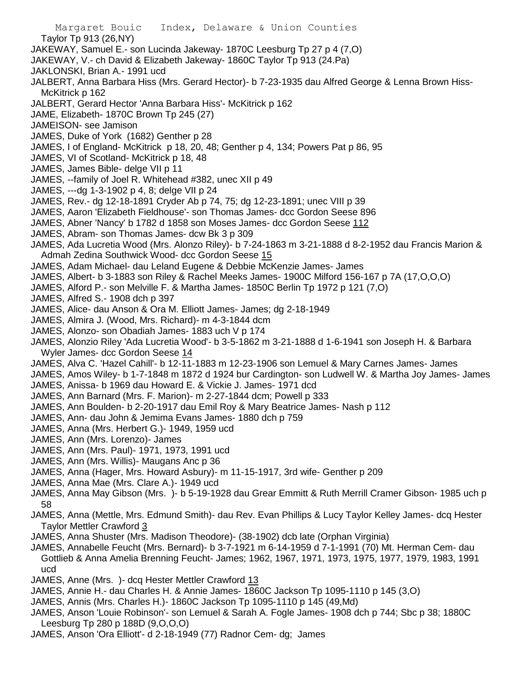Margaret Bouic Index, Delaware & Union Counties Taylor Tp 913 (26,NY) JAKEWAY, Samuel E.- son Lucinda Jakeway- 1870C Leesburg Tp 27 p 4 (7,O) JAKEWAY, V.- ch David & Elizabeth Jakeway- 1860C Taylor Tp 913 (24.Pa) JAKLONSKI, Brian A.- 1991 ucd JALBERT, Anna Barbara Hiss (Mrs. Gerard Hector)- b 7-23-1935 dau Alfred George & Lenna Brown Hiss-McKitrick p 162 JALBERT, Gerard Hector 'Anna Barbara Hiss'- McKitrick p 162 JAME, Elizabeth- 1870C Brown Tp 245 (27) JAMEISON- see Jamison JAMES, Duke of York (1682) Genther p 28 JAMES, I of England- McKitrick p 18, 20, 48; Genther p 4, 134; Powers Pat p 86, 95 JAMES, VI of Scotland- McKitrick p 18, 48 JAMES, James Bible- delge VII p 11 JAMES, --family of Joel R. Whitehead #382, unec XII p 49 JAMES, ---dg 1-3-1902 p 4, 8; delge VII p 24 JAMES, Rev.- dg 12-18-1891 Cryder Ab p 74, 75; dg 12-23-1891; unec VIII p 39 JAMES, Aaron 'Elizabeth Fieldhouse'- son Thomas James- dcc Gordon Seese 896 JAMES, Abner 'Nancy' b 1782 d 1858 son Moses James- dcc Gordon Seese 112 JAMES, Abram- son Thomas James- dcw Bk 3 p 309 JAMES, Ada Lucretia Wood (Mrs. Alonzo Riley)- b 7-24-1863 m 3-21-1888 d 8-2-1952 dau Francis Marion & Admah Zedina Southwick Wood- dcc Gordon Seese 15 JAMES, Adam Michael- dau Leland Eugene & Debbie McKenzie James- James JAMES, Albert- b 3-1883 son Riley & Rachel Meeks James- 1900C Milford 156-167 p 7A (17,O,O,O) JAMES, Alford P.- son Melville F. & Martha James- 1850C Berlin Tp 1972 p 121 (7,O) JAMES, Alfred S.- 1908 dch p 397 JAMES, Alice- dau Anson & Ora M. Elliott James- James; dg 2-18-1949 JAMES, Almira J. (Wood, Mrs. Richard)- m 4-3-1844 dcm JAMES, Alonzo- son Obadiah James- 1883 uch V p 174 JAMES, Alonzio Riley 'Ada Lucretia Wood'- b 3-5-1862 m 3-21-1888 d 1-6-1941 son Joseph H. & Barbara Wyler James- dcc Gordon Seese 14 JAMES, Alva C. 'Hazel Cahill'- b 12-11-1883 m 12-23-1906 son Lemuel & Mary Carnes James- James JAMES, Amos Wiley- b 1-7-1848 m 1872 d 1924 bur Cardington- son Ludwell W. & Martha Joy James- James JAMES, Anissa- b 1969 dau Howard E. & Vickie J. James- 1971 dcd JAMES, Ann Barnard (Mrs. F. Marion)- m 2-27-1844 dcm; Powell p 333 JAMES, Ann Boulden- b 2-20-1917 dau Emil Roy & Mary Beatrice James- Nash p 112 JAMES, Ann- dau John & Jemima Evans James- 1880 dch p 759 JAMES, Anna (Mrs. Herbert G.)- 1949, 1959 ucd JAMES, Ann (Mrs. Lorenzo)- James JAMES, Ann (Mrs. Paul)- 1971, 1973, 1991 ucd JAMES, Ann (Mrs. Willis)- Maugans Anc p 36 JAMES, Anna (Hager, Mrs. Howard Asbury)- m 11-15-1917, 3rd wife- Genther p 209 JAMES, Anna Mae (Mrs. Clare A.)- 1949 ucd JAMES, Anna May Gibson (Mrs. )- b 5-19-1928 dau Grear Emmitt & Ruth Merrill Cramer Gibson- 1985 uch p 58 JAMES, Anna (Mettle, Mrs. Edmund Smith)- dau Rev. Evan Phillips & Lucy Taylor Kelley James- dcq Hester Taylor Mettler Crawford 3 JAMES, Anna Shuster (Mrs. Madison Theodore)- (38-1902) dcb late (Orphan Virginia)

- JAMES, Annabelle Feucht (Mrs. Bernard)- b 3-7-1921 m 6-14-1959 d 7-1-1991 (70) Mt. Herman Cem- dau Gottlieb & Anna Amelia Brenning Feucht- James; 1962, 1967, 1971, 1973, 1975, 1977, 1979, 1983, 1991 ucd
- JAMES, Anne (Mrs. )- dcq Hester Mettler Crawford 13
- JAMES, Annie H.- dau Charles H. & Annie James- 1860C Jackson Tp 1095-1110 p 145 (3,O)
- JAMES, Annis (Mrs. Charles H.)- 1860C Jackson Tp 1095-1110 p 145 (49,Md)
- JAMES, Anson 'Louie Robinson'- son Lemuel & Sarah A. Fogle James- 1908 dch p 744; Sbc p 38; 1880C Leesburg Tp 280 p 188D (9,O,O,O)
- JAMES, Anson 'Ora Elliott'- d 2-18-1949 (77) Radnor Cem- dg; James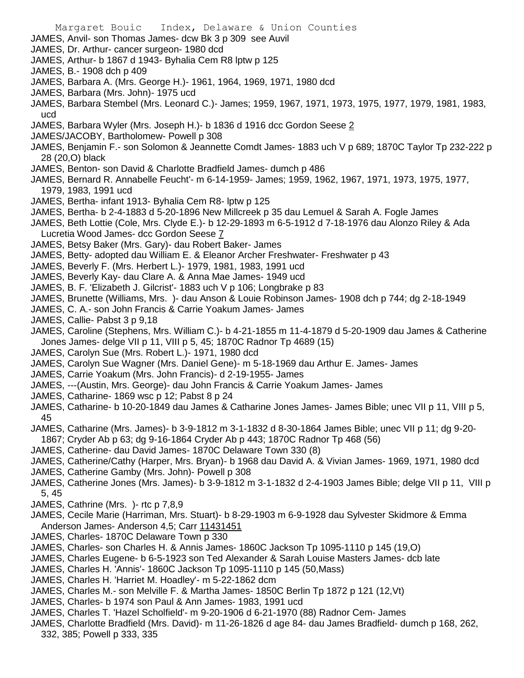- JAMES, Anvil- son Thomas James- dcw Bk 3 p 309 see Auvil
- JAMES, Dr. Arthur- cancer surgeon- 1980 dcd
- JAMES, Arthur- b 1867 d 1943- Byhalia Cem R8 lptw p 125
- JAMES, B.- 1908 dch p 409
- JAMES, Barbara A. (Mrs. George H.)- 1961, 1964, 1969, 1971, 1980 dcd
- JAMES, Barbara (Mrs. John)- 1975 ucd
- JAMES, Barbara Stembel (Mrs. Leonard C.)- James; 1959, 1967, 1971, 1973, 1975, 1977, 1979, 1981, 1983, ucd
- JAMES, Barbara Wyler (Mrs. Joseph H.)- b 1836 d 1916 dcc Gordon Seese 2
- JAMES/JACOBY, Bartholomew- Powell p 308
- JAMES, Benjamin F.- son Solomon & Jeannette Comdt James- 1883 uch V p 689; 1870C Taylor Tp 232-222 p 28 (20,O) black
- JAMES, Benton- son David & Charlotte Bradfield James- dumch p 486
- JAMES, Bernard R. Annabelle Feucht'- m 6-14-1959- James; 1959, 1962, 1967, 1971, 1973, 1975, 1977, 1979, 1983, 1991 ucd
- JAMES, Bertha- infant 1913- Byhalia Cem R8- lptw p 125
- JAMES, Bertha- b 2-4-1883 d 5-20-1896 New Millcreek p 35 dau Lemuel & Sarah A. Fogle James
- JAMES, Beth Lottie (Cole, Mrs. Clyde E.)- b 12-29-1893 m 6-5-1912 d 7-18-1976 dau Alonzo Riley & Ada Lucretia Wood James- dcc Gordon Seese 7
- JAMES, Betsy Baker (Mrs. Gary)- dau Robert Baker- James
- JAMES, Betty- adopted dau William E. & Eleanor Archer Freshwater- Freshwater p 43
- JAMES, Beverly F. (Mrs. Herbert L.)- 1979, 1981, 1983, 1991 ucd
- JAMES, Beverly Kay- dau Clare A. & Anna Mae James- 1949 ucd
- JAMES, B. F. 'Elizabeth J. Gilcrist'- 1883 uch V p 106; Longbrake p 83
- JAMES, Brunette (Williams, Mrs. )- dau Anson & Louie Robinson James- 1908 dch p 744; dg 2-18-1949
- JAMES, C. A.- son John Francis & Carrie Yoakum James- James
- JAMES, Callie- Pabst 3 p 9,18
- JAMES, Caroline (Stephens, Mrs. William C.)- b 4-21-1855 m 11-4-1879 d 5-20-1909 dau James & Catherine Jones James- delge VII p 11, VIII p 5, 45; 1870C Radnor Tp 4689 (15)
- JAMES, Carolyn Sue (Mrs. Robert L.)- 1971, 1980 dcd
- JAMES, Carolyn Sue Wagner (Mrs. Daniel Gene)- m 5-18-1969 dau Arthur E. James- James
- JAMES, Carrie Yoakum (Mrs. John Francis)- d 2-19-1955- James
- JAMES, ---(Austin, Mrs. George)- dau John Francis & Carrie Yoakum James- James
- JAMES, Catharine- 1869 wsc p 12; Pabst 8 p 24
- JAMES, Catharine- b 10-20-1849 dau James & Catharine Jones James- James Bible; unec VII p 11, VIII p 5, 45
- JAMES, Catharine (Mrs. James)- b 3-9-1812 m 3-1-1832 d 8-30-1864 James Bible; unec VII p 11; dg 9-20- 1867; Cryder Ab p 63; dg 9-16-1864 Cryder Ab p 443; 1870C Radnor Tp 468 (56)
- JAMES, Catherine- dau David James- 1870C Delaware Town 330 (8)
- JAMES, Catherine/Cathy (Harper, Mrs. Bryan)- b 1968 dau David A. & Vivian James- 1969, 1971, 1980 dcd
- JAMES, Catherine Gamby (Mrs. John)- Powell p 308
- JAMES, Catherine Jones (Mrs. James)- b 3-9-1812 m 3-1-1832 d 2-4-1903 James Bible; delge VII p 11, VIII p 5, 45
- JAMES, Cathrine (Mrs. )- rtc p 7,8,9
- JAMES, Cecile Marie (Harriman, Mrs. Stuart)- b 8-29-1903 m 6-9-1928 dau Sylvester Skidmore & Emma Anderson James- Anderson 4,5; Carr 11431451
- JAMES, Charles- 1870C Delaware Town p 330
- JAMES, Charles- son Charles H. & Annis James- 1860C Jackson Tp 1095-1110 p 145 (19,O)
- JAMES, Charles Eugene- b 6-5-1923 son Ted Alexander & Sarah Louise Masters James- dcb late
- JAMES, Charles H. 'Annis'- 1860C Jackson Tp 1095-1110 p 145 (50,Mass)
- JAMES, Charles H. 'Harriet M. Hoadley'- m 5-22-1862 dcm
- JAMES, Charles M.- son Melville F. & Martha James- 1850C Berlin Tp 1872 p 121 (12,Vt)
- JAMES, Charles- b 1974 son Paul & Ann James- 1983, 1991 ucd
- JAMES, Charles T. 'Hazel Scholfield'- m 9-20-1906 d 6-21-1970 (88) Radnor Cem- James
- JAMES, Charlotte Bradfield (Mrs. David)- m 11-26-1826 d age 84- dau James Bradfield- dumch p 168, 262, 332, 385; Powell p 333, 335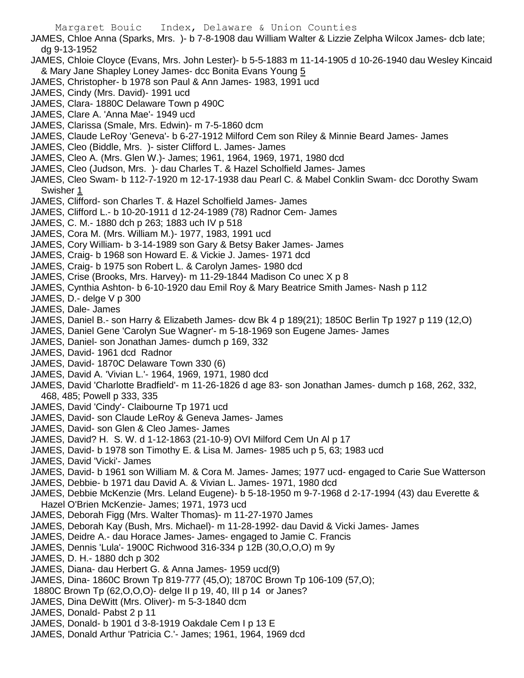JAMES, Chloe Anna (Sparks, Mrs. )- b 7-8-1908 dau William Walter & Lizzie Zelpha Wilcox James- dcb late; dg 9-13-1952

- JAMES, Chloie Cloyce (Evans, Mrs. John Lester)- b 5-5-1883 m 11-14-1905 d 10-26-1940 dau Wesley Kincaid & Mary Jane Shapley Loney James- dcc Bonita Evans Young 5
- JAMES, Christopher- b 1978 son Paul & Ann James- 1983, 1991 ucd
- JAMES, Cindy (Mrs. David)- 1991 ucd
- JAMES, Clara- 1880C Delaware Town p 490C
- JAMES, Clare A. 'Anna Mae'- 1949 ucd
- JAMES, Clarissa (Smale, Mrs. Edwin)- m 7-5-1860 dcm
- JAMES, Claude LeRoy 'Geneva'- b 6-27-1912 Milford Cem son Riley & Minnie Beard James- James
- JAMES, Cleo (Biddle, Mrs. )- sister Clifford L. James- James
- JAMES, Cleo A. (Mrs. Glen W.)- James; 1961, 1964, 1969, 1971, 1980 dcd
- JAMES, Cleo (Judson, Mrs. )- dau Charles T. & Hazel Scholfield James- James
- JAMES, Cleo Swam- b 112-7-1920 m 12-17-1938 dau Pearl C. & Mabel Conklin Swam- dcc Dorothy Swam Swisher 1
- JAMES, Clifford- son Charles T. & Hazel Scholfield James- James
- JAMES, Clifford L.- b 10-20-1911 d 12-24-1989 (78) Radnor Cem- James
- JAMES, C. M.- 1880 dch p 263; 1883 uch IV p 518
- JAMES, Cora M. (Mrs. William M.)- 1977, 1983, 1991 ucd
- JAMES, Cory William- b 3-14-1989 son Gary & Betsy Baker James- James
- JAMES, Craig- b 1968 son Howard E. & Vickie J. James- 1971 dcd
- JAMES, Craig- b 1975 son Robert L. & Carolyn James- 1980 dcd
- JAMES, Crise (Brooks, Mrs. Harvey)- m 11-29-1844 Madison Co unec X p 8
- JAMES, Cynthia Ashton- b 6-10-1920 dau Emil Roy & Mary Beatrice Smith James- Nash p 112
- JAMES, D.- delge V p 300
- JAMES, Dale- James
- JAMES, Daniel B.- son Harry & Elizabeth James- dcw Bk 4 p 189(21); 1850C Berlin Tp 1927 p 119 (12,O)
- JAMES, Daniel Gene 'Carolyn Sue Wagner'- m 5-18-1969 son Eugene James- James
- JAMES, Daniel- son Jonathan James- dumch p 169, 332
- JAMES, David- 1961 dcd Radnor
- JAMES, David- 1870C Delaware Town 330 (6)
- JAMES, David A. 'Vivian L.'- 1964, 1969, 1971, 1980 dcd
- JAMES, David 'Charlotte Bradfield'- m 11-26-1826 d age 83- son Jonathan James- dumch p 168, 262, 332, 468, 485; Powell p 333, 335
- JAMES, David 'Cindy'- Claibourne Tp 1971 ucd
- JAMES, David- son Claude LeRoy & Geneva James- James
- JAMES, David- son Glen & Cleo James- James
- JAMES, David? H. S. W. d 1-12-1863 (21-10-9) OVI Milford Cem Un Al p 17
- JAMES, David- b 1978 son Timothy E. & Lisa M. James- 1985 uch p 5, 63; 1983 ucd
- JAMES, David 'Vicki'- James
- JAMES, David- b 1961 son William M. & Cora M. James- James; 1977 ucd- engaged to Carie Sue Watterson
- JAMES, Debbie- b 1971 dau David A. & Vivian L. James- 1971, 1980 dcd
- JAMES, Debbie McKenzie (Mrs. Leland Eugene)- b 5-18-1950 m 9-7-1968 d 2-17-1994 (43) dau Everette & Hazel O'Brien McKenzie- James; 1971, 1973 ucd
- JAMES, Deborah Figg (Mrs. Walter Thomas)- m 11-27-1970 James
- JAMES, Deborah Kay (Bush, Mrs. Michael)- m 11-28-1992- dau David & Vicki James- James
- JAMES, Deidre A.- dau Horace James- James- engaged to Jamie C. Francis
- JAMES, Dennis 'Lula'- 1900C Richwood 316-334 p 12B (30,O,O,O) m 9y
- JAMES, D. H.- 1880 dch p 302
- JAMES, Diana- dau Herbert G. & Anna James- 1959 ucd(9)
- JAMES, Dina- 1860C Brown Tp 819-777 (45,O); 1870C Brown Tp 106-109 (57,O);
- 1880C Brown Tp (62,O,O,O)- delge II p 19, 40, III p 14 or Janes?
- JAMES, Dina DeWitt (Mrs. Oliver)- m 5-3-1840 dcm
- JAMES, Donald- Pabst 2 p 11
- JAMES, Donald- b 1901 d 3-8-1919 Oakdale Cem I p 13 E
- JAMES, Donald Arthur 'Patricia C.'- James; 1961, 1964, 1969 dcd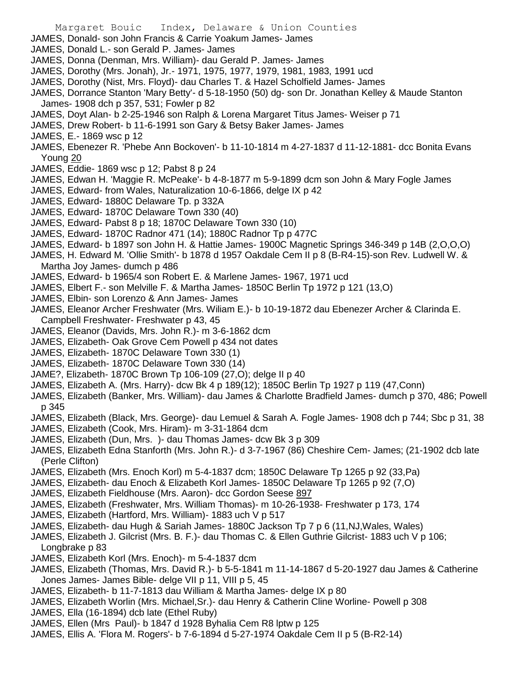- JAMES, Donald- son John Francis & Carrie Yoakum James- James
- JAMES, Donald L.- son Gerald P. James- James
- JAMES, Donna (Denman, Mrs. William)- dau Gerald P. James- James
- JAMES, Dorothy (Mrs. Jonah), Jr.- 1971, 1975, 1977, 1979, 1981, 1983, 1991 ucd
- JAMES, Dorothy (Nist, Mrs. Floyd)- dau Charles T. & Hazel Scholfield James- James
- JAMES, Dorrance Stanton 'Mary Betty'- d 5-18-1950 (50) dg- son Dr. Jonathan Kelley & Maude Stanton James- 1908 dch p 357, 531; Fowler p 82
- JAMES, Doyt Alan- b 2-25-1946 son Ralph & Lorena Margaret Titus James- Weiser p 71
- JAMES, Drew Robert- b 11-6-1991 son Gary & Betsy Baker James- James
- JAMES, E.- 1869 wsc p 12
- JAMES, Ebenezer R. 'Phebe Ann Bockoven'- b 11-10-1814 m 4-27-1837 d 11-12-1881- dcc Bonita Evans Young 20
- JAMES, Eddie- 1869 wsc p 12; Pabst 8 p 24
- JAMES, Edwan H. 'Maggie R. McPeake'- b 4-8-1877 m 5-9-1899 dcm son John & Mary Fogle James
- JAMES, Edward- from Wales, Naturalization 10-6-1866, delge IX p 42
- JAMES, Edward- 1880C Delaware Tp. p 332A
- JAMES, Edward- 1870C Delaware Town 330 (40)
- JAMES, Edward- Pabst 8 p 18; 1870C Delaware Town 330 (10)
- JAMES, Edward- 1870C Radnor 471 (14); 1880C Radnor Tp p 477C
- JAMES, Edward- b 1897 son John H. & Hattie James- 1900C Magnetic Springs 346-349 p 14B (2,O,O,O)
- JAMES, H. Edward M. 'Ollie Smith'- b 1878 d 1957 Oakdale Cem II p 8 (B-R4-15)-son Rev. Ludwell W. & Martha Joy James- dumch p 486
- JAMES, Edward- b 1965/4 son Robert E. & Marlene James- 1967, 1971 ucd
- JAMES, Elbert F.- son Melville F. & Martha James- 1850C Berlin Tp 1972 p 121 (13,O)
- JAMES, Elbin- son Lorenzo & Ann James- James
- JAMES, Eleanor Archer Freshwater (Mrs. Wiliam E.)- b 10-19-1872 dau Ebenezer Archer & Clarinda E. Campbell Freshwater- Freshwater p 43, 45
- JAMES, Eleanor (Davids, Mrs. John R.)- m 3-6-1862 dcm
- JAMES, Elizabeth- Oak Grove Cem Powell p 434 not dates
- JAMES, Elizabeth- 1870C Delaware Town 330 (1)
- JAMES, Elizabeth- 1870C Delaware Town 330 (14)
- JAME?, Elizabeth- 1870C Brown Tp 106-109 (27,O); delge II p 40
- JAMES, Elizabeth A. (Mrs. Harry)- dcw Bk 4 p 189(12); 1850C Berlin Tp 1927 p 119 (47,Conn)
- JAMES, Elizabeth (Banker, Mrs. William)- dau James & Charlotte Bradfield James- dumch p 370, 486; Powell p 345
- JAMES, Elizabeth (Black, Mrs. George)- dau Lemuel & Sarah A. Fogle James- 1908 dch p 744; Sbc p 31, 38
- JAMES, Elizabeth (Cook, Mrs. Hiram)- m 3-31-1864 dcm
- JAMES, Elizabeth (Dun, Mrs. )- dau Thomas James- dcw Bk 3 p 309
- JAMES, Elizabeth Edna Stanforth (Mrs. John R.)- d 3-7-1967 (86) Cheshire Cem- James; (21-1902 dcb late (Perle Clifton)
- JAMES, Elizabeth (Mrs. Enoch Korl) m 5-4-1837 dcm; 1850C Delaware Tp 1265 p 92 (33,Pa)
- JAMES, Elizabeth- dau Enoch & Elizabeth Korl James- 1850C Delaware Tp 1265 p 92 (7,O)
- JAMES, Elizabeth Fieldhouse (Mrs. Aaron)- dcc Gordon Seese 897
- JAMES, Elizabeth (Freshwater, Mrs. William Thomas)- m 10-26-1938- Freshwater p 173, 174
- JAMES, Elizabeth (Hartford, Mrs. William)- 1883 uch V p 517
- JAMES, Elizabeth- dau Hugh & Sariah James- 1880C Jackson Tp 7 p 6 (11,NJ,Wales, Wales)
- JAMES, Elizabeth J. Gilcrist (Mrs. B. F.)- dau Thomas C. & Ellen Guthrie Gilcrist- 1883 uch V p 106; Longbrake p 83
- JAMES, Elizabeth Korl (Mrs. Enoch)- m 5-4-1837 dcm
- JAMES, Elizabeth (Thomas, Mrs. David R.)- b 5-5-1841 m 11-14-1867 d 5-20-1927 dau James & Catherine Jones James- James Bible- delge VII p 11, VIII p 5, 45
- JAMES, Elizabeth- b 11-7-1813 dau William & Martha James- delge IX p 80
- JAMES, Elizabeth Worlin (Mrs. Michael,Sr.)- dau Henry & Catherin Cline Worline- Powell p 308
- JAMES, Ella (16-1894) dcb late (Ethel Ruby)
- JAMES, Ellen (Mrs Paul)- b 1847 d 1928 Byhalia Cem R8 lptw p 125
- JAMES, Ellis A. 'Flora M. Rogers'- b 7-6-1894 d 5-27-1974 Oakdale Cem II p 5 (B-R2-14)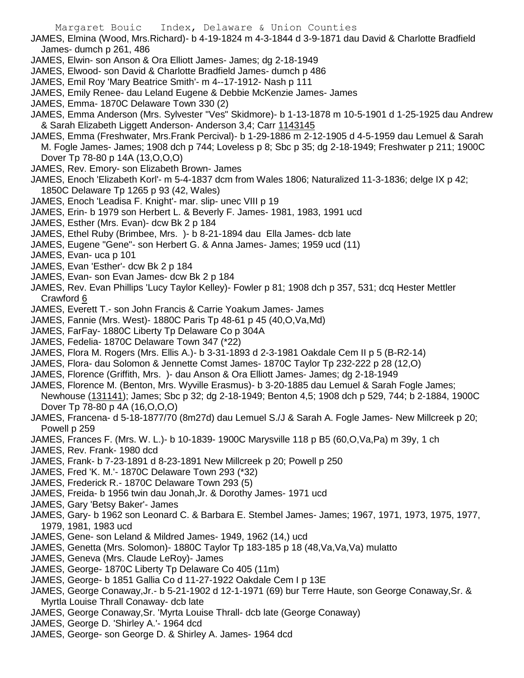JAMES, Elmina (Wood, Mrs.Richard)- b 4-19-1824 m 4-3-1844 d 3-9-1871 dau David & Charlotte Bradfield James- dumch p 261, 486

- JAMES, Elwin- son Anson & Ora Elliott James- James; dg 2-18-1949
- JAMES, Elwood- son David & Charlotte Bradfield James- dumch p 486
- JAMES, Emil Roy 'Mary Beatrice Smith'- m 4--17-1912- Nash p 111
- JAMES, Emily Renee- dau Leland Eugene & Debbie McKenzie James- James
- JAMES, Emma- 1870C Delaware Town 330 (2)
- JAMES, Emma Anderson (Mrs. Sylvester "Ves" Skidmore)- b 1-13-1878 m 10-5-1901 d 1-25-1925 dau Andrew & Sarah Elizabeth Liggett Anderson- Anderson 3,4; Carr 1143145
- JAMES, Emma (Freshwater, Mrs.Frank Percival)- b 1-29-1886 m 2-12-1905 d 4-5-1959 dau Lemuel & Sarah M. Fogle James- James; 1908 dch p 744; Loveless p 8; Sbc p 35; dg 2-18-1949; Freshwater p 211; 1900C Dover Tp 78-80 p 14A (13,O,O,O)
- JAMES, Rev. Emory- son Elizabeth Brown- James
- JAMES, Enoch 'Elizabeth Korl'- m 5-4-1837 dcm from Wales 1806; Naturalized 11-3-1836; delge IX p 42; 1850C Delaware Tp 1265 p 93 (42, Wales)
- JAMES, Enoch 'Leadisa F. Knight'- mar. slip- unec VIII p 19
- JAMES, Erin- b 1979 son Herbert L. & Beverly F. James- 1981, 1983, 1991 ucd
- JAMES, Esther (Mrs. Evan)- dcw Bk 2 p 184
- JAMES, Ethel Ruby (Brimbee, Mrs. )- b 8-21-1894 dau Ella James- dcb late
- JAMES, Eugene "Gene"- son Herbert G. & Anna James- James; 1959 ucd (11)
- JAMES, Evan- uca p 101
- JAMES, Evan 'Esther'- dcw Bk 2 p 184
- JAMES, Evan- son Evan James- dcw Bk 2 p 184
- JAMES, Rev. Evan Phillips 'Lucy Taylor Kelley)- Fowler p 81; 1908 dch p 357, 531; dcq Hester Mettler Crawford 6
- JAMES, Everett T.- son John Francis & Carrie Yoakum James- James
- JAMES, Fannie (Mrs. West)- 1880C Paris Tp 48-61 p 45 (40,O,Va,Md)
- JAMES, FarFay- 1880C Liberty Tp Delaware Co p 304A
- JAMES, Fedelia- 1870C Delaware Town 347 (\*22)
- JAMES, Flora M. Rogers (Mrs. Ellis A.)- b 3-31-1893 d 2-3-1981 Oakdale Cem II p 5 (B-R2-14)
- JAMES, Flora- dau Solomon & Jennette Comst James- 1870C Taylor Tp 232-222 p 28 (12,O)
- JAMES, Florence (Griffith, Mrs. )- dau Anson & Ora Elliott James- James; dg 2-18-1949
- JAMES, Florence M. (Benton, Mrs. Wyville Erasmus)- b 3-20-1885 dau Lemuel & Sarah Fogle James; Newhouse (131141); James; Sbc p 32; dg 2-18-1949; Benton 4,5; 1908 dch p 529, 744; b 2-1884, 1900C Dover Tp 78-80 p 4A (16,O,O,O)
- JAMES, Francena- d 5-18-1877/70 (8m27d) dau Lemuel S./J & Sarah A. Fogle James- New Millcreek p 20; Powell p 259
- JAMES, Frances F. (Mrs. W. L.)- b 10-1839- 1900C Marysville 118 p B5 (60,O,Va,Pa) m 39y, 1 ch
- JAMES, Rev. Frank- 1980 dcd
- JAMES, Frank- b 7-23-1891 d 8-23-1891 New Millcreek p 20; Powell p 250
- JAMES, Fred 'K. M.'- 1870C Delaware Town 293 (\*32)
- JAMES, Frederick R.- 1870C Delaware Town 293 (5)
- JAMES, Freida- b 1956 twin dau Jonah,Jr. & Dorothy James- 1971 ucd
- JAMES, Gary 'Betsy Baker'- James
- JAMES, Gary- b 1962 son Leonard C. & Barbara E. Stembel James- James; 1967, 1971, 1973, 1975, 1977, 1979, 1981, 1983 ucd
- JAMES, Gene- son Leland & Mildred James- 1949, 1962 (14,) ucd
- JAMES, Genetta (Mrs. Solomon)- 1880C Taylor Tp 183-185 p 18 (48,Va,Va,Va) mulatto
- JAMES, Geneva (Mrs. Claude LeRoy)- James
- JAMES, George- 1870C Liberty Tp Delaware Co 405 (11m)
- JAMES, George- b 1851 Gallia Co d 11-27-1922 Oakdale Cem I p 13E
- JAMES, George Conaway,Jr.- b 5-21-1902 d 12-1-1971 (69) bur Terre Haute, son George Conaway,Sr. & Myrtla Louise Thrall Conaway- dcb late
- JAMES, George Conaway,Sr. 'Myrta Louise Thrall- dcb late (George Conaway)
- JAMES, George D. 'Shirley A.'- 1964 dcd
- JAMES, George- son George D. & Shirley A. James- 1964 dcd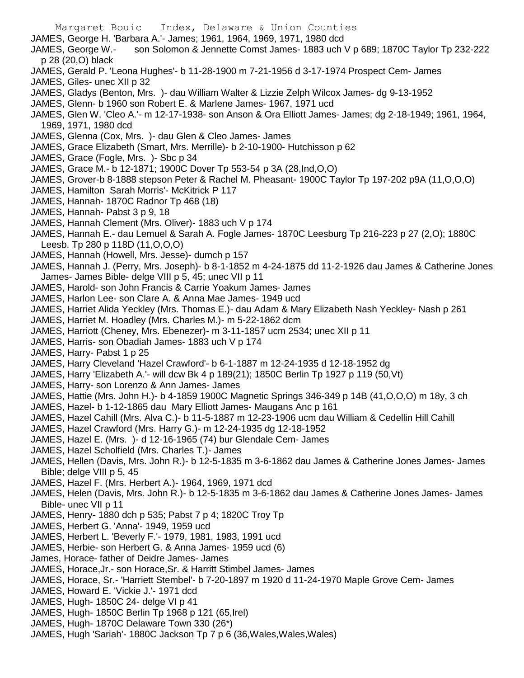Margaret Bouic Index, Delaware & Union Counties JAMES, George H. 'Barbara A.'- James; 1961, 1964, 1969, 1971, 1980 dcd JAMES, George W.- son Solomon & Jennette Comst James- 1883 uch V p 689; 1870C Taylor Tp 232-222 p 28 (20,O) black JAMES, Gerald P. 'Leona Hughes'- b 11-28-1900 m 7-21-1956 d 3-17-1974 Prospect Cem- James JAMES, Giles- unec XII p 32 JAMES, Gladys (Benton, Mrs. )- dau William Walter & Lizzie Zelph Wilcox James- dg 9-13-1952 JAMES, Glenn- b 1960 son Robert E. & Marlene James- 1967, 1971 ucd JAMES, Glen W. 'Cleo A.'- m 12-17-1938- son Anson & Ora Elliott James- James; dg 2-18-1949; 1961, 1964, 1969, 1971, 1980 dcd JAMES, Glenna (Cox, Mrs. )- dau Glen & Cleo James- James JAMES, Grace Elizabeth (Smart, Mrs. Merrille)- b 2-10-1900- Hutchisson p 62 JAMES, Grace (Fogle, Mrs. )- Sbc p 34 JAMES, Grace M.- b 12-1871; 1900C Dover Tp 553-54 p 3A (28,Ind,O,O) JAMES, Grover-b 8-1888 stepson Peter & Rachel M. Pheasant- 1900C Taylor Tp 197-202 p9A (11,O,O,O) JAMES, Hamilton Sarah Morris'- McKitrick P 117 JAMES, Hannah- 1870C Radnor Tp 468 (18) JAMES, Hannah- Pabst 3 p 9, 18

- 
- JAMES, Hannah Clement (Mrs. Oliver)- 1883 uch V p 174 JAMES, Hannah E.- dau Lemuel & Sarah A. Fogle James- 1870C Leesburg Tp 216-223 p 27 (2,O); 1880C Leesb. Tp 280 p 118D (11,O,O,O)
- JAMES, Hannah (Howell, Mrs. Jesse)- dumch p 157
- JAMES, Hannah J. (Perry, Mrs. Joseph)- b 8-1-1852 m 4-24-1875 dd 11-2-1926 dau James & Catherine Jones James- James Bible- delge VIII p 5, 45; unec VII p 11
- JAMES, Harold- son John Francis & Carrie Yoakum James- James
- JAMES, Harlon Lee- son Clare A. & Anna Mae James- 1949 ucd
- JAMES, Harriet Alida Yeckley (Mrs. Thomas E.)- dau Adam & Mary Elizabeth Nash Yeckley- Nash p 261
- JAMES, Harriet M. Hoadley (Mrs. Charles M.)- m 5-22-1862 dcm
- JAMES, Harriott (Cheney, Mrs. Ebenezer)- m 3-11-1857 ucm 2534; unec XII p 11
- JAMES, Harris- son Obadiah James- 1883 uch V p 174
- JAMES, Harry- Pabst 1 p 25
- JAMES, Harry Cleveland 'Hazel Crawford'- b 6-1-1887 m 12-24-1935 d 12-18-1952 dg
- JAMES, Harry 'Elizabeth A.'- will dcw Bk 4 p 189(21); 1850C Berlin Tp 1927 p 119 (50,Vt)
- JAMES, Harry- son Lorenzo & Ann James- James
- JAMES, Hattie (Mrs. John H.)- b 4-1859 1900C Magnetic Springs 346-349 p 14B (41,O,O,O) m 18y, 3 ch
- JAMES, Hazel- b 1-12-1865 dau Mary Elliott James- Maugans Anc p 161
- JAMES, Hazel Cahill (Mrs. Alva C.)- b 11-5-1887 m 12-23-1906 ucm dau William & Cedellin Hill Cahill
- JAMES, Hazel Crawford (Mrs. Harry G.)- m 12-24-1935 dg 12-18-1952
- JAMES, Hazel E. (Mrs. )- d 12-16-1965 (74) bur Glendale Cem- James
- JAMES, Hazel Scholfield (Mrs. Charles T.)- James
- JAMES, Hellen (Davis, Mrs. John R.)- b 12-5-1835 m 3-6-1862 dau James & Catherine Jones James- James Bible; delge VIII p 5, 45
- JAMES, Hazel F. (Mrs. Herbert A.)- 1964, 1969, 1971 dcd
- JAMES, Helen (Davis, Mrs. John R.)- b 12-5-1835 m 3-6-1862 dau James & Catherine Jones James- James Bible- unec VII p 11
- JAMES, Henry- 1880 dch p 535; Pabst 7 p 4; 1820C Troy Tp
- JAMES, Herbert G. 'Anna'- 1949, 1959 ucd
- JAMES, Herbert L. 'Beverly F.'- 1979, 1981, 1983, 1991 ucd
- JAMES, Herbie- son Herbert G. & Anna James- 1959 ucd (6)
- James, Horace- father of Deidre James- James
- JAMES, Horace,Jr.- son Horace,Sr. & Harritt Stimbel James- James
- JAMES, Horace, Sr.- 'Harriett Stembel'- b 7-20-1897 m 1920 d 11-24-1970 Maple Grove Cem- James
- JAMES, Howard E. 'Vickie J.'- 1971 dcd
- JAMES, Hugh- 1850C 24- delge VI p 41
- JAMES, Hugh- 1850C Berlin Tp 1968 p 121 (65,Irel)
- JAMES, Hugh- 1870C Delaware Town 330 (26\*)
- JAMES, Hugh 'Sariah'- 1880C Jackson Tp 7 p 6 (36,Wales,Wales,Wales)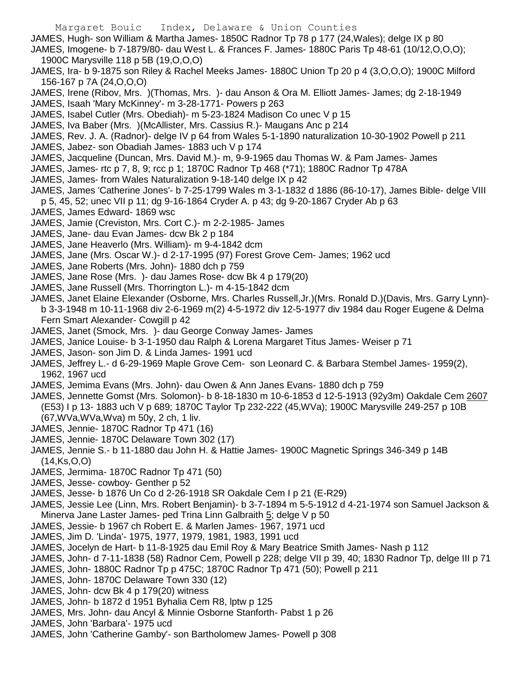- JAMES, Hugh- son William & Martha James- 1850C Radnor Tp 78 p 177 (24,Wales); delge IX p 80
- JAMES, Imogene- b 7-1879/80- dau West L. & Frances F. James- 1880C Paris Tp 48-61 (10/12,O,O,O); 1900C Marysville 118 p 5B (19,O,O,O)
- JAMES, Ira- b 9-1875 son Riley & Rachel Meeks James- 1880C Union Tp 20 p 4 (3,O,O,O); 1900C Milford 156-167 p 7A (24,O,O,O)
- JAMES, Irene (Ribov, Mrs. )(Thomas, Mrs. )- dau Anson & Ora M. Elliott James- James; dg 2-18-1949
- JAMES, Isaah 'Mary McKinney'- m 3-28-1771- Powers p 263
- JAMES, Isabel Cutler (Mrs. Obediah)- m 5-23-1824 Madison Co unec V p 15
- JAMES, Iva Baber (Mrs. )(McAllister, Mrs. Cassius R.)- Maugans Anc p 214
- JAMES, Rev. J. A. (Radnor)- delge IV p 64 from Wales 5-1-1890 naturalization 10-30-1902 Powell p 211 JAMES, Jabez- son Obadiah James- 1883 uch V p 174
- JAMES, Jacqueline (Duncan, Mrs. David M.)- m, 9-9-1965 dau Thomas W. & Pam James- James
- JAMES, James- rtc p 7, 8, 9; rcc p 1; 1870C Radnor Tp 468 (\*71); 1880C Radnor Tp 478A
- JAMES, James- from Wales Naturalization 9-18-140 delge IX p 42
- JAMES, James 'Catherine Jones'- b 7-25-1799 Wales m 3-1-1832 d 1886 (86-10-17), James Bible- delge VIII p 5, 45, 52; unec VII p 11; dg 9-16-1864 Cryder A. p 43; dg 9-20-1867 Cryder Ab p 63
- JAMES, James Edward- 1869 wsc
- JAMES, Jamie (Creviston, Mrs. Cort C.)- m 2-2-1985- James
- JAMES, Jane- dau Evan James- dcw Bk 2 p 184
- JAMES, Jane Heaverlo (Mrs. William)- m 9-4-1842 dcm
- JAMES, Jane (Mrs. Oscar W.)- d 2-17-1995 (97) Forest Grove Cem- James; 1962 ucd
- JAMES, Jane Roberts (Mrs. John)- 1880 dch p 759
- JAMES, Jane Rose (Mrs. )- dau James Rose- dcw Bk 4 p 179(20)
- JAMES, Jane Russell (Mrs. Thorrington L.)- m 4-15-1842 dcm
- JAMES, Janet Elaine Elexander (Osborne, Mrs. Charles Russell,Jr.)(Mrs. Ronald D.)(Davis, Mrs. Garry Lynn) b 3-3-1948 m 10-11-1968 div 2-6-1969 m(2) 4-5-1972 div 12-5-1977 div 1984 dau Roger Eugene & Delma Fern Smart Alexander- Cowgill p 42
- JAMES, Janet (Smock, Mrs. )- dau George Conway James- James
- JAMES, Janice Louise- b 3-1-1950 dau Ralph & Lorena Margaret Titus James- Weiser p 71
- JAMES, Jason- son Jim D. & Linda James- 1991 ucd
- JAMES, Jeffrey L.- d 6-29-1969 Maple Grove Cem- son Leonard C. & Barbara Stembel James- 1959(2), 1962, 1967 ucd
- JAMES, Jemima Evans (Mrs. John)- dau Owen & Ann Janes Evans- 1880 dch p 759
- JAMES, Jennette Gomst (Mrs. Solomon)- b 8-18-1830 m 10-6-1853 d 12-5-1913 (92y3m) Oakdale Cem 2607 (E53) I p 13- 1883 uch V p 689; 1870C Taylor Tp 232-222 (45,WVa); 1900C Marysville 249-257 p 10B (67,WVa,WVa,Wva) m 50y, 2 ch, 1 liv.
- JAMES, Jennie- 1870C Radnor Tp 471 (16)
- JAMES, Jennie- 1870C Delaware Town 302 (17)
- JAMES, Jennie S.- b 11-1880 dau John H. & Hattie James- 1900C Magnetic Springs 346-349 p 14B (14,Ks,O,O)
- JAMES, Jermima- 1870C Radnor Tp 471 (50)
- JAMES, Jesse- cowboy- Genther p 52
- JAMES, Jesse- b 1876 Un Co d 2-26-1918 SR Oakdale Cem I p 21 (E-R29)
- JAMES, Jessie Lee (Linn, Mrs. Robert Benjamin)- b 3-7-1894 m 5-5-1912 d 4-21-1974 son Samuel Jackson & Minerva Jane Laster James- ped Trina Linn Galbraith 5; delge V p 50
- JAMES, Jessie- b 1967 ch Robert E. & Marlen James- 1967, 1971 ucd
- JAMES, Jim D. 'Linda'- 1975, 1977, 1979, 1981, 1983, 1991 ucd
- JAMES, Jocelyn de Hart- b 11-8-1925 dau Emil Roy & Mary Beatrice Smith James- Nash p 112
- JAMES, John- d 7-11-1838 (58) Radnor Cem, Powell p 228; delge VII p 39, 40; 1830 Radnor Tp, delge III p 71
- JAMES, John- 1880C Radnor Tp p 475C; 1870C Radnor Tp 471 (50); Powell p 211
- JAMES, John- 1870C Delaware Town 330 (12)
- JAMES, John- dcw Bk 4 p 179(20) witness
- JAMES, John- b 1872 d 1951 Byhalia Cem R8, lptw p 125
- JAMES, Mrs. John- dau Ancyl & Minnie Osborne Stanforth- Pabst 1 p 26
- JAMES, John 'Barbara'- 1975 ucd
- JAMES, John 'Catherine Gamby'- son Bartholomew James- Powell p 308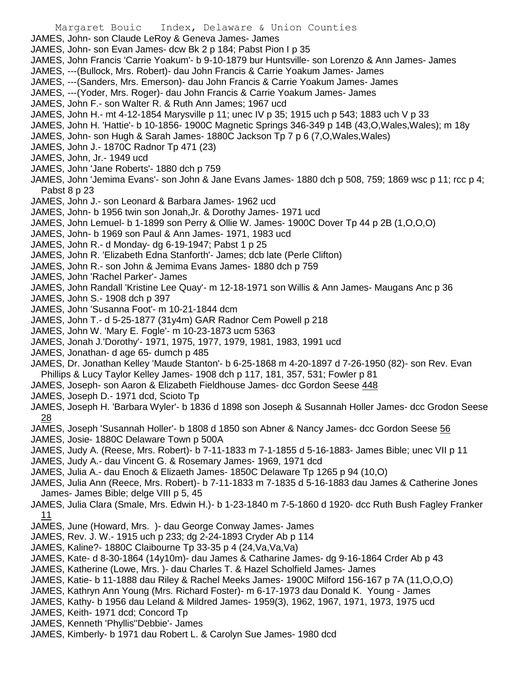- JAMES, John- son Claude LeRoy & Geneva James- James
- JAMES, John- son Evan James- dcw Bk 2 p 184; Pabst Pion I p 35
- JAMES, John Francis 'Carrie Yoakum'- b 9-10-1879 bur Huntsville- son Lorenzo & Ann James- James
- JAMES, ---(Bullock, Mrs. Robert)- dau John Francis & Carrie Yoakum James- James
- JAMES, ---(Sanders, Mrs. Emerson)- dau John Francis & Carrie Yoakum James- James
- JAMES, ---(Yoder, Mrs. Roger)- dau John Francis & Carrie Yoakum James- James
- JAMES, John F.- son Walter R. & Ruth Ann James; 1967 ucd
- JAMES, John H.- mt 4-12-1854 Marysville p 11; unec IV p 35; 1915 uch p 543; 1883 uch V p 33
- JAMES, John H. 'Hattie'- b 10-1856- 1900C Magnetic Springs 346-349 p 14B (43, O, Wales, Wales); m 18y
- JAMES, John- son Hugh & Sarah James- 1880C Jackson Tp 7 p 6 (7,O,Wales,Wales)
- JAMES, John J.- 1870C Radnor Tp 471 (23)
- JAMES, John, Jr.- 1949 ucd
- JAMES, John 'Jane Roberts'- 1880 dch p 759
- JAMES, John 'Jemima Evans'- son John & Jane Evans James- 1880 dch p 508, 759; 1869 wsc p 11; rcc p 4; Pabst 8 p 23
- JAMES, John J.- son Leonard & Barbara James- 1962 ucd
- JAMES, John- b 1956 twin son Jonah,Jr. & Dorothy James- 1971 ucd
- JAMES, John Lemuel- b 1-1899 son Perry & Ollie W. James- 1900C Dover Tp 44 p 2B (1,O,O,O)
- JAMES, John- b 1969 son Paul & Ann James- 1971, 1983 ucd
- JAMES, John R.- d Monday- dg 6-19-1947; Pabst 1 p 25
- JAMES, John R. 'Elizabeth Edna Stanforth'- James; dcb late (Perle Clifton)
- JAMES, John R.- son John & Jemima Evans James- 1880 dch p 759
- JAMES, John 'Rachel Parker'- James
- JAMES, John Randall 'Kristine Lee Quay'- m 12-18-1971 son Willis & Ann James- Maugans Anc p 36
- JAMES, John S.- 1908 dch p 397
- JAMES, John 'Susanna Foot'- m 10-21-1844 dcm
- JAMES, John T.- d 5-25-1877 (31y4m) GAR Radnor Cem Powell p 218
- JAMES, John W. 'Mary E. Fogle'- m 10-23-1873 ucm 5363
- JAMES, Jonah J.'Dorothy'- 1971, 1975, 1977, 1979, 1981, 1983, 1991 ucd
- JAMES, Jonathan- d age 65- dumch p 485
- JAMES, Dr. Jonathan Kelley 'Maude Stanton'- b 6-25-1868 m 4-20-1897 d 7-26-1950 (82)- son Rev. Evan Phillips & Lucy Taylor Kelley James- 1908 dch p 117, 181, 357, 531; Fowler p 81
- JAMES, Joseph- son Aaron & Elizabeth Fieldhouse James- dcc Gordon Seese 448
- JAMES, Joseph D.- 1971 dcd, Scioto Tp
- JAMES, Joseph H. 'Barbara Wyler'- b 1836 d 1898 son Joseph & Susannah Holler James- dcc Grodon Seese 28
- JAMES, Joseph 'Susannah Holler'- b 1808 d 1850 son Abner & Nancy James- dcc Gordon Seese 56
- JAMES, Josie- 1880C Delaware Town p 500A
- JAMES, Judy A. (Reese, Mrs. Robert)- b 7-11-1833 m 7-1-1855 d 5-16-1883- James Bible; unec VII p 11
- JAMES, Judy A.- dau Vincent G. & Rosemary James- 1969, 1971 dcd
- JAMES, Julia A.- dau Enoch & Elizaeth James- 1850C Delaware Tp 1265 p 94 (10,O)
- JAMES, Julia Ann (Reece, Mrs. Robert)- b 7-11-1833 m 7-1835 d 5-16-1883 dau James & Catherine Jones James- James Bible; delge VIII p 5, 45
- JAMES, Julia Clara (Smale, Mrs. Edwin H.)- b 1-23-1840 m 7-5-1860 d 1920- dcc Ruth Bush Fagley Franker 11
- JAMES, June (Howard, Mrs. )- dau George Conway James- James
- JAMES, Rev. J. W.- 1915 uch p 233; dg 2-24-1893 Cryder Ab p 114
- JAMES, Kaline?- 1880C Claibourne Tp 33-35 p 4 (24,Va,Va,Va)
- JAMES, Kate- d 8-30-1864 (14y10m)- dau James & Catharine James- dg 9-16-1864 Crder Ab p 43
- JAMES, Katherine (Lowe, Mrs. )- dau Charles T. & Hazel Scholfield James- James
- JAMES, Katie- b 11-1888 dau Riley & Rachel Meeks James- 1900C Milford 156-167 p 7A (11,O,O,O)
- JAMES, Kathryn Ann Young (Mrs. Richard Foster)- m 6-17-1973 dau Donald K. Young James
- JAMES, Kathy- b 1956 dau Leland & Mildred James- 1959(3), 1962, 1967, 1971, 1973, 1975 ucd
- JAMES, Keith- 1971 dcd; Concord Tp
- JAMES, Kenneth 'Phyllis''Debbie'- James
- JAMES, Kimberly- b 1971 dau Robert L. & Carolyn Sue James- 1980 dcd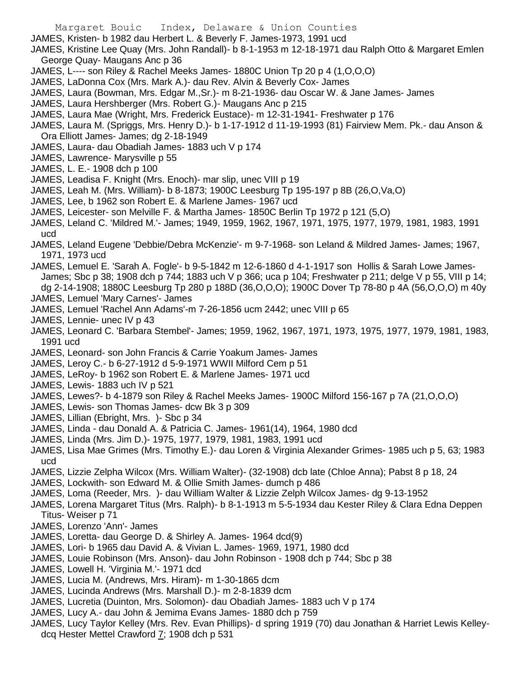- JAMES, Kristen- b 1982 dau Herbert L. & Beverly F. James-1973, 1991 ucd
- JAMES, Kristine Lee Quay (Mrs. John Randall)- b 8-1-1953 m 12-18-1971 dau Ralph Otto & Margaret Emlen George Quay- Maugans Anc p 36
- JAMES, L---- son Riley & Rachel Meeks James- 1880C Union Tp 20 p 4 (1,O,O,O)
- JAMES, LaDonna Cox (Mrs. Mark A.)- dau Rev. Alvin & Beverly Cox- James
- JAMES, Laura (Bowman, Mrs. Edgar M.,Sr.)- m 8-21-1936- dau Oscar W. & Jane James- James
- JAMES, Laura Hershberger (Mrs. Robert G.)- Maugans Anc p 215
- JAMES, Laura Mae (Wright, Mrs. Frederick Eustace)- m 12-31-1941- Freshwater p 176
- JAMES, Laura M. (Spriggs, Mrs. Henry D.)- b 1-17-1912 d 11-19-1993 (81) Fairview Mem. Pk.- dau Anson & Ora Elliott James- James; dg 2-18-1949
- JAMES, Laura- dau Obadiah James- 1883 uch V p 174
- JAMES, Lawrence- Marysville p 55
- JAMES, L. E.- 1908 dch p 100
- JAMES, Leadisa F. Knight (Mrs. Enoch)- mar slip, unec VIII p 19
- JAMES, Leah M. (Mrs. William)- b 8-1873; 1900C Leesburg Tp 195-197 p 8B (26,O,Va,O)
- JAMES, Lee, b 1962 son Robert E. & Marlene James- 1967 ucd
- JAMES, Leicester- son Melville F. & Martha James- 1850C Berlin Tp 1972 p 121 (5,O)
- JAMES, Leland C. 'Mildred M.'- James; 1949, 1959, 1962, 1967, 1971, 1975, 1977, 1979, 1981, 1983, 1991 ucd
- JAMES, Leland Eugene 'Debbie/Debra McKenzie'- m 9-7-1968- son Leland & Mildred James- James; 1967, 1971, 1973 ucd
- JAMES, Lemuel E. 'Sarah A. Fogle'- b 9-5-1842 m 12-6-1860 d 4-1-1917 son Hollis & Sarah Lowe James-James; Sbc p 38; 1908 dch p 744; 1883 uch V p 366; uca p 104; Freshwater p 211; delge V p 55, VIII p 14; dg 2-14-1908; 1880C Leesburg Tp 280 p 188D (36,O,O,O); 1900C Dover Tp 78-80 p 4A (56,O,O,O) m 40y
- JAMES, Lemuel 'Mary Carnes'- James
- JAMES, Lemuel 'Rachel Ann Adams'-m 7-26-1856 ucm 2442; unec VIII p 65
- JAMES, Lennie- unec IV p 43
- JAMES, Leonard C. 'Barbara Stembel'- James; 1959, 1962, 1967, 1971, 1973, 1975, 1977, 1979, 1981, 1983, 1991 ucd
- JAMES, Leonard- son John Francis & Carrie Yoakum James- James
- JAMES, Leroy C.- b 6-27-1912 d 5-9-1971 WWII Milford Cem p 51
- JAMES, LeRoy- b 1962 son Robert E. & Marlene James- 1971 ucd
- JAMES, Lewis- 1883 uch IV p 521
- JAMES, Lewes?- b 4-1879 son Riley & Rachel Meeks James- 1900C Milford 156-167 p 7A (21,O,O,O)
- JAMES, Lewis- son Thomas James- dcw Bk 3 p 309
- JAMES, Lillian (Ebright, Mrs. )- Sbc p 34
- JAMES, Linda dau Donald A. & Patricia C. James- 1961(14), 1964, 1980 dcd
- JAMES, Linda (Mrs. Jim D.)- 1975, 1977, 1979, 1981, 1983, 1991 ucd
- JAMES, Lisa Mae Grimes (Mrs. Timothy E.)- dau Loren & Virginia Alexander Grimes- 1985 uch p 5, 63; 1983 ucd
- JAMES, Lizzie Zelpha Wilcox (Mrs. William Walter)- (32-1908) dcb late (Chloe Anna); Pabst 8 p 18, 24
- JAMES, Lockwith- son Edward M. & Ollie Smith James- dumch p 486
- JAMES, Loma (Reeder, Mrs. )- dau William Walter & Lizzie Zelph Wilcox James- dg 9-13-1952
- JAMES, Lorena Margaret Titus (Mrs. Ralph)- b 8-1-1913 m 5-5-1934 dau Kester Riley & Clara Edna Deppen Titus- Weiser p 71
- JAMES, Lorenzo 'Ann'- James
- JAMES, Loretta- dau George D. & Shirley A. James- 1964 dcd(9)
- JAMES, Lori- b 1965 dau David A. & Vivian L. James- 1969, 1971, 1980 dcd
- JAMES, Louie Robinson (Mrs. Anson)- dau John Robinson 1908 dch p 744; Sbc p 38
- JAMES, Lowell H. 'Virginia M.'- 1971 dcd
- JAMES, Lucia M. (Andrews, Mrs. Hiram)- m 1-30-1865 dcm
- JAMES, Lucinda Andrews (Mrs. Marshall D.)- m 2-8-1839 dcm
- JAMES, Lucretia (Duinton, Mrs. Solomon)- dau Obadiah James- 1883 uch V p 174
- JAMES, Lucy A.- dau John & Jemima Evans James- 1880 dch p 759
- JAMES, Lucy Taylor Kelley (Mrs. Rev. Evan Phillips)- d spring 1919 (70) dau Jonathan & Harriet Lewis Kelleydcq Hester Mettel Crawford 7; 1908 dch p 531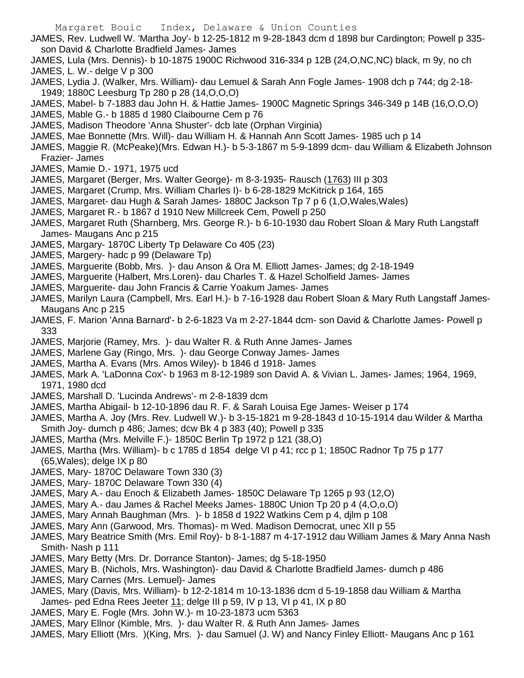- JAMES, Rev. Ludwell W. 'Martha Joy'- b 12-25-1812 m 9-28-1843 dcm d 1898 bur Cardington; Powell p 335 son David & Charlotte Bradfield James- James
- JAMES, Lula (Mrs. Dennis)- b 10-1875 1900C Richwood 316-334 p 12B (24,O,NC,NC) black, m 9y, no ch JAMES, L. W.- delge V p 300
- JAMES, Lydia J. (Walker, Mrs. William)- dau Lemuel & Sarah Ann Fogle James- 1908 dch p 744; dg 2-18- 1949; 1880C Leesburg Tp 280 p 28 (14,O,O,O)
- JAMES, Mabel- b 7-1883 dau John H. & Hattie James- 1900C Magnetic Springs 346-349 p 14B (16,O,O,O)
- JAMES, Mable G.- b 1885 d 1980 Claibourne Cem p 76
- JAMES, Madison Theodore 'Anna Shuster'- dcb late (Orphan Virginia)
- JAMES, Mae Bonnette (Mrs. Will)- dau William H. & Hannah Ann Scott James- 1985 uch p 14
- JAMES, Maggie R. (McPeake)(Mrs. Edwan H.)- b 5-3-1867 m 5-9-1899 dcm- dau William & Elizabeth Johnson Frazier- James
- JAMES, Mamie D.- 1971, 1975 ucd
- JAMES, Margaret (Berger, Mrs. Walter George)- m 8-3-1935- Rausch (1763) III p 303
- JAMES, Margaret (Crump, Mrs. William Charles I)- b 6-28-1829 McKitrick p 164, 165
- JAMES, Margaret- dau Hugh & Sarah James- 1880C Jackson Tp 7 p 6 (1,O,Wales,Wales)
- JAMES, Margaret R.- b 1867 d 1910 New Millcreek Cem, Powell p 250
- JAMES, Margaret Ruth (Sharnberg, Mrs. George R.)- b 6-10-1930 dau Robert Sloan & Mary Ruth Langstaff James- Maugans Anc p 215
- JAMES, Margary- 1870C Liberty Tp Delaware Co 405 (23)
- JAMES, Margery- hadc p 99 (Delaware Tp)
- JAMES, Marguerite (Bobb, Mrs. )- dau Anson & Ora M. Elliott James- James; dg 2-18-1949
- JAMES, Marguerite (Halbert, Mrs.Loren)- dau Charles T. & Hazel Scholfield James- James
- JAMES, Marguerite- dau John Francis & Carrie Yoakum James- James
- JAMES, Marilyn Laura (Campbell, Mrs. Earl H.)- b 7-16-1928 dau Robert Sloan & Mary Ruth Langstaff James-Maugans Anc p 215
- JAMES, F. Marion 'Anna Barnard'- b 2-6-1823 Va m 2-27-1844 dcm- son David & Charlotte James- Powell p 333
- JAMES, Marjorie (Ramey, Mrs. )- dau Walter R. & Ruth Anne James- James
- JAMES, Marlene Gay (Ringo, Mrs. )- dau George Conway James- James
- JAMES, Martha A. Evans (Mrs. Amos Wiley)- b 1846 d 1918- James
- JAMES, Mark A. 'LaDonna Cox'- b 1963 m 8-12-1989 son David A. & Vivian L. James- James; 1964, 1969, 1971, 1980 dcd
- JAMES, Marshall D. 'Lucinda Andrews'- m 2-8-1839 dcm
- JAMES, Martha Abigail- b 12-10-1896 dau R. F. & Sarah Louisa Ege James- Weiser p 174
- JAMES, Martha A. Joy (Mrs. Rev. Ludwell W.)- b 3-15-1821 m 9-28-1843 d 10-15-1914 dau Wilder & Martha Smith Joy- dumch p 486; James; dcw Bk 4 p 383 (40); Powell p 335
- JAMES, Martha (Mrs. Melville F.)- 1850C Berlin Tp 1972 p 121 (38,O)
- JAMES, Martha (Mrs. William)- b c 1785 d 1854 delge VI p 41; rcc p 1; 1850C Radnor Tp 75 p 177 (65,Wales); delge IX p 80
- JAMES, Mary- 1870C Delaware Town 330 (3)
- JAMES, Mary- 1870C Delaware Town 330 (4)
- JAMES, Mary A.- dau Enoch & Elizabeth James- 1850C Delaware Tp 1265 p 93 (12,O)
- JAMES, Mary A.- dau James & Rachel Meeks James- 1880C Union Tp 20 p 4 (4,O,o,O)
- JAMES, Mary Annah Baughman (Mrs. )- b 1858 d 1922 Watkins Cem p 4, djlm p 108
- JAMES, Mary Ann (Garwood, Mrs. Thomas)- m Wed. Madison Democrat, unec XII p 55
- JAMES, Mary Beatrice Smith (Mrs. Emil Roy)- b 8-1-1887 m 4-17-1912 dau William James & Mary Anna Nash Smith- Nash p 111
- JAMES, Mary Betty (Mrs. Dr. Dorrance Stanton)- James; dg 5-18-1950
- JAMES, Mary B. (Nichols, Mrs. Washington)- dau David & Charlotte Bradfield James- dumch p 486
- JAMES, Mary Carnes (Mrs. Lemuel)- James
- JAMES, Mary (Davis, Mrs. William)- b 12-2-1814 m 10-13-1836 dcm d 5-19-1858 dau William & Martha James- ped Edna Rees Jeeter 11; delge III p 59, IV p 13, VI p 41, IX p 80
- JAMES, Mary E. Fogle (Mrs. John W.)- m 10-23-1873 ucm 5363
- JAMES, Mary Ellnor (Kimble, Mrs. )- dau Walter R. & Ruth Ann James- James
- JAMES, Mary Elliott (Mrs. )(King, Mrs. )- dau Samuel (J. W) and Nancy Finley Elliott- Maugans Anc p 161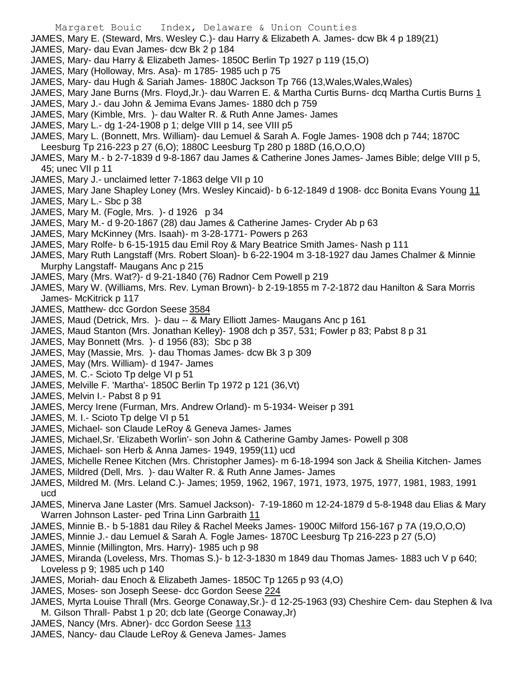JAMES, Mary E. (Steward, Mrs. Wesley C.)- dau Harry & Elizabeth A. James- dcw Bk 4 p 189(21) JAMES, Mary- dau Evan James- dcw Bk 2 p 184 JAMES, Mary- dau Harry & Elizabeth James- 1850C Berlin Tp 1927 p 119 (15,O) JAMES, Mary (Holloway, Mrs. Asa)- m 1785- 1985 uch p 75 JAMES, Mary- dau Hugh & Sariah James- 1880C Jackson Tp 766 (13,Wales,Wales,Wales) JAMES, Mary Jane Burns (Mrs. Floyd, Jr.)- dau Warren E. & Martha Curtis Burns- dcq Martha Curtis Burns 1 JAMES, Mary J.- dau John & Jemima Evans James- 1880 dch p 759 JAMES, Mary (Kimble, Mrs. )- dau Walter R. & Ruth Anne James- James JAMES, Mary L.- dg 1-24-1908 p 1; delge VIII p 14, see VIII p5 JAMES, Mary L. (Bonnett, Mrs. William)- dau Lemuel & Sarah A. Fogle James- 1908 dch p 744; 1870C Leesburg Tp 216-223 p 27 (6,O); 1880C Leesburg Tp 280 p 188D (16,O,O,O) JAMES, Mary M.- b 2-7-1839 d 9-8-1867 dau James & Catherine Jones James- James Bible; delge VIII p 5, 45; unec VII p 11 JAMES, Mary J.- unclaimed letter 7-1863 delge VII p 10 JAMES, Mary Jane Shapley Loney (Mrs. Wesley Kincaid)- b 6-12-1849 d 1908- dcc Bonita Evans Young 11 JAMES, Mary L.- Sbc p 38 JAMES, Mary M. (Fogle, Mrs. )- d 1926 p 34 JAMES, Mary M.- d 9-20-1867 (28) dau James & Catherine James- Cryder Ab p 63 JAMES, Mary McKinney (Mrs. Isaah)- m 3-28-1771- Powers p 263 JAMES, Mary Rolfe- b 6-15-1915 dau Emil Roy & Mary Beatrice Smith James- Nash p 111 JAMES, Mary Ruth Langstaff (Mrs. Robert Sloan)- b 6-22-1904 m 3-18-1927 dau James Chalmer & Minnie Murphy Langstaff- Maugans Anc p 215 JAMES, Mary (Mrs. Wat?)- d 9-21-1840 (76) Radnor Cem Powell p 219

JAMES, Mary W. (Williams, Mrs. Rev. Lyman Brown)- b 2-19-1855 m 7-2-1872 dau Hanilton & Sara Morris James- McKitrick p 117

- JAMES, Matthew- dcc Gordon Seese 3584
- JAMES, Maud (Detrick, Mrs. )- dau -- & Mary Elliott James- Maugans Anc p 161

- JAMES, Maud Stanton (Mrs. Jonathan Kelley)- 1908 dch p 357, 531; Fowler p 83; Pabst 8 p 31
- JAMES, May Bonnett (Mrs. )- d 1956 (83); Sbc p 38
- JAMES, May (Massie, Mrs. )- dau Thomas James- dcw Bk 3 p 309
- JAMES, May (Mrs. William)- d 1947- James
- JAMES, M. C.- Scioto Tp delge VI p 51
- JAMES, Melville F. 'Martha'- 1850C Berlin Tp 1972 p 121 (36,Vt)
- JAMES, Melvin I.- Pabst 8 p 91
- JAMES, Mercy Irene (Furman, Mrs. Andrew Orland)- m 5-1934- Weiser p 391
- JAMES, M. I.- Scioto Tp delge VI p 51
- JAMES, Michael- son Claude LeRoy & Geneva James- James
- JAMES, Michael,Sr. 'Elizabeth Worlin'- son John & Catherine Gamby James- Powell p 308
- JAMES, Michael- son Herb & Anna James- 1949, 1959(11) ucd
- JAMES, Michelle Renee Kitchen (Mrs. Christopher James)- m 6-18-1994 son Jack & Sheilia Kitchen- James
- JAMES, Mildred (Dell, Mrs. )- dau Walter R. & Ruth Anne James- James
- JAMES, Mildred M. (Mrs. Leland C.)- James; 1959, 1962, 1967, 1971, 1973, 1975, 1977, 1981, 1983, 1991 ucd
- JAMES, Minerva Jane Laster (Mrs. Samuel Jackson)- 7-19-1860 m 12-24-1879 d 5-8-1948 dau Elias & Mary Warren Johnson Laster- ped Trina Linn Garbraith 11
- JAMES, Minnie B.- b 5-1881 dau Riley & Rachel Meeks James- 1900C Milford 156-167 p 7A (19,O,O,O)
- JAMES, Minnie J.- dau Lemuel & Sarah A. Fogle James- 1870C Leesburg Tp 216-223 p 27 (5,O)
- JAMES, Minnie (Millington, Mrs. Harry)- 1985 uch p 98
- JAMES, Miranda (Loveless, Mrs. Thomas S.)- b 12-3-1830 m 1849 dau Thomas James- 1883 uch V p 640; Loveless p 9; 1985 uch p 140
- JAMES, Moriah- dau Enoch & Elizabeth James- 1850C Tp 1265 p 93 (4,O)
- JAMES, Moses- son Joseph Seese- dcc Gordon Seese 224
- JAMES, Myrta Louise Thrall (Mrs. George Conaway,Sr.)- d 12-25-1963 (93) Cheshire Cem- dau Stephen & Iva M. Gilson Thrall- Pabst 1 p 20; dcb late (George Conaway,Jr)
- JAMES, Nancy (Mrs. Abner)- dcc Gordon Seese 113
- JAMES, Nancy- dau Claude LeRoy & Geneva James- James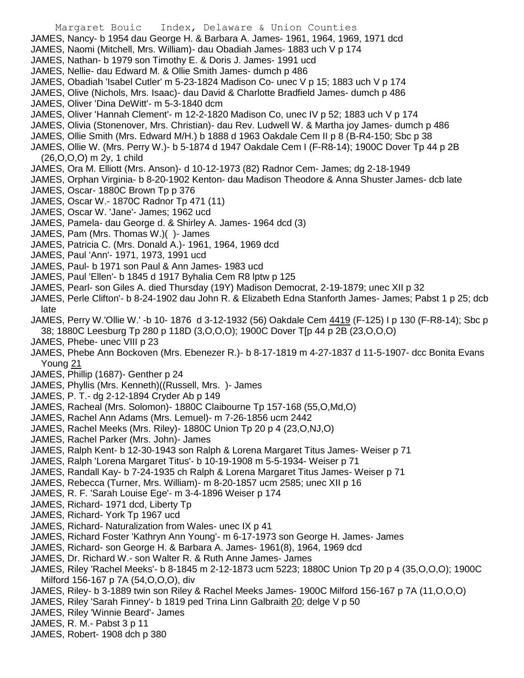- Margaret Bouic Index, Delaware & Union Counties JAMES, Nancy- b 1954 dau George H. & Barbara A. James- 1961, 1964, 1969, 1971 dcd JAMES, Naomi (Mitchell, Mrs. William)- dau Obadiah James- 1883 uch V p 174 JAMES, Nathan- b 1979 son Timothy E. & Doris J. James- 1991 ucd JAMES, Nellie- dau Edward M. & Ollie Smith James- dumch p 486 JAMES, Obadiah 'Isabel Cutler' m 5-23-1824 Madison Co- unec V p 15; 1883 uch V p 174 JAMES, Olive (Nichols, Mrs. Isaac)- dau David & Charlotte Bradfield James- dumch p 486 JAMES, Oliver 'Dina DeWitt'- m 5-3-1840 dcm JAMES, Oliver 'Hannah Clement'- m 12-2-1820 Madison Co, unec IV p 52; 1883 uch V p 174 JAMES, Olivia (Stonenover, Mrs. Christian)- dau Rev. Ludwell W. & Martha joy James- dumch p 486 JAMES, Ollie Smith (Mrs. Edward M/H.) b 1888 d 1963 Oakdale Cem II p 8 (B-R4-150; Sbc p 38 JAMES, Ollie W. (Mrs. Perry W.)- b 5-1874 d 1947 Oakdale Cem I (F-R8-14); 1900C Dover Tp 44 p 2B (26,O,O,O) m 2y, 1 child JAMES, Ora M. Elliott (Mrs. Anson)- d 10-12-1973 (82) Radnor Cem- James; dg 2-18-1949 JAMES, Orphan Virginia- b 8-20-1902 Kenton- dau Madison Theodore & Anna Shuster James- dcb late JAMES, Oscar- 1880C Brown Tp p 376 JAMES, Oscar W.- 1870C Radnor Tp 471 (11) JAMES, Oscar W. 'Jane'- James; 1962 ucd JAMES, Pamela- dau George d. & Shirley A. James- 1964 dcd (3) JAMES, Pam (Mrs. Thomas W.)( )- James JAMES, Patricia C. (Mrs. Donald A.)- 1961, 1964, 1969 dcd JAMES, Paul 'Ann'- 1971, 1973, 1991 ucd JAMES, Paul- b 1971 son Paul & Ann James- 1983 ucd JAMES, Paul 'Ellen'- b 1845 d 1917 Byhalia Cem R8 lptw p 125
- JAMES, Pearl- son Giles A. died Thursday (19Y) Madison Democrat, 2-19-1879; unec XII p 32
- JAMES, Perle Clifton'- b 8-24-1902 dau John R. & Elizabeth Edna Stanforth James- James; Pabst 1 p 25; dcb late
- JAMES, Perry W.'Ollie W.' -b 10- 1876 d 3-12-1932 (56) Oakdale Cem 4419 (F-125) I p 130 (F-R8-14); Sbc p 38; 1880C Leesburg Tp 280 p 118D (3,O,O,O); 1900C Dover T[p 44 p 2B (23,O,O,O)
- JAMES, Phebe- unec VIII p 23
- JAMES, Phebe Ann Bockoven (Mrs. Ebenezer R.)- b 8-17-1819 m 4-27-1837 d 11-5-1907- dcc Bonita Evans Young 21
- JAMES, Phillip (1687)- Genther p 24
- JAMES, Phyllis (Mrs. Kenneth)((Russell, Mrs. )- James
- JAMES, P. T.- dg 2-12-1894 Cryder Ab p 149
- JAMES, Racheal (Mrs. Solomon)- 1880C Claibourne Tp 157-168 (55,O,Md,O)
- JAMES, Rachel Ann Adams (Mrs. Lemuel)- m 7-26-1856 ucm 2442
- JAMES, Rachel Meeks (Mrs. Riley)- 1880C Union Tp 20 p 4 (23,O,NJ,O)
- JAMES, Rachel Parker (Mrs. John)- James
- JAMES, Ralph Kent- b 12-30-1943 son Ralph & Lorena Margaret Titus James- Weiser p 71
- JAMES, Ralph 'Lorena Margaret Titus'- b 10-19-1908 m 5-5-1934- Weiser p 71
- JAMES, Randall Kay- b 7-24-1935 ch Ralph & Lorena Margaret Titus James- Weiser p 71
- JAMES, Rebecca (Turner, Mrs. William)- m 8-20-1857 ucm 2585; unec XII p 16
- JAMES, R. F. 'Sarah Louise Ege'- m 3-4-1896 Weiser p 174
- JAMES, Richard- 1971 dcd, Liberty Tp
- JAMES, Richard- York Tp 1967 ucd
- JAMES, Richard- Naturalization from Wales- unec IX p 41
- JAMES, Richard Foster 'Kathryn Ann Young'- m 6-17-1973 son George H. James- James
- JAMES, Richard- son George H. & Barbara A. James- 1961(8), 1964, 1969 dcd
- JAMES, Dr. Richard W.- son Walter R. & Ruth Anne James- James
- JAMES, Riley 'Rachel Meeks'- b 8-1845 m 2-12-1873 ucm 5223; 1880C Union Tp 20 p 4 (35,O,O,O); 1900C Milford 156-167 p 7A (54,O,O,O), div
- JAMES, Riley- b 3-1889 twin son Riley & Rachel Meeks James- 1900C Milford 156-167 p 7A (11,O,O,O)
- JAMES, Riley 'Sarah Finney'- b 1819 ped Trina Linn Galbraith 20; delge V p 50
- JAMES, Riley 'Winnie Beard'- James
- JAMES, R. M.- Pabst 3 p 11
- JAMES, Robert- 1908 dch p 380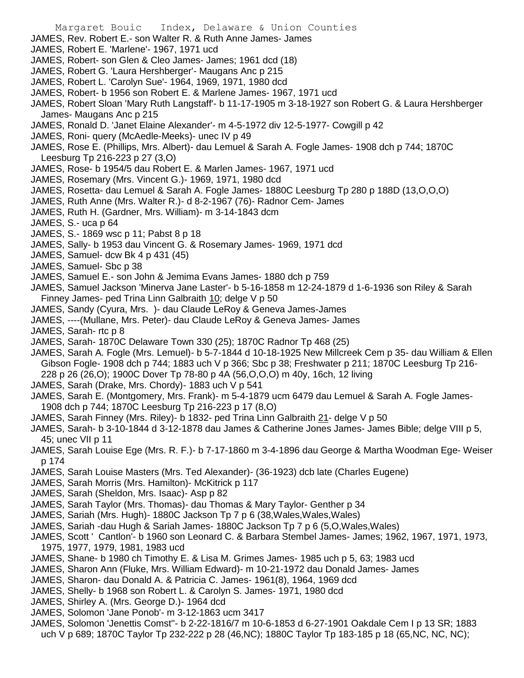- Margaret Bouic Index, Delaware & Union Counties JAMES, Rev. Robert E.- son Walter R. & Ruth Anne James- James JAMES, Robert E. 'Marlene'- 1967, 1971 ucd JAMES, Robert- son Glen & Cleo James- James; 1961 dcd (18) JAMES, Robert G. 'Laura Hershberger'- Maugans Anc p 215 JAMES, Robert L. 'Carolyn Sue'- 1964, 1969, 1971, 1980 dcd JAMES, Robert- b 1956 son Robert E. & Marlene James- 1967, 1971 ucd JAMES, Robert Sloan 'Mary Ruth Langstaff'- b 11-17-1905 m 3-18-1927 son Robert G. & Laura Hershberger James- Maugans Anc p 215 JAMES, Ronald D. 'Janet Elaine Alexander'- m 4-5-1972 div 12-5-1977- Cowgill p 42 JAMES, Roni- query (McAedle-Meeks)- unec IV p 49 JAMES, Rose E. (Phillips, Mrs. Albert)- dau Lemuel & Sarah A. Fogle James- 1908 dch p 744; 1870C Leesburg Tp 216-223 p 27 (3,O) JAMES, Rose- b 1954/5 dau Robert E. & Marlen James- 1967, 1971 ucd JAMES, Rosemary (Mrs. Vincent G.)- 1969, 1971, 1980 dcd JAMES, Rosetta- dau Lemuel & Sarah A. Fogle James- 1880C Leesburg Tp 280 p 188D (13,O,O,O) JAMES, Ruth Anne (Mrs. Walter R.)- d 8-2-1967 (76)- Radnor Cem- James JAMES, Ruth H. (Gardner, Mrs. William)- m 3-14-1843 dcm JAMES, S.- uca p 64 JAMES, S.- 1869 wsc p 11; Pabst 8 p 18
- JAMES, Sally- b 1953 dau Vincent G. & Rosemary James- 1969, 1971 dcd
- JAMES, Samuel- dcw Bk 4 p 431 (45)
- JAMES, Samuel- Sbc p 38
- JAMES, Samuel E.- son John & Jemima Evans James- 1880 dch p 759
- JAMES, Samuel Jackson 'Minerva Jane Laster'- b 5-16-1858 m 12-24-1879 d 1-6-1936 son Riley & Sarah Finney James- ped Trina Linn Galbraith 10; delge V p 50
- JAMES, Sandy (Cyura, Mrs. )- dau Claude LeRoy & Geneva James-James
- JAMES, ----(Mullane, Mrs. Peter)- dau Claude LeRoy & Geneva James- James
- JAMES, Sarah- rtc p 8
- JAMES, Sarah- 1870C Delaware Town 330 (25); 1870C Radnor Tp 468 (25)
- JAMES, Sarah A. Fogle (Mrs. Lemuel)- b 5-7-1844 d 10-18-1925 New Millcreek Cem p 35- dau William & Ellen Gibson Fogle- 1908 dch p 744; 1883 uch V p 366; Sbc p 38; Freshwater p 211; 1870C Leesburg Tp 216- 228 p 26 (26,O); 1900C Dover Tp 78-80 p 4A (56,O,O,O) m 40y, 16ch, 12 living
- JAMES, Sarah (Drake, Mrs. Chordy)- 1883 uch V p 541
- JAMES, Sarah E. (Montgomery, Mrs. Frank)- m 5-4-1879 ucm 6479 dau Lemuel & Sarah A. Fogle James-1908 dch p 744; 1870C Leesburg Tp 216-223 p 17 (8,O)
- JAMES, Sarah Finney (Mrs. Riley)- b 1832- ped Trina Linn Galbraith 21- delge V p 50
- JAMES, Sarah- b 3-10-1844 d 3-12-1878 dau James & Catherine Jones James- James Bible; delge VIII p 5, 45; unec VII p 11
- JAMES, Sarah Louise Ege (Mrs. R. F.)- b 7-17-1860 m 3-4-1896 dau George & Martha Woodman Ege- Weiser p 174
- JAMES, Sarah Louise Masters (Mrs. Ted Alexander)- (36-1923) dcb late (Charles Eugene)
- JAMES, Sarah Morris (Mrs. Hamilton)- McKitrick p 117
- JAMES, Sarah (Sheldon, Mrs. Isaac)- Asp p 82
- JAMES, Sarah Taylor (Mrs. Thomas)- dau Thomas & Mary Taylor- Genther p 34
- JAMES, Sariah (Mrs. Hugh)- 1880C Jackson Tp 7 p 6 (38,Wales,Wales,Wales)
- JAMES, Sariah -dau Hugh & Sariah James- 1880C Jackson Tp 7 p 6 (5,O,Wales,Wales)
- JAMES, Scott ' Cantlon'- b 1960 son Leonard C. & Barbara Stembel James- James; 1962, 1967, 1971, 1973, 1975, 1977, 1979, 1981, 1983 ucd
- JAMES, Shane- b 1980 ch Timothy E. & Lisa M. Grimes James- 1985 uch p 5, 63; 1983 ucd
- JAMES, Sharon Ann (Fluke, Mrs. William Edward)- m 10-21-1972 dau Donald James- James
- JAMES, Sharon- dau Donald A. & Patricia C. James- 1961(8), 1964, 1969 dcd
- JAMES, Shelly- b 1968 son Robert L. & Carolyn S. James- 1971, 1980 dcd
- JAMES, Shirley A. (Mrs. George D.)- 1964 dcd
- JAMES, Solomon 'Jane Ponob'- m 3-12-1863 ucm 3417
- JAMES, Solomon 'Jenettis Comst''- b 2-22-1816/7 m 10-6-1853 d 6-27-1901 Oakdale Cem I p 13 SR; 1883 uch V p 689; 1870C Taylor Tp 232-222 p 28 (46,NC); 1880C Taylor Tp 183-185 p 18 (65,NC, NC, NC);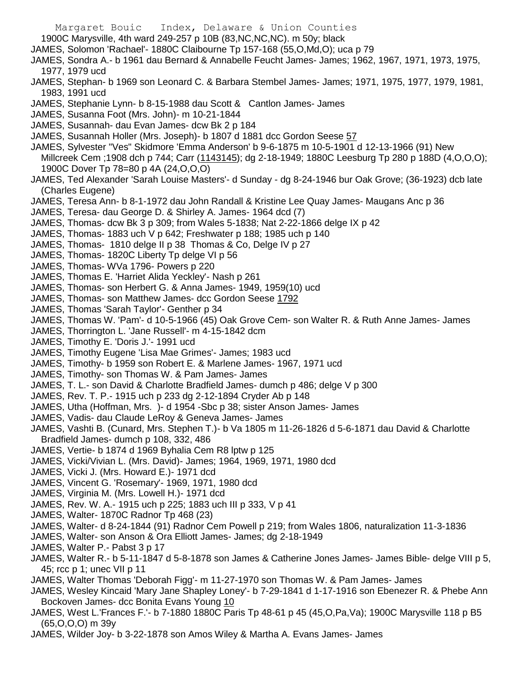1900C Marysville, 4th ward 249-257 p 10B (83,NC,NC,NC). m 50y; black

- JAMES, Solomon 'Rachael'- 1880C Claibourne Tp 157-168 (55,O,Md,O); uca p 79
- JAMES, Sondra A.- b 1961 dau Bernard & Annabelle Feucht James- James; 1962, 1967, 1971, 1973, 1975, 1977, 1979 ucd
- JAMES, Stephan- b 1969 son Leonard C. & Barbara Stembel James- James; 1971, 1975, 1977, 1979, 1981, 1983, 1991 ucd
- JAMES, Stephanie Lynn- b 8-15-1988 dau Scott & Cantlon James- James
- JAMES, Susanna Foot (Mrs. John)- m 10-21-1844
- JAMES, Susannah- dau Evan James- dcw Bk 2 p 184
- JAMES, Susannah Holler (Mrs. Joseph)- b 1807 d 1881 dcc Gordon Seese 57
- JAMES, Sylvester "Ves" Skidmore 'Emma Anderson' b 9-6-1875 m 10-5-1901 d 12-13-1966 (91) New Millcreek Cem ;1908 dch p 744; Carr (1143145); dg 2-18-1949; 1880C Leesburg Tp 280 p 188D (4, O, O, O); 1900C Dover Tp 78=80 p 4A (24,O,O,O)
- JAMES, Ted Alexander 'Sarah Louise Masters'- d Sunday dg 8-24-1946 bur Oak Grove; (36-1923) dcb late (Charles Eugene)
- JAMES, Teresa Ann- b 8-1-1972 dau John Randall & Kristine Lee Quay James- Maugans Anc p 36
- JAMES, Teresa- dau George D. & Shirley A. James- 1964 dcd (7)
- JAMES, Thomas- dcw Bk 3 p 309; from Wales 5-1838; Nat 2-22-1866 delge IX p 42
- JAMES, Thomas- 1883 uch V p 642; Freshwater p 188; 1985 uch p 140
- JAMES, Thomas- 1810 delge II p 38 Thomas & Co, Delge IV p 27
- JAMES, Thomas- 1820C Liberty Tp delge VI p 56
- JAMES, Thomas- WVa 1796- Powers p 220
- JAMES, Thomas E. 'Harriet Alida Yeckley'- Nash p 261
- JAMES, Thomas- son Herbert G. & Anna James- 1949, 1959(10) ucd
- JAMES, Thomas- son Matthew James- dcc Gordon Seese 1792
- JAMES, Thomas 'Sarah Taylor'- Genther p 34
- JAMES, Thomas W. 'Pam'- d 10-5-1966 (45) Oak Grove Cem- son Walter R. & Ruth Anne James- James
- JAMES, Thorrington L. 'Jane Russell'- m 4-15-1842 dcm
- JAMES, Timothy E. 'Doris J.'- 1991 ucd
- JAMES, Timothy Eugene 'Lisa Mae Grimes'- James; 1983 ucd
- JAMES, Timothy- b 1959 son Robert E. & Marlene James- 1967, 1971 ucd
- JAMES, Timothy- son Thomas W. & Pam James- James
- JAMES, T. L.- son David & Charlotte Bradfield James- dumch p 486; delge V p 300
- JAMES, Rev. T. P.- 1915 uch p 233 dg 2-12-1894 Cryder Ab p 148
- JAMES, Utha (Hoffman, Mrs. )- d 1954 -Sbc p 38; sister Anson James- James
- JAMES, Vadis- dau Claude LeRoy & Geneva James- James
- JAMES, Vashti B. (Cunard, Mrs. Stephen T.)- b Va 1805 m 11-26-1826 d 5-6-1871 dau David & Charlotte Bradfield James- dumch p 108, 332, 486
- JAMES, Vertie- b 1874 d 1969 Byhalia Cem R8 lptw p 125
- JAMES, Vicki/Vivian L. (Mrs. David)- James; 1964, 1969, 1971, 1980 dcd
- JAMES, Vicki J. (Mrs. Howard E.)- 1971 dcd
- JAMES, Vincent G. 'Rosemary'- 1969, 1971, 1980 dcd
- JAMES, Virginia M. (Mrs. Lowell H.)- 1971 dcd
- JAMES, Rev. W. A.- 1915 uch p 225; 1883 uch III p 333, V p 41
- JAMES, Walter- 1870C Radnor Tp 468 (23)
- JAMES, Walter- d 8-24-1844 (91) Radnor Cem Powell p 219; from Wales 1806, naturalization 11-3-1836
- JAMES, Walter- son Anson & Ora Elliott James- James; dg 2-18-1949
- JAMES, Walter P.- Pabst 3 p 17
- JAMES, Walter R.- b 5-11-1847 d 5-8-1878 son James & Catherine Jones James- James Bible- delge VIII p 5, 45; rcc p 1; unec VII p 11
- JAMES, Walter Thomas 'Deborah Figg'- m 11-27-1970 son Thomas W. & Pam James- James
- JAMES, Wesley Kincaid 'Mary Jane Shapley Loney'- b 7-29-1841 d 1-17-1916 son Ebenezer R. & Phebe Ann Bockoven James- dcc Bonita Evans Young 10
- JAMES, West L.'Frances F.'- b 7-1880 1880C Paris Tp 48-61 p 45 (45,O,Pa,Va); 1900C Marysville 118 p B5 (65,O,O,O) m 39y
- JAMES, Wilder Joy- b 3-22-1878 son Amos Wiley & Martha A. Evans James- James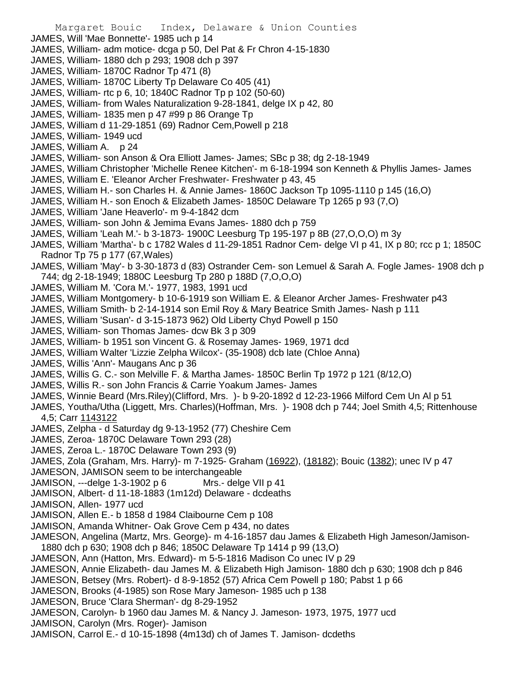- Margaret Bouic Index, Delaware & Union Counties JAMES, Will 'Mae Bonnette'- 1985 uch p 14 JAMES, William- adm motice- dcga p 50, Del Pat & Fr Chron 4-15-1830 JAMES, William- 1880 dch p 293; 1908 dch p 397 JAMES, William- 1870C Radnor Tp 471 (8) JAMES, William- 1870C Liberty Tp Delaware Co 405 (41) JAMES, William- rtc p 6, 10; 1840C Radnor Tp p 102 (50-60) JAMES, William- from Wales Naturalization 9-28-1841, delge IX p 42, 80 JAMES, William- 1835 men p 47 #99 p 86 Orange Tp JAMES, William d 11-29-1851 (69) Radnor Cem,Powell p 218 JAMES, William- 1949 ucd JAMES, William A. p 24 JAMES, William- son Anson & Ora Elliott James- James; SBc p 38; dg 2-18-1949 JAMES, William Christopher 'Michelle Renee Kitchen'- m 6-18-1994 son Kenneth & Phyllis James- James JAMES, William E. 'Eleanor Archer Freshwater- Freshwater p 43, 45 JAMES, William H.- son Charles H. & Annie James- 1860C Jackson Tp 1095-1110 p 145 (16,O) JAMES, William H.- son Enoch & Elizabeth James- 1850C Delaware Tp 1265 p 93 (7,O) JAMES, William 'Jane Heaverlo'- m 9-4-1842 dcm JAMES, William- son John & Jemima Evans James- 1880 dch p 759 JAMES, William 'Leah M.'- b 3-1873- 1900C Leesburg Tp 195-197 p 8B (27,O,O,O) m 3y JAMES, William 'Martha'- b c 1782 Wales d 11-29-1851 Radnor Cem- delge VI p 41, IX p 80; rcc p 1; 1850C Radnor Tp 75 p 177 (67,Wales) JAMES, William 'May'- b 3-30-1873 d (83) Ostrander Cem- son Lemuel & Sarah A. Fogle James- 1908 dch p 744; dg 2-18-1949; 1880C Leesburg Tp 280 p 188D (7,O,O,O) JAMES, William M. 'Cora M.'- 1977, 1983, 1991 ucd JAMES, William Montgomery- b 10-6-1919 son William E. & Eleanor Archer James- Freshwater p43 JAMES, William Smith- b 2-14-1914 son Emil Roy & Mary Beatrice Smith James- Nash p 111 JAMES, William 'Susan'- d 3-15-1873 962) Old Liberty Chyd Powell p 150 JAMES, William- son Thomas James- dcw Bk 3 p 309 JAMES, William- b 1951 son Vincent G. & Rosemay James- 1969, 1971 dcd JAMES, William Walter 'Lizzie Zelpha Wilcox'- (35-1908) dcb late (Chloe Anna) JAMES, Willis 'Ann'- Maugans Anc p 36 JAMES, Willis G. C.- son Melville F. & Martha James- 1850C Berlin Tp 1972 p 121 (8/12,O) JAMES, Willis R.- son John Francis & Carrie Yoakum James- James JAMES, Winnie Beard (Mrs.Riley)(Clifford, Mrs. )- b 9-20-1892 d 12-23-1966 Milford Cem Un Al p 51 JAMES, Youtha/Utha (Liggett, Mrs. Charles)(Hoffman, Mrs. )- 1908 dch p 744; Joel Smith 4,5; Rittenhouse 4,5; Carr 1143122 JAMES, Zelpha - d Saturday dg 9-13-1952 (77) Cheshire Cem JAMES, Zeroa- 1870C Delaware Town 293 (28) JAMES, Zeroa L.- 1870C Delaware Town 293 (9) JAMES, Zola (Graham, Mrs. Harry)- m 7-1925- Graham (16922), (18182); Bouic (1382); unec IV p 47 JAMESON, JAMISON seem to be interchangeable JAMISON, ---delge 1-3-1902 p 6 Mrs.- delge VII p 41 JAMISON, Albert- d 11-18-1883 (1m12d) Delaware - dcdeaths JAMISON, Allen- 1977 ucd JAMISON, Allen E.- b 1858 d 1984 Claibourne Cem p 108 JAMISON, Amanda Whitner- Oak Grove Cem p 434, no dates JAMESON, Angelina (Martz, Mrs. George)- m 4-16-1857 dau James & Elizabeth High Jameson/Jamison-1880 dch p 630; 1908 dch p 846; 1850C Delaware Tp 1414 p 99 (13,O) JAMESON, Ann (Hatton, Mrs. Edward)- m 5-5-1816 Madison Co unec IV p 29 JAMESON, Annie Elizabeth- dau James M. & Elizabeth High Jamison- 1880 dch p 630; 1908 dch p 846 JAMESON, Betsey (Mrs. Robert)- d 8-9-1852 (57) Africa Cem Powell p 180; Pabst 1 p 66 JAMESON, Brooks (4-1985) son Rose Mary Jameson- 1985 uch p 138 JAMESON, Bruce 'Clara Sherman'- dg 8-29-1952 JAMESON, Carolyn- b 1960 dau James M. & Nancy J. Jameson- 1973, 1975, 1977 ucd
- JAMISON, Carolyn (Mrs. Roger)- Jamison
- JAMISON, Carrol E.- d 10-15-1898 (4m13d) ch of James T. Jamison- dcdeths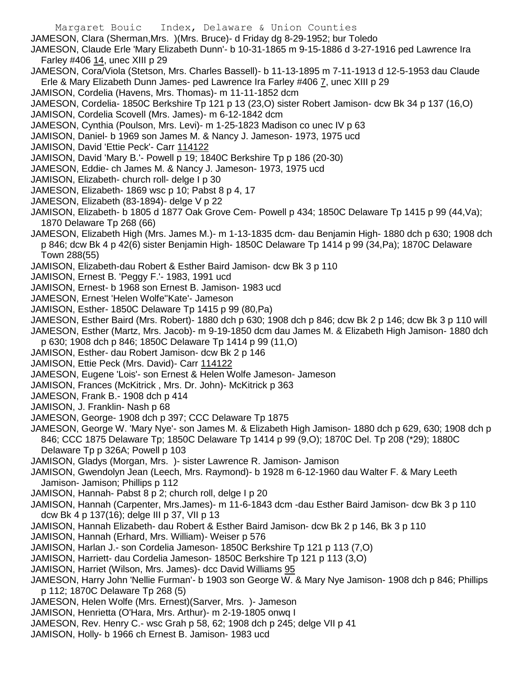JAMESON, Clara (Sherman,Mrs. )(Mrs. Bruce)- d Friday dg 8-29-1952; bur Toledo JAMESON, Claude Erle 'Mary Elizabeth Dunn'- b 10-31-1865 m 9-15-1886 d 3-27-1916 ped Lawrence Ira Farley #406 14, unec XIII p 29 JAMESON, Cora/Viola (Stetson, Mrs. Charles Bassell)- b 11-13-1895 m 7-11-1913 d 12-5-1953 dau Claude Erle & Mary Elizabeth Dunn James- ped Lawrence Ira Farley #406 7, unec XIII p 29 JAMISON, Cordelia (Havens, Mrs. Thomas)- m 11-11-1852 dcm JAMESON, Cordelia- 1850C Berkshire Tp 121 p 13 (23,O) sister Robert Jamison- dcw Bk 34 p 137 (16,O) JAMISON, Cordelia Scovell (Mrs. James)- m 6-12-1842 dcm JAMESON, Cynthia (Poulson, Mrs. Levi)- m 1-25-1823 Madison co unec IV p 63 JAMISON, Daniel- b 1969 son James M. & Nancy J. Jameson- 1973, 1975 ucd JAMISON, David 'Ettie Peck'- Carr 114122 JAMISON, David 'Mary B.'- Powell p 19; 1840C Berkshire Tp p 186 (20-30) JAMESON, Eddie- ch James M. & Nancy J. Jameson- 1973, 1975 ucd JAMISON, Elizabeth- church roll- delge I p 30 JAMESON, Elizabeth- 1869 wsc p 10; Pabst 8 p 4, 17 JAMESON, Elizabeth (83-1894)- delge V p 22 JAMISON, Elizabeth- b 1805 d 1877 Oak Grove Cem- Powell p 434; 1850C Delaware Tp 1415 p 99 (44,Va); 1870 Delaware Tp 268 (66) JAMESON, Elizabeth High (Mrs. James M.)- m 1-13-1835 dcm- dau Benjamin High- 1880 dch p 630; 1908 dch p 846; dcw Bk 4 p 42(6) sister Benjamin High- 1850C Delaware Tp 1414 p 99 (34,Pa); 1870C Delaware Town 288(55) JAMISON, Elizabeth-dau Robert & Esther Baird Jamison- dcw Bk 3 p 110 JAMISON, Ernest B. 'Peggy F.'- 1983, 1991 ucd JAMISON, Ernest- b 1968 son Ernest B. Jamison- 1983 ucd JAMESON, Ernest 'Helen Wolfe''Kate'- Jameson JAMISON, Esther- 1850C Delaware Tp 1415 p 99 (80,Pa) JAMESON, Esther Baird (Mrs. Robert)- 1880 dch p 630; 1908 dch p 846; dcw Bk 2 p 146; dcw Bk 3 p 110 will JAMESON, Esther (Martz, Mrs. Jacob)- m 9-19-1850 dcm dau James M. & Elizabeth High Jamison- 1880 dch p 630; 1908 dch p 846; 1850C Delaware Tp 1414 p 99 (11,O) JAMISON, Esther- dau Robert Jamison- dcw Bk 2 p 146 JAMISON, Ettie Peck (Mrs. David)- Carr 114122 JAMESON, Eugene 'Lois'- son Ernest & Helen Wolfe Jameson- Jameson JAMISON, Frances (McKitrick , Mrs. Dr. John)- McKitrick p 363 JAMESON, Frank B.- 1908 dch p 414 JAMISON, J. Franklin- Nash p 68 JAMESON, George- 1908 dch p 397; CCC Delaware Tp 1875 JAMESON, George W. 'Mary Nye'- son James M. & Elizabeth High Jamison- 1880 dch p 629, 630; 1908 dch p 846; CCC 1875 Delaware Tp; 1850C Delaware Tp 1414 p 99 (9,O); 1870C Del. Tp 208 (\*29); 1880C Delaware Tp p 326A; Powell p 103 JAMISON, Gladys (Morgan, Mrs. )- sister Lawrence R. Jamison- Jamison JAMISON, Gwendolyn Jean (Leech, Mrs. Raymond)- b 1928 m 6-12-1960 dau Walter F. & Mary Leeth Jamison- Jamison; Phillips p 112 JAMISON, Hannah- Pabst 8 p 2; church roll, delge I p 20 JAMISON, Hannah (Carpenter, Mrs.James)- m 11-6-1843 dcm -dau Esther Baird Jamison- dcw Bk 3 p 110 dcw Bk 4 p 137(16); delge III p 37, VII p 13 JAMISON, Hannah Elizabeth- dau Robert & Esther Baird Jamison- dcw Bk 2 p 146, Bk 3 p 110 JAMISON, Hannah (Erhard, Mrs. William)- Weiser p 576 JAMISON, Harlan J.- son Cordelia Jameson- 1850C Berkshire Tp 121 p 113 (7,O) JAMISON, Harriett- dau Cordelia Jameson- 1850C Berkshire Tp 121 p 113 (3,O) JAMISON, Harriet (Wilson, Mrs. James)- dcc David Williams 95 JAMESON, Harry John 'Nellie Furman'- b 1903 son George W. & Mary Nye Jamison- 1908 dch p 846; Phillips p 112; 1870C Delaware Tp 268 (5) JAMESON, Helen Wolfe (Mrs. Ernest)(Sarver, Mrs. )- Jameson JAMISON, Henrietta (O'Hara, Mrs. Arthur)- m 2-19-1805 onwq I JAMESON, Rev. Henry C.- wsc Grah p 58, 62; 1908 dch p 245; delge VII p 41 JAMISON, Holly- b 1966 ch Ernest B. Jamison- 1983 ucd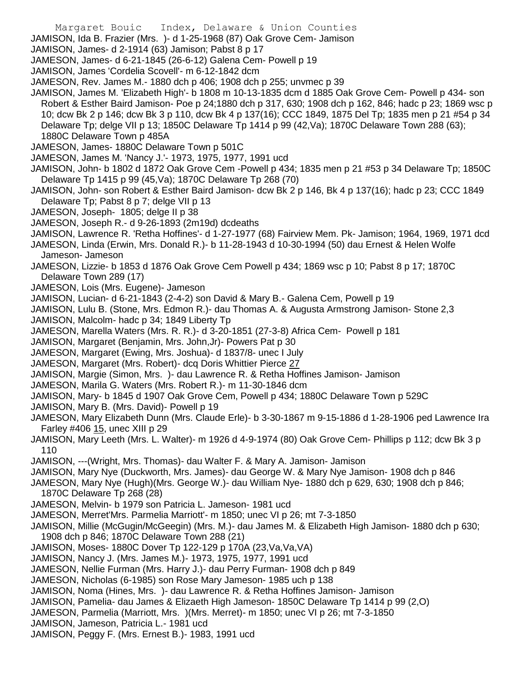JAMISON, Ida B. Frazier (Mrs. )- d 1-25-1968 (87) Oak Grove Cem- Jamison

JAMISON, James- d 2-1914 (63) Jamison; Pabst 8 p 17

JAMESON, James- d 6-21-1845 (26-6-12) Galena Cem- Powell p 19

JAMISON, James 'Cordelia Scovell'- m 6-12-1842 dcm

JAMESON, Rev. James M.- 1880 dch p 406; 1908 dch p 255; unvmec p 39

JAMISON, James M. 'Elizabeth High'- b 1808 m 10-13-1835 dcm d 1885 Oak Grove Cem- Powell p 434- son Robert & Esther Baird Jamison- Poe p 24;1880 dch p 317, 630; 1908 dch p 162, 846; hadc p 23; 1869 wsc p 10; dcw Bk 2 p 146; dcw Bk 3 p 110, dcw Bk 4 p 137(16); CCC 1849, 1875 Del Tp; 1835 men p 21 #54 p 34 Delaware Tp; delge VII p 13; 1850C Delaware Tp 1414 p 99 (42,Va); 1870C Delaware Town 288 (63); 1880C Delaware Town p 485A

JAMESON, James- 1880C Delaware Town p 501C

JAMESON, James M. 'Nancy J.'- 1973, 1975, 1977, 1991 ucd

JAMISON, John- b 1802 d 1872 Oak Grove Cem -Powell p 434; 1835 men p 21 #53 p 34 Delaware Tp; 1850C Delaware Tp 1415 p 99 (45,Va); 1870C Delaware Tp 268 (70)

JAMISON, John- son Robert & Esther Baird Jamison- dcw Bk 2 p 146, Bk 4 p 137(16); hadc p 23; CCC 1849 Delaware Tp; Pabst 8 p 7; delge VII p 13

JAMESON, Joseph- 1805; delge II p 38

JAMESON, Joseph R.- d 9-26-1893 (2m19d) dcdeaths

JAMISON, Lawrence R. 'Retha Hoffines'- d 1-27-1977 (68) Fairview Mem. Pk- Jamison; 1964, 1969, 1971 dcd

JAMESON, Linda (Erwin, Mrs. Donald R.)- b 11-28-1943 d 10-30-1994 (50) dau Ernest & Helen Wolfe Jameson- Jameson

JAMESON, Lizzie- b 1853 d 1876 Oak Grove Cem Powell p 434; 1869 wsc p 10; Pabst 8 p 17; 1870C Delaware Town 289 (17)

JAMESON, Lois (Mrs. Eugene)- Jameson

JAMISON, Lucian- d 6-21-1843 (2-4-2) son David & Mary B.- Galena Cem, Powell p 19

JAMISON, Lulu B. (Stone, Mrs. Edmon R.)- dau Thomas A. & Augusta Armstrong Jamison- Stone 2,3

JAMISON, Malcolm- hadc p 34; 1849 Liberty Tp

JAMESON, Marella Waters (Mrs. R. R.)- d 3-20-1851 (27-3-8) Africa Cem- Powell p 181

JAMISON, Margaret (Benjamin, Mrs. John,Jr)- Powers Pat p 30

JAMESON, Margaret (Ewing, Mrs. Joshua)- d 1837/8- unec I July

JAMESON, Margaret (Mrs. Robert)- dcq Doris Whittier Pierce 27

JAMISON, Margie (Simon, Mrs. )- dau Lawrence R. & Retha Hoffines Jamison- Jamison

JAMESON, Marila G. Waters (Mrs. Robert R.)- m 11-30-1846 dcm

JAMISON, Mary- b 1845 d 1907 Oak Grove Cem, Powell p 434; 1880C Delaware Town p 529C

JAMISON, Mary B. (Mrs. David)- Powell p 19

JAMESON, Mary Elizabeth Dunn (Mrs. Claude Erle)- b 3-30-1867 m 9-15-1886 d 1-28-1906 ped Lawrence Ira Farley #406 15, unec XIII p 29

JAMISON, Mary Leeth (Mrs. L. Walter)- m 1926 d 4-9-1974 (80) Oak Grove Cem- Phillips p 112; dcw Bk 3 p 110

JAMISON, ---(Wright, Mrs. Thomas)- dau Walter F. & Mary A. Jamison- Jamison

JAMISON, Mary Nye (Duckworth, Mrs. James)- dau George W. & Mary Nye Jamison- 1908 dch p 846

JAMESON, Mary Nye (Hugh)(Mrs. George W.)- dau William Nye- 1880 dch p 629, 630; 1908 dch p 846; 1870C Delaware Tp 268 (28)

JAMESON, Melvin- b 1979 son Patricia L. Jameson- 1981 ucd

JAMESON, Merret'Mrs. Parmelia Marriott'- m 1850; unec VI p 26; mt 7-3-1850

JAMISON, Millie (McGugin/McGeegin) (Mrs. M.)- dau James M. & Elizabeth High Jamison- 1880 dch p 630; 1908 dch p 846; 1870C Delaware Town 288 (21)

JAMISON, Moses- 1880C Dover Tp 122-129 p 170A (23,Va,Va,VA)

JAMISON, Nancy J. (Mrs. James M.)- 1973, 1975, 1977, 1991 ucd

JAMESON, Nellie Furman (Mrs. Harry J.)- dau Perry Furman- 1908 dch p 849

JAMESON, Nicholas (6-1985) son Rose Mary Jameson- 1985 uch p 138

JAMISON, Noma (Hines, Mrs. )- dau Lawrence R. & Retha Hoffines Jamison- Jamison

JAMISON, Pamelia- dau James & Elizaeth High Jameson- 1850C Delaware Tp 1414 p 99 (2,O)

JAMESON, Parmelia (Marriott, Mrs. )(Mrs. Merret)- m 1850; unec VI p 26; mt 7-3-1850

JAMISON, Jameson, Patricia L.- 1981 ucd

JAMISON, Peggy F. (Mrs. Ernest B.)- 1983, 1991 ucd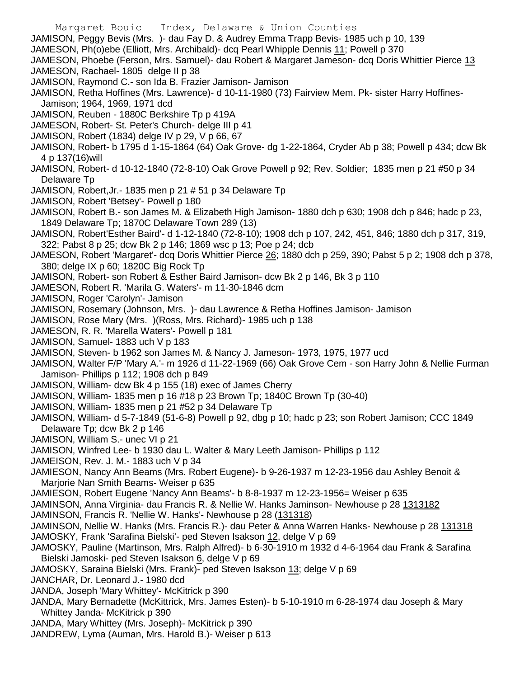Margaret Bouic Index, Delaware & Union Counties JAMISON, Peggy Bevis (Mrs. )- dau Fay D. & Audrey Emma Trapp Bevis- 1985 uch p 10, 139 JAMESON, Ph(o)ebe (Elliott, Mrs. Archibald)- dcq Pearl Whipple Dennis 11; Powell p 370 JAMESON, Phoebe (Ferson, Mrs. Samuel)- dau Robert & Margaret Jameson- dcq Doris Whittier Pierce 13 JAMESON, Rachael- 1805 delge II p 38 JAMISON, Raymond C.- son Ida B. Frazier Jamison- Jamison JAMISON, Retha Hoffines (Mrs. Lawrence)- d 10-11-1980 (73) Fairview Mem. Pk- sister Harry Hoffines-Jamison; 1964, 1969, 1971 dcd JAMISON, Reuben - 1880C Berkshire Tp p 419A JAMESON, Robert- St. Peter's Church- delge III p 41 JAMISON, Robert (1834) delge IV p 29, V p 66, 67 JAMISON, Robert- b 1795 d 1-15-1864 (64) Oak Grove- dg 1-22-1864, Cryder Ab p 38; Powell p 434; dcw Bk 4 p 137(16)will JAMISON, Robert- d 10-12-1840 (72-8-10) Oak Grove Powell p 92; Rev. Soldier; 1835 men p 21 #50 p 34 Delaware Tp JAMISON, Robert,Jr.- 1835 men p 21 # 51 p 34 Delaware Tp JAMISON, Robert 'Betsey'- Powell p 180 JAMISON, Robert B.- son James M. & Elizabeth High Jamison- 1880 dch p 630; 1908 dch p 846; hadc p 23, 1849 Delaware Tp; 1870C Delaware Town 289 (13) JAMISON, Robert'Esther Baird'- d 1-12-1840 (72-8-10); 1908 dch p 107, 242, 451, 846; 1880 dch p 317, 319, 322; Pabst 8 p 25; dcw Bk 2 p 146; 1869 wsc p 13; Poe p 24; dcb JAMESON, Robert 'Margaret'- dcq Doris Whittier Pierce 26; 1880 dch p 259, 390; Pabst 5 p 2; 1908 dch p 378, 380; delge IX p 60; 1820C Big Rock Tp JAMISON, Robert- son Robert & Esther Baird Jamison- dcw Bk 2 p 146, Bk 3 p 110 JAMESON, Robert R. 'Marila G. Waters'- m 11-30-1846 dcm JAMISON, Roger 'Carolyn'- Jamison JAMISON, Rosemary (Johnson, Mrs. )- dau Lawrence & Retha Hoffines Jamison- Jamison JAMISON, Rose Mary (Mrs. )(Ross, Mrs. Richard)- 1985 uch p 138 JAMESON, R. R. 'Marella Waters'- Powell p 181 JAMISON, Samuel- 1883 uch V p 183 JAMISON, Steven- b 1962 son James M. & Nancy J. Jameson- 1973, 1975, 1977 ucd JAMISON, Walter F/P 'Mary A.'- m 1926 d 11-22-1969 (66) Oak Grove Cem - son Harry John & Nellie Furman Jamison- Phillips p 112; 1908 dch p 849 JAMISON, William- dcw Bk 4 p 155 (18) exec of James Cherry JAMISON, William- 1835 men p 16 #18 p 23 Brown Tp; 1840C Brown Tp (30-40) JAMISON, William- 1835 men p 21 #52 p 34 Delaware Tp JAMISON, William- d 5-7-1849 (51-6-8) Powell p 92, dbg p 10; hadc p 23; son Robert Jamison; CCC 1849 Delaware Tp; dcw Bk 2 p 146 JAMISON, William S.- unec VI p 21 JAMISON, Winfred Lee- b 1930 dau L. Walter & Mary Leeth Jamison- Phillips p 112 JAMEISON, Rev. J. M.- 1883 uch V p 34 JAMIESON, Nancy Ann Beams (Mrs. Robert Eugene)- b 9-26-1937 m 12-23-1956 dau Ashley Benoit & Marjorie Nan Smith Beams- Weiser p 635 JAMIESON, Robert Eugene 'Nancy Ann Beams'- b 8-8-1937 m 12-23-1956= Weiser p 635 JAMINSON, Anna Virginia- dau Francis R. & Nellie W. Hanks Jaminson- Newhouse p 28 1313182 JAMINSON, Francis R. 'Nellie W. Hanks'- Newhouse p 28 (131318) JAMINSON, Nellie W. Hanks (Mrs. Francis R.)- dau Peter & Anna Warren Hanks- Newhouse p 28 131318 JAMOSKY, Frank 'Sarafina Bielski'- ped Steven Isakson 12, delge V p 69 JAMOSKY, Pauline (Martinson, Mrs. Ralph Alfred)- b 6-30-1910 m 1932 d 4-6-1964 dau Frank & Sarafina Bielski Jamoski- ped Steven Isakson 6, delge V p 69 JAMOSKY, Saraina Bielski (Mrs. Frank)- ped Steven Isakson 13; delge V p 69 JANCHAR, Dr. Leonard J.- 1980 dcd JANDA, Joseph 'Mary Whittey'- McKitrick p 390 JANDA, Mary Bernadette (McKittrick, Mrs. James Esten)- b 5-10-1910 m 6-28-1974 dau Joseph & Mary Whittey Janda- McKitrick p 390 JANDA, Mary Whittey (Mrs. Joseph)- McKitrick p 390 JANDREW, Lyma (Auman, Mrs. Harold B.)- Weiser p 613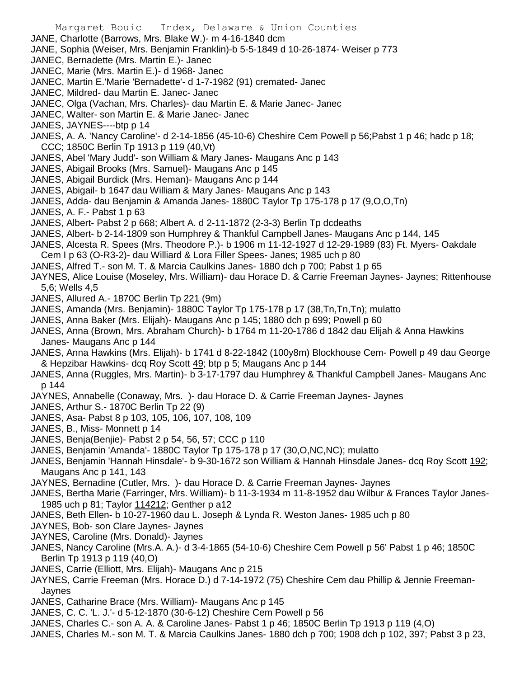Margaret Bouic Index, Delaware & Union Counties JANE, Charlotte (Barrows, Mrs. Blake W.)- m 4-16-1840 dcm JANE, Sophia (Weiser, Mrs. Benjamin Franklin)-b 5-5-1849 d 10-26-1874- Weiser p 773 JANEC, Bernadette (Mrs. Martin E.)- Janec JANEC, Marie (Mrs. Martin E.)- d 1968- Janec JANEC, Martin E.'Marie 'Bernadette'- d 1-7-1982 (91) cremated- Janec JANEC, Mildred- dau Martin E. Janec- Janec JANEC, Olga (Vachan, Mrs. Charles)- dau Martin E. & Marie Janec- Janec JANEC, Walter- son Martin E. & Marie Janec- Janec JANES, JAYNES----btp p 14 JANES, A. A. 'Nancy Caroline'- d 2-14-1856 (45-10-6) Cheshire Cem Powell p 56;Pabst 1 p 46; hadc p 18; CCC; 1850C Berlin Tp 1913 p 119 (40,Vt) JANES, Abel 'Mary Judd'- son William & Mary Janes- Maugans Anc p 143 JANES, Abigail Brooks (Mrs. Samuel)- Maugans Anc p 145 JANES, Abigail Burdick (Mrs. Heman)- Maugans Anc p 144 JANES, Abigail- b 1647 dau William & Mary Janes- Maugans Anc p 143 JANES, Adda- dau Benjamin & Amanda Janes- 1880C Taylor Tp 175-178 p 17 (9,O,O,Tn) JANES, A. F.- Pabst 1 p 63 JANES, Albert- Pabst 2 p 668; Albert A. d 2-11-1872 (2-3-3) Berlin Tp dcdeaths JANES, Albert- b 2-14-1809 son Humphrey & Thankful Campbell Janes- Maugans Anc p 144, 145 JANES, Alcesta R. Spees (Mrs. Theodore P.)- b 1906 m 11-12-1927 d 12-29-1989 (83) Ft. Myers- Oakdale Cem I p 63 (O-R3-2)- dau Williard & Lora Filler Spees- Janes; 1985 uch p 80 JANES, Alfred T.- son M. T. & Marcia Caulkins Janes- 1880 dch p 700; Pabst 1 p 65 JAYNES, Alice Louise (Moseley, Mrs. William)- dau Horace D. & Carrie Freeman Jaynes- Jaynes; Rittenhouse 5,6; Wells 4,5 JANES, Allured A.- 1870C Berlin Tp 221 (9m) JANES, Amanda (Mrs. Benjamin)- 1880C Taylor Tp 175-178 p 17 (38,Tn,Tn,Tn); mulatto JANES, Anna Baker (Mrs. Elijah)- Maugans Anc p 145; 1880 dch p 699; Powell p 60 JANES, Anna (Brown, Mrs. Abraham Church)- b 1764 m 11-20-1786 d 1842 dau Elijah & Anna Hawkins Janes- Maugans Anc p 144 JANES, Anna Hawkins (Mrs. Elijah)- b 1741 d 8-22-1842 (100y8m) Blockhouse Cem- Powell p 49 dau George & Hepzibar Hawkins- dcq Roy Scott 49; btp p 5; Maugans Anc p 144

JANES, Anna (Ruggles, Mrs. Martin)- b 3-17-1797 dau Humphrey & Thankful Campbell Janes- Maugans Anc p 144

JAYNES, Annabelle (Conaway, Mrs. )- dau Horace D. & Carrie Freeman Jaynes- Jaynes

- JANES, Arthur S.- 1870C Berlin Tp 22 (9)
- JANES, Asa- Pabst 8 p 103, 105, 106, 107, 108, 109
- JANES, B., Miss- Monnett p 14
- JANES, Benja(Benjie)- Pabst 2 p 54, 56, 57; CCC p 110
- JANES, Benjamin 'Amanda'- 1880C Taylor Tp 175-178 p 17 (30,O,NC,NC); mulatto
- JANES, Benjamin 'Hannah Hinsdale'- b 9-30-1672 son William & Hannah Hinsdale Janes- dcq Roy Scott 192; Maugans Anc p 141, 143
- JAYNES, Bernadine (Cutler, Mrs. )- dau Horace D. & Carrie Freeman Jaynes- Jaynes
- JANES, Bertha Marie (Farringer, Mrs. William)- b 11-3-1934 m 11-8-1952 dau Wilbur & Frances Taylor Janes-1985 uch p 81; Taylor 114212; Genther p a12
- JANES, Beth Ellen- b 10-27-1960 dau L. Joseph & Lynda R. Weston Janes- 1985 uch p 80
- JAYNES, Bob- son Clare Jaynes- Jaynes
- JAYNES, Caroline (Mrs. Donald)- Jaynes
- JANES, Nancy Caroline (Mrs.A. A.)- d 3-4-1865 (54-10-6) Cheshire Cem Powell p 56' Pabst 1 p 46; 1850C Berlin Tp 1913 p 119 (40,O)
- JANES, Carrie (Elliott, Mrs. Elijah)- Maugans Anc p 215
- JAYNES, Carrie Freeman (Mrs. Horace D.) d 7-14-1972 (75) Cheshire Cem dau Phillip & Jennie Freeman-Jaynes
- JANES, Catharine Brace (Mrs. William)- Maugans Anc p 145
- JANES, C. C. 'L. J.'- d 5-12-1870 (30-6-12) Cheshire Cem Powell p 56
- JANES, Charles C.- son A. A. & Caroline Janes- Pabst 1 p 46; 1850C Berlin Tp 1913 p 119 (4,O)
- JANES, Charles M.- son M. T. & Marcia Caulkins Janes- 1880 dch p 700; 1908 dch p 102, 397; Pabst 3 p 23,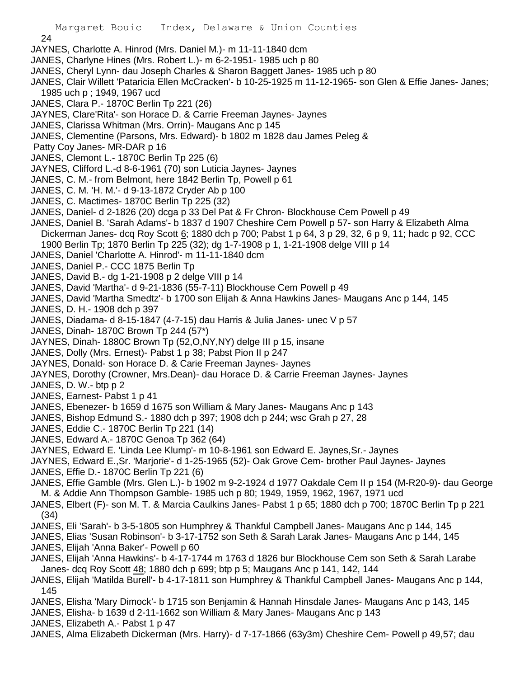24

- JAYNES, Charlotte A. Hinrod (Mrs. Daniel M.)- m 11-11-1840 dcm
- JANES, Charlyne Hines (Mrs. Robert L.)- m 6-2-1951- 1985 uch p 80
- JANES, Cheryl Lynn- dau Joseph Charles & Sharon Baggett Janes- 1985 uch p 80
- JANES, Clair Willett 'Pataricia Ellen McCracken'- b 10-25-1925 m 11-12-1965- son Glen & Effie Janes- Janes; 1985 uch p ; 1949, 1967 ucd
- JANES, Clara P.- 1870C Berlin Tp 221 (26)
- JAYNES, Clare'Rita'- son Horace D. & Carrie Freeman Jaynes- Jaynes
- JANES, Clarissa Whitman (Mrs. Orrin)- Maugans Anc p 145
- JANES, Clementine (Parsons, Mrs. Edward)- b 1802 m 1828 dau James Peleg &
- Patty Coy Janes- MR-DAR p 16
- JANES, Clemont L.- 1870C Berlin Tp 225 (6)
- JAYNES, Clifford L.-d 8-6-1961 (70) son Luticia Jaynes- Jaynes
- JANES, C. M.- from Belmont, here 1842 Berlin Tp, Powell p 61
- JANES, C. M. 'H. M.'- d 9-13-1872 Cryder Ab p 100
- JANES, C. Mactimes- 1870C Berlin Tp 225 (32)
- JANES, Daniel- d 2-1826 (20) dcga p 33 Del Pat & Fr Chron- Blockhouse Cem Powell p 49
- JANES, Daniel B. 'Sarah Adams'- b 1837 d 1907 Cheshire Cem Powell p 57- son Harry & Elizabeth Alma Dickerman Janes- dcq Roy Scott 6; 1880 dch p 700; Pabst 1 p 64, 3 p 29, 32, 6 p 9, 11; hadc p 92, CCC 1900 Berlin Tp; 1870 Berlin Tp 225 (32); dg 1-7-1908 p 1, 1-21-1908 delge VIII p 14
- JANES, Daniel 'Charlotte A. Hinrod'- m 11-11-1840 dcm
- JANES, Daniel P.- CCC 1875 Berlin Tp
- JANES, David B.- dg 1-21-1908 p 2 delge VIII p 14
- JANES, David 'Martha'- d 9-21-1836 (55-7-11) Blockhouse Cem Powell p 49
- JANES, David 'Martha Smedtz'- b 1700 son Elijah & Anna Hawkins Janes- Maugans Anc p 144, 145
- JANES, D. H.- 1908 dch p 397
- JANES, Diadama- d 8-15-1847 (4-7-15) dau Harris & Julia Janes- unec V p 57
- JANES, Dinah- 1870C Brown Tp 244 (57\*)
- JAYNES, Dinah- 1880C Brown Tp (52,O,NY,NY) delge III p 15, insane
- JANES, Dolly (Mrs. Ernest)- Pabst 1 p 38; Pabst Pion II p 247
- JAYNES, Donald- son Horace D. & Carie Freeman Jaynes- Jaynes
- JAYNES, Dorothy (Crowner, Mrs.Dean)- dau Horace D. & Carrie Freeman Jaynes- Jaynes
- JANES, D. W.- btp p 2
- JANES, Earnest- Pabst 1 p 41
- JANES, Ebenezer- b 1659 d 1675 son William & Mary Janes- Maugans Anc p 143
- JANES, Bishop Edmund S.- 1880 dch p 397; 1908 dch p 244; wsc Grah p 27, 28
- JANES, Eddie C.- 1870C Berlin Tp 221 (14)
- JANES, Edward A.- 1870C Genoa Tp 362 (64)
- JAYNES, Edward E. 'Linda Lee Klump'- m 10-8-1961 son Edward E. Jaynes,Sr.- Jaynes
- JAYNES, Edward E.,Sr. 'Marjorie'- d 1-25-1965 (52)- Oak Grove Cem- brother Paul Jaynes- Jaynes
- JANES, Effie D.- 1870C Berlin Tp 221 (6)
- JANES, Effie Gamble (Mrs. Glen L.)- b 1902 m 9-2-1924 d 1977 Oakdale Cem II p 154 (M-R20-9)- dau George M. & Addie Ann Thompson Gamble- 1985 uch p 80; 1949, 1959, 1962, 1967, 1971 ucd
- JANES, Elbert (F)- son M. T. & Marcia Caulkins Janes- Pabst 1 p 65; 1880 dch p 700; 1870C Berlin Tp p 221 (34)
- JANES, Eli 'Sarah'- b 3-5-1805 son Humphrey & Thankful Campbell Janes- Maugans Anc p 144, 145
- JANES, Elias 'Susan Robinson'- b 3-17-1752 son Seth & Sarah Larak Janes- Maugans Anc p 144, 145
- JANES, Elijah 'Anna Baker'- Powell p 60
- JANES, Elijah 'Anna Hawkins'- b 4-17-1744 m 1763 d 1826 bur Blockhouse Cem son Seth & Sarah Larabe Janes- dcq Roy Scott 48; 1880 dch p 699; btp p 5; Maugans Anc p 141, 142, 144
- JANES, Elijah 'Matilda Burell'- b 4-17-1811 son Humphrey & Thankful Campbell Janes- Maugans Anc p 144, 145
- JANES, Elisha 'Mary Dimock'- b 1715 son Benjamin & Hannah Hinsdale Janes- Maugans Anc p 143, 145
- JANES, Elisha- b 1639 d 2-11-1662 son William & Mary Janes- Maugans Anc p 143
- JANES, Elizabeth A.- Pabst 1 p 47
- JANES, Alma Elizabeth Dickerman (Mrs. Harry)- d 7-17-1866 (63y3m) Cheshire Cem- Powell p 49,57; dau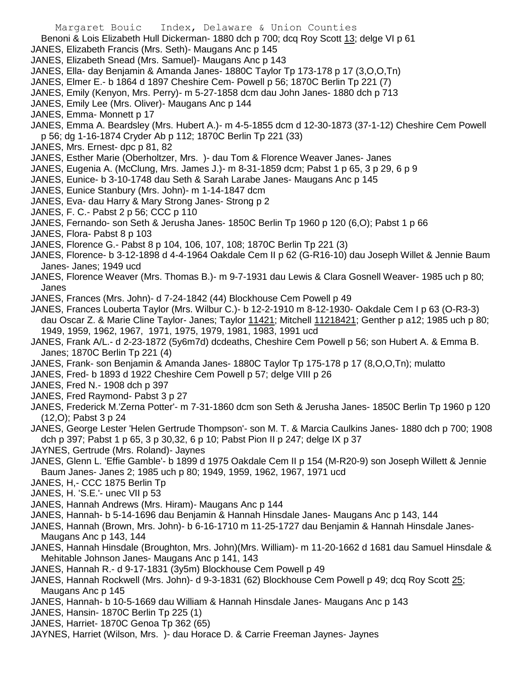Benoni & Lois Elizabeth Hull Dickerman- 1880 dch p 700; dcq Roy Scott 13; delge VI p 61

JANES, Elizabeth Francis (Mrs. Seth)- Maugans Anc p 145

- JANES, Elizabeth Snead (Mrs. Samuel)- Maugans Anc p 143
- JANES, Ella- day Benjamin & Amanda Janes- 1880C Taylor Tp 173-178 p 17 (3,O,O,Tn)
- JANES, Elmer E.- b 1864 d 1897 Cheshire Cem- Powell p 56; 1870C Berlin Tp 221 (7)
- JANES, Emily (Kenyon, Mrs. Perry)- m 5-27-1858 dcm dau John Janes- 1880 dch p 713
- JANES, Emily Lee (Mrs. Oliver)- Maugans Anc p 144
- JANES, Emma- Monnett p 17
- JANES, Emma A. Beardsley (Mrs. Hubert A.)- m 4-5-1855 dcm d 12-30-1873 (37-1-12) Cheshire Cem Powell p 56; dg 1-16-1874 Cryder Ab p 112; 1870C Berlin Tp 221 (33)
- JANES, Mrs. Ernest- dpc p 81, 82
- JANES, Esther Marie (Oberholtzer, Mrs. )- dau Tom & Florence Weaver Janes- Janes
- JANES, Eugenia A. (McClung, Mrs. James J.)- m 8-31-1859 dcm; Pabst 1 p 65, 3 p 29, 6 p 9
- JANES, Eunice- b 3-10-1748 dau Seth & Sarah Larabe Janes- Maugans Anc p 145
- JANES, Eunice Stanbury (Mrs. John)- m 1-14-1847 dcm
- JANES, Eva- dau Harry & Mary Strong Janes- Strong p 2
- JANES, F. C.- Pabst 2 p 56; CCC p 110
- JANES, Fernando- son Seth & Jerusha Janes- 1850C Berlin Tp 1960 p 120 (6,O); Pabst 1 p 66
- JANES, Flora- Pabst 8 p 103
- JANES, Florence G.- Pabst 8 p 104, 106, 107, 108; 1870C Berlin Tp 221 (3)
- JANES, Florence- b 3-12-1898 d 4-4-1964 Oakdale Cem II p 62 (G-R16-10) dau Joseph Willet & Jennie Baum Janes- Janes; 1949 ucd
- JANES, Florence Weaver (Mrs. Thomas B.)- m 9-7-1931 dau Lewis & Clara Gosnell Weaver- 1985 uch p 80; Janes
- JANES, Frances (Mrs. John)- d 7-24-1842 (44) Blockhouse Cem Powell p 49
- JANES, Frances Louberta Taylor (Mrs. Wilbur C.)- b 12-2-1910 m 8-12-1930- Oakdale Cem I p 63 (O-R3-3) dau Oscar Z. & Marie Cline Taylor- Janes; Taylor 11421; Mitchell 11218421; Genther p a12; 1985 uch p 80; 1949, 1959, 1962, 1967, 1971, 1975, 1979, 1981, 1983, 1991 ucd
- JANES, Frank A/L.- d 2-23-1872 (5y6m7d) dcdeaths, Cheshire Cem Powell p 56; son Hubert A. & Emma B. Janes; 1870C Berlin Tp 221 (4)
- JANES, Frank- son Benjamin & Amanda Janes- 1880C Taylor Tp 175-178 p 17 (8,O,O,Tn); mulatto
- JANES, Fred- b 1893 d 1922 Cheshire Cem Powell p 57; delge VIII p 26
- JANES, Fred N.- 1908 dch p 397
- JANES, Fred Raymond- Pabst 3 p 27
- JANES, Frederick M.'Zerna Potter'- m 7-31-1860 dcm son Seth & Jerusha Janes- 1850C Berlin Tp 1960 p 120 (12,O); Pabst 3 p 24
- JANES, George Lester 'Helen Gertrude Thompson'- son M. T. & Marcia Caulkins Janes- 1880 dch p 700; 1908 dch p 397; Pabst 1 p 65, 3 p 30,32, 6 p 10; Pabst Pion II p 247; delge IX p 37
- JAYNES, Gertrude (Mrs. Roland)- Jaynes
- JANES, Glenn L. 'Effie Gamble'- b 1899 d 1975 Oakdale Cem II p 154 (M-R20-9) son Joseph Willett & Jennie Baum Janes- Janes 2; 1985 uch p 80; 1949, 1959, 1962, 1967, 1971 ucd
- JANES, H,- CCC 1875 Berlin Tp
- JANES, H. 'S.E.'- unec VII p 53
- JANES, Hannah Andrews (Mrs. Hiram)- Maugans Anc p 144
- JANES, Hannah- b 5-14-1696 dau Benjamin & Hannah Hinsdale Janes- Maugans Anc p 143, 144
- JANES, Hannah (Brown, Mrs. John)- b 6-16-1710 m 11-25-1727 dau Benjamin & Hannah Hinsdale Janes-Maugans Anc p 143, 144
- JANES, Hannah Hinsdale (Broughton, Mrs. John)(Mrs. William)- m 11-20-1662 d 1681 dau Samuel Hinsdale & Mehitable Johnson Janes- Maugans Anc p 141, 143
- JANES, Hannah R.- d 9-17-1831 (3y5m) Blockhouse Cem Powell p 49
- JANES, Hannah Rockwell (Mrs. John)- d 9-3-1831 (62) Blockhouse Cem Powell p 49; dcq Roy Scott 25; Maugans Anc p 145
- JANES, Hannah- b 10-5-1669 dau William & Hannah Hinsdale Janes- Maugans Anc p 143
- JANES, Hansin- 1870C Berlin Tp 225 (1)
- JANES, Harriet- 1870C Genoa Tp 362 (65)
- JAYNES, Harriet (Wilson, Mrs. )- dau Horace D. & Carrie Freeman Jaynes- Jaynes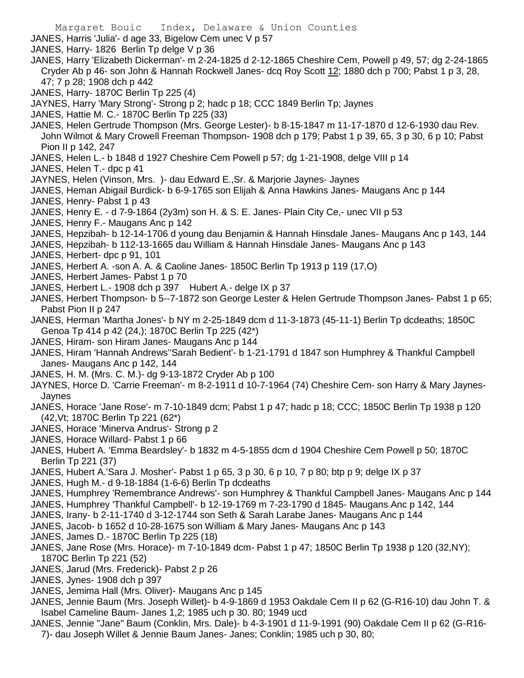Margaret Bouic Index, Delaware & Union Counties JANES, Harris 'Julia'- d age 33, Bigelow Cem unec V p 57 JANES, Harry- 1826 Berlin Tp delge V p 36 JANES, Harry 'Elizabeth Dickerman'- m 2-24-1825 d 2-12-1865 Cheshire Cem, Powell p 49, 57; dg 2-24-1865 Cryder Ab p 46- son John & Hannah Rockwell Janes- dcq Roy Scott 12; 1880 dch p 700; Pabst 1 p 3, 28, 47; 7 p 28; 1908 dch p 442 JANES, Harry- 1870C Berlin Tp 225 (4) JAYNES, Harry 'Mary Strong'- Strong p 2; hadc p 18; CCC 1849 Berlin Tp; Jaynes JANES, Hattie M. C.- 1870C Berlin Tp 225 (33) JANES, Helen Gertrude Thompson (Mrs. George Lester)- b 8-15-1847 m 11-17-1870 d 12-6-1930 dau Rev. John Wilmot & Mary Crowell Freeman Thompson- 1908 dch p 179; Pabst 1 p 39, 65, 3 p 30, 6 p 10; Pabst Pion II p 142, 247 JANES, Helen L.- b 1848 d 1927 Cheshire Cem Powell p 57; dg 1-21-1908, delge VIII p 14 JANES, Helen T.- dpc p 41 JAYNES, Helen (Vinson, Mrs. )- dau Edward E.,Sr. & Marjorie Jaynes- Jaynes JANES, Heman Abigail Burdick- b 6-9-1765 son Elijah & Anna Hawkins Janes- Maugans Anc p 144 JANES, Henry- Pabst 1 p 43 JANES, Henry E. - d 7-9-1864 (2y3m) son H. & S. E. Janes- Plain City Ce,- unec VII p 53 JANES, Henry F.- Maugans Anc p 142 JANES, Hepzibah- b 12-14-1706 d young dau Benjamin & Hannah Hinsdale Janes- Maugans Anc p 143, 144 JANES, Hepzibah- b 112-13-1665 dau William & Hannah Hinsdale Janes- Maugans Anc p 143 JANES, Herbert- dpc p 91, 101 JANES, Herbert A. -son A. A. & Caoline Janes- 1850C Berlin Tp 1913 p 119 (17,O) JANES, Herbert James- Pabst 1 p 70 JANES, Herbert L.- 1908 dch p 397 Hubert A.- delge IX p 37 JANES, Herbert Thompson- b 5--7-1872 son George Lester & Helen Gertrude Thompson Janes- Pabst 1 p 65; Pabst Pion II p 247 JANES, Herman 'Martha Jones'- b NY m 2-25-1849 dcm d 11-3-1873 (45-11-1) Berlin Tp dcdeaths; 1850C Genoa Tp 414 p 42 (24,); 1870C Berlin Tp 225 (42\*) JANES, Hiram- son Hiram Janes- Maugans Anc p 144 JANES, Hiram 'Hannah Andrews''Sarah Bedient'- b 1-21-1791 d 1847 son Humphrey & Thankful Campbell Janes- Maugans Anc p 142, 144 JANES, H. M. (Mrs. C. M.)- dg 9-13-1872 Cryder Ab p 100 JAYNES, Horce D. 'Carrie Freeman'- m 8-2-1911 d 10-7-1964 (74) Cheshire Cem- son Harry & Mary Jaynes-Jaynes JANES, Horace 'Jane Rose'- m 7-10-1849 dcm; Pabst 1 p 47; hadc p 18; CCC; 1850C Berlin Tp 1938 p 120 (42,Vt; 1870C Berlin Tp 221 (62\*) JANES, Horace 'Minerva Andrus'- Strong p 2 JANES, Horace Willard- Pabst 1 p 66 JANES, Hubert A. 'Emma Beardsley'- b 1832 m 4-5-1855 dcm d 1904 Cheshire Cem Powell p 50; 1870C Berlin Tp 221 (37) JANES, Hubert A.'Sara J. Mosher'- Pabst 1 p 65, 3 p 30, 6 p 10, 7 p 80; btp p 9; delge IX p 37 JANES, Hugh M.- d 9-18-1884 (1-6-6) Berlin Tp dcdeaths JANES, Humphrey 'Remembrance Andrews'- son Humphrey & Thankful Campbell Janes- Maugans Anc p 144 JANES, Humphrey 'Thankful Campbell'- b 12-19-1769 m 7-23-1790 d 1845- Maugans Anc p 142, 144 JANES, Irany- b 2-11-1740 d 3-12-1744 son Seth & Sarah Larabe Janes- Maugans Anc p 144 JANES, Jacob- b 1652 d 10-28-1675 son William & Mary Janes- Maugans Anc p 143 JANES, James D.- 1870C Berlin Tp 225 (18) JANES, Jane Rose (Mrs. Horace)- m 7-10-1849 dcm- Pabst 1 p 47; 1850C Berlin Tp 1938 p 120 (32,NY); 1870C Berlin Tp 221 (52)

- JANES, Jarud (Mrs. Frederick)- Pabst 2 p 26
- JANES, Jynes- 1908 dch p 397
- JANES, Jemima Hall (Mrs. Oliver)- Maugans Anc p 145
- JANES, Jennie Baum (Mrs. Joseph Willet)- b 4-9-1869 d 1953 Oakdale Cem II p 62 (G-R16-10) dau John T. & Isabel Cameline Baum- Janes 1,2; 1985 uch p 30. 80; 1949 ucd
- JANES, Jennie "Jane" Baum (Conklin, Mrs. Dale)- b 4-3-1901 d 11-9-1991 (90) Oakdale Cem II p 62 (G-R16- 7)- dau Joseph Willet & Jennie Baum Janes- Janes; Conklin; 1985 uch p 30, 80;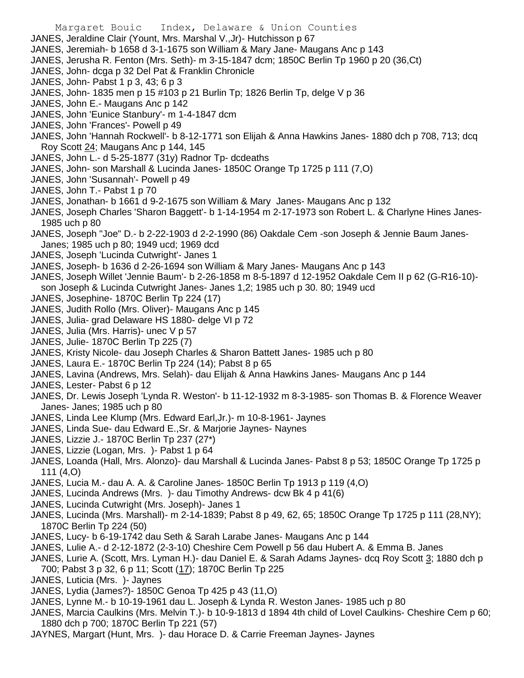Margaret Bouic Index, Delaware & Union Counties JANES, Jeraldine Clair (Yount, Mrs. Marshal V.,Jr)- Hutchisson p 67 JANES, Jeremiah- b 1658 d 3-1-1675 son William & Mary Jane- Maugans Anc p 143 JANES, Jerusha R. Fenton (Mrs. Seth)- m 3-15-1847 dcm; 1850C Berlin Tp 1960 p 20 (36,Ct) JANES, John- dcga p 32 Del Pat & Franklin Chronicle JANES, John- Pabst 1 p 3, 43; 6 p 3 JANES, John- 1835 men p 15 #103 p 21 Burlin Tp; 1826 Berlin Tp, delge V p 36 JANES, John E.- Maugans Anc p 142 JANES, John 'Eunice Stanbury'- m 1-4-1847 dcm JANES, John 'Frances'- Powell p 49 JANES, John 'Hannah Rockwell'- b 8-12-1771 son Elijah & Anna Hawkins Janes- 1880 dch p 708, 713; dcq Roy Scott 24; Maugans Anc p 144, 145 JANES, John L.- d 5-25-1877 (31y) Radnor Tp- dcdeaths JANES, John- son Marshall & Lucinda Janes- 1850C Orange Tp 1725 p 111 (7,O) JANES, John 'Susannah'- Powell p 49 JANES, John T.- Pabst 1 p 70 JANES, Jonathan- b 1661 d 9-2-1675 son William & Mary Janes- Maugans Anc p 132 JANES, Joseph Charles 'Sharon Baggett'- b 1-14-1954 m 2-17-1973 son Robert L. & Charlyne Hines Janes-1985 uch p 80 JANES, Joseph "Joe" D.- b 2-22-1903 d 2-2-1990 (86) Oakdale Cem -son Joseph & Jennie Baum Janes-Janes; 1985 uch p 80; 1949 ucd; 1969 dcd JANES, Joseph 'Lucinda Cutwright'- Janes 1 JANES, Joseph- b 1636 d 2-26-1694 son William & Mary Janes- Maugans Anc p 143 JANES, Joseph Willet 'Jennie Baum'- b 2-26-1858 m 8-5-1897 d 12-1952 Oakdale Cem II p 62 (G-R16-10) son Joseph & Lucinda Cutwright Janes- Janes 1,2; 1985 uch p 30. 80; 1949 ucd JANES, Josephine- 1870C Berlin Tp 224 (17) JANES, Judith Rollo (Mrs. Oliver)- Maugans Anc p 145 JANES, Julia- grad Delaware HS 1880- delge VI p 72 JANES, Julia (Mrs. Harris)- unec V p 57 JANES, Julie- 1870C Berlin Tp 225 (7) JANES, Kristy Nicole- dau Joseph Charles & Sharon Battett Janes- 1985 uch p 80 JANES, Laura E.- 1870C Berlin Tp 224 (14); Pabst 8 p 65 JANES, Lavina (Andrews, Mrs. Selah)- dau Elijah & Anna Hawkins Janes- Maugans Anc p 144 JANES, Lester- Pabst 6 p 12 JANES, Dr. Lewis Joseph 'Lynda R. Weston'- b 11-12-1932 m 8-3-1985- son Thomas B. & Florence Weaver Janes- Janes; 1985 uch p 80 JANES, Linda Lee Klump (Mrs. Edward Earl,Jr.)- m 10-8-1961- Jaynes JANES, Linda Sue- dau Edward E.,Sr. & Marjorie Jaynes- Naynes JANES, Lizzie J.- 1870C Berlin Tp 237 (27\*) JANES, Lizzie (Logan, Mrs. )- Pabst 1 p 64 JANES, Loanda (Hall, Mrs. Alonzo)- dau Marshall & Lucinda Janes- Pabst 8 p 53; 1850C Orange Tp 1725 p 111 (4,O)

- JANES, Lucia M.- dau A. A. & Caroline Janes- 1850C Berlin Tp 1913 p 119 (4,O)
- JANES, Lucinda Andrews (Mrs. )- dau Timothy Andrews- dcw Bk 4 p 41(6)
- JANES, Lucinda Cutwright (Mrs. Joseph)- Janes 1
- JANES, Lucinda (Mrs. Marshall)- m 2-14-1839; Pabst 8 p 49, 62, 65; 1850C Orange Tp 1725 p 111 (28,NY); 1870C Berlin Tp 224 (50)
- JANES, Lucy- b 6-19-1742 dau Seth & Sarah Larabe Janes- Maugans Anc p 144
- JANES, Lulie A.- d 2-12-1872 (2-3-10) Cheshire Cem Powell p 56 dau Hubert A. & Emma B. Janes
- JANES, Lurie A. (Scott, Mrs. Lyman H.)- dau Daniel E. & Sarah Adams Jaynes- dcq Roy Scott 3; 1880 dch p
- 700; Pabst 3 p 32, 6 p 11; Scott (17); 1870C Berlin Tp 225
- JANES, Luticia (Mrs. )- Jaynes
- JANES, Lydia (James?)- 1850C Genoa Tp 425 p 43 (11,O)
- JANES, Lynne M.- b 10-19-1961 dau L. Joseph & Lynda R. Weston Janes- 1985 uch p 80
- JANES, Marcia Caulkins (Mrs. Melvin T.)- b 10-9-1813 d 1894 4th child of Lovel Caulkins- Cheshire Cem p 60; 1880 dch p 700; 1870C Berlin Tp 221 (57)
- JAYNES, Margart (Hunt, Mrs. )- dau Horace D. & Carrie Freeman Jaynes- Jaynes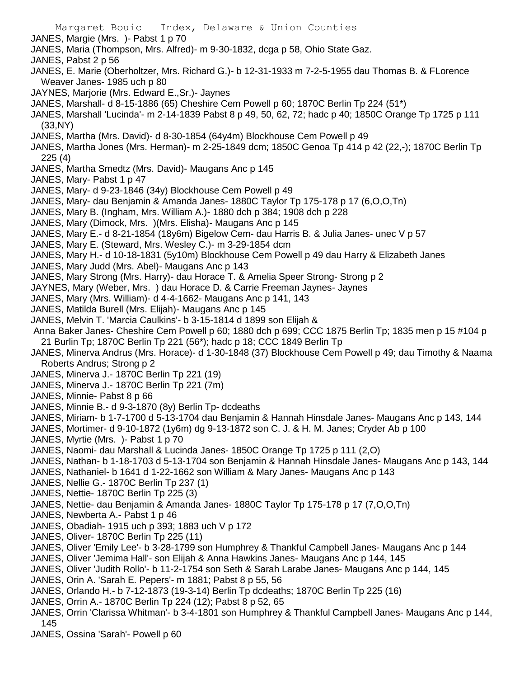- Margaret Bouic Index, Delaware & Union Counties JANES, Margie (Mrs. )- Pabst 1 p 70 JANES, Maria (Thompson, Mrs. Alfred)- m 9-30-1832, dcga p 58, Ohio State Gaz. JANES, Pabst 2 p 56 JANES, E. Marie (Oberholtzer, Mrs. Richard G.)- b 12-31-1933 m 7-2-5-1955 dau Thomas B. & FLorence Weaver Janes- 1985 uch p 80 JAYNES, Marjorie (Mrs. Edward E.,Sr.)- Jaynes JANES, Marshall- d 8-15-1886 (65) Cheshire Cem Powell p 60; 1870C Berlin Tp 224 (51\*) JANES, Marshall 'Lucinda'- m 2-14-1839 Pabst 8 p 49, 50, 62, 72; hadc p 40; 1850C Orange Tp 1725 p 111 (33,NY) JANES, Martha (Mrs. David)- d 8-30-1854 (64y4m) Blockhouse Cem Powell p 49 JANES, Martha Jones (Mrs. Herman)- m 2-25-1849 dcm; 1850C Genoa Tp 414 p 42 (22,-); 1870C Berlin Tp 225 (4) JANES, Martha Smedtz (Mrs. David)- Maugans Anc p 145 JANES, Mary- Pabst 1 p 47 JANES, Mary- d 9-23-1846 (34y) Blockhouse Cem Powell p 49 JANES, Mary- dau Benjamin & Amanda Janes- 1880C Taylor Tp 175-178 p 17 (6,O,O,Tn) JANES, Mary B. (Ingham, Mrs. William A.)- 1880 dch p 384; 1908 dch p 228 JANES, Mary (Dimock, Mrs. )(Mrs. Elisha)- Maugans Anc p 145 JANES, Mary E.- d 8-21-1854 (18y6m) Bigelow Cem- dau Harris B. & Julia Janes- unec V p 57 JANES, Mary E. (Steward, Mrs. Wesley C.)- m 3-29-1854 dcm JANES, Mary H.- d 10-18-1831 (5y10m) Blockhouse Cem Powell p 49 dau Harry & Elizabeth Janes JANES, Mary Judd (Mrs. Abel)- Maugans Anc p 143 JANES, Mary Strong (Mrs. Harry)- dau Horace T. & Amelia Speer Strong- Strong p 2 JAYNES, Mary (Weber, Mrs. ) dau Horace D. & Carrie Freeman Jaynes- Jaynes JANES, Mary (Mrs. William)- d 4-4-1662- Maugans Anc p 141, 143 JANES, Matilda Burell (Mrs. Elijah)- Maugans Anc p 145 JANES, Melvin T. 'Marcia Caulkins'- b 3-15-1814 d 1899 son Elijah & Anna Baker Janes- Cheshire Cem Powell p 60; 1880 dch p 699; CCC 1875 Berlin Tp; 1835 men p 15 #104 p 21 Burlin Tp; 1870C Berlin Tp 221 (56\*); hadc p 18; CCC 1849 Berlin Tp JANES, Minerva Andrus (Mrs. Horace)- d 1-30-1848 (37) Blockhouse Cem Powell p 49; dau Timothy & Naama Roberts Andrus; Strong p 2 JANES, Minerva J.- 1870C Berlin Tp 221 (19) JANES, Minerva J.- 1870C Berlin Tp 221 (7m) JANES, Minnie- Pabst 8 p 66 JANES, Minnie B.- d 9-3-1870 (8y) Berlin Tp- dcdeaths JANES, Miriam- b 1-7-1700 d 5-13-1704 dau Benjamin & Hannah Hinsdale Janes- Maugans Anc p 143, 144 JANES, Mortimer- d 9-10-1872 (1y6m) dg 9-13-1872 son C. J. & H. M. Janes; Cryder Ab p 100 JANES, Myrtie (Mrs. )- Pabst 1 p 70 JANES, Naomi- dau Marshall & Lucinda Janes- 1850C Orange Tp 1725 p 111 (2,O) JANES, Nathan- b 1-18-1703 d 5-13-1704 son Benjamin & Hannah Hinsdale Janes- Maugans Anc p 143, 144 JANES, Nathaniel- b 1641 d 1-22-1662 son William & Mary Janes- Maugans Anc p 143 JANES, Nellie G.- 1870C Berlin Tp 237 (1) JANES, Nettie- 1870C Berlin Tp 225 (3) JANES, Nettie- dau Benjamin & Amanda Janes- 1880C Taylor Tp 175-178 p 17 (7,O,O,Tn) JANES, Newberta A.- Pabst 1 p 46 JANES, Obadiah- 1915 uch p 393; 1883 uch V p 172 JANES, Oliver- 1870C Berlin Tp 225 (11) JANES, Oliver 'Emily Lee'- b 3-28-1799 son Humphrey & Thankful Campbell Janes- Maugans Anc p 144 JANES, Oliver 'Jemima Hall'- son Elijah & Anna Hawkins Janes- Maugans Anc p 144, 145 JANES, Oliver 'Judith Rollo'- b 11-2-1754 son Seth & Sarah Larabe Janes- Maugans Anc p 144, 145 JANES, Orin A. 'Sarah E. Pepers'- m 1881; Pabst 8 p 55, 56 JANES, Orlando H.- b 7-12-1873 (19-3-14) Berlin Tp dcdeaths; 1870C Berlin Tp 225 (16) JANES, Orrin A.- 1870C Berlin Tp 224 (12); Pabst 8 p 52, 65 JANES, Orrin 'Clarissa Whitman'- b 3-4-1801 son Humphrey & Thankful Campbell Janes- Maugans Anc p 144, 145
- JANES, Ossina 'Sarah'- Powell p 60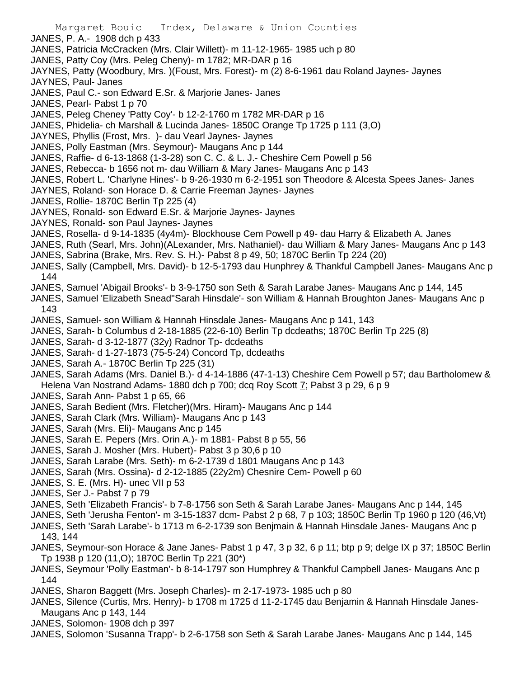- Margaret Bouic Index, Delaware & Union Counties JANES, P. A.- 1908 dch p 433 JANES, Patricia McCracken (Mrs. Clair Willett)- m 11-12-1965- 1985 uch p 80 JANES, Patty Coy (Mrs. Peleg Cheny)- m 1782; MR-DAR p 16 JAYNES, Patty (Woodbury, Mrs. )(Foust, Mrs. Forest)- m (2) 8-6-1961 dau Roland Jaynes- Jaynes JAYNES, Paul- Janes JANES, Paul C.- son Edward E.Sr. & Marjorie Janes- Janes JANES, Pearl- Pabst 1 p 70 JANES, Peleg Cheney 'Patty Coy'- b 12-2-1760 m 1782 MR-DAR p 16 JANES, Phidelia- ch Marshall & Lucinda Janes- 1850C Orange Tp 1725 p 111 (3,O) JAYNES, Phyllis (Frost, Mrs. )- dau Vearl Jaynes- Jaynes JANES, Polly Eastman (Mrs. Seymour)- Maugans Anc p 144 JANES, Raffie- d 6-13-1868 (1-3-28) son C. C. & L. J.- Cheshire Cem Powell p 56 JANES, Rebecca- b 1656 not m- dau William & Mary Janes- Maugans Anc p 143 JANES, Robert L. 'Charlyne Hines'- b 9-26-1930 m 6-2-1951 son Theodore & Alcesta Spees Janes- Janes JAYNES, Roland- son Horace D. & Carrie Freeman Jaynes- Jaynes JANES, Rollie- 1870C Berlin Tp 225 (4) JAYNES, Ronald- son Edward E.Sr. & Marjorie Jaynes- Jaynes JAYNES, Ronald- son Paul Jaynes- Jaynes JANES, Rosella- d 9-14-1835 (4y4m)- Blockhouse Cem Powell p 49- dau Harry & Elizabeth A. Janes JANES, Ruth (Searl, Mrs. John)(ALexander, Mrs. Nathaniel)- dau William & Mary Janes- Maugans Anc p 143 JANES, Sabrina (Brake, Mrs. Rev. S. H.)- Pabst 8 p 49, 50; 1870C Berlin Tp 224 (20) JANES, Sally (Campbell, Mrs. David)- b 12-5-1793 dau Hunphrey & Thankful Campbell Janes- Maugans Anc p 144 JANES, Samuel 'Abigail Brooks'- b 3-9-1750 son Seth & Sarah Larabe Janes- Maugans Anc p 144, 145 JANES, Samuel 'Elizabeth Snead''Sarah Hinsdale'- son William & Hannah Broughton Janes- Maugans Anc p 143 JANES, Samuel- son William & Hannah Hinsdale Janes- Maugans Anc p 141, 143 JANES, Sarah- b Columbus d 2-18-1885 (22-6-10) Berlin Tp dcdeaths; 1870C Berlin Tp 225 (8) JANES, Sarah- d 3-12-1877 (32y) Radnor Tp- dcdeaths JANES, Sarah- d 1-27-1873 (75-5-24) Concord Tp, dcdeaths JANES, Sarah A.- 1870C Berlin Tp 225 (31) JANES, Sarah Adams (Mrs. Daniel B.)- d 4-14-1886 (47-1-13) Cheshire Cem Powell p 57; dau Bartholomew & Helena Van Nostrand Adams- 1880 dch p 700; dcq Roy Scott 7; Pabst 3 p 29, 6 p 9 JANES, Sarah Ann- Pabst 1 p 65, 66 JANES, Sarah Bedient (Mrs. Fletcher)(Mrs. Hiram)- Maugans Anc p 144 JANES, Sarah Clark (Mrs. William)- Maugans Anc p 143 JANES, Sarah (Mrs. Eli)- Maugans Anc p 145 JANES, Sarah E. Pepers (Mrs. Orin A.)- m 1881- Pabst 8 p 55, 56 JANES, Sarah J. Mosher (Mrs. Hubert)- Pabst 3 p 30,6 p 10
	- JANES, Sarah Larabe (Mrs. Seth)- m 6-2-1739 d 1801 Maugans Anc p 143
	- JANES, Sarah (Mrs. Ossina)- d 2-12-1885 (22y2m) Chesnire Cem- Powell p 60
	- JANES, S. E. (Mrs. H)- unec VII p 53
	- JANES, Ser J.- Pabst 7 p 79
	- JANES, Seth 'Elizabeth Francis'- b 7-8-1756 son Seth & Sarah Larabe Janes- Maugans Anc p 144, 145
	- JANES, Seth 'Jerusha Fenton'- m 3-15-1837 dcm- Pabst 2 p 68, 7 p 103; 1850C Berlin Tp 1960 p 120 (46,Vt)
	- JANES, Seth 'Sarah Larabe'- b 1713 m 6-2-1739 son Benjmain & Hannah Hinsdale Janes- Maugans Anc p 143, 144
	- JANES, Seymour-son Horace & Jane Janes- Pabst 1 p 47, 3 p 32, 6 p 11; btp p 9; delge IX p 37; 1850C Berlin Tp 1938 p 120 (11,O); 1870C Berlin Tp 221 (30\*)
	- JANES, Seymour 'Polly Eastman'- b 8-14-1797 son Humphrey & Thankful Campbell Janes- Maugans Anc p 144
	- JANES, Sharon Baggett (Mrs. Joseph Charles)- m 2-17-1973- 1985 uch p 80
	- JANES, Silence (Curtis, Mrs. Henry)- b 1708 m 1725 d 11-2-1745 dau Benjamin & Hannah Hinsdale Janes-Maugans Anc p 143, 144
	- JANES, Solomon- 1908 dch p 397
	- JANES, Solomon 'Susanna Trapp'- b 2-6-1758 son Seth & Sarah Larabe Janes- Maugans Anc p 144, 145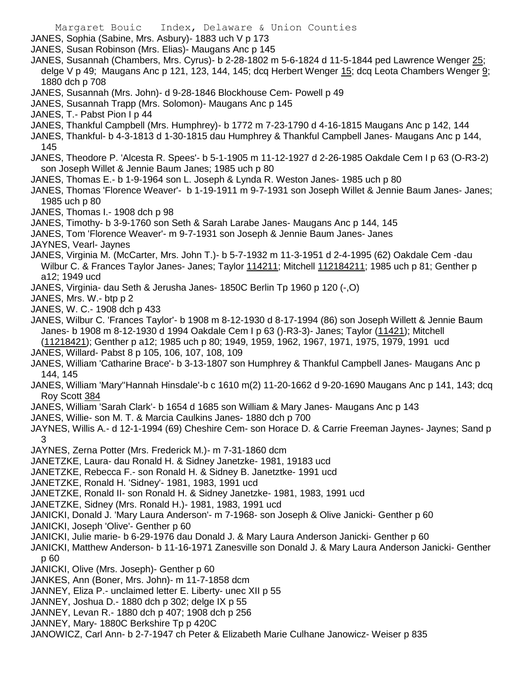- JANES, Sophia (Sabine, Mrs. Asbury)- 1883 uch V p 173
- JANES, Susan Robinson (Mrs. Elias)- Maugans Anc p 145
- JANES, Susannah (Chambers, Mrs. Cyrus)- b 2-28-1802 m 5-6-1824 d 11-5-1844 ped Lawrence Wenger 25; delge V p 49; Maugans Anc p 121, 123, 144, 145; dcq Herbert Wenger 15; dcq Leota Chambers Wenger 9; 1880 dch p 708
- JANES, Susannah (Mrs. John)- d 9-28-1846 Blockhouse Cem- Powell p 49
- JANES, Susannah Trapp (Mrs. Solomon)- Maugans Anc p 145
- JANES, T.- Pabst Pion I p 44
- JANES, Thankful Campbell (Mrs. Humphrey)- b 1772 m 7-23-1790 d 4-16-1815 Maugans Anc p 142, 144
- JANES, Thankful- b 4-3-1813 d 1-30-1815 dau Humphrey & Thankful Campbell Janes- Maugans Anc p 144, 145
- JANES, Theodore P. 'Alcesta R. Spees'- b 5-1-1905 m 11-12-1927 d 2-26-1985 Oakdale Cem I p 63 (O-R3-2) son Joseph Willet & Jennie Baum Janes; 1985 uch p 80
- JANES, Thomas E.- b 1-9-1964 son L. Joseph & Lynda R. Weston Janes- 1985 uch p 80
- JANES, Thomas 'Florence Weaver'- b 1-19-1911 m 9-7-1931 son Joseph Willet & Jennie Baum Janes- Janes; 1985 uch p 80
- JANES, Thomas I.- 1908 dch p 98
- JANES, Timothy- b 3-9-1760 son Seth & Sarah Larabe Janes- Maugans Anc p 144, 145
- JANES, Tom 'Florence Weaver'- m 9-7-1931 son Joseph & Jennie Baum Janes- Janes
- JAYNES, Vearl- Jaynes
- JANES, Virginia M. (McCarter, Mrs. John T.)- b 5-7-1932 m 11-3-1951 d 2-4-1995 (62) Oakdale Cem -dau Wilbur C. & Frances Taylor Janes- Janes; Taylor 114211; Mitchell 112184211; 1985 uch p 81; Genther p a12; 1949 ucd
- JANES, Virginia- dau Seth & Jerusha Janes- 1850C Berlin Tp 1960 p 120 (-,O)
- JANES, Mrs. W.- btp p 2
- JANES, W. C.- 1908 dch p 433
- JANES, Wilbur C. 'Frances Taylor'- b 1908 m 8-12-1930 d 8-17-1994 (86) son Joseph Willett & Jennie Baum Janes- b 1908 m 8-12-1930 d 1994 Oakdale Cem I p 63 ()-R3-3)- Janes; Taylor (11421); Mitchell
- (11218421); Genther p a12; 1985 uch p 80; 1949, 1959, 1962, 1967, 1971, 1975, 1979, 1991 ucd JANES, Willard- Pabst 8 p 105, 106, 107, 108, 109
- JANES, William 'Catharine Brace'- b 3-13-1807 son Humphrey & Thankful Campbell Janes- Maugans Anc p 144, 145
- JANES, William 'Mary''Hannah Hinsdale'-b c 1610 m(2) 11-20-1662 d 9-20-1690 Maugans Anc p 141, 143; dcq Roy Scott 384
- JANES, William 'Sarah Clark'- b 1654 d 1685 son William & Mary Janes- Maugans Anc p 143
- JANES, Willie- son M. T. & Marcia Caulkins Janes- 1880 dch p 700
- JAYNES, Willis A.- d 12-1-1994 (69) Cheshire Cem- son Horace D. & Carrie Freeman Jaynes- Jaynes; Sand p 3
- JAYNES, Zerna Potter (Mrs. Frederick M.)- m 7-31-1860 dcm
- JANETZKE, Laura- dau Ronald H. & Sidney Janetzke- 1981, 19183 ucd
- JANETZKE, Rebecca F.- son Ronald H. & Sidney B. Janetztke- 1991 ucd
- JANETZKE, Ronald H. 'Sidney'- 1981, 1983, 1991 ucd
- JANETZKE, Ronald II- son Ronald H. & Sidney Janetzke- 1981, 1983, 1991 ucd
- JANETZKE, Sidney (Mrs. Ronald H.)- 1981, 1983, 1991 ucd
- JANICKI, Donald J. 'Mary Laura Anderson'- m 7-1968- son Joseph & Olive Janicki- Genther p 60
- JANICKI, Joseph 'Olive'- Genther p 60
- JANICKI, Julie marie- b 6-29-1976 dau Donald J. & Mary Laura Anderson Janicki- Genther p 60
- JANICKI, Matthew Anderson- b 11-16-1971 Zanesville son Donald J. & Mary Laura Anderson Janicki- Genther p 60
- JANICKI, Olive (Mrs. Joseph)- Genther p 60
- JANKES, Ann (Boner, Mrs. John)- m 11-7-1858 dcm
- JANNEY, Eliza P.- unclaimed letter E. Liberty- unec XII p 55
- JANNEY, Joshua D.- 1880 dch p 302; delge IX p 55
- JANNEY, Levan R.- 1880 dch p 407; 1908 dch p 256
- JANNEY, Mary- 1880C Berkshire Tp p 420C
- JANOWICZ, Carl Ann- b 2-7-1947 ch Peter & Elizabeth Marie Culhane Janowicz- Weiser p 835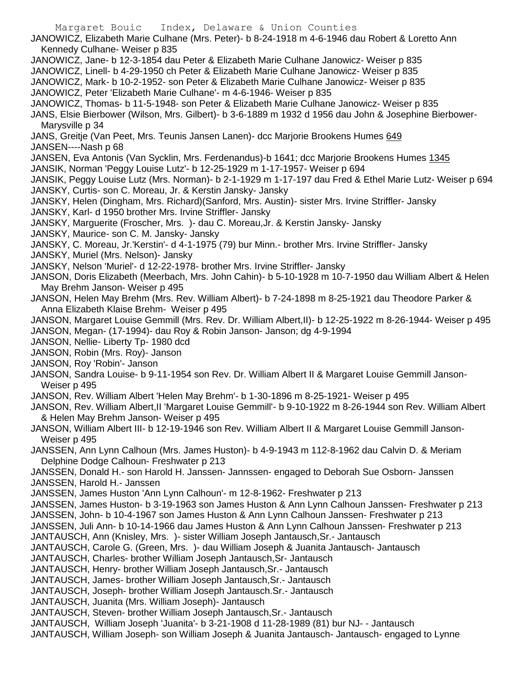Margaret Bouic Index, Delaware & Union Counties JANOWICZ, Elizabeth Marie Culhane (Mrs. Peter)- b 8-24-1918 m 4-6-1946 dau Robert & Loretto Ann Kennedy Culhane- Weiser p 835 JANOWICZ, Jane- b 12-3-1854 dau Peter & Elizabeth Marie Culhane Janowicz- Weiser p 835 JANOWICZ, Linell- b 4-29-1950 ch Peter & Elizabeth Marie Culhane Janowicz- Weiser p 835 JANOWICZ, Mark- b 10-2-1952- son Peter & Elizabeth Marie Culhane Janowicz- Weiser p 835 JANOWICZ, Peter 'Elizabeth Marie Culhane'- m 4-6-1946- Weiser p 835 JANOWICZ, Thomas- b 11-5-1948- son Peter & Elizabeth Marie Culhane Janowicz- Weiser p 835 JANS, Elsie Bierbower (Wilson, Mrs. Gilbert)- b 3-6-1889 m 1932 d 1956 dau John & Josephine Bierbower-Marysville p 34 JANS, Greitje (Van Peet, Mrs. Teunis Jansen Lanen) - dcc Marjorie Brookens Humes 649 JANSEN----Nash p 68 JANSEN, Eva Antonis (Van Sycklin, Mrs. Ferdenandus)-b 1641; dcc Marjorie Brookens Humes 1345 JANSIK, Norman 'Peggy Louise Lutz'- b 12-25-1929 m 1-17-1957- Weiser p 694 JANSIK, Peggy Louise Lutz (Mrs. Norman)- b 2-1-1929 m 1-17-197 dau Fred & Ethel Marie Lutz- Weiser p 694 JANSKY, Curtis- son C. Moreau, Jr. & Kerstin Jansky- Jansky JANSKY, Helen (Dingham, Mrs. Richard)(Sanford, Mrs. Austin)- sister Mrs. Irvine Striffler- Jansky JANSKY, Karl- d 1950 brother Mrs. Irvine Striffler- Jansky JANSKY, Marguerite (Froscher, Mrs. )- dau C. Moreau,Jr. & Kerstin Jansky- Jansky JANSKY, Maurice- son C. M. Jansky- Jansky JANSKY, C. Moreau, Jr.'Kerstin'- d 4-1-1975 (79) bur Minn.- brother Mrs. Irvine Striffler- Jansky JANSKY, Muriel (Mrs. Nelson)- Jansky JANSKY, Nelson 'Muriel'- d 12-22-1978- brother Mrs. Irvine Striffler- Jansky JANSON, Doris Elizabeth (Meerbach, Mrs. John Cahin)- b 5-10-1928 m 10-7-1950 dau William Albert & Helen May Brehm Janson- Weiser p 495 JANSON, Helen May Brehm (Mrs. Rev. William Albert)- b 7-24-1898 m 8-25-1921 dau Theodore Parker & Anna Elizabeth Klaise Brehm- Weiser p 495 JANSON, Margaret Louise Gemmill (Mrs. Rev. Dr. William Albert,II)- b 12-25-1922 m 8-26-1944- Weiser p 495 JANSON, Megan- (17-1994)- dau Roy & Robin Janson- Janson; dg 4-9-1994 JANSON, Nellie- Liberty Tp- 1980 dcd JANSON, Robin (Mrs. Roy)- Janson JANSON, Roy 'Robin'- Janson JANSON, Sandra Louise- b 9-11-1954 son Rev. Dr. William Albert II & Margaret Louise Gemmill Janson-Weiser p 495 JANSON, Rev. William Albert 'Helen May Brehm'- b 1-30-1896 m 8-25-1921- Weiser p 495 JANSON, Rev. William Albert,II 'Margaret Louise Gemmill'- b 9-10-1922 m 8-26-1944 son Rev. William Albert & Helen May Brehm Janson- Weiser p 495 JANSON, William Albert III- b 12-19-1946 son Rev. William Albert II & Margaret Louise Gemmill Janson-Weiser p 495 JANSSEN, Ann Lynn Calhoun (Mrs. James Huston)- b 4-9-1943 m 112-8-1962 dau Calvin D. & Meriam Delphine Dodge Calhoun- Freshwater p 213 JANSSEN, Donald H.- son Harold H. Janssen- Jannssen- engaged to Deborah Sue Osborn- Janssen JANSSEN, Harold H.- Janssen JANSSEN, James Huston 'Ann Lynn Calhoun'- m 12-8-1962- Freshwater p 213 JANSSEN, James Huston- b 3-19-1963 son James Huston & Ann Lynn Calhoun Janssen- Freshwater p 213 JANSSEN, John- b 10-4-1967 son James Huston & Ann Lynn Calhoun Janssen- Freshwater p 213 JANSSEN, Juli Ann- b 10-14-1966 dau James Huston & Ann Lynn Calhoun Janssen- Freshwater p 213 JANTAUSCH, Ann (Knisley, Mrs. )- sister William Joseph Jantausch,Sr.- Jantausch JANTAUSCH, Carole G. (Green, Mrs. )- dau William Joseph & Juanita Jantausch- Jantausch JANTAUSCH, Charles- brother William Joseph Jantausch,Sr- Jantausch JANTAUSCH, Henry- brother William Joseph Jantausch,Sr.- Jantausch JANTAUSCH, James- brother William Joseph Jantausch,Sr.- Jantausch JANTAUSCH, Joseph- brother William Joseph Jantausch.Sr.- Jantausch JANTAUSCH, Juanita (Mrs. William Joseph)- Jantausch JANTAUSCH, Steven- brother William Joseph Jantausch,Sr.- Jantausch JANTAUSCH, William Joseph 'Juanita'- b 3-21-1908 d 11-28-1989 (81) bur NJ- - Jantausch JANTAUSCH, William Joseph- son William Joseph & Juanita Jantausch- Jantausch- engaged to Lynne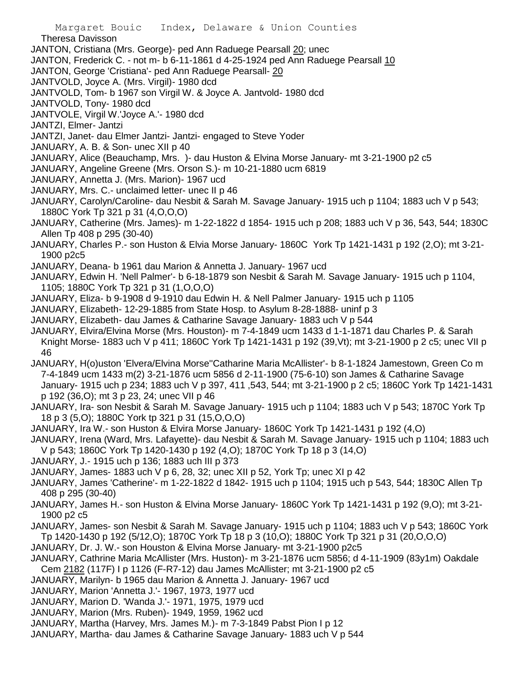Theresa Davisson

- JANTON, Cristiana (Mrs. George)- ped Ann Raduege Pearsall 20; unec
- JANTON, Frederick C. not m- b 6-11-1861 d 4-25-1924 ped Ann Raduege Pearsall 10
- JANTON, George 'Cristiana'- ped Ann Raduege Pearsall- 20
- JANTVOLD, Joyce A. (Mrs. Virgil)- 1980 dcd
- JANTVOLD, Tom- b 1967 son Virgil W. & Joyce A. Jantvold- 1980 dcd
- JANTVOLD, Tony- 1980 dcd
- JANTVOLE, Virgil W.'Joyce A.'- 1980 dcd
- JANTZI, Elmer- Jantzi
- JANTZI, Janet- dau Elmer Jantzi- Jantzi- engaged to Steve Yoder
- JANUARY, A. B. & Son- unec XII p 40
- JANUARY, Alice (Beauchamp, Mrs. )- dau Huston & Elvina Morse January- mt 3-21-1900 p2 c5
- JANUARY, Angeline Greene (Mrs. Orson S.)- m 10-21-1880 ucm 6819
- JANUARY, Annetta J. (Mrs. Marion)- 1967 ucd
- JANUARY, Mrs. C.- unclaimed letter- unec II p 46
- JANUARY, Carolyn/Caroline- dau Nesbit & Sarah M. Savage January- 1915 uch p 1104; 1883 uch V p 543; 1880C York Tp 321 p 31 (4,O,O,O)
- JANUARY, Catherine (Mrs. James)- m 1-22-1822 d 1854- 1915 uch p 208; 1883 uch V p 36, 543, 544; 1830C Allen Tp 408 p 295 (30-40)
- JANUARY, Charles P.- son Huston & Elvia Morse January- 1860C York Tp 1421-1431 p 192 (2,O); mt 3-21- 1900 p2c5
- JANUARY, Deana- b 1961 dau Marion & Annetta J. January- 1967 ucd
- JANUARY, Edwin H. 'Nell Palmer'- b 6-18-1879 son Nesbit & Sarah M. Savage January- 1915 uch p 1104, 1105; 1880C York Tp 321 p 31 (1,O,O,O)
- JANUARY, Eliza- b 9-1908 d 9-1910 dau Edwin H. & Nell Palmer January- 1915 uch p 1105
- JANUARY, Elizabeth- 12-29-1885 from State Hosp. to Asylum 8-28-1888- uninf p 3
- JANUARY, Elizabeth- dau James & Catharine Savage January- 1883 uch V p 544
- JANUARY, Elvira/Elvina Morse (Mrs. Houston)- m 7-4-1849 ucm 1433 d 1-1-1871 dau Charles P. & Sarah Knight Morse- 1883 uch V p 411; 1860C York Tp 1421-1431 p 192 (39,Vt); mt 3-21-1900 p 2 c5; unec VII p 46
- JANUARY, H(o)uston 'Elvera/Elvina Morse''Catharine Maria McAllister'- b 8-1-1824 Jamestown, Green Co m 7-4-1849 ucm 1433 m(2) 3-21-1876 ucm 5856 d 2-11-1900 (75-6-10) son James & Catharine Savage January- 1915 uch p 234; 1883 uch V p 397, 411 ,543, 544; mt 3-21-1900 p 2 c5; 1860C York Tp 1421-1431 p 192 (36,O); mt 3 p 23, 24; unec VII p 46
- JANUARY, Ira- son Nesbit & Sarah M. Savage January- 1915 uch p 1104; 1883 uch V p 543; 1870C York Tp 18 p 3 (5,O); 1880C York tp 321 p 31 (15,O,O,O)
- JANUARY, Ira W.- son Huston & Elvira Morse January- 1860C York Tp 1421-1431 p 192 (4,O)
- JANUARY, Irena (Ward, Mrs. Lafayette)- dau Nesbit & Sarah M. Savage January- 1915 uch p 1104; 1883 uch V p 543; 1860C York Tp 1420-1430 p 192 (4,O); 1870C York Tp 18 p 3 (14,O)
- JANUARY, J.- 1915 uch p 136; 1883 uch III p 373
- JANUARY, James- 1883 uch V p 6, 28, 32; unec XII p 52, York Tp; unec XI p 42
- JANUARY, James 'Catherine'- m 1-22-1822 d 1842- 1915 uch p 1104; 1915 uch p 543, 544; 1830C Allen Tp 408 p 295 (30-40)
- JANUARY, James H.- son Huston & Elvina Morse January- 1860C York Tp 1421-1431 p 192 (9,O); mt 3-21- 1900 p2 c5
- JANUARY, James- son Nesbit & Sarah M. Savage January- 1915 uch p 1104; 1883 uch V p 543; 1860C York Tp 1420-1430 p 192 (5/12,O); 1870C York Tp 18 p 3 (10,O); 1880C York Tp 321 p 31 (20,O,O,O)
- JANUARY, Dr. J. W.- son Houston & Elvina Morse January- mt 3-21-1900 p2c5
- JANUARY, Cathrine Maria McAllister (Mrs. Huston)- m 3-21-1876 ucm 5856; d 4-11-1909 (83y1m) Oakdale Cem 2182 (117F) I p 1126 (F-R7-12) dau James McAllister; mt 3-21-1900 p2 c5
- JANUARY, Marilyn- b 1965 dau Marion & Annetta J. January- 1967 ucd
- JANUARY, Marion 'Annetta J.'- 1967, 1973, 1977 ucd
- JANUARY, Marion D. 'Wanda J.'- 1971, 1975, 1979 ucd
- JANUARY, Marion (Mrs. Ruben)- 1949, 1959, 1962 ucd
- JANUARY, Martha (Harvey, Mrs. James M.)- m 7-3-1849 Pabst Pion I p 12
- JANUARY, Martha- dau James & Catharine Savage January- 1883 uch V p 544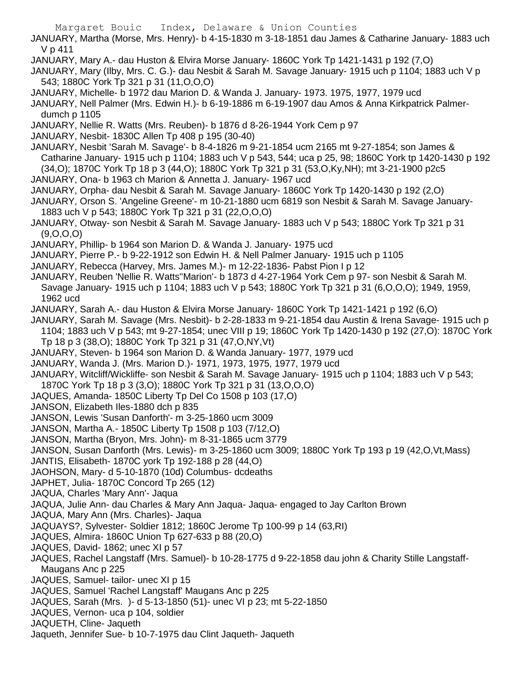JANUARY, Martha (Morse, Mrs. Henry)- b 4-15-1830 m 3-18-1851 dau James & Catharine January- 1883 uch V p 411

- JANUARY, Mary A.- dau Huston & Elvira Morse January- 1860C York Tp 1421-1431 p 192 (7,O)
- JANUARY, Mary (Ilby, Mrs. C. G.)- dau Nesbit & Sarah M. Savage January- 1915 uch p 1104; 1883 uch V p 543; 1880C York Tp 321 p 31 (11,O,O,O)
- JANUARY, Michelle- b 1972 dau Marion D. & Wanda J. January- 1973. 1975, 1977, 1979 ucd

JANUARY, Nell Palmer (Mrs. Edwin H.)- b 6-19-1886 m 6-19-1907 dau Amos & Anna Kirkpatrick Palmerdumch p 1105

JANUARY, Nellie R. Watts (Mrs. Reuben)- b 1876 d 8-26-1944 York Cem p 97

JANUARY, Nesbit- 1830C Allen Tp 408 p 195 (30-40)

JANUARY, Nesbit 'Sarah M. Savage'- b 8-4-1826 m 9-21-1854 ucm 2165 mt 9-27-1854; son James & Catharine January- 1915 uch p 1104; 1883 uch V p 543, 544; uca p 25, 98; 1860C York tp 1420-1430 p 192 (34,O); 1870C York Tp 18 p 3 (44,O); 1880C York Tp 321 p 31 (53,O,Ky,NH); mt 3-21-1900 p2c5

JANUARY, Ona- b 1963 ch Marion & Annetta J. January- 1967 ucd

- JANUARY, Orpha- dau Nesbit & Sarah M. Savage January- 1860C York Tp 1420-1430 p 192 (2,O)
- JANUARY, Orson S. 'Angeline Greene'- m 10-21-1880 ucm 6819 son Nesbit & Sarah M. Savage January-1883 uch V p 543; 1880C York Tp 321 p 31 (22,O,O,O)
- JANUARY, Otway- son Nesbit & Sarah M. Savage January- 1883 uch V p 543; 1880C York Tp 321 p 31 (9,O,O,O)
- JANUARY, Phillip- b 1964 son Marion D. & Wanda J. January- 1975 ucd
- JANUARY, Pierre P.- b 9-22-1912 son Edwin H. & Nell Palmer January- 1915 uch p 1105
- JANUARY, Rebecca (Harvey, Mrs. James M.)- m 12-22-1836- Pabst Pion I p 12

JANUARY, Reuben 'Nellie R. Watts''Marion'- b 1873 d 4-27-1964 York Cem p 97- son Nesbit & Sarah M. Savage January- 1915 uch p 1104; 1883 uch V p 543; 1880C York Tp 321 p 31 (6,O,O,O); 1949, 1959, 1962 ucd

- JANUARY, Sarah A.- dau Huston & Elvira Morse January- 1860C York Tp 1421-1421 p 192 (6,O)
- JANUARY, Sarah M. Savage (Mrs. Nesbit)- b 2-28-1833 m 9-21-1854 dau Austin & Irena Savage- 1915 uch p 1104; 1883 uch V p 543; mt 9-27-1854; unec VIII p 19; 1860C York Tp 1420-1430 p 192 (27,O): 1870C York
- Tp 18 p 3 (38,O); 1880C York Tp 321 p 31 (47,O,NY,Vt)
- JANUARY, Steven- b 1964 son Marion D. & Wanda January- 1977, 1979 ucd
- JANUARY, Wanda J. (Mrs. Marion D.)- 1971, 1973, 1975, 1977, 1979 ucd
- JANUARY, Witcliff/Wickliffe- son Nesbit & Sarah M. Savage January- 1915 uch p 1104; 1883 uch V p 543; 1870C York Tp 18 p 3 (3,O); 1880C York Tp 321 p 31 (13,O,O,O)
- JAQUES, Amanda- 1850C Liberty Tp Del Co 1508 p 103 (17,O)
- JANSON, Elizabeth Iles-1880 dch p 835
- JANSON, Lewis 'Susan Danforth'- m 3-25-1860 ucm 3009
- JANSON, Martha A.- 1850C Liberty Tp 1508 p 103 (7/12,O)
- JANSON, Martha (Bryon, Mrs. John)- m 8-31-1865 ucm 3779
- JANSON, Susan Danforth (Mrs. Lewis)- m 3-25-1860 ucm 3009; 1880C York Tp 193 p 19 (42,O,Vt,Mass)
- JANTIS, Elisabeth- 1870C york Tp 192-188 p 28 (44,O)
- JAOHSON, Mary- d 5-10-1870 (10d) Columbus- dcdeaths
- JAPHET, Julia- 1870C Concord Tp 265 (12)
- JAQUA, Charles 'Mary Ann'- Jaqua
- JAQUA, Julie Ann- dau Charles & Mary Ann Jaqua- Jaqua- engaged to Jay Carlton Brown
- JAQUA, Mary Ann (Mrs. Charles)- Jaqua
- JAQUAYS?, Sylvester- Soldier 1812; 1860C Jerome Tp 100-99 p 14 (63,RI)
- JAQUES, Almira- 1860C Union Tp 627-633 p 88 (20,O)
- JAQUES, David- 1862; unec XI p 57
- JAQUES, Rachel Langstaff (Mrs. Samuel)- b 10-28-1775 d 9-22-1858 dau john & Charity Stille Langstaff-Maugans Anc p 225
- JAQUES, Samuel- tailor- unec XI p 15
- JAQUES, Samuel 'Rachel Langstaff' Maugans Anc p 225
- JAQUES, Sarah (Mrs. )- d 5-13-1850 (51)- unec VI p 23; mt 5-22-1850
- JAQUES, Vernon- uca p 104, soldier
- JAQUETH, Cline- Jaqueth
- Jaqueth, Jennifer Sue- b 10-7-1975 dau Clint Jaqueth- Jaqueth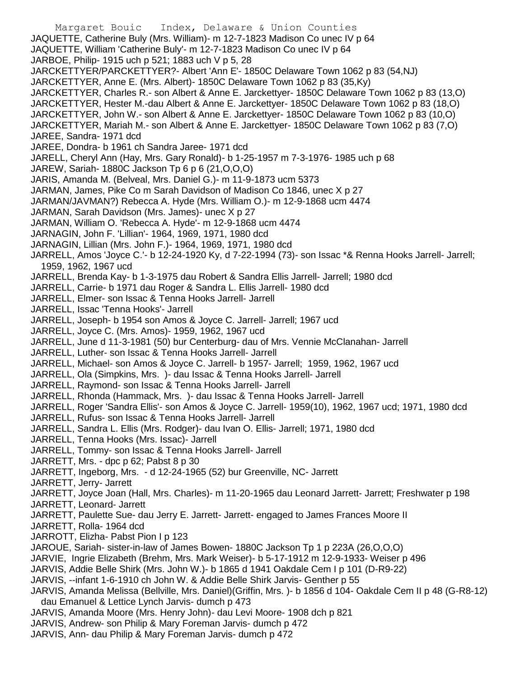Margaret Bouic Index, Delaware & Union Counties JAQUETTE, Catherine Buly (Mrs. William)- m 12-7-1823 Madison Co unec IV p 64 JAQUETTE, William 'Catherine Buly'- m 12-7-1823 Madison Co unec IV p 64 JARBOE, Philip- 1915 uch p 521; 1883 uch V p 5, 28 JARCKETTYER/PARCKETTYER?- Albert 'Ann E'- 1850C Delaware Town 1062 p 83 (54,NJ) JARCKETTYER, Anne E. (Mrs. Albert)- 1850C Delaware Town 1062 p 83 (35,Ky) JARCKETTYER, Charles R.- son Albert & Anne E. Jarckettyer- 1850C Delaware Town 1062 p 83 (13,O) JARCKETTYER, Hester M.-dau Albert & Anne E. Jarckettyer- 1850C Delaware Town 1062 p 83 (18,O) JARCKETTYER, John W.- son Albert & Anne E. Jarckettyer- 1850C Delaware Town 1062 p 83 (10,O) JARCKETTYER, Mariah M.- son Albert & Anne E. Jarckettyer- 1850C Delaware Town 1062 p 83 (7,O) JAREE, Sandra- 1971 dcd JAREE, Dondra- b 1961 ch Sandra Jaree- 1971 dcd JARELL, Cheryl Ann (Hay, Mrs. Gary Ronald)- b 1-25-1957 m 7-3-1976- 1985 uch p 68 JAREW, Sariah- 1880C Jackson Tp 6 p 6 (21,O,O,O) JARIS, Amanda M. (Belveal, Mrs. Daniel G.)- m 11-9-1873 ucm 5373 JARMAN, James, Pike Co m Sarah Davidson of Madison Co 1846, unec X p 27 JARMAN/JAVMAN?) Rebecca A. Hyde (Mrs. William O.)- m 12-9-1868 ucm 4474 JARMAN, Sarah Davidson (Mrs. James)- unec X p 27 JARMAN, William O. 'Rebecca A. Hyde'- m 12-9-1868 ucm 4474 JARNAGIN, John F. 'Lillian'- 1964, 1969, 1971, 1980 dcd JARNAGIN, Lillian (Mrs. John F.)- 1964, 1969, 1971, 1980 dcd JARRELL, Amos 'Joyce C.'- b 12-24-1920 Ky, d 7-22-1994 (73)- son Issac \*& Renna Hooks Jarrell- Jarrell; 1959, 1962, 1967 ucd JARRELL, Brenda Kay- b 1-3-1975 dau Robert & Sandra Ellis Jarrell- Jarrell; 1980 dcd JARRELL, Carrie- b 1971 dau Roger & Sandra L. Ellis Jarrell- 1980 dcd JARRELL, Elmer- son Issac & Tenna Hooks Jarrell- Jarrell JARRELL, Issac 'Tenna Hooks'- Jarrell JARRELL, Joseph- b 1954 son Amos & Joyce C. Jarrell- Jarrell; 1967 ucd JARRELL, Joyce C. (Mrs. Amos)- 1959, 1962, 1967 ucd JARRELL, June d 11-3-1981 (50) bur Centerburg- dau of Mrs. Vennie McClanahan- Jarrell JARRELL, Luther- son Issac & Tenna Hooks Jarrell- Jarrell JARRELL, Michael- son Amos & Joyce C. Jarrell- b 1957- Jarrell; 1959, 1962, 1967 ucd JARRELL, Ola (Simpkins, Mrs. )- dau Issac & Tenna Hooks Jarrell- Jarrell JARRELL, Raymond- son Issac & Tenna Hooks Jarrell- Jarrell JARRELL, Rhonda (Hammack, Mrs. )- dau Issac & Tenna Hooks Jarrell- Jarrell JARRELL, Roger 'Sandra Ellis'- son Amos & Joyce C. Jarrell- 1959(10), 1962, 1967 ucd; 1971, 1980 dcd JARRELL, Rufus- son Issac & Tenna Hooks Jarrell- Jarrell JARRELL, Sandra L. Ellis (Mrs. Rodger)- dau Ivan O. Ellis- Jarrell; 1971, 1980 dcd JARRELL, Tenna Hooks (Mrs. Issac)- Jarrell JARRELL, Tommy- son Issac & Tenna Hooks Jarrell- Jarrell JARRETT, Mrs. - dpc p 62; Pabst 8 p 30 JARRETT, Ingeborg, Mrs. - d 12-24-1965 (52) bur Greenville, NC- Jarrett JARRETT, Jerry- Jarrett JARRETT, Joyce Joan (Hall, Mrs. Charles)- m 11-20-1965 dau Leonard Jarrett- Jarrett; Freshwater p 198 JARRETT, Leonard- Jarrett JARRETT, Paulette Sue- dau Jerry E. Jarrett- Jarrett- engaged to James Frances Moore II JARRETT, Rolla- 1964 dcd JARROTT, Elizha- Pabst Pion I p 123 JAROUE, Sariah- sister-in-law of James Bowen- 1880C Jackson Tp 1 p 223A (26,O,O,O) JARVIE, Ingrie Elizabeth (Brehm, Mrs. Mark Weiser)- b 5-17-1912 m 12-9-1933- Weiser p 496 JARVIS, Addie Belle Shirk (Mrs. John W.)- b 1865 d 1941 Oakdale Cem I p 101 (D-R9-22) JARVIS, --infant 1-6-1910 ch John W. & Addie Belle Shirk Jarvis- Genther p 55 JARVIS, Amanda Melissa (Bellville, Mrs. Daniel)(Griffin, Mrs. )- b 1856 d 104- Oakdale Cem II p 48 (G-R8-12) dau Emanuel & Lettice Lynch Jarvis- dumch p 473 JARVIS, Amanda Moore (Mrs. Henry John)- dau Levi Moore- 1908 dch p 821 JARVIS, Andrew- son Philip & Mary Foreman Jarvis- dumch p 472

JARVIS, Ann- dau Philip & Mary Foreman Jarvis- dumch p 472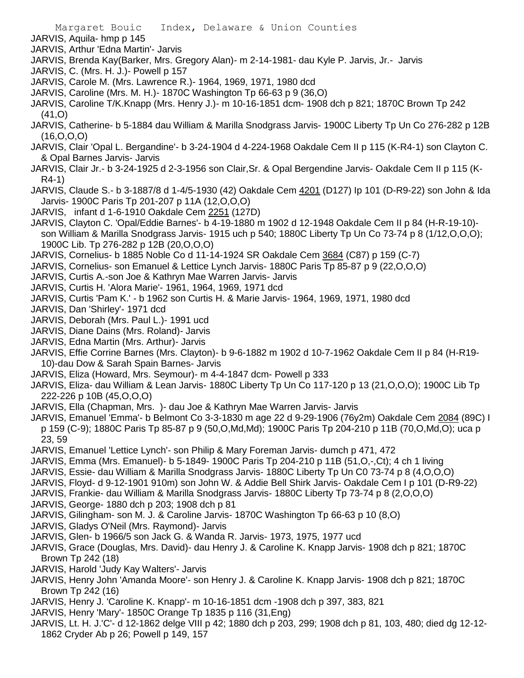- JARVIS, Aquila- hmp p 145
- JARVIS, Arthur 'Edna Martin'- Jarvis
- JARVIS, Brenda Kay(Barker, Mrs. Gregory Alan)- m 2-14-1981- dau Kyle P. Jarvis, Jr.- Jarvis
- JARVIS, C. (Mrs. H. J.)- Powell p 157
- JARVIS, Carole M. (Mrs. Lawrence R.)- 1964, 1969, 1971, 1980 dcd
- JARVIS, Caroline (Mrs. M. H.)- 1870C Washington Tp 66-63 p 9 (36,O)
- JARVIS, Caroline T/K.Knapp (Mrs. Henry J.)- m 10-16-1851 dcm- 1908 dch p 821; 1870C Brown Tp 242 (41,O)
- JARVIS, Catherine- b 5-1884 dau William & Marilla Snodgrass Jarvis- 1900C Liberty Tp Un Co 276-282 p 12B (16,O,O,O)
- JARVIS, Clair 'Opal L. Bergandine'- b 3-24-1904 d 4-224-1968 Oakdale Cem II p 115 (K-R4-1) son Clayton C. & Opal Barnes Jarvis- Jarvis
- JARVIS, Clair Jr.- b 3-24-1925 d 2-3-1956 son Clair,Sr. & Opal Bergendine Jarvis- Oakdale Cem II p 115 (K-R4-1)
- JARVIS, Claude S.- b 3-1887/8 d 1-4/5-1930 (42) Oakdale Cem 4201 (D127) Ip 101 (D-R9-22) son John & Ida Jarvis- 1900C Paris Tp 201-207 p 11A (12,O,O,O)
- JARVIS, infant d 1-6-1910 Oakdale Cem 2251 (127D)
- JARVIS, Clayton C. 'Opal/Eddie Barnes'- b 4-19-1880 m 1902 d 12-1948 Oakdale Cem II p 84 (H-R-19-10) son William & Marilla Snodgrass Jarvis- 1915 uch p 540; 1880C Liberty Tp Un Co 73-74 p 8 (1/12,O,O,O); 1900C Lib. Tp 276-282 p 12B (20,O,O,O)
- JARVIS, Cornelius- b 1885 Noble Co d 11-14-1924 SR Oakdale Cem 3684 (C87) p 159 (C-7)
- JARVIS, Cornelius- son Emanuel & Lettice Lynch Jarvis- 1880C Paris Tp 85-87 p 9 (22,O,O,O)
- JARVIS, Curtis A.-son Joe & Kathryn Mae Warren Jarvis- Jarvis
- JARVIS, Curtis H. 'Alora Marie'- 1961, 1964, 1969, 1971 dcd
- JARVIS, Curtis 'Pam K.' b 1962 son Curtis H. & Marie Jarvis- 1964, 1969, 1971, 1980 dcd
- JARVIS, Dan 'Shirley'- 1971 dcd
- JARVIS, Deborah (Mrs. Paul L.)- 1991 ucd
- JARVIS, Diane Dains (Mrs. Roland)- Jarvis
- JARVIS, Edna Martin (Mrs. Arthur)- Jarvis
- JARVIS, Effie Corrine Barnes (Mrs. Clayton)- b 9-6-1882 m 1902 d 10-7-1962 Oakdale Cem II p 84 (H-R19- 10)-dau Dow & Sarah Spain Barnes- Jarvis
- JARVIS, Eliza (Howard, Mrs. Seymour)- m 4-4-1847 dcm- Powell p 333
- JARVIS, Eliza- dau William & Lean Jarvis- 1880C Liberty Tp Un Co 117-120 p 13 (21,O,O,O); 1900C Lib Tp 222-226 p 10B (45,O,O,O)
- JARVIS, Ella (Chapman, Mrs. )- dau Joe & Kathryn Mae Warren Jarvis- Jarvis
- JARVIS, Emanuel 'Emma'- b Belmont Co 3-3-1830 m age 22 d 9-29-1906 (76y2m) Oakdale Cem 2084 (89C) I p 159 (C-9); 1880C Paris Tp 85-87 p 9 (50,O,Md,Md); 1900C Paris Tp 204-210 p 11B (70,O,Md,O); uca p 23, 59
- JARVIS, Emanuel 'Lettice Lynch'- son Philip & Mary Foreman Jarvis- dumch p 471, 472
- JARVIS, Emma (Mrs. Emanuel)- b 5-1849- 1900C Paris Tp 204-210 p 11B (51,O,-,Ct); 4 ch 1 living
- JARVIS, Essie- dau William & Marilla Snodgrass Jarvis- 1880C Liberty Tp Un C0 73-74 p 8 (4,O,O,O)
- JARVIS, Floyd- d 9-12-1901 910m) son John W. & Addie Bell Shirk Jarvis- Oakdale Cem I p 101 (D-R9-22)
- JARVIS, Frankie- dau William & Marilla Snodgrass Jarvis- 1880C Liberty Tp 73-74 p 8 (2,O,O,O)
- JARVIS, George- 1880 dch p 203; 1908 dch p 81
- JARVIS, Gilingham- son M. J. & Caroline Jarvis- 1870C Washington Tp 66-63 p 10 (8,O)
- JARVIS, Gladys O'Neil (Mrs. Raymond)- Jarvis
- JARVIS, Glen- b 1966/5 son Jack G. & Wanda R. Jarvis- 1973, 1975, 1977 ucd
- JARVIS, Grace (Douglas, Mrs. David)- dau Henry J. & Caroline K. Knapp Jarvis- 1908 dch p 821; 1870C Brown Tp 242 (18)
- JARVIS, Harold 'Judy Kay Walters'- Jarvis
- JARVIS, Henry John 'Amanda Moore'- son Henry J. & Caroline K. Knapp Jarvis- 1908 dch p 821; 1870C Brown Tp 242 (16)
- JARVIS, Henry J. 'Caroline K. Knapp'- m 10-16-1851 dcm -1908 dch p 397, 383, 821
- JARVIS, Henry 'Mary'- 1850C Orange Tp 1835 p 116 (31,Eng)
- JARVIS, Lt. H. J.'C'- d 12-1862 delge VIII p 42; 1880 dch p 203, 299; 1908 dch p 81, 103, 480; died dg 12-12- 1862 Cryder Ab p 26; Powell p 149, 157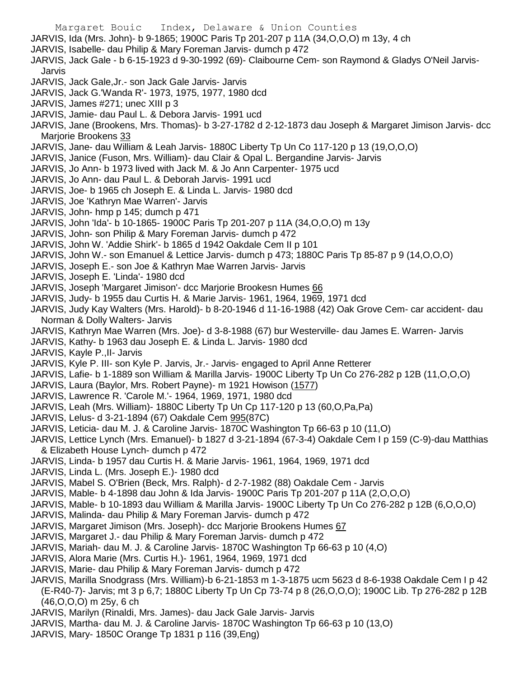Margaret Bouic Index, Delaware & Union Counties JARVIS, Ida (Mrs. John)- b 9-1865; 1900C Paris Tp 201-207 p 11A (34,O,O,O) m 13y, 4 ch JARVIS, Isabelle- dau Philip & Mary Foreman Jarvis- dumch p 472 JARVIS, Jack Gale - b 6-15-1923 d 9-30-1992 (69)- Claibourne Cem- son Raymond & Gladys O'Neil Jarvis-Jarvis JARVIS, Jack Gale,Jr.- son Jack Gale Jarvis- Jarvis JARVIS, Jack G.'Wanda R'- 1973, 1975, 1977, 1980 dcd JARVIS, James #271; unec XIII p 3 JARVIS, Jamie- dau Paul L. & Debora Jarvis- 1991 ucd JARVIS, Jane (Brookens, Mrs. Thomas)- b 3-27-1782 d 2-12-1873 dau Joseph & Margaret Jimison Jarvis- dcc Marjorie Brookens 33 JARVIS, Jane- dau William & Leah Jarvis- 1880C Liberty Tp Un Co 117-120 p 13 (19,O,O,O) JARVIS, Janice (Fuson, Mrs. William)- dau Clair & Opal L. Bergandine Jarvis- Jarvis JARVIS, Jo Ann- b 1973 lived with Jack M. & Jo Ann Carpenter- 1975 ucd JARVIS, Jo Ann- dau Paul L. & Deborah Jarvis- 1991 ucd JARVIS, Joe- b 1965 ch Joseph E. & Linda L. Jarvis- 1980 dcd JARVIS, Joe 'Kathryn Mae Warren'- Jarvis JARVIS, John- hmp p 145; dumch p 471 JARVIS, John 'Ida'- b 10-1865- 1900C Paris Tp 201-207 p 11A (34,O,O,O) m 13y JARVIS, John- son Philip & Mary Foreman Jarvis- dumch p 472 JARVIS, John W. 'Addie Shirk'- b 1865 d 1942 Oakdale Cem II p 101 JARVIS, John W.- son Emanuel & Lettice Jarvis- dumch p 473; 1880C Paris Tp 85-87 p 9 (14,O,O,O) JARVIS, Joseph E.- son Joe & Kathryn Mae Warren Jarvis- Jarvis JARVIS, Joseph E. 'Linda'- 1980 dcd JARVIS, Joseph 'Margaret Jimison'- dcc Marjorie Brookesn Humes 66 JARVIS, Judy- b 1955 dau Curtis H. & Marie Jarvis- 1961, 1964, 1969, 1971 dcd JARVIS, Judy Kay Walters (Mrs. Harold)- b 8-20-1946 d 11-16-1988 (42) Oak Grove Cem- car accident- dau Norman & Dolly Walters- Jarvis JARVIS, Kathryn Mae Warren (Mrs. Joe)- d 3-8-1988 (67) bur Westerville- dau James E. Warren- Jarvis JARVIS, Kathy- b 1963 dau Joseph E. & Linda L. Jarvis- 1980 dcd JARVIS, Kayle P.,II- Jarvis JARVIS, Kyle P. III- son Kyle P. Jarvis, Jr.- Jarvis- engaged to April Anne Retterer JARVIS, Lafie- b 1-1889 son William & Marilla Jarvis- 1900C Liberty Tp Un Co 276-282 p 12B (11,O,O,O) JARVIS, Laura (Baylor, Mrs. Robert Payne)- m 1921 Howison (1577) JARVIS, Lawrence R. 'Carole M.'- 1964, 1969, 1971, 1980 dcd JARVIS, Leah (Mrs. William)- 1880C Liberty Tp Un Cp 117-120 p 13 (60,O,Pa,Pa) JARVIS, Lelus- d 3-21-1894 (67) Oakdale Cem 995(87C) JARVIS, Leticia- dau M. J. & Caroline Jarvis- 1870C Washington Tp 66-63 p 10 (11,O) JARVIS, Lettice Lynch (Mrs. Emanuel)- b 1827 d 3-21-1894 (67-3-4) Oakdale Cem I p 159 (C-9)-dau Matthias & Elizabeth House Lynch- dumch p 472 JARVIS, Linda- b 1957 dau Curtis H. & Marie Jarvis- 1961, 1964, 1969, 1971 dcd JARVIS, Linda L. (Mrs. Joseph E.)- 1980 dcd JARVIS, Mabel S. O'Brien (Beck, Mrs. Ralph)- d 2-7-1982 (88) Oakdale Cem - Jarvis JARVIS, Mable- b 4-1898 dau John & Ida Jarvis- 1900C Paris Tp 201-207 p 11A (2,O,O,O) JARVIS, Mable- b 10-1893 dau William & Marilla Jarvis- 1900C Liberty Tp Un Co 276-282 p 12B (6,O,O,O) JARVIS, Malinda- dau Philip & Mary Foreman Jarvis- dumch p 472 JARVIS, Margaret Jimison (Mrs. Joseph)- dcc Marjorie Brookens Humes 67 JARVIS, Margaret J.- dau Philip & Mary Foreman Jarvis- dumch p 472 JARVIS, Mariah- dau M. J. & Caroline Jarvis- 1870C Washington Tp 66-63 p 10 (4,O) JARVIS, Alora Marie (Mrs. Curtis H.)- 1961, 1964, 1969, 1971 dcd JARVIS, Marie- dau Philip & Mary Foreman Jarvis- dumch p 472 JARVIS, Marilla Snodgrass (Mrs. William)-b 6-21-1853 m 1-3-1875 ucm 5623 d 8-6-1938 Oakdale Cem I p 42 (E-R40-7)- Jarvis; mt 3 p 6,7; 1880C Liberty Tp Un Cp 73-74 p 8 (26,O,O,O); 1900C Lib. Tp 276-282 p 12B (46,O,O,O) m 25y, 6 ch

- JARVIS, Marilyn (Rinaldi, Mrs. James)- dau Jack Gale Jarvis- Jarvis
- JARVIS, Martha- dau M. J. & Caroline Jarvis- 1870C Washington Tp 66-63 p 10 (13,O)
- JARVIS, Mary- 1850C Orange Tp 1831 p 116 (39,Eng)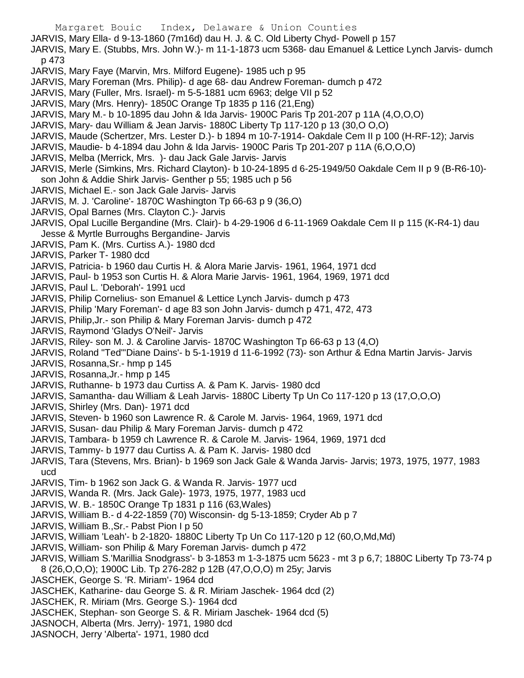Margaret Bouic Index, Delaware & Union Counties JARVIS, Mary Ella- d 9-13-1860 (7m16d) dau H. J. & C. Old Liberty Chyd- Powell p 157 JARVIS, Mary E. (Stubbs, Mrs. John W.)- m 11-1-1873 ucm 5368- dau Emanuel & Lettice Lynch Jarvis- dumch p 473 JARVIS, Mary Faye (Marvin, Mrs. Milford Eugene)- 1985 uch p 95 JARVIS, Mary Foreman (Mrs. Philip)- d age 68- dau Andrew Foreman- dumch p 472 JARVIS, Mary (Fuller, Mrs. Israel)- m 5-5-1881 ucm 6963; delge VII p 52 JARVIS, Mary (Mrs. Henry)- 1850C Orange Tp 1835 p 116 (21,Eng) JARVIS, Mary M.- b 10-1895 dau John & Ida Jarvis- 1900C Paris Tp 201-207 p 11A (4,O,O,O) JARVIS, Mary- dau William & Jean Jarvis- 1880C Liberty Tp 117-120 p 13 (30,O O,O) JARVIS, Maude (Schertzer, Mrs. Lester D.)- b 1894 m 10-7-1914- Oakdale Cem II p 100 (H-RF-12); Jarvis JARVIS, Maudie- b 4-1894 dau John & Ida Jarvis- 1900C Paris Tp 201-207 p 11A (6,O,O,O) JARVIS, Melba (Merrick, Mrs. )- dau Jack Gale Jarvis- Jarvis JARVIS, Merle (Simkins, Mrs. Richard Clayton)- b 10-24-1895 d 6-25-1949/50 Oakdale Cem II p 9 (B-R6-10) son John & Addie Shirk Jarvis- Genther p 55; 1985 uch p 56 JARVIS, Michael E.- son Jack Gale Jarvis- Jarvis JARVIS, M. J. 'Caroline'- 1870C Washington Tp 66-63 p 9 (36,O) JARVIS, Opal Barnes (Mrs. Clayton C.)- Jarvis JARVIS, Opal Lucille Bergandine (Mrs. Clair)- b 4-29-1906 d 6-11-1969 Oakdale Cem II p 115 (K-R4-1) dau Jesse & Myrtle Burroughs Bergandine- Jarvis JARVIS, Pam K. (Mrs. Curtiss A.)- 1980 dcd JARVIS, Parker T- 1980 dcd JARVIS, Patricia- b 1960 dau Curtis H. & Alora Marie Jarvis- 1961, 1964, 1971 dcd JARVIS, Paul- b 1953 son Curtis H. & Alora Marie Jarvis- 1961, 1964, 1969, 1971 dcd JARVIS, Paul L. 'Deborah'- 1991 ucd JARVIS, Philip Cornelius- son Emanuel & Lettice Lynch Jarvis- dumch p 473 JARVIS, Philip 'Mary Foreman'- d age 83 son John Jarvis- dumch p 471, 472, 473 JARVIS, Philip,Jr.- son Philip & Mary Foreman Jarvis- dumch p 472 JARVIS, Raymond 'Gladys O'Neil'- Jarvis JARVIS, Riley- son M. J. & Caroline Jarvis- 1870C Washington Tp 66-63 p 13 (4,O) JARVIS, Roland "Ted"'Diane Dains'- b 5-1-1919 d 11-6-1992 (73)- son Arthur & Edna Martin Jarvis- Jarvis JARVIS, Rosanna,Sr.- hmp p 145 JARVIS, Rosanna,Jr.- hmp p 145 JARVIS, Ruthanne- b 1973 dau Curtiss A. & Pam K. Jarvis- 1980 dcd JARVIS, Samantha- dau William & Leah Jarvis- 1880C Liberty Tp Un Co 117-120 p 13 (17,O,O,O) JARVIS, Shirley (Mrs. Dan)- 1971 dcd JARVIS, Steven- b 1960 son Lawrence R. & Carole M. Jarvis- 1964, 1969, 1971 dcd JARVIS, Susan- dau Philip & Mary Foreman Jarvis- dumch p 472 JARVIS, Tambara- b 1959 ch Lawrence R. & Carole M. Jarvis- 1964, 1969, 1971 dcd JARVIS, Tammy- b 1977 dau Curtiss A. & Pam K. Jarvis- 1980 dcd JARVIS, Tara (Stevens, Mrs. Brian)- b 1969 son Jack Gale & Wanda Jarvis- Jarvis; 1973, 1975, 1977, 1983

- ucd
- JARVIS, Tim- b 1962 son Jack G. & Wanda R. Jarvis- 1977 ucd
- JARVIS, Wanda R. (Mrs. Jack Gale)- 1973, 1975, 1977, 1983 ucd
- JARVIS, W. B.- 1850C Orange Tp 1831 p 116 (63,Wales)
- JARVIS, William B.- d 4-22-1859 (70) Wisconsin- dg 5-13-1859; Cryder Ab p 7
- JARVIS, William B.,Sr.- Pabst Pion I p 50
- JARVIS, William 'Leah'- b 2-1820- 1880C Liberty Tp Un Co 117-120 p 12 (60,O,Md,Md)
- JARVIS, William- son Philip & Mary Foreman Jarvis- dumch p 472
- JARVIS, William S.'Marillia Snodgrass'- b 3-1853 m 1-3-1875 ucm 5623 mt 3 p 6,7; 1880C Liberty Tp 73-74 p 8 (26,O,O,O); 1900C Lib. Tp 276-282 p 12B (47,O,O,O) m 25y; Jarvis
- JASCHEK, George S. 'R. Miriam'- 1964 dcd
- JASCHEK, Katharine- dau George S. & R. Miriam Jaschek- 1964 dcd (2)
- JASCHEK, R. Miriam (Mrs. George S.)- 1964 dcd
- JASCHEK, Stephan- son George S. & R. Miriam Jaschek- 1964 dcd (5)
- JASNOCH, Alberta (Mrs. Jerry)- 1971, 1980 dcd
- JASNOCH, Jerry 'Alberta'- 1971, 1980 dcd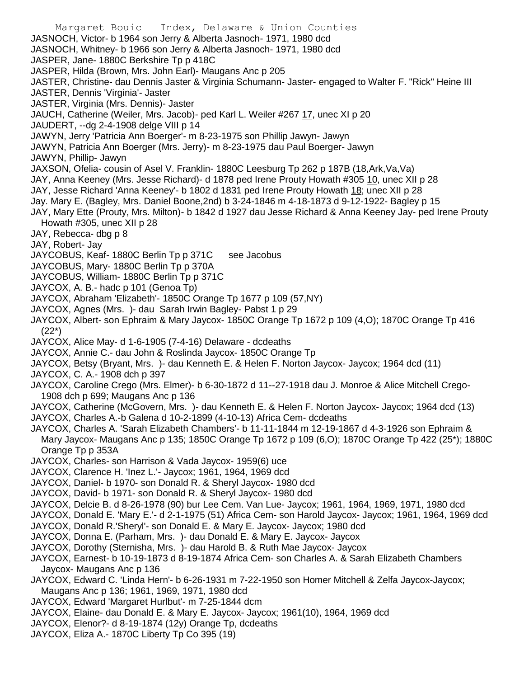Margaret Bouic Index, Delaware & Union Counties JASNOCH, Victor- b 1964 son Jerry & Alberta Jasnoch- 1971, 1980 dcd JASNOCH, Whitney- b 1966 son Jerry & Alberta Jasnoch- 1971, 1980 dcd JASPER, Jane- 1880C Berkshire Tp p 418C JASPER, Hilda (Brown, Mrs. John Earl)- Maugans Anc p 205 JASTER, Christine- dau Dennis Jaster & Virginia Schumann- Jaster- engaged to Walter F. "Rick" Heine III JASTER, Dennis 'Virginia'- Jaster JASTER, Virginia (Mrs. Dennis)- Jaster JAUCH, Catherine (Weiler, Mrs. Jacob)- ped Karl L. Weiler #267 17, unec XI p 20 JAUDERT, --dg 2-4-1908 delge VIII p 14 JAWYN, Jerry 'Patricia Ann Boerger'- m 8-23-1975 son Phillip Jawyn- Jawyn JAWYN, Patricia Ann Boerger (Mrs. Jerry)- m 8-23-1975 dau Paul Boerger- Jawyn JAWYN, Phillip- Jawyn JAXSON, Ofelia- cousin of Asel V. Franklin- 1880C Leesburg Tp 262 p 187B (18,Ark,Va,Va) JAY, Anna Keeney (Mrs. Jesse Richard)- d 1878 ped Irene Prouty Howath #305 10, unec XII p 28 JAY, Jesse Richard 'Anna Keeney'- b 1802 d 1831 ped Irene Prouty Howath 18; unec XII p 28 Jay. Mary E. (Bagley, Mrs. Daniel Boone,2nd) b 3-24-1846 m 4-18-1873 d 9-12-1922- Bagley p 15 JAY, Mary Ette (Prouty, Mrs. Milton)- b 1842 d 1927 dau Jesse Richard & Anna Keeney Jay- ped Irene Prouty Howath #305, unec XII p 28 JAY, Rebecca- dbg p 8 JAY, Robert- Jay JAYCOBUS, Keaf- 1880C Berlin Tp p 371C see Jacobus JAYCOBUS, Mary- 1880C Berlin Tp p 370A JAYCOBUS, William- 1880C Berlin Tp p 371C JAYCOX, A. B.- hadc p 101 (Genoa Tp) JAYCOX, Abraham 'Elizabeth'- 1850C Orange Tp 1677 p 109 (57,NY) JAYCOX, Agnes (Mrs. )- dau Sarah Irwin Bagley- Pabst 1 p 29 JAYCOX, Albert- son Ephraim & Mary Jaycox- 1850C Orange Tp 1672 p 109 (4,O); 1870C Orange Tp 416 (22\*) JAYCOX, Alice May- d 1-6-1905 (7-4-16) Delaware - dcdeaths JAYCOX, Annie C.- dau John & Roslinda Jaycox- 1850C Orange Tp JAYCOX, Betsy (Bryant, Mrs. )- dau Kenneth E. & Helen F. Norton Jaycox- Jaycox; 1964 dcd (11) JAYCOX, C. A.- 1908 dch p 397 JAYCOX, Caroline Crego (Mrs. Elmer)- b 6-30-1872 d 11--27-1918 dau J. Monroe & Alice Mitchell Crego-1908 dch p 699; Maugans Anc p 136 JAYCOX, Catherine (McGovern, Mrs. )- dau Kenneth E. & Helen F. Norton Jaycox- Jaycox; 1964 dcd (13) JAYCOX, Charles A.-b Galena d 10-2-1899 (4-10-13) Africa Cem- dcdeaths JAYCOX, Charles A. 'Sarah Elizabeth Chambers'- b 11-11-1844 m 12-19-1867 d 4-3-1926 son Ephraim & Mary Jaycox- Maugans Anc p 135; 1850C Orange Tp 1672 p 109 (6,O); 1870C Orange Tp 422 (25\*); 1880C Orange Tp p 353A JAYCOX, Charles- son Harrison & Vada Jaycox- 1959(6) uce JAYCOX, Clarence H. 'Inez L.'- Jaycox; 1961, 1964, 1969 dcd JAYCOX, Daniel- b 1970- son Donald R. & Sheryl Jaycox- 1980 dcd JAYCOX, David- b 1971- son Donald R. & Sheryl Jaycox- 1980 dcd JAYCOX, Delcie B. d 8-26-1978 (90) bur Lee Cem. Van Lue- Jaycox; 1961, 1964, 1969, 1971, 1980 dcd JAYCOX, Donald E. 'Mary E.'- d 2-1-1975 (51) Africa Cem- son Harold Jaycox- Jaycox; 1961, 1964, 1969 dcd JAYCOX, Donald R.'Sheryl'- son Donald E. & Mary E. Jaycox- Jaycox; 1980 dcd JAYCOX, Donna E. (Parham, Mrs. )- dau Donald E. & Mary E. Jaycox- Jaycox JAYCOX, Dorothy (Sternisha, Mrs. )- dau Harold B. & Ruth Mae Jaycox- Jaycox JAYCOX, Earnest- b 10-19-1873 d 8-19-1874 Africa Cem- son Charles A. & Sarah Elizabeth Chambers Jaycox- Maugans Anc p 136

- JAYCOX, Edward C. 'Linda Hern'- b 6-26-1931 m 7-22-1950 son Homer Mitchell & Zelfa Jaycox-Jaycox; Maugans Anc p 136; 1961, 1969, 1971, 1980 dcd
- JAYCOX, Edward 'Margaret Hurlbut'- m 7-25-1844 dcm
- JAYCOX, Elaine- dau Donald E. & Mary E. Jaycox- Jaycox; 1961(10), 1964, 1969 dcd
- JAYCOX, Elenor?- d 8-19-1874 (12y) Orange Tp, dcdeaths
- JAYCOX, Eliza A.- 1870C Liberty Tp Co 395 (19)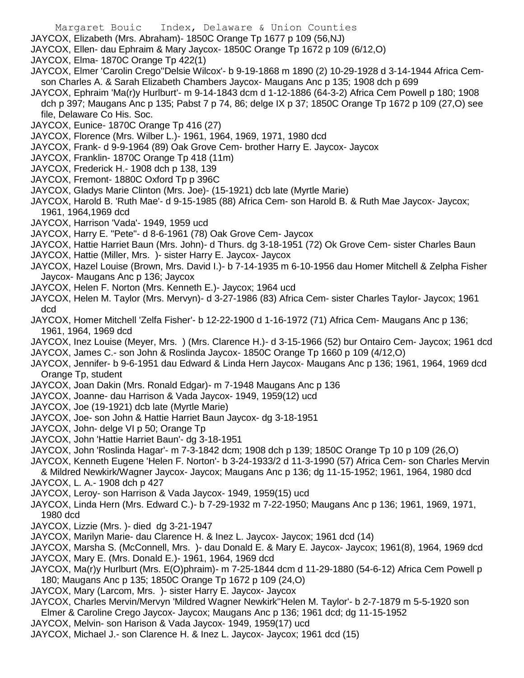- JAYCOX, Elizabeth (Mrs. Abraham)- 1850C Orange Tp 1677 p 109 (56,NJ)
- JAYCOX, Ellen- dau Ephraim & Mary Jaycox- 1850C Orange Tp 1672 p 109 (6/12,O)
- JAYCOX, Elma- 1870C Orange Tp 422(1)
- JAYCOX, Elmer 'Carolin Crego''Delsie Wilcox'- b 9-19-1868 m 1890 (2) 10-29-1928 d 3-14-1944 Africa Cemson Charles A. & Sarah Elizabeth Chambers Jaycox- Maugans Anc p 135; 1908 dch p 699
- JAYCOX, Ephraim 'Ma(r)y Hurlburt'- m 9-14-1843 dcm d 1-12-1886 (64-3-2) Africa Cem Powell p 180; 1908 dch p 397; Maugans Anc p 135; Pabst 7 p 74, 86; delge IX p 37; 1850C Orange Tp 1672 p 109 (27,O) see file, Delaware Co His. Soc.
- JAYCOX, Eunice- 1870C Orange Tp 416 (27)
- JAYCOX, Florence (Mrs. Wilber L.)- 1961, 1964, 1969, 1971, 1980 dcd
- JAYCOX, Frank- d 9-9-1964 (89) Oak Grove Cem- brother Harry E. Jaycox- Jaycox
- JAYCOX, Franklin- 1870C Orange Tp 418 (11m)
- JAYCOX, Frederick H.- 1908 dch p 138, 139
- JAYCOX, Fremont- 1880C Oxford Tp p 396C
- JAYCOX, Gladys Marie Clinton (Mrs. Joe)- (15-1921) dcb late (Myrtle Marie)
- JAYCOX, Harold B. 'Ruth Mae'- d 9-15-1985 (88) Africa Cem- son Harold B. & Ruth Mae Jaycox- Jaycox; 1961, 1964,1969 dcd
- JAYCOX, Harrison 'Vada'- 1949, 1959 ucd
- JAYCOX, Harry E. "Pete"- d 8-6-1961 (78) Oak Grove Cem- Jaycox
- JAYCOX, Hattie Harriet Baun (Mrs. John)- d Thurs. dg 3-18-1951 (72) Ok Grove Cem- sister Charles Baun
- JAYCOX, Hattie (Miller, Mrs. )- sister Harry E. Jaycox- Jaycox
- JAYCOX, Hazel Louise (Brown, Mrs. David I.)- b 7-14-1935 m 6-10-1956 dau Homer Mitchell & Zelpha Fisher Jaycox- Maugans Anc p 136; Jaycox
- JAYCOX, Helen F. Norton (Mrs. Kenneth E.)- Jaycox; 1964 ucd
- JAYCOX, Helen M. Taylor (Mrs. Mervyn)- d 3-27-1986 (83) Africa Cem- sister Charles Taylor- Jaycox; 1961 dcd
- JAYCOX, Homer Mitchell 'Zelfa Fisher'- b 12-22-1900 d 1-16-1972 (71) Africa Cem- Maugans Anc p 136; 1961, 1964, 1969 dcd
- JAYCOX, Inez Louise (Meyer, Mrs. ) (Mrs. Clarence H.)- d 3-15-1966 (52) bur Ontairo Cem- Jaycox; 1961 dcd
- JAYCOX, James C.- son John & Roslinda Jaycox- 1850C Orange Tp 1660 p 109 (4/12,O)
- JAYCOX, Jennifer- b 9-6-1951 dau Edward & Linda Hern Jaycox- Maugans Anc p 136; 1961, 1964, 1969 dcd Orange Tp, student
- JAYCOX, Joan Dakin (Mrs. Ronald Edgar)- m 7-1948 Maugans Anc p 136
- JAYCOX, Joanne- dau Harrison & Vada Jaycox- 1949, 1959(12) ucd
- JAYCOX, Joe (19-1921) dcb late (Myrtle Marie)
- JAYCOX, Joe- son John & Hattie Harriet Baun Jaycox- dg 3-18-1951
- JAYCOX, John- delge VI p 50; Orange Tp
- JAYCOX, John 'Hattie Harriet Baun'- dg 3-18-1951
- JAYCOX, John 'Roslinda Hagar'- m 7-3-1842 dcm; 1908 dch p 139; 1850C Orange Tp 10 p 109 (26,O)
- JAYCOX, Kenneth Eugene 'Helen F. Norton'- b 3-24-1933/2 d 11-3-1990 (57) Africa Cem- son Charles Mervin & Mildred Newkirk/Wagner Jaycox- Jaycox; Maugans Anc p 136; dg 11-15-1952; 1961, 1964, 1980 dcd
- JAYCOX, L. A.- 1908 dch p 427
- JAYCOX, Leroy- son Harrison & Vada Jaycox- 1949, 1959(15) ucd
- JAYCOX, Linda Hern (Mrs. Edward C.)- b 7-29-1932 m 7-22-1950; Maugans Anc p 136; 1961, 1969, 1971, 1980 dcd
- JAYCOX, Lizzie (Mrs. )- died dg 3-21-1947
- JAYCOX, Marilyn Marie- dau Clarence H. & Inez L. Jaycox- Jaycox; 1961 dcd (14)
- JAYCOX, Marsha S. (McConnell, Mrs. )- dau Donald E. & Mary E. Jaycox- Jaycox; 1961(8), 1964, 1969 dcd JAYCOX, Mary E. (Mrs. Donald E.)- 1961, 1964, 1969 dcd
- JAYCOX, Ma(r)y Hurlburt (Mrs. E(O)phraim)- m 7-25-1844 dcm d 11-29-1880 (54-6-12) Africa Cem Powell p 180; Maugans Anc p 135; 1850C Orange Tp 1672 p 109 (24,O)
- JAYCOX, Mary (Larcom, Mrs. )- sister Harry E. Jaycox- Jaycox
- JAYCOX, Charles Mervin/Mervyn 'Mildred Wagner Newkirk''Helen M. Taylor'- b 2-7-1879 m 5-5-1920 son
- Elmer & Caroline Crego Jaycox- Jaycox; Maugans Anc p 136; 1961 dcd; dg 11-15-1952
- JAYCOX, Melvin- son Harison & Vada Jaycox- 1949, 1959(17) ucd
- JAYCOX, Michael J.- son Clarence H. & Inez L. Jaycox- Jaycox; 1961 dcd (15)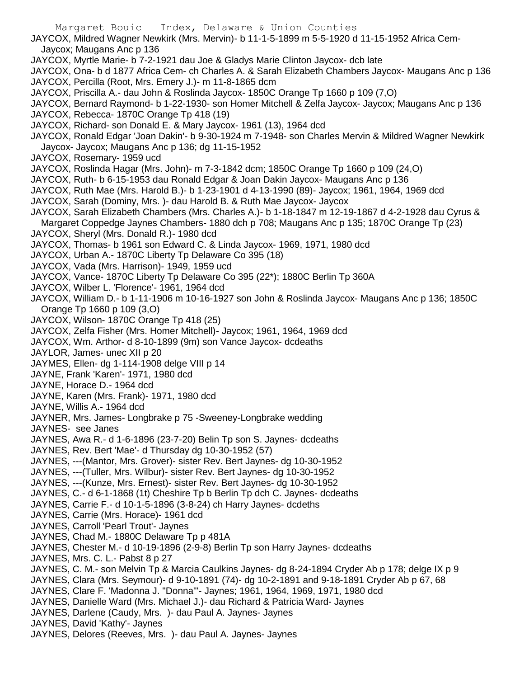JAYCOX, Mildred Wagner Newkirk (Mrs. Mervin)- b 11-1-5-1899 m 5-5-1920 d 11-15-1952 Africa Cem-Jaycox; Maugans Anc p 136

- JAYCOX, Myrtle Marie- b 7-2-1921 dau Joe & Gladys Marie Clinton Jaycox- dcb late
- JAYCOX, Ona- b d 1877 Africa Cem- ch Charles A. & Sarah Elizabeth Chambers Jaycox- Maugans Anc p 136
- JAYCOX, Percilla (Root, Mrs. Emery J.)- m 11-8-1865 dcm
- JAYCOX, Priscilla A.- dau John & Roslinda Jaycox- 1850C Orange Tp 1660 p 109 (7,O)
- JAYCOX, Bernard Raymond- b 1-22-1930- son Homer Mitchell & Zelfa Jaycox- Jaycox; Maugans Anc p 136 JAYCOX, Rebecca- 1870C Orange Tp 418 (19)
- JAYCOX, Richard- son Donald E. & Mary Jaycox- 1961 (13), 1964 dcd
- JAYCOX, Ronald Edgar 'Joan Dakin'- b 9-30-1924 m 7-1948- son Charles Mervin & Mildred Wagner Newkirk Jaycox- Jaycox; Maugans Anc p 136; dg 11-15-1952
- JAYCOX, Rosemary- 1959 ucd
- JAYCOX, Roslinda Hagar (Mrs. John)- m 7-3-1842 dcm; 1850C Orange Tp 1660 p 109 (24,O)
- JAYCOX, Ruth- b 6-15-1953 dau Ronald Edgar & Joan Dakin Jaycox- Maugans Anc p 136
- JAYCOX, Ruth Mae (Mrs. Harold B.)- b 1-23-1901 d 4-13-1990 (89)- Jaycox; 1961, 1964, 1969 dcd
- JAYCOX, Sarah (Dominy, Mrs. )- dau Harold B. & Ruth Mae Jaycox- Jaycox
- JAYCOX, Sarah Elizabeth Chambers (Mrs. Charles A.)- b 1-18-1847 m 12-19-1867 d 4-2-1928 dau Cyrus & Margaret Coppedge Jaynes Chambers- 1880 dch p 708; Maugans Anc p 135; 1870C Orange Tp (23)
- JAYCOX, Sheryl (Mrs. Donald R.)- 1980 dcd
- JAYCOX, Thomas- b 1961 son Edward C. & Linda Jaycox- 1969, 1971, 1980 dcd
- JAYCOX, Urban A.- 1870C Liberty Tp Delaware Co 395 (18)
- JAYCOX, Vada (Mrs. Harrison)- 1949, 1959 ucd
- JAYCOX, Vance- 1870C Liberty Tp Delaware Co 395 (22\*); 1880C Berlin Tp 360A
- JAYCOX, Wilber L. 'Florence'- 1961, 1964 dcd
- JAYCOX, William D.- b 1-11-1906 m 10-16-1927 son John & Roslinda Jaycox- Maugans Anc p 136; 1850C Orange Tp 1660 p 109 (3,O)
- JAYCOX, Wilson- 1870C Orange Tp 418 (25)
- JAYCOX, Zelfa Fisher (Mrs. Homer Mitchell)- Jaycox; 1961, 1964, 1969 dcd
- JAYCOX, Wm. Arthor- d 8-10-1899 (9m) son Vance Jaycox- dcdeaths
- JAYLOR, James- unec XII p 20
- JAYMES, Ellen- dg 1-114-1908 delge VIII p 14
- JAYNE, Frank 'Karen'- 1971, 1980 dcd
- JAYNE, Horace D.- 1964 dcd
- JAYNE, Karen (Mrs. Frank)- 1971, 1980 dcd
- JAYNE, Willis A.- 1964 dcd
- JAYNER, Mrs. James- Longbrake p 75 -Sweeney-Longbrake wedding
- JAYNES- see Janes
- JAYNES, Awa R.- d 1-6-1896 (23-7-20) Belin Tp son S. Jaynes- dcdeaths
- JAYNES, Rev. Bert 'Mae'- d Thursday dg 10-30-1952 (57)
- JAYNES, ---(Mantor, Mrs. Grover)- sister Rev. Bert Jaynes- dg 10-30-1952
- JAYNES, ---(Tuller, Mrs. Wilbur)- sister Rev. Bert Jaynes- dg 10-30-1952
- JAYNES, ---(Kunze, Mrs. Ernest)- sister Rev. Bert Jaynes- dg 10-30-1952
- JAYNES, C.- d 6-1-1868 (1t) Cheshire Tp b Berlin Tp dch C. Jaynes- dcdeaths
- JAYNES, Carrie F.- d 10-1-5-1896 (3-8-24) ch Harry Jaynes- dcdeths
- JAYNES, Carrie (Mrs. Horace)- 1961 dcd
- JAYNES, Carroll 'Pearl Trout'- Jaynes
- JAYNES, Chad M.- 1880C Delaware Tp p 481A
- JAYNES, Chester M.- d 10-19-1896 (2-9-8) Berlin Tp son Harry Jaynes- dcdeaths
- JAYNES, Mrs. C. L.- Pabst 8 p 27
- JAYNES, C. M.- son Melvin Tp & Marcia Caulkins Jaynes- dg 8-24-1894 Cryder Ab p 178; delge IX p 9
- JAYNES, Clara (Mrs. Seymour)- d 9-10-1891 (74)- dg 10-2-1891 and 9-18-1891 Cryder Ab p 67, 68
- JAYNES, Clare F. 'Madonna J. "Donna"'- Jaynes; 1961, 1964, 1969, 1971, 1980 dcd
- JAYNES, Danielle Ward (Mrs. Michael J.)- dau Richard & Patricia Ward- Jaynes
- JAYNES, Darlene (Caudy, Mrs. )- dau Paul A. Jaynes- Jaynes
- JAYNES, David 'Kathy'- Jaynes
- JAYNES, Delores (Reeves, Mrs. )- dau Paul A. Jaynes- Jaynes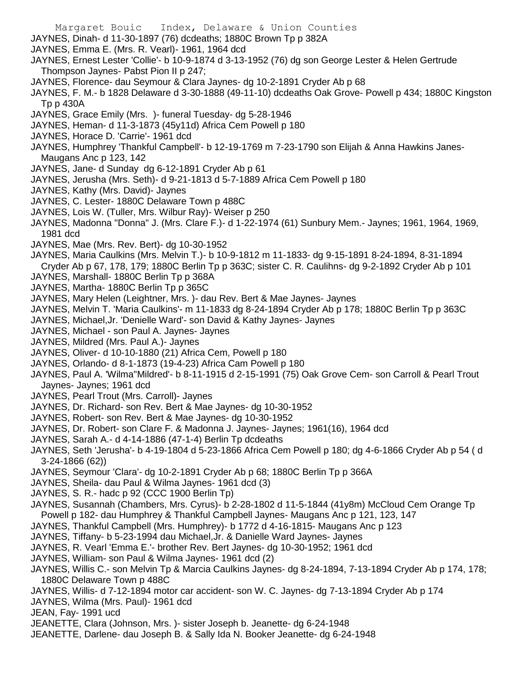- Margaret Bouic Index, Delaware & Union Counties
- JAYNES, Dinah- d 11-30-1897 (76) dcdeaths; 1880C Brown Tp p 382A
- JAYNES, Emma E. (Mrs. R. Vearl)- 1961, 1964 dcd
- JAYNES, Ernest Lester 'Collie'- b 10-9-1874 d 3-13-1952 (76) dg son George Lester & Helen Gertrude Thompson Jaynes- Pabst Pion II p 247;
- JAYNES, Florence- dau Seymour & Clara Jaynes- dg 10-2-1891 Cryder Ab p 68
- JAYNES, F. M.- b 1828 Delaware d 3-30-1888 (49-11-10) dcdeaths Oak Grove- Powell p 434; 1880C Kingston Tp p 430A
- JAYNES, Grace Emily (Mrs. )- funeral Tuesday- dg 5-28-1946
- JAYNES, Heman- d 11-3-1873 (45y11d) Africa Cem Powell p 180
- JAYNES, Horace D. 'Carrie'- 1961 dcd
- JAYNES, Humphrey 'Thankful Campbell'- b 12-19-1769 m 7-23-1790 son Elijah & Anna Hawkins Janes-Maugans Anc p 123, 142
- JAYNES, Jane- d Sunday dg 6-12-1891 Cryder Ab p 61
- JAYNES, Jerusha (Mrs. Seth)- d 9-21-1813 d 5-7-1889 Africa Cem Powell p 180
- JAYNES, Kathy (Mrs. David)- Jaynes
- JAYNES, C. Lester- 1880C Delaware Town p 488C
- JAYNES, Lois W. (Tuller, Mrs. Wilbur Ray)- Weiser p 250
- JAYNES, Madonna "Donna" J. (Mrs. Clare F.)- d 1-22-1974 (61) Sunbury Mem.- Jaynes; 1961, 1964, 1969, 1981 dcd
- JAYNES, Mae (Mrs. Rev. Bert)- dg 10-30-1952
- JAYNES, Maria Caulkins (Mrs. Melvin T.)- b 10-9-1812 m 11-1833- dg 9-15-1891 8-24-1894, 8-31-1894 Cryder Ab p 67, 178, 179; 1880C Berlin Tp p 363C; sister C. R. Caulihns- dg 9-2-1892 Cryder Ab p 101
- JAYNES, Marshall- 1880C Berlin Tp p 368A
- JAYNES, Martha- 1880C Berlin Tp p 365C
- JAYNES, Mary Helen (Leightner, Mrs. )- dau Rev. Bert & Mae Jaynes- Jaynes
- JAYNES, Melvin T. 'Maria Caulkins'- m 11-1833 dg 8-24-1894 Cryder Ab p 178; 1880C Berlin Tp p 363C
- JAYNES, Michael,Jr. 'Denielle Ward'- son David & Kathy Jaynes- Jaynes
- JAYNES, Michael son Paul A. Jaynes- Jaynes
- JAYNES, Mildred (Mrs. Paul A.)- Jaynes
- JAYNES, Oliver- d 10-10-1880 (21) Africa Cem, Powell p 180
- JAYNES, Orlando- d 8-1-1873 (19-4-23) Africa Cam Powell p 180
- JAYNES, Paul A. 'Wilma''Mildred'- b 8-11-1915 d 2-15-1991 (75) Oak Grove Cem- son Carroll & Pearl Trout Jaynes- Jaynes; 1961 dcd
- JAYNES, Pearl Trout (Mrs. Carroll)- Jaynes
- JAYNES, Dr. Richard- son Rev. Bert & Mae Jaynes- dg 10-30-1952
- JAYNES, Robert- son Rev. Bert & Mae Jaynes- dg 10-30-1952
- JAYNES, Dr. Robert- son Clare F. & Madonna J. Jaynes- Jaynes; 1961(16), 1964 dcd
- JAYNES, Sarah A.- d 4-14-1886 (47-1-4) Berlin Tp dcdeaths
- JAYNES, Seth 'Jerusha'- b 4-19-1804 d 5-23-1866 Africa Cem Powell p 180; dg 4-6-1866 Cryder Ab p 54 ( d 3-24-1866 (62))
- JAYNES, Seymour 'Clara'- dg 10-2-1891 Cryder Ab p 68; 1880C Berlin Tp p 366A
- JAYNES, Sheila- dau Paul & Wilma Jaynes- 1961 dcd (3)
- JAYNES, S. R.- hadc p 92 (CCC 1900 Berlin Tp)
- JAYNES, Susannah (Chambers, Mrs. Cyrus)- b 2-28-1802 d 11-5-1844 (41y8m) McCloud Cem Orange Tp Powell p 182- dau Humphrey & Thankful Campbell Jaynes- Maugans Anc p 121, 123, 147
- JAYNES, Thankful Campbell (Mrs. Humphrey)- b 1772 d 4-16-1815- Maugans Anc p 123
- JAYNES, Tiffany- b 5-23-1994 dau Michael,Jr. & Danielle Ward Jaynes- Jaynes
- JAYNES, R. Vearl 'Emma E.'- brother Rev. Bert Jaynes- dg 10-30-1952; 1961 dcd
- JAYNES, William- son Paul & Wilma Jaynes- 1961 dcd (2)
- JAYNES, Willis C.- son Melvin Tp & Marcia Caulkins Jaynes- dg 8-24-1894, 7-13-1894 Cryder Ab p 174, 178; 1880C Delaware Town p 488C
- JAYNES, Willis- d 7-12-1894 motor car accident- son W. C. Jaynes- dg 7-13-1894 Cryder Ab p 174
- JAYNES, Wilma (Mrs. Paul)- 1961 dcd
- JEAN, Fay- 1991 ucd
- JEANETTE, Clara (Johnson, Mrs. )- sister Joseph b. Jeanette- dg 6-24-1948
- JEANETTE, Darlene- dau Joseph B. & Sally Ida N. Booker Jeanette- dg 6-24-1948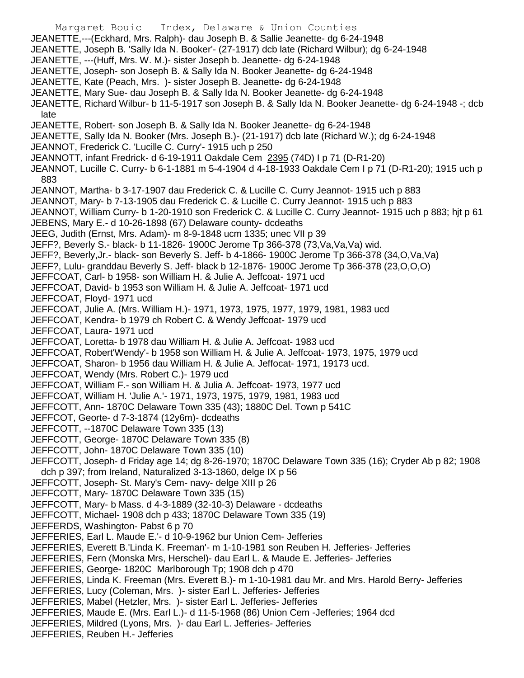Margaret Bouic Index, Delaware & Union Counties JEANETTE,---(Eckhard, Mrs. Ralph)- dau Joseph B. & Sallie Jeanette- dg 6-24-1948 JEANETTE, Joseph B. 'Sally Ida N. Booker'- (27-1917) dcb late (Richard Wilbur); dg 6-24-1948 JEANETTE, ---(Huff, Mrs. W. M.)- sister Joseph b. Jeanette- dg 6-24-1948 JEANETTE, Joseph- son Joseph B. & Sally Ida N. Booker Jeanette- dg 6-24-1948 JEANETTE, Kate (Peach, Mrs. )- sister Joseph B. Jeanette- dg 6-24-1948 JEANETTE, Mary Sue- dau Joseph B. & Sally Ida N. Booker Jeanette- dg 6-24-1948 JEANETTE, Richard Wilbur- b 11-5-1917 son Joseph B. & Sally Ida N. Booker Jeanette- dg 6-24-1948 -; dcb late JEANETTE, Robert- son Joseph B. & Sally Ida N. Booker Jeanette- dg 6-24-1948 JEANETTE, Sally Ida N. Booker (Mrs. Joseph B.)- (21-1917) dcb late (Richard W.); dg 6-24-1948 JEANNOT, Frederick C. 'Lucille C. Curry'- 1915 uch p 250 JEANNOTT, infant Fredrick- d 6-19-1911 Oakdale Cem 2395 (74D) I p 71 (D-R1-20) JEANNOT, Lucille C. Curry- b 6-1-1881 m 5-4-1904 d 4-18-1933 Oakdale Cem I p 71 (D-R1-20); 1915 uch p 883 JEANNOT, Martha- b 3-17-1907 dau Frederick C. & Lucille C. Curry Jeannot- 1915 uch p 883 JEANNOT, Mary- b 7-13-1905 dau Frederick C. & Lucille C. Curry Jeannot- 1915 uch p 883 JEANNOT, William Curry- b 1-20-1910 son Frederick C. & Lucille C. Curry Jeannot- 1915 uch p 883; hjt p 61 JEBENS, Mary E.- d 10-26-1898 (67) Delaware county- dcdeaths JEEG, Judith (Ernst, Mrs. Adam)- m 8-9-1848 ucm 1335; unec VII p 39 JEFF?, Beverly S.- black- b 11-1826- 1900C Jerome Tp 366-378 (73,Va,Va,Va) wid. JEFF?, Beverly,Jr.- black- son Beverly S. Jeff- b 4-1866- 1900C Jerome Tp 366-378 (34,O,Va,Va) JEFF?, Lulu- granddau Beverly S. Jeff- black b 12-1876- 1900C Jerome Tp 366-378 (23,O,O,O) JEFFCOAT, Carl- b 1958- son William H. & Julie A. Jeffcoat- 1971 ucd JEFFCOAT, David- b 1953 son William H. & Julie A. Jeffcoat- 1971 ucd JEFFCOAT, Floyd- 1971 ucd JEFFCOAT, Julie A. (Mrs. William H.)- 1971, 1973, 1975, 1977, 1979, 1981, 1983 ucd JEFFCOAT, Kendra- b 1979 ch Robert C. & Wendy Jeffcoat- 1979 ucd JEFFCOAT, Laura- 1971 ucd JEFFCOAT, Loretta- b 1978 dau William H. & Julie A. Jeffcoat- 1983 ucd JEFFCOAT, Robert'Wendy'- b 1958 son William H. & Julie A. Jeffcoat- 1973, 1975, 1979 ucd JEFFCOAT, Sharon- b 1956 dau William H. & Julie A. Jeffocat- 1971, 19173 ucd. JEFFCOAT, Wendy (Mrs. Robert C.)- 1979 ucd JEFFCOAT, William F.- son William H. & Julia A. Jeffcoat- 1973, 1977 ucd JEFFCOAT, William H. 'Julie A.'- 1971, 1973, 1975, 1979, 1981, 1983 ucd JEFFCOTT, Ann- 1870C Delaware Town 335 (43); 1880C Del. Town p 541C JEFFCOT, Georte- d 7-3-1874 (12y6m)- dcdeaths JEFFCOTT, --1870C Delaware Town 335 (13) JEFFCOTT, George- 1870C Delaware Town 335 (8) JEFFCOTT, John- 1870C Delaware Town 335 (10) JEFFCOTT, Joseph- d Friday age 14; dg 8-26-1970; 1870C Delaware Town 335 (16); Cryder Ab p 82; 1908 dch p 397; from Ireland, Naturalized 3-13-1860, delge IX p 56 JEFFCOTT, Joseph- St. Mary's Cem- navy- delge XIII p 26 JEFFCOTT, Mary- 1870C Delaware Town 335 (15) JEFFCOTT, Mary- b Mass. d 4-3-1889 (32-10-3) Delaware - dcdeaths JEFFCOTT, Michael- 1908 dch p 433; 1870C Delaware Town 335 (19) JEFFERDS, Washington- Pabst 6 p 70 JEFFERIES, Earl L. Maude E.'- d 10-9-1962 bur Union Cem- Jefferies JEFFERIES, Everett B.'Linda K. Freeman'- m 1-10-1981 son Reuben H. Jefferies- Jefferies JEFFERIES, Fern (Monska Mrs, Herschel)- dau Earl L. & Maude E. Jefferies- Jefferies JEFFERIES, George- 1820C Marlborough Tp; 1908 dch p 470 JEFFERIES, Linda K. Freeman (Mrs. Everett B.)- m 1-10-1981 dau Mr. and Mrs. Harold Berry- Jefferies JEFFERIES, Lucy (Coleman, Mrs. )- sister Earl L. Jefferies- Jefferies JEFFERIES, Mabel (Hetzler, Mrs. )- sister Earl L. Jefferies- Jefferies JEFFERIES, Maude E. (Mrs. Earl L.)- d 11-5-1968 (86) Union Cem -Jefferies; 1964 dcd JEFFERIES, Mildred (Lyons, Mrs. )- dau Earl L. Jefferies- Jefferies JEFFERIES, Reuben H.- Jefferies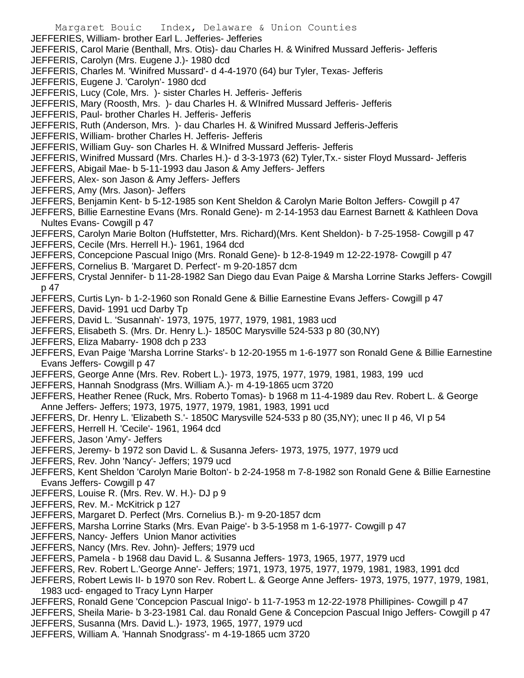Margaret Bouic Index, Delaware & Union Counties JEFFERIES, William- brother Earl L. Jefferies- Jefferies JEFFERIS, Carol Marie (Benthall, Mrs. Otis)- dau Charles H. & Winifred Mussard Jefferis- Jefferis JEFFERIS, Carolyn (Mrs. Eugene J.)- 1980 dcd JEFFERIS, Charles M. 'Winifred Mussard'- d 4-4-1970 (64) bur Tyler, Texas- Jefferis JEFFERIS, Eugene J. 'Carolyn'- 1980 dcd JEFFERIS, Lucy (Cole, Mrs. )- sister Charles H. Jefferis- Jefferis JEFFERIS, Mary (Roosth, Mrs. )- dau Charles H. & WInifred Mussard Jefferis- Jefferis JEFFERIS, Paul- brother Charles H. Jefferis- Jefferis JEFFERIS, Ruth (Anderson, Mrs. )- dau Charles H. & Winifred Mussard Jefferis-Jefferis JEFFERIS, William- brother Charles H. Jefferis- Jefferis JEFFERIS, William Guy- son Charles H. & WInifred Mussard Jefferis- Jefferis JEFFERIS, Winifred Mussard (Mrs. Charles H.)- d 3-3-1973 (62) Tyler,Tx.- sister Floyd Mussard- Jefferis JEFFERS, Abigail Mae- b 5-11-1993 dau Jason & Amy Jeffers- Jeffers JEFFERS, Alex- son Jason & Amy Jeffers- Jeffers JEFFERS, Amy (Mrs. Jason)- Jeffers JEFFERS, Benjamin Kent- b 5-12-1985 son Kent Sheldon & Carolyn Marie Bolton Jeffers- Cowgill p 47 JEFFERS, Billie Earnestine Evans (Mrs. Ronald Gene)- m 2-14-1953 dau Earnest Barnett & Kathleen Dova Nultes Evans- Cowgill p 47 JEFFERS, Carolyn Marie Bolton (Huffstetter, Mrs. Richard)(Mrs. Kent Sheldon)- b 7-25-1958- Cowgill p 47 JEFFERS, Cecile (Mrs. Herrell H.)- 1961, 1964 dcd JEFFERS, Concepcione Pascual Inigo (Mrs. Ronald Gene)- b 12-8-1949 m 12-22-1978- Cowgill p 47 JEFFERS, Cornelius B. 'Margaret D. Perfect'- m 9-20-1857 dcm JEFFERS, Crystal Jennifer- b 11-28-1982 San Diego dau Evan Paige & Marsha Lorrine Starks Jeffers- Cowgill p 47 JEFFERS, Curtis Lyn- b 1-2-1960 son Ronald Gene & Billie Earnestine Evans Jeffers- Cowgill p 47 JEFFERS, David- 1991 ucd Darby Tp JEFFERS, David L. 'Susannah'- 1973, 1975, 1977, 1979, 1981, 1983 ucd JEFFERS, Elisabeth S. (Mrs. Dr. Henry L.)- 1850C Marysville 524-533 p 80 (30,NY) JEFFERS, Eliza Mabarry- 1908 dch p 233 JEFFERS, Evan Paige 'Marsha Lorrine Starks'- b 12-20-1955 m 1-6-1977 son Ronald Gene & Billie Earnestine Evans Jeffers- Cowgill p 47 JEFFERS, George Anne (Mrs. Rev. Robert L.)- 1973, 1975, 1977, 1979, 1981, 1983, 199 ucd JEFFERS, Hannah Snodgrass (Mrs. William A.)- m 4-19-1865 ucm 3720 JEFFERS, Heather Renee (Ruck, Mrs. Roberto Tomas)- b 1968 m 11-4-1989 dau Rev. Robert L. & George Anne Jeffers- Jeffers; 1973, 1975, 1977, 1979, 1981, 1983, 1991 ucd JEFFERS, Dr. Henry L. 'Elizabeth S.'- 1850C Marysville 524-533 p 80 (35,NY); unec II p 46, VI p 54 JEFFERS, Herrell H. 'Cecile'- 1961, 1964 dcd JEFFERS, Jason 'Amy'- Jeffers JEFFERS, Jeremy- b 1972 son David L. & Susanna Jefers- 1973, 1975, 1977, 1979 ucd

JEFFERS, Rev. John 'Nancy'- Jeffers; 1979 ucd

JEFFERS, Kent Sheldon 'Carolyn Marie Bolton'- b 2-24-1958 m 7-8-1982 son Ronald Gene & Billie Earnestine Evans Jeffers- Cowgill p 47

- JEFFERS, Louise R. (Mrs. Rev. W. H.)- DJ p 9
- JEFFERS, Rev. M.- McKitrick p 127
- JEFFERS, Margaret D. Perfect (Mrs. Cornelius B.)- m 9-20-1857 dcm
- JEFFERS, Marsha Lorrine Starks (Mrs. Evan Paige'- b 3-5-1958 m 1-6-1977- Cowgill p 47
- JEFFERS, Nancy- Jeffers Union Manor activities
- JEFFERS, Nancy (Mrs. Rev. John)- Jeffers; 1979 ucd
- JEFFERS, Pamela b 1968 dau David L. & Susanna Jeffers- 1973, 1965, 1977, 1979 ucd
- JEFFERS, Rev. Robert L.'George Anne'- Jeffers; 1971, 1973, 1975, 1977, 1979, 1981, 1983, 1991 dcd
- JEFFERS, Robert Lewis II- b 1970 son Rev. Robert L. & George Anne Jeffers- 1973, 1975, 1977, 1979, 1981, 1983 ucd- engaged to Tracy Lynn Harper
- JEFFERS, Ronald Gene 'Concepcion Pascual Inigo'- b 11-7-1953 m 12-22-1978 Phillipines- Cowgill p 47

JEFFERS, Sheila Marie- b 3-23-1981 Cal. dau Ronald Gene & Concepcion Pascual Inigo Jeffers- Cowgill p 47 JEFFERS, Susanna (Mrs. David L.)- 1973, 1965, 1977, 1979 ucd

JEFFERS, William A. 'Hannah Snodgrass'- m 4-19-1865 ucm 3720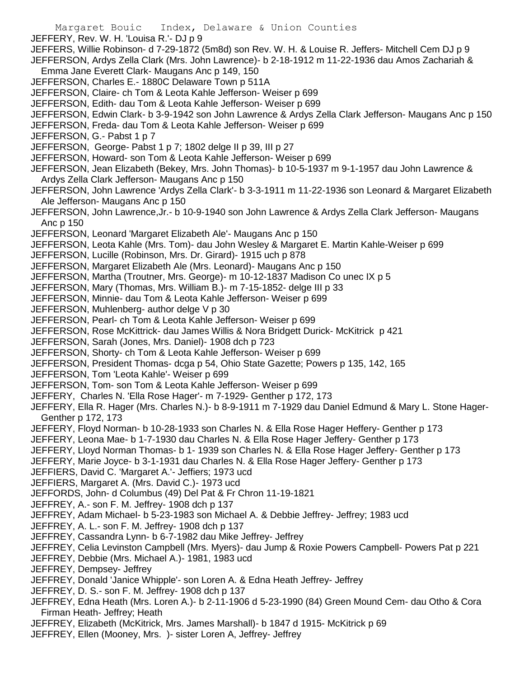Margaret Bouic Index, Delaware & Union Counties JEFFERY, Rev. W. H. 'Louisa R.'- DJ p 9 JEFFERS, Willie Robinson- d 7-29-1872 (5m8d) son Rev. W. H. & Louise R. Jeffers- Mitchell Cem DJ p 9 JEFFERSON, Ardys Zella Clark (Mrs. John Lawrence)- b 2-18-1912 m 11-22-1936 dau Amos Zachariah & Emma Jane Everett Clark- Maugans Anc p 149, 150 JEFFERSON, Charles E.- 1880C Delaware Town p 511A JEFFERSON, Claire- ch Tom & Leota Kahle Jefferson- Weiser p 699 JEFFERSON, Edith- dau Tom & Leota Kahle Jefferson- Weiser p 699 JEFFERSON, Edwin Clark- b 3-9-1942 son John Lawrence & Ardys Zella Clark Jefferson- Maugans Anc p 150 JEFFERSON, Freda- dau Tom & Leota Kahle Jefferson- Weiser p 699 JEFFERSON, G.- Pabst 1 p 7 JEFFERSON, George- Pabst 1 p 7; 1802 delge II p 39, III p 27 JEFFERSON, Howard- son Tom & Leota Kahle Jefferson- Weiser p 699 JEFFERSON, Jean Elizabeth (Bekey, Mrs. John Thomas)- b 10-5-1937 m 9-1-1957 dau John Lawrence & Ardys Zella Clark Jefferson- Maugans Anc p 150 JEFFERSON, John Lawrence 'Ardys Zella Clark'- b 3-3-1911 m 11-22-1936 son Leonard & Margaret Elizabeth Ale Jefferson- Maugans Anc p 150 JEFFERSON, John Lawrence,Jr.- b 10-9-1940 son John Lawrence & Ardys Zella Clark Jefferson- Maugans Anc p 150 JEFFERSON, Leonard 'Margaret Elizabeth Ale'- Maugans Anc p 150 JEFFERSON, Leota Kahle (Mrs. Tom)- dau John Wesley & Margaret E. Martin Kahle-Weiser p 699 JEFFERSON, Lucille (Robinson, Mrs. Dr. Girard)- 1915 uch p 878 JEFFERSON, Margaret Elizabeth Ale (Mrs. Leonard)- Maugans Anc p 150 JEFFERSON, Martha (Troutner, Mrs. George)- m 10-12-1837 Madison Co unec IX p 5 JEFFERSON, Mary (Thomas, Mrs. William B.)- m 7-15-1852- delge III p 33 JEFFERSON, Minnie- dau Tom & Leota Kahle Jefferson- Weiser p 699 JEFFERSON, Muhlenberg- author delge V p 30 JEFFERSON, Pearl- ch Tom & Leota Kahle Jefferson- Weiser p 699 JEFFERSON, Rose McKittrick- dau James Willis & Nora Bridgett Durick- McKitrick p 421 JEFFERSON, Sarah (Jones, Mrs. Daniel)- 1908 dch p 723 JEFFERSON, Shorty- ch Tom & Leota Kahle Jefferson- Weiser p 699 JEFFERSON, President Thomas- dcga p 54, Ohio State Gazette; Powers p 135, 142, 165 JEFFERSON, Tom 'Leota Kahle'- Weiser p 699 JEFFERSON, Tom- son Tom & Leota Kahle Jefferson- Weiser p 699 JEFFERY, Charles N. 'Ella Rose Hager'- m 7-1929- Genther p 172, 173 JEFFERY, Ella R. Hager (Mrs. Charles N.)- b 8-9-1911 m 7-1929 dau Daniel Edmund & Mary L. Stone Hager-Genther p 172, 173 JEFFERY, Floyd Norman- b 10-28-1933 son Charles N. & Ella Rose Hager Heffery- Genther p 173 JEFFERY, Leona Mae- b 1-7-1930 dau Charles N. & Ella Rose Hager Jeffery- Genther p 173 JEFFERY, Lloyd Norman Thomas- b 1- 1939 son Charles N. & Ella Rose Hager Jeffery- Genther p 173 JEFFERY, Marie Joyce- b 3-1-1931 dau Charles N. & Ella Rose Hager Jeffery- Genther p 173 JEFFIERS, David C. 'Margaret A.'- Jeffiers; 1973 ucd JEFFIERS, Margaret A. (Mrs. David C.)- 1973 ucd JEFFORDS, John- d Columbus (49) Del Pat & Fr Chron 11-19-1821 JEFFREY, A.- son F. M. Jeffrey- 1908 dch p 137 JEFFREY, Adam Michael- b 5-23-1983 son Michael A. & Debbie Jeffrey- Jeffrey; 1983 ucd JEFFREY, A. L.- son F. M. Jeffrey- 1908 dch p 137 JEFFREY, Cassandra Lynn- b 6-7-1982 dau Mike Jeffrey- Jeffrey JEFFREY, Celia Levinston Campbell (Mrs. Myers)- dau Jump & Roxie Powers Campbell- Powers Pat p 221 JEFFREY, Debbie (Mrs. Michael A.)- 1981, 1983 ucd JEFFREY, Dempsey- Jeffrey JEFFREY, Donald 'Janice Whipple'- son Loren A. & Edna Heath Jeffrey- Jeffrey JEFFREY, D. S.- son F. M. Jeffrey- 1908 dch p 137 JEFFREY, Edna Heath (Mrs. Loren A.)- b 2-11-1906 d 5-23-1990 (84) Green Mound Cem- dau Otho & Cora Firman Heath- Jeffrey; Heath JEFFREY, Elizabeth (McKitrick, Mrs. James Marshall)- b 1847 d 1915- McKitrick p 69 JEFFREY, Ellen (Mooney, Mrs. )- sister Loren A, Jeffrey- Jeffrey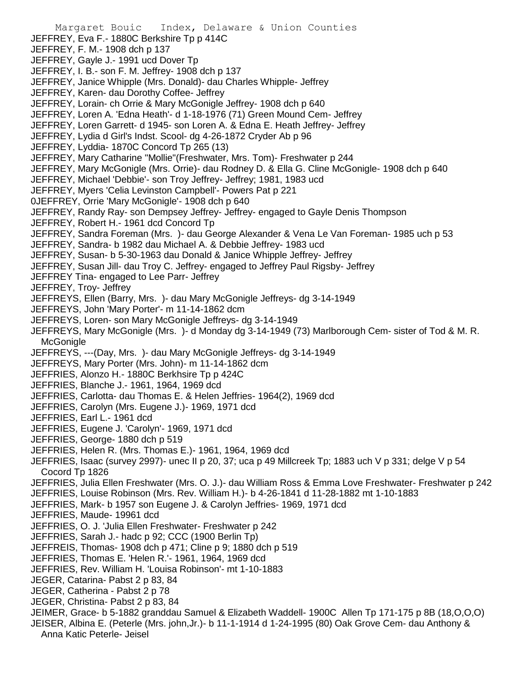Margaret Bouic Index, Delaware & Union Counties JEFFREY, Eva F.- 1880C Berkshire Tp p 414C JEFFREY, F. M.- 1908 dch p 137 JEFFREY, Gayle J.- 1991 ucd Dover Tp JEFFREY, I. B.- son F. M. Jeffrey- 1908 dch p 137 JEFFREY, Janice Whipple (Mrs. Donald)- dau Charles Whipple- Jeffrey JEFFREY, Karen- dau Dorothy Coffee- Jeffrey JEFFREY, Lorain- ch Orrie & Mary McGonigle Jeffrey- 1908 dch p 640 JEFFREY, Loren A. 'Edna Heath'- d 1-18-1976 (71) Green Mound Cem- Jeffrey JEFFREY, Loren Garrett- d 1945- son Loren A. & Edna E. Heath Jeffrey- Jeffrey JEFFREY, Lydia d Girl's Indst. Scool- dg 4-26-1872 Cryder Ab p 96 JEFFREY, Lyddia- 1870C Concord Tp 265 (13) JEFFREY, Mary Catharine "Mollie"(Freshwater, Mrs. Tom)- Freshwater p 244 JEFFREY, Mary McGonigle (Mrs. Orrie)- dau Rodney D. & Ella G. Cline McGonigle- 1908 dch p 640 JEFFREY, Michael 'Debbie'- son Troy Jeffrey- Jeffrey; 1981, 1983 ucd JEFFREY, Myers 'Celia Levinston Campbell'- Powers Pat p 221 0JEFFREY, Orrie 'Mary McGonigle'- 1908 dch p 640 JEFFREY, Randy Ray- son Dempsey Jeffrey- Jeffrey- engaged to Gayle Denis Thompson JEFFREY, Robert H.- 1961 dcd Concord Tp JEFFREY, Sandra Foreman (Mrs. )- dau George Alexander & Vena Le Van Foreman- 1985 uch p 53 JEFFREY, Sandra- b 1982 dau Michael A. & Debbie Jeffrey- 1983 ucd JEFFREY, Susan- b 5-30-1963 dau Donald & Janice Whipple Jeffrey- Jeffrey JEFFREY, Susan Jill- dau Troy C. Jeffrey- engaged to Jeffrey Paul Rigsby- Jeffrey JEFFREY Tina- engaged to Lee Parr- Jeffrey JEFFREY, Troy- Jeffrey JEFFREYS, Ellen (Barry, Mrs. )- dau Mary McGonigle Jeffreys- dg 3-14-1949 JEFFREYS, John 'Mary Porter'- m 11-14-1862 dcm JEFFREYS, Loren- son Mary McGonigle Jeffreys- dg 3-14-1949 JEFFREYS, Mary McGonigle (Mrs. )- d Monday dg 3-14-1949 (73) Marlborough Cem- sister of Tod & M. R. **McGonigle** JEFFREYS, ---(Day, Mrs. )- dau Mary McGonigle Jeffreys- dg 3-14-1949 JEFFREYS, Mary Porter (Mrs. John)- m 11-14-1862 dcm JEFFRIES, Alonzo H.- 1880C Berkhsire Tp p 424C JEFFRIES, Blanche J.- 1961, 1964, 1969 dcd JEFFRIES, Carlotta- dau Thomas E. & Helen Jeffries- 1964(2), 1969 dcd JEFFRIES, Carolyn (Mrs. Eugene J.)- 1969, 1971 dcd JEFFRIES, Earl L.- 1961 dcd JEFFRIES, Eugene J. 'Carolyn'- 1969, 1971 dcd JEFFRIES, George- 1880 dch p 519 JEFFRIES, Helen R. (Mrs. Thomas E.)- 1961, 1964, 1969 dcd JEFFRIES, Isaac (survey 2997)- unec II p 20, 37; uca p 49 Millcreek Tp; 1883 uch V p 331; delge V p 54 Cocord Tp 1826 JEFFRIES, Julia Ellen Freshwater (Mrs. O. J.)- dau William Ross & Emma Love Freshwater- Freshwater p 242 JEFFRIES, Louise Robinson (Mrs. Rev. William H.)- b 4-26-1841 d 11-28-1882 mt 1-10-1883 JEFFRIES, Mark- b 1957 son Eugene J. & Carolyn Jeffries- 1969, 1971 dcd JEFFRIES, Maude- 19961 dcd JEFFRIES, O. J. 'Julia Ellen Freshwater- Freshwater p 242 JEFFRIES, Sarah J.- hadc p 92; CCC (1900 Berlin Tp) JEFFREIS, Thomas- 1908 dch p 471; Cline p 9; 1880 dch p 519 JEFFRIES, Thomas E. 'Helen R.'- 1961, 1964, 1969 dcd JEFFRIES, Rev. William H. 'Louisa Robinson'- mt 1-10-1883 JEGER, Catarina- Pabst 2 p 83, 84 JEGER, Catherina - Pabst 2 p 78 JEGER, Christina- Pabst 2 p 83, 84 JEIMER, Grace- b 5-1882 granddau Samuel & Elizabeth Waddell- 1900C Allen Tp 171-175 p 8B (18,O,O,O) JEISER, Albina E. (Peterle (Mrs. john,Jr.)- b 11-1-1914 d 1-24-1995 (80) Oak Grove Cem- dau Anthony & Anna Katic Peterle- Jeisel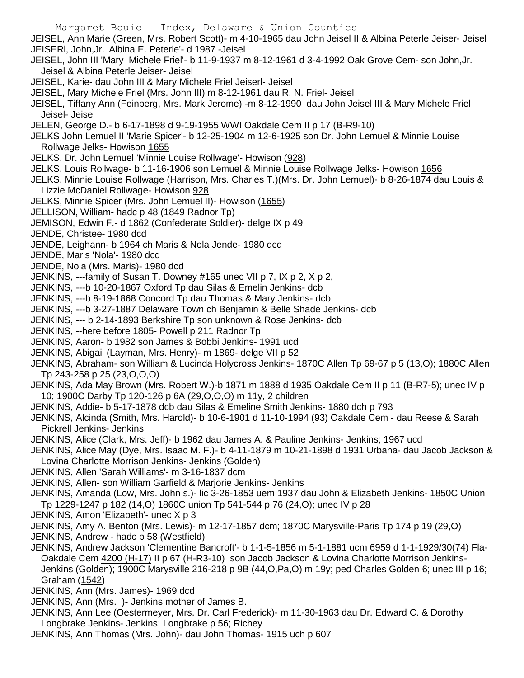Margaret Bouic Index, Delaware & Union Counties JEISEL, Ann Marie (Green, Mrs. Robert Scott)- m 4-10-1965 dau John Jeisel II & Albina Peterle Jeiser- Jeisel JEISERl, John,Jr. 'Albina E. Peterle'- d 1987 -Jeisel JEISEL, John III 'Mary Michele Friel'- b 11-9-1937 m 8-12-1961 d 3-4-1992 Oak Grove Cem- son John,Jr. Jeisel & Albina Peterle Jeiser- Jeisel JEISEL, Karie- dau John III & Mary Michele Friel Jeiserl- Jeisel JEISEL, Mary Michele Friel (Mrs. John III) m 8-12-1961 dau R. N. Friel- Jeisel JEISEL, Tiffany Ann (Feinberg, Mrs. Mark Jerome) -m 8-12-1990 dau John Jeisel III & Mary Michele Friel Jeisel- Jeisel JELEN, George D.- b 6-17-1898 d 9-19-1955 WWI Oakdale Cem II p 17 (B-R9-10) JELKS John Lemuel II 'Marie Spicer'- b 12-25-1904 m 12-6-1925 son Dr. John Lemuel & Minnie Louise Rollwage Jelks- Howison 1655 JELKS, Dr. John Lemuel 'Minnie Louise Rollwage'- Howison (928) JELKS, Louis Rollwage- b 11-16-1906 son Lemuel & Minnie Louise Rollwage Jelks- Howison 1656 JELKS, Minnie Louise Rollwage (Harrison, Mrs. Charles T.)(Mrs. Dr. John Lemuel)- b 8-26-1874 dau Louis & Lizzie McDaniel Rollwage- Howison 928 JELKS, Minnie Spicer (Mrs. John Lemuel II)- Howison (1655) JELLISON, William- hadc p 48 (1849 Radnor Tp) JEMISON, Edwin F.- d 1862 (Confederate Soldier)- delge IX p 49 JENDE, Christee- 1980 dcd JENDE, Leighann- b 1964 ch Maris & Nola Jende- 1980 dcd JENDE, Maris 'Nola'- 1980 dcd JENDE, Nola (Mrs. Maris)- 1980 dcd JENKINS, ---family of Susan T. Downey #165 unec VII p 7, IX p 2, X p 2, JENKINS, ---b 10-20-1867 Oxford Tp dau Silas & Emelin Jenkins- dcb JENKINS, ---b 8-19-1868 Concord Tp dau Thomas & Mary Jenkins- dcb JENKINS, ---b 3-27-1887 Delaware Town ch Benjamin & Belle Shade Jenkins- dcb JENKINS, --- b 2-14-1893 Berkshire Tp son unknown & Rose Jenkins- dcb JENKINS, --here before 1805- Powell p 211 Radnor Tp JENKINS, Aaron- b 1982 son James & Bobbi Jenkins- 1991 ucd JENKINS, Abigail (Layman, Mrs. Henry)- m 1869- delge VII p 52 JENKINS, Abraham- son William & Lucinda Holycross Jenkins- 1870C Allen Tp 69-67 p 5 (13,O); 1880C Allen Tp 243-258 p 25 (23,O,O,O) JENKINS, Ada May Brown (Mrs. Robert W.)-b 1871 m 1888 d 1935 Oakdale Cem II p 11 (B-R7-5); unec IV p 10; 1900C Darby Tp 120-126 p 6A (29,O,O,O) m 11y, 2 children JENKINS, Addie- b 5-17-1878 dcb dau Silas & Emeline Smith Jenkins- 1880 dch p 793 JENKINS, Alcinda (Smith, Mrs. Harold)- b 10-6-1901 d 11-10-1994 (93) Oakdale Cem - dau Reese & Sarah Pickrell Jenkins- Jenkins JENKINS, Alice (Clark, Mrs. Jeff)- b 1962 dau James A. & Pauline Jenkins- Jenkins; 1967 ucd JENKINS, Alice May (Dye, Mrs. Isaac M. F.)- b 4-11-1879 m 10-21-1898 d 1931 Urbana- dau Jacob Jackson & Lovina Charlotte Morrison Jenkins- Jenkins (Golden) JENKINS, Allen 'Sarah Williams'- m 3-16-1837 dcm

JENKINS, Allen- son William Garfield & Marjorie Jenkins- Jenkins

JENKINS, Amanda (Low, Mrs. John s.)- lic 3-26-1853 uem 1937 dau John & Elizabeth Jenkins- 1850C Union Tp 1229-1247 p 182 (14,O) 1860C union Tp 541-544 p 76 (24,O); unec IV p 28

- JENKINS, Amon 'Elizabeth'- unec X p 3
- JENKINS, Amy A. Benton (Mrs. Lewis)- m 12-17-1857 dcm; 1870C Marysville-Paris Tp 174 p 19 (29,O)
- JENKINS, Andrew hadc p 58 (Westfield)
- JENKINS, Andrew Jackson 'Clementine Bancroft'- b 1-1-5-1856 m 5-1-1881 ucm 6959 d 1-1-1929/30(74) Fla-Oakdale Cem 4200 (H-17) II p 67 (H-R3-10) son Jacob Jackson & Lovina Charlotte Morrison Jenkins-Jenkins (Golden); 1900C Marysville 216-218 p 9B (44, O, Pa, O) m 19y; ped Charles Golden 6; unec III p 16; Graham (1542)
- JENKINS, Ann (Mrs. James)- 1969 dcd
- JENKINS, Ann (Mrs. )- Jenkins mother of James B.
- JENKINS, Ann Lee (Oestermeyer, Mrs. Dr. Carl Frederick)- m 11-30-1963 dau Dr. Edward C. & Dorothy Longbrake Jenkins- Jenkins; Longbrake p 56; Richey
- JENKINS, Ann Thomas (Mrs. John)- dau John Thomas- 1915 uch p 607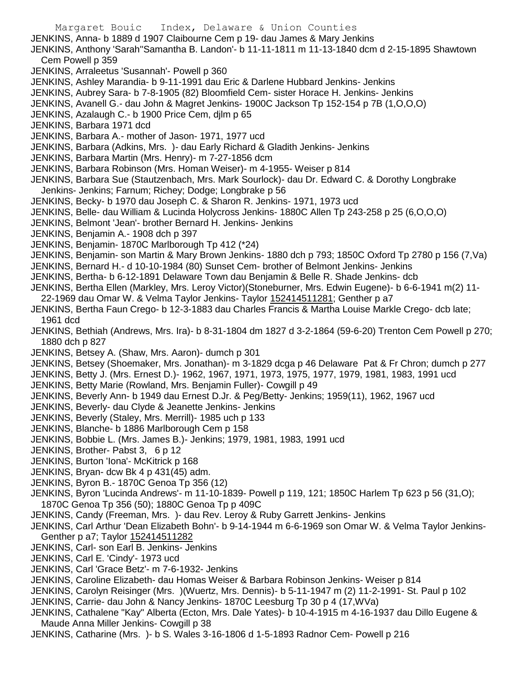Margaret Bouic Index, Delaware & Union Counties JENKINS, Anna- b 1889 d 1907 Claibourne Cem p 19- dau James & Mary Jenkins JENKINS, Anthony 'Sarah''Samantha B. Landon'- b 11-11-1811 m 11-13-1840 dcm d 2-15-1895 Shawtown Cem Powell p 359 JENKINS, Arraleetus 'Susannah'- Powell p 360 JENKINS, Ashley Marandia- b 9-11-1991 dau Eric & Darlene Hubbard Jenkins- Jenkins JENKINS, Aubrey Sara- b 7-8-1905 (82) Bloomfield Cem- sister Horace H. Jenkins- Jenkins JENKINS, Avanell G.- dau John & Magret Jenkins- 1900C Jackson Tp 152-154 p 7B (1,O,O,O) JENKINS, Azalaugh C.- b 1900 Price Cem, djlm p 65 JENKINS, Barbara 1971 dcd JENKINS, Barbara A.- mother of Jason- 1971, 1977 ucd JENKINS, Barbara (Adkins, Mrs. )- dau Early Richard & Gladith Jenkins- Jenkins JENKINS, Barbara Martin (Mrs. Henry)- m 7-27-1856 dcm JENKINS, Barbara Robinson (Mrs. Homan Weiser)- m 4-1955- Weiser p 814 JENKINS, Barbara Sue (Stautzenbach, Mrs. Mark Sourlock)- dau Dr. Edward C. & Dorothy Longbrake Jenkins- Jenkins; Farnum; Richey; Dodge; Longbrake p 56 JENKINS, Becky- b 1970 dau Joseph C. & Sharon R. Jenkins- 1971, 1973 ucd JENKINS, Belle- dau William & Lucinda Holycross Jenkins- 1880C Allen Tp 243-258 p 25 (6,O,O,O) JENKINS, Belmont 'Jean'- brother Bernard H. Jenkins- Jenkins JENKINS, Benjamin A.- 1908 dch p 397 JENKINS, Benjamin- 1870C Marlborough Tp 412 (\*24) JENKINS, Benjamin- son Martin & Mary Brown Jenkins- 1880 dch p 793; 1850C Oxford Tp 2780 p 156 (7,Va) JENKINS, Bernard H.- d 10-10-1984 (80) Sunset Cem- brother of Belmont Jenkins- Jenkins JENKINS, Bertha- b 6-12-1891 Delaware Town dau Benjamin & Belle R. Shade Jenkins- dcb JENKINS, Bertha Ellen (Markley, Mrs. Leroy Victor)(Stoneburner, Mrs. Edwin Eugene)- b 6-6-1941 m(2) 11- 22-1969 dau Omar W. & Velma Taylor Jenkins- Taylor 152414511281; Genther p a7 JENKINS, Bertha Faun Crego- b 12-3-1883 dau Charles Francis & Martha Louise Markle Crego- dcb late; 1961 dcd JENKINS, Bethiah (Andrews, Mrs. Ira)- b 8-31-1804 dm 1827 d 3-2-1864 (59-6-20) Trenton Cem Powell p 270; 1880 dch p 827 JENKINS, Betsey A. (Shaw, Mrs. Aaron)- dumch p 301 JENKINS, Betsey (Shoemaker, Mrs. Jonathan)- m 3-1829 dcga p 46 Delaware Pat & Fr Chron; dumch p 277 JENKINS, Betty J. (Mrs. Ernest D.)- 1962, 1967, 1971, 1973, 1975, 1977, 1979, 1981, 1983, 1991 ucd JENKINS, Betty Marie (Rowland, Mrs. Benjamin Fuller)- Cowgill p 49 JENKINS, Beverly Ann- b 1949 dau Ernest D.Jr. & Peg/Betty- Jenkins; 1959(11), 1962, 1967 ucd JENKINS, Beverly- dau Clyde & Jeanette Jenkins- Jenkins JENKINS, Beverly (Staley, Mrs. Merrill)- 1985 uch p 133 JENKINS, Blanche- b 1886 Marlborough Cem p 158 JENKINS, Bobbie L. (Mrs. James B.)- Jenkins; 1979, 1981, 1983, 1991 ucd JENKINS, Brother- Pabst 3, 6 p 12 JENKINS, Burton 'Iona'- McKitrick p 168 JENKINS, Bryan- dcw Bk 4 p 431(45) adm. JENKINS, Byron B.- 1870C Genoa Tp 356 (12) JENKINS, Byron 'Lucinda Andrews'- m 11-10-1839- Powell p 119, 121; 1850C Harlem Tp 623 p 56 (31,O); 1870C Genoa Tp 356 (50); 1880C Genoa Tp p 409C JENKINS, Candy (Freeman, Mrs. )- dau Rev. Leroy & Ruby Garrett Jenkins- Jenkins JENKINS, Carl Arthur 'Dean Elizabeth Bohn'- b 9-14-1944 m 6-6-1969 son Omar W. & Velma Taylor Jenkins-Genther p a7; Taylor 152414511282 JENKINS, Carl- son Earl B. Jenkins- Jenkins

- JENKINS, Carl E. 'Cindy'- 1973 ucd
- JENKINS, Carl 'Grace Betz'- m 7-6-1932- Jenkins
- JENKINS, Caroline Elizabeth- dau Homas Weiser & Barbara Robinson Jenkins- Weiser p 814
- JENKINS, Carolyn Reisinger (Mrs. )(Wuertz, Mrs. Dennis)- b 5-11-1947 m (2) 11-2-1991- St. Paul p 102
- JENKINS, Carrie- dau John & Nancy Jenkins- 1870C Leesburg Tp 30 p 4 (17,WVa)
- JENKINS, Cathalene "Kay" Alberta (Ecton, Mrs. Dale Yates)- b 10-4-1915 m 4-16-1937 dau Dillo Eugene & Maude Anna Miller Jenkins- Cowgill p 38
- JENKINS, Catharine (Mrs. )- b S. Wales 3-16-1806 d 1-5-1893 Radnor Cem- Powell p 216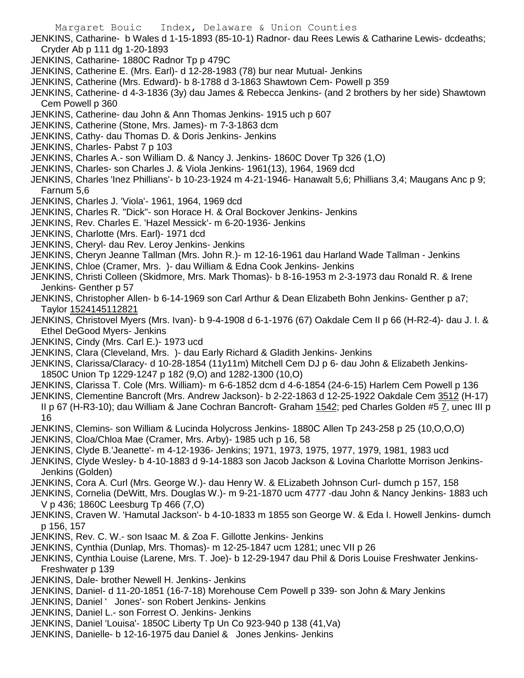- JENKINS, Catharine- b Wales d 1-15-1893 (85-10-1) Radnor- dau Rees Lewis & Catharine Lewis- dcdeaths; Cryder Ab p 111 dg 1-20-1893
- JENKINS, Catharine- 1880C Radnor Tp p 479C
- JENKINS, Catherine E. (Mrs. Earl)- d 12-28-1983 (78) bur near Mutual- Jenkins
- JENKINS, Catherine (Mrs. Edward)- b 8-1788 d 3-1863 Shawtown Cem- Powell p 359
- JENKINS, Catherine- d 4-3-1836 (3y) dau James & Rebecca Jenkins- (and 2 brothers by her side) Shawtown Cem Powell p 360
- JENKINS, Catherine- dau John & Ann Thomas Jenkins- 1915 uch p 607
- JENKINS, Catherine (Stone, Mrs. James)- m 7-3-1863 dcm
- JENKINS, Cathy- dau Thomas D. & Doris Jenkins- Jenkins
- JENKINS, Charles- Pabst 7 p 103
- JENKINS, Charles A.- son William D. & Nancy J. Jenkins- 1860C Dover Tp 326 (1,O)
- JENKINS, Charles- son Charles J. & Viola Jenkins- 1961(13), 1964, 1969 dcd
- JENKINS, Charles 'Inez Phillians'- b 10-23-1924 m 4-21-1946- Hanawalt 5,6; Phillians 3,4; Maugans Anc p 9; Farnum 5,6
- JENKINS, Charles J. 'Viola'- 1961, 1964, 1969 dcd
- JENKINS, Charles R. "Dick"- son Horace H. & Oral Bockover Jenkins- Jenkins
- JENKINS, Rev. Charles E. 'Hazel Messick'- m 6-20-1936- Jenkins
- JENKINS, Charlotte (Mrs. Earl)- 1971 dcd
- JENKINS, Cheryl- dau Rev. Leroy Jenkins- Jenkins
- JENKINS, Cheryn Jeanne Tallman (Mrs. John R.)- m 12-16-1961 dau Harland Wade Tallman Jenkins
- JENKINS, Chloe (Cramer, Mrs. )- dau William & Edna Cook Jenkins- Jenkins
- JENKINS, Christi Colleen (Skidmore, Mrs. Mark Thomas)- b 8-16-1953 m 2-3-1973 dau Ronald R. & Irene Jenkins- Genther p 57
- JENKINS, Christopher Allen- b 6-14-1969 son Carl Arthur & Dean Elizabeth Bohn Jenkins- Genther p a7; Taylor 1524145112821
- JENKINS, Christovel Myers (Mrs. Ivan)- b 9-4-1908 d 6-1-1976 (67) Oakdale Cem II p 66 (H-R2-4)- dau J. I. & Ethel DeGood Myers- Jenkins
- JENKINS, Cindy (Mrs. Carl E.)- 1973 ucd
- JENKINS, Clara (Cleveland, Mrs. )- dau Early Richard & Gladith Jenkins- Jenkins
- JENKINS, Clarissa/Claracy- d 10-28-1854 (11y11m) Mitchell Cem DJ p 6- dau John & Elizabeth Jenkins-1850C Union Tp 1229-1247 p 182 (9,O) and 1282-1300 (10,O)
- JENKINS, Clarissa T. Cole (Mrs. William)- m 6-6-1852 dcm d 4-6-1854 (24-6-15) Harlem Cem Powell p 136
- JENKINS, Clementine Bancroft (Mrs. Andrew Jackson)- b 2-22-1863 d 12-25-1922 Oakdale Cem 3512 (H-17) II p 67 (H-R3-10); dau William & Jane Cochran Bancroft- Graham 1542; ped Charles Golden #5 7, unec III p 16
- JENKINS, Clemins- son William & Lucinda Holycross Jenkins- 1880C Allen Tp 243-258 p 25 (10,O,O,O)
- JENKINS, Cloa/Chloa Mae (Cramer, Mrs. Arby)- 1985 uch p 16, 58
- JENKINS, Clyde B.'Jeanette'- m 4-12-1936- Jenkins; 1971, 1973, 1975, 1977, 1979, 1981, 1983 ucd
- JENKINS, Clyde Wesley- b 4-10-1883 d 9-14-1883 son Jacob Jackson & Lovina Charlotte Morrison Jenkins-Jenkins (Golden)
- JENKINS, Cora A. Curl (Mrs. George W.)- dau Henry W. & ELizabeth Johnson Curl- dumch p 157, 158
- JENKINS, Cornelia (DeWitt, Mrs. Douglas W.)- m 9-21-1870 ucm 4777 -dau John & Nancy Jenkins- 1883 uch V p 436; 1860C Leesburg Tp 466 (7,O)
- JENKINS, Craven W. 'Hamutal Jackson'- b 4-10-1833 m 1855 son George W. & Eda I. Howell Jenkins- dumch p 156, 157
- JENKINS, Rev. C. W.- son Isaac M. & Zoa F. Gillotte Jenkins- Jenkins
- JENKINS, Cynthia (Dunlap, Mrs. Thomas)- m 12-25-1847 ucm 1281; unec VII p 26
- JENKINS, Cynthia Louise (Larene, Mrs. T. Joe)- b 12-29-1947 dau Phil & Doris Louise Freshwater Jenkins-Freshwater p 139
- JENKINS, Dale- brother Newell H. Jenkins- Jenkins
- JENKINS, Daniel- d 11-20-1851 (16-7-18) Morehouse Cem Powell p 339- son John & Mary Jenkins
- JENKINS, Daniel ' Jones'- son Robert Jenkins- Jenkins
- JENKINS, Daniel L.- son Forrest O. Jenkins- Jenkins
- JENKINS, Daniel 'Louisa'- 1850C Liberty Tp Un Co 923-940 p 138 (41,Va)
- JENKINS, Danielle- b 12-16-1975 dau Daniel & Jones Jenkins- Jenkins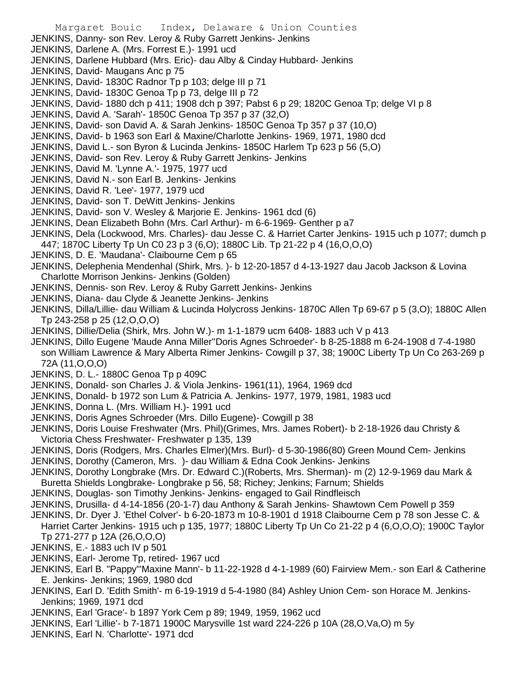Margaret Bouic Index, Delaware & Union Counties JENKINS, Danny- son Rev. Leroy & Ruby Garrett Jenkins- Jenkins JENKINS, Darlene A. (Mrs. Forrest E.)- 1991 ucd JENKINS, Darlene Hubbard (Mrs. Eric)- dau Alby & Cinday Hubbard- Jenkins JENKINS, David- Maugans Anc p 75 JENKINS, David- 1830C Radnor Tp p 103; delge III p 71 JENKINS, David- 1830C Genoa Tp p 73, delge III p 72 JENKINS, David- 1880 dch p 411; 1908 dch p 397; Pabst 6 p 29; 1820C Genoa Tp; delge VI p 8 JENKINS, David A. 'Sarah'- 1850C Genoa Tp 357 p 37 (32,O) JENKINS, David- son David A. & Sarah Jenkins- 1850C Genoa Tp 357 p 37 (10,O) JENKINS, David- b 1963 son Earl & Maxine/Charlotte Jenkins- 1969, 1971, 1980 dcd JENKINS, David L.- son Byron & Lucinda Jenkins- 1850C Harlem Tp 623 p 56 (5,O) JENKINS, David- son Rev. Leroy & Ruby Garrett Jenkins- Jenkins JENKINS, David M. 'Lynne A.'- 1975, 1977 ucd JENKINS, David N.- son Earl B. Jenkins- Jenkins JENKINS, David R. 'Lee'- 1977, 1979 ucd JENKINS, David- son T. DeWitt Jenkins- Jenkins JENKINS, David- son V. Wesley & Marjorie E. Jenkins- 1961 dcd (6) JENKINS, Dean Elizabeth Bohn (Mrs. Carl Arthur)- m 6-6-1969- Genther p a7 JENKINS, Dela (Lockwood, Mrs. Charles)- dau Jesse C. & Harriet Carter Jenkins- 1915 uch p 1077; dumch p 447; 1870C Liberty Tp Un C0 23 p 3 (6,O); 1880C Lib. Tp 21-22 p 4 (16,O,O,O) JENKINS, D. E. 'Maudana'- Claibourne Cem p 65 JENKINS, Delephenia Mendenhal (Shirk, Mrs. )- b 12-20-1857 d 4-13-1927 dau Jacob Jackson & Lovina Charlotte Morrison Jenkins- Jenkins (Golden) JENKINS, Dennis- son Rev. Leroy & Ruby Garrett Jenkins- Jenkins JENKINS, Diana- dau Clyde & Jeanette Jenkins- Jenkins JENKINS, Dilla/Lillie- dau William & Lucinda Holycross Jenkins- 1870C Allen Tp 69-67 p 5 (3,O); 1880C Allen Tp 243-258 p 25 (12,O,O,O) JENKINS, Dillie/Delia (Shirk, Mrs. John W.)- m 1-1-1879 ucm 6408- 1883 uch V p 413 JENKINS, Dillo Eugene 'Maude Anna Miller''Doris Agnes Schroeder'- b 8-25-1888 m 6-24-1908 d 7-4-1980 son William Lawrence & Mary Alberta Rimer Jenkins- Cowgill p 37, 38; 1900C Liberty Tp Un Co 263-269 p 72A (11,O,O,O) JENKINS, D. L.- 1880C Genoa Tp p 409C JENKINS, Donald- son Charles J. & Viola Jenkins- 1961(11), 1964, 1969 dcd JENKINS, Donald- b 1972 son Lum & Patricia A. Jenkins- 1977, 1979, 1981, 1983 ucd JENKINS, Donna L. (Mrs. William H.)- 1991 ucd JENKINS, Doris Agnes Schroeder (Mrs. Dillo Eugene)- Cowgill p 38 JENKINS, Doris Louise Freshwater (Mrs. Phil)(Grimes, Mrs. James Robert)- b 2-18-1926 dau Christy & Victoria Chess Freshwater- Freshwater p 135, 139 JENKINS, Doris (Rodgers, Mrs. Charles Elmer)(Mrs. Burl)- d 5-30-1986(80) Green Mound Cem- Jenkins JENKINS, Dorothy (Cameron, Mrs. )- dau William & Edna Cook Jenkins- Jenkins JENKINS, Dorothy Longbrake (Mrs. Dr. Edward C.)(Roberts, Mrs. Sherman)- m (2) 12-9-1969 dau Mark & Buretta Shields Longbrake- Longbrake p 56, 58; Richey; Jenkins; Farnum; Shields

- JENKINS, Douglas- son Timothy Jenkins- Jenkins- engaged to Gail Rindfleisch
- JENKINS, Drusilla- d 4-14-1856 (20-1-7) dau Anthony & Sarah Jenkins- Shawtown Cem Powell p 359
- JENKINS, Dr. Dyer J. 'Ethel Colver'- b 6-20-1873 m 10-8-1901 d 1918 Claibourne Cem p 78 son Jesse C. & Harriet Carter Jenkins- 1915 uch p 135, 1977; 1880C Liberty Tp Un Co 21-22 p 4 (6,O,O,O); 1900C Taylor Tp 271-277 p 12A (26,O,O,O)
- JENKINS, E.- 1883 uch IV p 501
- JENKINS, Earl- Jerome Tp, retired- 1967 ucd
- JENKINS, Earl B. "Pappy"'Maxine Mann'- b 11-22-1928 d 4-1-1989 (60) Fairview Mem.- son Earl & Catherine E. Jenkins- Jenkins; 1969, 1980 dcd
- JENKINS, Earl D. 'Edith Smith'- m 6-19-1919 d 5-4-1980 (84) Ashley Union Cem- son Horace M. Jenkins-Jenkins; 1969, 1971 dcd
- JENKINS, Earl 'Grace'- b 1897 York Cem p 89; 1949, 1959, 1962 ucd
- JENKINS, Earl 'Lillie'- b 7-1871 1900C Marysville 1st ward 224-226 p 10A (28,O,Va,O) m 5y
- JENKINS, Earl N. 'Charlotte'- 1971 dcd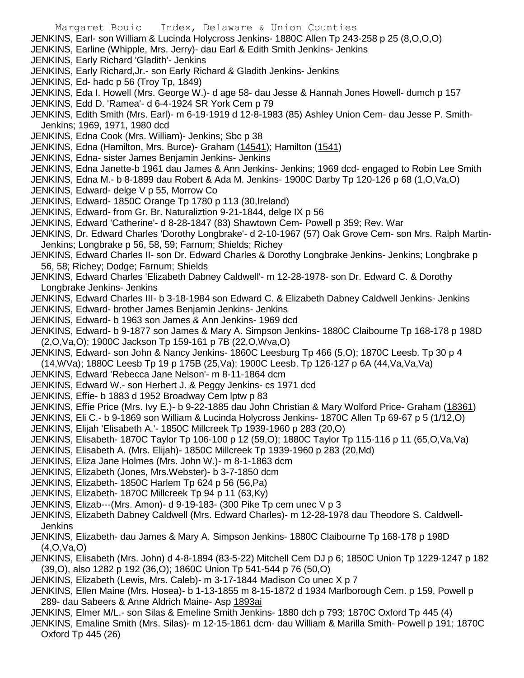Margaret Bouic Index, Delaware & Union Counties JENKINS, Earl- son William & Lucinda Holycross Jenkins- 1880C Allen Tp 243-258 p 25 (8,O,O,O) JENKINS, Earline (Whipple, Mrs. Jerry)- dau Earl & Edith Smith Jenkins- Jenkins JENKINS, Early Richard 'Gladith'- Jenkins JENKINS, Early Richard,Jr.- son Early Richard & Gladith Jenkins- Jenkins JENKINS, Ed- hadc p 56 (Troy Tp, 1849) JENKINS, Eda I. Howell (Mrs. George W.)- d age 58- dau Jesse & Hannah Jones Howell- dumch p 157 JENKINS, Edd D. 'Ramea'- d 6-4-1924 SR York Cem p 79 JENKINS, Edith Smith (Mrs. Earl)- m 6-19-1919 d 12-8-1983 (85) Ashley Union Cem- dau Jesse P. Smith-Jenkins; 1969, 1971, 1980 dcd JENKINS, Edna Cook (Mrs. William)- Jenkins; Sbc p 38 JENKINS, Edna (Hamilton, Mrs. Burce)- Graham (14541); Hamilton (1541) JENKINS, Edna- sister James Benjamin Jenkins- Jenkins JENKINS, Edna Janette-b 1961 dau James & Ann Jenkins- Jenkins; 1969 dcd- engaged to Robin Lee Smith JENKINS, Edna M.- b 8-1899 dau Robert & Ada M. Jenkins- 1900C Darby Tp 120-126 p 68 (1,O,Va,O) JENKINS, Edward- delge V p 55, Morrow Co JENKINS, Edward- 1850C Orange Tp 1780 p 113 (30,Ireland) JENKINS, Edward- from Gr. Br. Naturaliztion 9-21-1844, delge IX p 56 JENKINS, Edward 'Catherine'- d 8-28-1847 (83) Shawtown Cem- Powell p 359; Rev. War JENKINS, Dr. Edward Charles 'Dorothy Longbrake'- d 2-10-1967 (57) Oak Grove Cem- son Mrs. Ralph Martin-Jenkins; Longbrake p 56, 58, 59; Farnum; Shields; Richey JENKINS, Edward Charles II- son Dr. Edward Charles & Dorothy Longbrake Jenkins- Jenkins; Longbrake p 56, 58; Richey; Dodge; Farnum; Shields JENKINS, Edward Charles 'Elizabeth Dabney Caldwell'- m 12-28-1978- son Dr. Edward C. & Dorothy Longbrake Jenkins- Jenkins JENKINS, Edward Charles III- b 3-18-1984 son Edward C. & Elizabeth Dabney Caldwell Jenkins- Jenkins JENKINS, Edward- brother James Benjamin Jenkins- Jenkins JENKINS, Edward- b 1963 son James & Ann Jenkins- 1969 dcd

JENKINS, Edward- b 9-1877 son James & Mary A. Simpson Jenkins- 1880C Claibourne Tp 168-178 p 198D (2,O,Va,O); 1900C Jackson Tp 159-161 p 7B (22,O,Wva,O)

JENKINS, Edward- son John & Nancy Jenkins- 1860C Leesburg Tp 466 (5,O); 1870C Leesb. Tp 30 p 4 (14,WVa); 1880C Leesb Tp 19 p 175B (25,Va); 1900C Leesb. Tp 126-127 p 6A (44,Va,Va,Va)

- JENKINS, Edward 'Rebecca Jane Nelson'- m 8-11-1864 dcm
- JENKINS, Edward W.- son Herbert J. & Peggy Jenkins- cs 1971 dcd
- JENKINS, Effie- b 1883 d 1952 Broadway Cem lptw p 83

JENKINS, Effie Price (Mrs. Ivy E.)- b 9-22-1885 dau John Christian & Mary Wolford Price- Graham (18361)

- JENKINS, Eli C.- b 9-1869 son William & Lucinda Holycross Jenkins- 1870C Allen Tp 69-67 p 5 (1/12,O)
- JENKINS, Elijah 'Elisabeth A.'- 1850C Millcreek Tp 1939-1960 p 283 (20,O)
- JENKINS, Elisabeth- 1870C Taylor Tp 106-100 p 12 (59,O); 1880C Taylor Tp 115-116 p 11 (65,O,Va,Va)
- JENKINS, Elisabeth A. (Mrs. Elijah)- 1850C Millcreek Tp 1939-1960 p 283 (20,Md)
- JENKINS, Eliza Jane Holmes (Mrs. John W.)- m 8-1-1863 dcm
- JENKINS, Elizabeth (Jones, Mrs.Webster)- b 3-7-1850 dcm
- JENKINS, Elizabeth- 1850C Harlem Tp 624 p 56 (56,Pa)
- JENKINS, Elizabeth- 1870C Millcreek Tp 94 p 11 (63,Ky)
- JENKINS, Elizab---(Mrs. Amon)- d 9-19-183- (300 Pike Tp cem unec V p 3
- JENKINS, Elizabeth Dabney Caldwell (Mrs. Edward Charles)- m 12-28-1978 dau Theodore S. Caldwell-Jenkins
- JENKINS, Elizabeth- dau James & Mary A. Simpson Jenkins- 1880C Claibourne Tp 168-178 p 198D (4,O,Va,O)
- JENKINS, Elisabeth (Mrs. John) d 4-8-1894 (83-5-22) Mitchell Cem DJ p 6; 1850C Union Tp 1229-1247 p 182 (39,O), also 1282 p 192 (36,O); 1860C Union Tp 541-544 p 76 (50,O)
- JENKINS, Elizabeth (Lewis, Mrs. Caleb)- m 3-17-1844 Madison Co unec X p 7
- JENKINS, Ellen Maine (Mrs. Hosea)- b 1-13-1855 m 8-15-1872 d 1934 Marlborough Cem. p 159, Powell p 289- dau Sabeers & Anne Aldrich Maine- Asp 1893ai
- JENKINS, Elmer M/L.- son Silas & Emeline Smith Jenkins- 1880 dch p 793; 1870C Oxford Tp 445 (4)
- JENKINS, Emaline Smith (Mrs. Silas)- m 12-15-1861 dcm- dau William & Marilla Smith- Powell p 191; 1870C Oxford Tp 445 (26)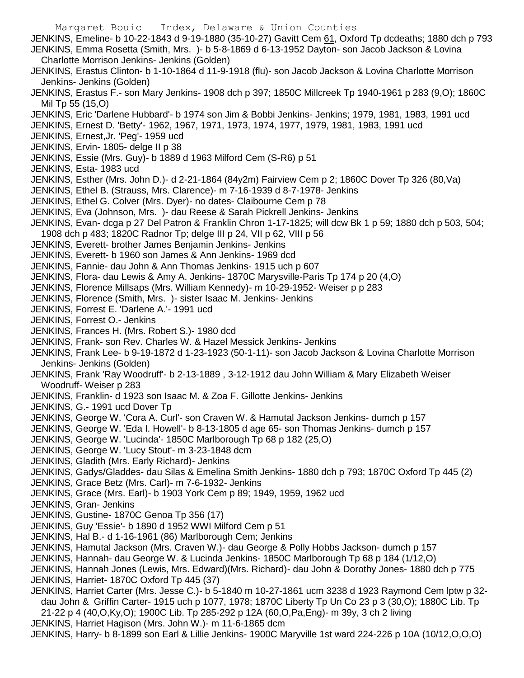Margaret Bouic Index, Delaware & Union Counties JENKINS, Emeline- b 10-22-1843 d 9-19-1880 (35-10-27) Gavitt Cem 61, Oxford Tp dcdeaths; 1880 dch p 793 JENKINS, Emma Rosetta (Smith, Mrs. )- b 5-8-1869 d 6-13-1952 Dayton- son Jacob Jackson & Lovina Charlotte Morrison Jenkins- Jenkins (Golden) JENKINS, Erastus Clinton- b 1-10-1864 d 11-9-1918 (flu)- son Jacob Jackson & Lovina Charlotte Morrison Jenkins- Jenkins (Golden) JENKINS, Erastus F.- son Mary Jenkins- 1908 dch p 397; 1850C Millcreek Tp 1940-1961 p 283 (9,O); 1860C Mil Tp 55 (15,O) JENKINS, Eric 'Darlene Hubbard'- b 1974 son Jim & Bobbi Jenkins- Jenkins; 1979, 1981, 1983, 1991 ucd JENKINS, Ernest D. 'Betty'- 1962, 1967, 1971, 1973, 1974, 1977, 1979, 1981, 1983, 1991 ucd JENKINS, Ernest,Jr. 'Peg'- 1959 ucd JENKINS, Ervin- 1805- delge II p 38 JENKINS, Essie (Mrs. Guy)- b 1889 d 1963 Milford Cem (S-R6) p 51 JENKINS, Esta- 1983 ucd JENKINS, Esther (Mrs. John D.)- d 2-21-1864 (84y2m) Fairview Cem p 2; 1860C Dover Tp 326 (80,Va) JENKINS, Ethel B. (Strauss, Mrs. Clarence)- m 7-16-1939 d 8-7-1978- Jenkins JENKINS, Ethel G. Colver (Mrs. Dyer)- no dates- Claibourne Cem p 78 JENKINS, Eva (Johnson, Mrs. )- dau Reese & Sarah Pickrell Jenkins- Jenkins JENKINS, Evan- dcga p 27 Del Patron & Franklin Chron 1-17-1825; will dcw Bk 1 p 59; 1880 dch p 503, 504; 1908 dch p 483; 1820C Radnor Tp; delge III p 24, VII p 62, VIII p 56 JENKINS, Everett- brother James Benjamin Jenkins- Jenkins JENKINS, Everett- b 1960 son James & Ann Jenkins- 1969 dcd JENKINS, Fannie- dau John & Ann Thomas Jenkins- 1915 uch p 607 JENKINS, Flora- dau Lewis & Amy A. Jenkins- 1870C Marysville-Paris Tp 174 p 20 (4,O) JENKINS, Florence Millsaps (Mrs. William Kennedy)- m 10-29-1952- Weiser p p 283 JENKINS, Florence (Smith, Mrs. )- sister Isaac M. Jenkins- Jenkins JENKINS, Forrest E. 'Darlene A.'- 1991 ucd JENKINS, Forrest O.- Jenkins JENKINS, Frances H. (Mrs. Robert S.)- 1980 dcd JENKINS, Frank- son Rev. Charles W. & Hazel Messick Jenkins- Jenkins JENKINS, Frank Lee- b 9-19-1872 d 1-23-1923 (50-1-11)- son Jacob Jackson & Lovina Charlotte Morrison Jenkins- Jenkins (Golden) JENKINS, Frank 'Ray Woodruff'- b 2-13-1889 , 3-12-1912 dau John William & Mary Elizabeth Weiser Woodruff- Weiser p 283 JENKINS, Franklin- d 1923 son Isaac M. & Zoa F. Gillotte Jenkins- Jenkins JENKINS, G.- 1991 ucd Dover Tp JENKINS, George W. 'Cora A. Curl'- son Craven W. & Hamutal Jackson Jenkins- dumch p 157 JENKINS, George W. 'Eda I. Howell'- b 8-13-1805 d age 65- son Thomas Jenkins- dumch p 157 JENKINS, George W. 'Lucinda'- 1850C Marlborough Tp 68 p 182 (25,O) JENKINS, George W. 'Lucy Stout'- m 3-23-1848 dcm JENKINS, Gladith (Mrs. Early Richard)- Jenkins JENKINS, Gadys/Gladdes- dau Silas & Emelina Smith Jenkins- 1880 dch p 793; 1870C Oxford Tp 445 (2) JENKINS, Grace Betz (Mrs. Carl)- m 7-6-1932- Jenkins JENKINS, Grace (Mrs. Earl)- b 1903 York Cem p 89; 1949, 1959, 1962 ucd JENKINS, Gran- Jenkins JENKINS, Gustine- 1870C Genoa Tp 356 (17) JENKINS, Guy 'Essie'- b 1890 d 1952 WWI Milford Cem p 51 JENKINS, Hal B.- d 1-16-1961 (86) Marlborough Cem; Jenkins JENKINS, Hamutal Jackson (Mrs. Craven W.)- dau George & Polly Hobbs Jackson- dumch p 157 JENKINS, Hannah- dau George W. & Lucinda Jenkins- 1850C Marlborough Tp 68 p 184 (1/12,O) JENKINS, Hannah Jones (Lewis, Mrs. Edward)(Mrs. Richard)- dau John & Dorothy Jones- 1880 dch p 775 JENKINS, Harriet- 1870C Oxford Tp 445 (37) JENKINS, Harriet Carter (Mrs. Jesse C.)- b 5-1840 m 10-27-1861 ucm 3238 d 1923 Raymond Cem lptw p 32 dau John & Griffin Carter- 1915 uch p 1077, 1978; 1870C Liberty Tp Un Co 23 p 3 (30,O); 1880C Lib. Tp 21-22 p 4 (40,O,Ky,O); 1900C Lib. Tp 285-292 p 12A (60,O,Pa,Eng)- m 39y, 3 ch 2 living JENKINS, Harriet Hagison (Mrs. John W.)- m 11-6-1865 dcm

JENKINS, Harry- b 8-1899 son Earl & Lillie Jenkins- 1900C Maryville 1st ward 224-226 p 10A (10/12,O,O,O)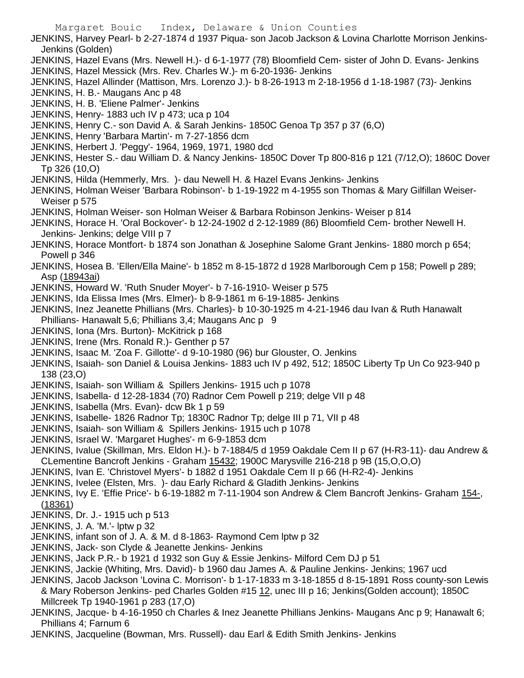JENKINS, Harvey Pearl- b 2-27-1874 d 1937 Piqua- son Jacob Jackson & Lovina Charlotte Morrison Jenkins-Jenkins (Golden) JENKINS, Hazel Evans (Mrs. Newell H.)- d 6-1-1977 (78) Bloomfield Cem- sister of John D. Evans- Jenkins JENKINS, Hazel Messick (Mrs. Rev. Charles W.)- m 6-20-1936- Jenkins JENKINS, Hazel Allinder (Mattison, Mrs. Lorenzo J.)- b 8-26-1913 m 2-18-1956 d 1-18-1987 (73)- Jenkins JENKINS, H. B.- Maugans Anc p 48 JENKINS, H. B. 'Eliene Palmer'- Jenkins JENKINS, Henry- 1883 uch IV p 473; uca p 104 JENKINS, Henry C.- son David A. & Sarah Jenkins- 1850C Genoa Tp 357 p 37 (6,O) JENKINS, Henry 'Barbara Martin'- m 7-27-1856 dcm JENKINS, Herbert J. 'Peggy'- 1964, 1969, 1971, 1980 dcd JENKINS, Hester S.- dau William D. & Nancy Jenkins- 1850C Dover Tp 800-816 p 121 (7/12,O); 1860C Dover Tp 326 (10,O) JENKINS, Hilda (Hemmerly, Mrs. )- dau Newell H. & Hazel Evans Jenkins- Jenkins JENKINS, Holman Weiser 'Barbara Robinson'- b 1-19-1922 m 4-1955 son Thomas & Mary Gilfillan Weiser-Weiser p 575 JENKINS, Holman Weiser- son Holman Weiser & Barbara Robinson Jenkins- Weiser p 814 JENKINS, Horace H. 'Oral Bockover'- b 12-24-1902 d 2-12-1989 (86) Bloomfield Cem- brother Newell H. Jenkins- Jenkins; delge VIII p 7 JENKINS, Horace Montfort- b 1874 son Jonathan & Josephine Salome Grant Jenkins- 1880 morch p 654; Powell p 346 JENKINS, Hosea B. 'Ellen/Ella Maine'- b 1852 m 8-15-1872 d 1928 Marlborough Cem p 158; Powell p 289; Asp (18943ai) JENKINS, Howard W. 'Ruth Snuder Moyer'- b 7-16-1910- Weiser p 575 JENKINS, Ida Elissa Imes (Mrs. Elmer)- b 8-9-1861 m 6-19-1885- Jenkins JENKINS, Inez Jeanette Phillians (Mrs. Charles)- b 10-30-1925 m 4-21-1946 dau Ivan & Ruth Hanawalt Phillians- Hanawalt 5,6; Phillians 3,4; Maugans Anc p 9 JENKINS, Iona (Mrs. Burton)- McKitrick p 168 JENKINS, Irene (Mrs. Ronald R.)- Genther p 57 JENKINS, Isaac M. 'Zoa F. Gillotte'- d 9-10-1980 (96) bur Glouster, O. Jenkins JENKINS, Isaiah- son Daniel & Louisa Jenkins- 1883 uch IV p 492, 512; 1850C Liberty Tp Un Co 923-940 p 138 (23,O) JENKINS, Isaiah- son William & Spillers Jenkins- 1915 uch p 1078 JENKINS, Isabella- d 12-28-1834 (70) Radnor Cem Powell p 219; delge VII p 48 JENKINS, Isabella (Mrs. Evan)- dcw Bk 1 p 59 JENKINS, Isabelle- 1826 Radnor Tp; 1830C Radnor Tp; delge III p 71, VII p 48 JENKINS, Isaiah- son William & Spillers Jenkins- 1915 uch p 1078 JENKINS, Israel W. 'Margaret Hughes'- m 6-9-1853 dcm JENKINS, Ivalue (Skillman, Mrs. Eldon H.)- b 7-1884/5 d 1959 Oakdale Cem II p 67 (H-R3-11)- dau Andrew & CLementine Bancroft Jenkins - Graham 15432; 1900C Marysville 216-218 p 9B (15,O,O,O) JENKINS, Ivan E. 'Christovel Myers'- b 1882 d 1951 Oakdale Cem II p 66 (H-R2-4)- Jenkins JENKINS, Ivelee (Elsten, Mrs. )- dau Early Richard & Gladith Jenkins- Jenkins JENKINS, Ivy E. 'Effie Price'- b 6-19-1882 m 7-11-1904 son Andrew & Clem Bancroft Jenkins- Graham 154-, (18361) JENKINS, Dr. J.- 1915 uch p 513 JENKINS, J. A. 'M.'- lptw p 32 JENKINS, infant son of J. A. & M. d 8-1863- Raymond Cem lptw p 32 JENKINS, Jack- son Clyde & Jeanette Jenkins- Jenkins JENKINS, Jack P.R.- b 1921 d 1932 son Guy & Essie Jenkins- Milford Cem DJ p 51 JENKINS, Jackie (Whiting, Mrs. David)- b 1960 dau James A. & Pauline Jenkins- Jenkins; 1967 ucd JENKINS, Jacob Jackson 'Lovina C. Morrison'- b 1-17-1833 m 3-18-1855 d 8-15-1891 Ross county-son Lewis & Mary Roberson Jenkins- ped Charles Golden #15 12, unec III p 16; Jenkins(Golden account); 1850C Millcreek Tp 1940-1961 p 283 (17,O) JENKINS, Jacque- b 4-16-1950 ch Charles & Inez Jeanette Phillians Jenkins- Maugans Anc p 9; Hanawalt 6; Phillians 4; Farnum 6 JENKINS, Jacqueline (Bowman, Mrs. Russell)- dau Earl & Edith Smith Jenkins- Jenkins

Margaret Bouic Index, Delaware & Union Counties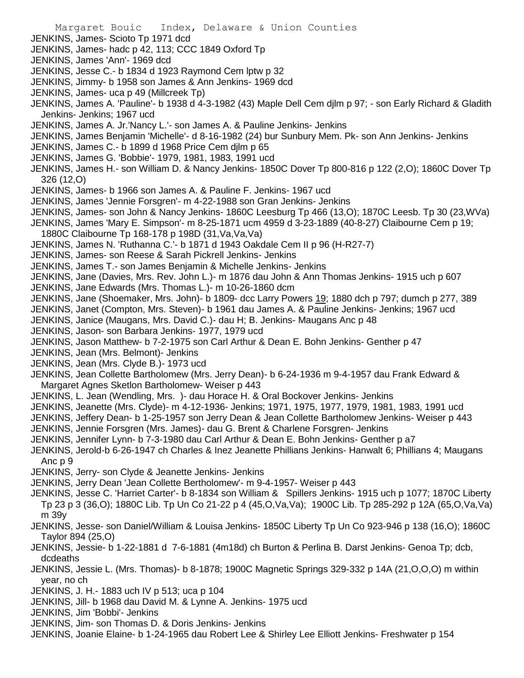- JENKINS, James- Scioto Tp 1971 dcd
- JENKINS, James- hadc p 42, 113; CCC 1849 Oxford Tp
- JENKINS, James 'Ann'- 1969 dcd
- JENKINS, Jesse C.- b 1834 d 1923 Raymond Cem lptw p 32
- JENKINS, Jimmy- b 1958 son James & Ann Jenkins- 1969 dcd
- JENKINS, James- uca p 49 (Millcreek Tp)

JENKINS, James A. 'Pauline'- b 1938 d 4-3-1982 (43) Maple Dell Cem djlm p 97; - son Early Richard & Gladith Jenkins- Jenkins; 1967 ucd

- JENKINS, James A. Jr.'Nancy L.'- son James A. & Pauline Jenkins- Jenkins
- JENKINS, James Benjamin 'Michelle'- d 8-16-1982 (24) bur Sunbury Mem. Pk- son Ann Jenkins- Jenkins
- JENKINS, James C.- b 1899 d 1968 Price Cem djlm p 65
- JENKINS, James G. 'Bobbie'- 1979, 1981, 1983, 1991 ucd
- JENKINS, James H.- son William D. & Nancy Jenkins- 1850C Dover Tp 800-816 p 122 (2,O); 1860C Dover Tp 326 (12,O)
- JENKINS, James- b 1966 son James A. & Pauline F. Jenkins- 1967 ucd
- JENKINS, James 'Jennie Forsgren'- m 4-22-1988 son Gran Jenkins- Jenkins
- JENKINS, James- son John & Nancy Jenkins- 1860C Leesburg Tp 466 (13,O); 1870C Leesb. Tp 30 (23,WVa)
- JENKINS, James 'Mary E. Simpson'- m 8-25-1871 ucm 4959 d 3-23-1889 (40-8-27) Claibourne Cem p 19;
- 1880C Claibourne Tp 168-178 p 198D (31,Va,Va,Va)
- JENKINS, James N. 'Ruthanna C.'- b 1871 d 1943 Oakdale Cem II p 96 (H-R27-7)
- JENKINS, James- son Reese & Sarah Pickrell Jenkins- Jenkins
- JENKINS, James T.- son James Benjamin & Michelle Jenkins- Jenkins
- JENKINS, Jane (Davies, Mrs. Rev. John L.)- m 1876 dau John & Ann Thomas Jenkins- 1915 uch p 607
- JENKINS, Jane Edwards (Mrs. Thomas L.)- m 10-26-1860 dcm
- JENKINS, Jane (Shoemaker, Mrs. John)- b 1809- dcc Larry Powers 19; 1880 dch p 797; dumch p 277, 389
- JENKINS, Janet (Compton, Mrs. Steven)- b 1961 dau James A. & Pauline Jenkins- Jenkins; 1967 ucd
- JENKINS, Janice (Maugans, Mrs. David C.)- dau H; B. Jenkins- Maugans Anc p 48
- JENKINS, Jason- son Barbara Jenkins- 1977, 1979 ucd
- JENKINS, Jason Matthew- b 7-2-1975 son Carl Arthur & Dean E. Bohn Jenkins- Genther p 47
- JENKINS, Jean (Mrs. Belmont)- Jenkins
- JENKINS, Jean (Mrs. Clyde B.)- 1973 ucd
- JENKINS, Jean Collette Bartholomew (Mrs. Jerry Dean)- b 6-24-1936 m 9-4-1957 dau Frank Edward & Margaret Agnes Sketlon Bartholomew- Weiser p 443
- JENKINS, L. Jean (Wendling, Mrs. )- dau Horace H. & Oral Bockover Jenkins- Jenkins
- JENKINS, Jeanette (Mrs. Clyde)- m 4-12-1936- Jenkins; 1971, 1975, 1977, 1979, 1981, 1983, 1991 ucd
- JENKINS, Jeffery Dean- b 1-25-1957 son Jerry Dean & Jean Collette Bartholomew Jenkins- Weiser p 443
- JENKINS, Jennie Forsgren (Mrs. James)- dau G. Brent & Charlene Forsgren- Jenkins
- JENKINS, Jennifer Lynn- b 7-3-1980 dau Carl Arthur & Dean E. Bohn Jenkins- Genther p a7
- JENKINS, Jerold-b 6-26-1947 ch Charles & Inez Jeanette Phillians Jenkins- Hanwalt 6; Phillians 4; Maugans Anc p 9
- JENKINS, Jerry- son Clyde & Jeanette Jenkins- Jenkins
- JENKINS, Jerry Dean 'Jean Collette Bertholomew'- m 9-4-1957- Weiser p 443
- JENKINS, Jesse C. 'Harriet Carter'- b 8-1834 son William & Spillers Jenkins- 1915 uch p 1077; 1870C Liberty Tp 23 p 3 (36,O); 1880C Lib. Tp Un Co 21-22 p 4 (45,O,Va,Va); 1900C Lib. Tp 285-292 p 12A (65,O,Va,Va) m 39y
- JENKINS, Jesse- son Daniel/William & Louisa Jenkins- 1850C Liberty Tp Un Co 923-946 p 138 (16,O); 1860C Taylor 894 (25,O)
- JENKINS, Jessie- b 1-22-1881 d 7-6-1881 (4m18d) ch Burton & Perlina B. Darst Jenkins- Genoa Tp; dcb, dcdeaths
- JENKINS, Jessie L. (Mrs. Thomas)- b 8-1878; 1900C Magnetic Springs 329-332 p 14A (21,O,O,O) m within year, no ch
- JENKINS, J. H.- 1883 uch IV p 513; uca p 104
- JENKINS, Jill- b 1968 dau David M. & Lynne A. Jenkins- 1975 ucd
- JENKINS, Jim 'Bobbi'- Jenkins
- JENKINS, Jim- son Thomas D. & Doris Jenkins- Jenkins
- JENKINS, Joanie Elaine- b 1-24-1965 dau Robert Lee & Shirley Lee Elliott Jenkins- Freshwater p 154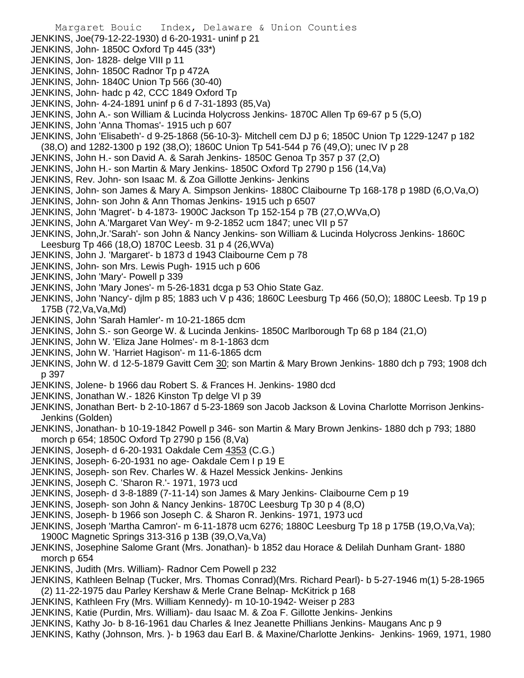- JENKINS, Joe(79-12-22-1930) d 6-20-1931- uninf p 21
- JENKINS, John- 1850C Oxford Tp 445 (33\*)
- JENKINS, Jon- 1828- delge VIII p 11
- JENKINS, John- 1850C Radnor Tp p 472A
- JENKINS, John- 1840C Union Tp 566 (30-40)
- JENKINS, John- hadc p 42, CCC 1849 Oxford Tp
- JENKINS, John- 4-24-1891 uninf p 6 d 7-31-1893 (85,Va)
- JENKINS, John A.- son William & Lucinda Holycross Jenkins- 1870C Allen Tp 69-67 p 5 (5,O)
- JENKINS, John 'Anna Thomas'- 1915 uch p 607

JENKINS, John 'Elisabeth'- d 9-25-1868 (56-10-3)- Mitchell cem DJ p 6; 1850C Union Tp 1229-1247 p 182 (38,O) and 1282-1300 p 192 (38,O); 1860C Union Tp 541-544 p 76 (49,O); unec IV p 28

- JENKINS, John H.- son David A. & Sarah Jenkins- 1850C Genoa Tp 357 p 37 (2,O)
- JENKINS, John H.- son Martin & Mary Jenkins- 1850C Oxford Tp 2790 p 156 (14,Va)
- JENKINS, Rev. John- son Isaac M. & Zoa Gillotte Jenkins- Jenkins
- JENKINS, John- son James & Mary A. Simpson Jenkins- 1880C Claibourne Tp 168-178 p 198D (6,O,Va,O)
- JENKINS, John- son John & Ann Thomas Jenkins- 1915 uch p 6507
- JENKINS, John 'Magret'- b 4-1873- 1900C Jackson Tp 152-154 p 7B (27,O,WVa,O)
- JENKINS, John A.'Margaret Van Wey'- m 9-2-1852 ucm 1847; unec VII p 57
- JENKINS, John,Jr.'Sarah'- son John & Nancy Jenkins- son William & Lucinda Holycross Jenkins- 1860C Leesburg Tp 466 (18,O) 1870C Leesb. 31 p 4 (26,WVa)
- JENKINS, John J. 'Margaret'- b 1873 d 1943 Claibourne Cem p 78
- JENKINS, John- son Mrs. Lewis Pugh- 1915 uch p 606
- JENKINS, John 'Mary'- Powell p 339
- JENKINS, John 'Mary Jones'- m 5-26-1831 dcga p 53 Ohio State Gaz.
- JENKINS, John 'Nancy'- djlm p 85; 1883 uch V p 436; 1860C Leesburg Tp 466 (50,O); 1880C Leesb. Tp 19 p 175B (72,Va,Va,Md)
- JENKINS, John 'Sarah Hamler'- m 10-21-1865 dcm
- JENKINS, John S.- son George W. & Lucinda Jenkins- 1850C Marlborough Tp 68 p 184 (21,O)
- JENKINS, John W. 'Eliza Jane Holmes'- m 8-1-1863 dcm
- JENKINS, John W. 'Harriet Hagison'- m 11-6-1865 dcm
- JENKINS, John W. d 12-5-1879 Gavitt Cem 30; son Martin & Mary Brown Jenkins- 1880 dch p 793; 1908 dch p 397
- JENKINS, Jolene- b 1966 dau Robert S. & Frances H. Jenkins- 1980 dcd
- JENKINS, Jonathan W.- 1826 Kinston Tp delge VI p 39
- JENKINS, Jonathan Bert- b 2-10-1867 d 5-23-1869 son Jacob Jackson & Lovina Charlotte Morrison Jenkins-Jenkins (Golden)
- JENKINS, Jonathan- b 10-19-1842 Powell p 346- son Martin & Mary Brown Jenkins- 1880 dch p 793; 1880 morch p 654; 1850C Oxford Tp 2790 p 156 (8,Va)
- JENKINS, Joseph- d 6-20-1931 Oakdale Cem 4353 (C.G.)
- JENKINS, Joseph- 6-20-1931 no age- Oakdale Cem I p 19 E
- JENKINS, Joseph- son Rev. Charles W. & Hazel Messick Jenkins- Jenkins
- JENKINS, Joseph C. 'Sharon R.'- 1971, 1973 ucd
- JENKINS, Joseph- d 3-8-1889 (7-11-14) son James & Mary Jenkins- Claibourne Cem p 19
- JENKINS, Joseph- son John & Nancy Jenkins- 1870C Leesburg Tp 30 p 4 (8,O)
- JENKINS, Joseph- b 1966 son Joseph C. & Sharon R. Jenkins- 1971, 1973 ucd
- JENKINS, Joseph 'Martha Camron'- m 6-11-1878 ucm 6276; 1880C Leesburg Tp 18 p 175B (19,O,Va,Va); 1900C Magnetic Springs 313-316 p 13B (39,O,Va,Va)
- JENKINS, Josephine Salome Grant (Mrs. Jonathan)- b 1852 dau Horace & Delilah Dunham Grant- 1880 morch p 654
- JENKINS, Judith (Mrs. William)- Radnor Cem Powell p 232
- JENKINS, Kathleen Belnap (Tucker, Mrs. Thomas Conrad)(Mrs. Richard Pearl)- b 5-27-1946 m(1) 5-28-1965 (2) 11-22-1975 dau Parley Kershaw & Merle Crane Belnap- McKitrick p 168
- JENKINS, Kathleen Fry (Mrs. William Kennedy)- m 10-10-1942- Weiser p 283
- JENKINS, Katie (Purdin, Mrs. William)- dau Isaac M. & Zoa F. Gillotte Jenkins- Jenkins
- JENKINS, Kathy Jo- b 8-16-1961 dau Charles & Inez Jeanette Phillians Jenkins- Maugans Anc p 9
- JENKINS, Kathy (Johnson, Mrs. )- b 1963 dau Earl B. & Maxine/Charlotte Jenkins- Jenkins- 1969, 1971, 1980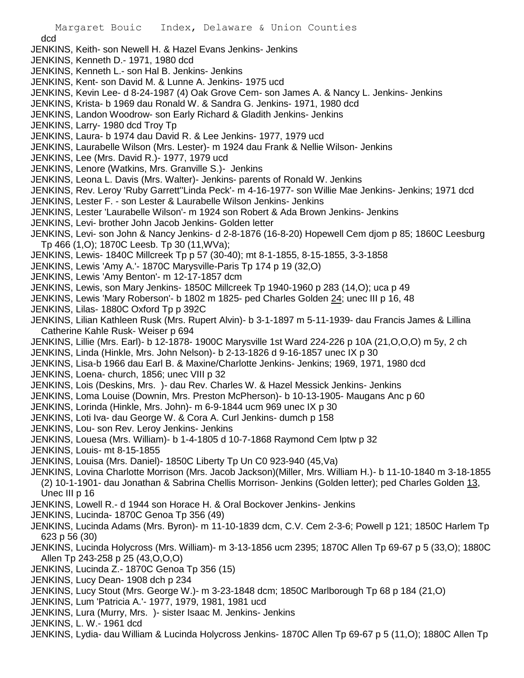## dcd

- JENKINS, Keith- son Newell H. & Hazel Evans Jenkins- Jenkins
- JENKINS, Kenneth D.- 1971, 1980 dcd
- JENKINS, Kenneth L.- son Hal B. Jenkins- Jenkins
- JENKINS, Kent- son David M. & Lunne A. Jenkins- 1975 ucd
- JENKINS, Kevin Lee- d 8-24-1987 (4) Oak Grove Cem- son James A. & Nancy L. Jenkins- Jenkins
- JENKINS, Krista- b 1969 dau Ronald W. & Sandra G. Jenkins- 1971, 1980 dcd
- JENKINS, Landon Woodrow- son Early Richard & Gladith Jenkins- Jenkins
- JENKINS, Larry- 1980 dcd Troy Tp
- JENKINS, Laura- b 1974 dau David R. & Lee Jenkins- 1977, 1979 ucd
- JENKINS, Laurabelle Wilson (Mrs. Lester)- m 1924 dau Frank & Nellie Wilson- Jenkins
- JENKINS, Lee (Mrs. David R.)- 1977, 1979 ucd
- JENKINS, Lenore (Watkins, Mrs. Granville S.)- Jenkins
- JENKINS, Leona L. Davis (Mrs. Walter)- Jenkins- parents of Ronald W. Jenkins
- JENKINS, Rev. Leroy 'Ruby Garrett''Linda Peck'- m 4-16-1977- son Willie Mae Jenkins- Jenkins; 1971 dcd
- JENKINS, Lester F. son Lester & Laurabelle Wilson Jenkins- Jenkins
- JENKINS, Lester 'Laurabelle Wilson'- m 1924 son Robert & Ada Brown Jenkins- Jenkins
- JENKINS, Levi- brother John Jacob Jenkins- Golden letter
- JENKINS, Levi- son John & Nancy Jenkins- d 2-8-1876 (16-8-20) Hopewell Cem djom p 85; 1860C Leesburg Tp 466 (1,O); 1870C Leesb. Tp 30 (11,WVa);
- JENKINS, Lewis- 1840C Millcreek Tp p 57 (30-40); mt 8-1-1855, 8-15-1855, 3-3-1858
- JENKINS, Lewis 'Amy A.'- 1870C Marysville-Paris Tp 174 p 19 (32,O)
- JENKINS, Lewis 'Amy Benton'- m 12-17-1857 dcm
- JENKINS, Lewis, son Mary Jenkins- 1850C Millcreek Tp 1940-1960 p 283 (14,O); uca p 49
- JENKINS, Lewis 'Mary Roberson'- b 1802 m 1825- ped Charles Golden 24; unec III p 16, 48
- JENKINS, Lilas- 1880C Oxford Tp p 392C
- JENKINS, Lilian Kathleen Rusk (Mrs. Rupert Alvin)- b 3-1-1897 m 5-11-1939- dau Francis James & Lillina Catherine Kahle Rusk- Weiser p 694
- JENKINS, Lillie (Mrs. Earl)- b 12-1878- 1900C Marysville 1st Ward 224-226 p 10A (21,O,O,O) m 5y, 2 ch
- JENKINS, Linda (Hinkle, Mrs. John Nelson)- b 2-13-1826 d 9-16-1857 unec IX p 30
- JENKINS, Lisa-b 1966 dau Earl B. & Maxine/Charlotte Jenkins- Jenkins; 1969, 1971, 1980 dcd
- JENKINS, Loena- church, 1856; unec VIII p 32
- JENKINS, Lois (Deskins, Mrs. )- dau Rev. Charles W. & Hazel Messick Jenkins- Jenkins
- JENKINS, Loma Louise (Downin, Mrs. Preston McPherson)- b 10-13-1905- Maugans Anc p 60
- JENKINS, Lorinda (Hinkle, Mrs. John)- m 6-9-1844 ucm 969 unec IX p 30
- JENKINS, Loti Iva- dau George W. & Cora A. Curl Jenkins- dumch p 158
- JENKINS, Lou- son Rev. Leroy Jenkins- Jenkins
- JENKINS, Louesa (Mrs. William)- b 1-4-1805 d 10-7-1868 Raymond Cem lptw p 32
- JENKINS, Louis- mt 8-15-1855
- JENKINS, Louisa (Mrs. Daniel)- 1850C Liberty Tp Un C0 923-940 (45,Va)
- JENKINS, Lovina Charlotte Morrison (Mrs. Jacob Jackson)(Miller, Mrs. William H.)- b 11-10-1840 m 3-18-1855 (2) 10-1-1901- dau Jonathan & Sabrina Chellis Morrison- Jenkins (Golden letter); ped Charles Golden 13, Unec III p 16
- JENKINS, Lowell R.- d 1944 son Horace H. & Oral Bockover Jenkins- Jenkins
- JENKINS, Lucinda- 1870C Genoa Tp 356 (49)
- JENKINS, Lucinda Adams (Mrs. Byron)- m 11-10-1839 dcm, C.V. Cem 2-3-6; Powell p 121; 1850C Harlem Tp 623 p 56 (30)
- JENKINS, Lucinda Holycross (Mrs. William)- m 3-13-1856 ucm 2395; 1870C Allen Tp 69-67 p 5 (33,O); 1880C Allen Tp 243-258 p 25 (43,O,O,O)
- JENKINS, Lucinda Z.- 1870C Genoa Tp 356 (15)
- JENKINS, Lucy Dean- 1908 dch p 234
- JENKINS, Lucy Stout (Mrs. George W.)- m 3-23-1848 dcm; 1850C Marlborough Tp 68 p 184 (21,O)
- JENKINS, Lum 'Patricia A.'- 1977, 1979, 1981, 1981 ucd
- JENKINS, Lura (Murry, Mrs. )- sister Isaac M. Jenkins- Jenkins
- JENKINS, L. W.- 1961 dcd
- JENKINS, Lydia- dau William & Lucinda Holycross Jenkins- 1870C Allen Tp 69-67 p 5 (11,O); 1880C Allen Tp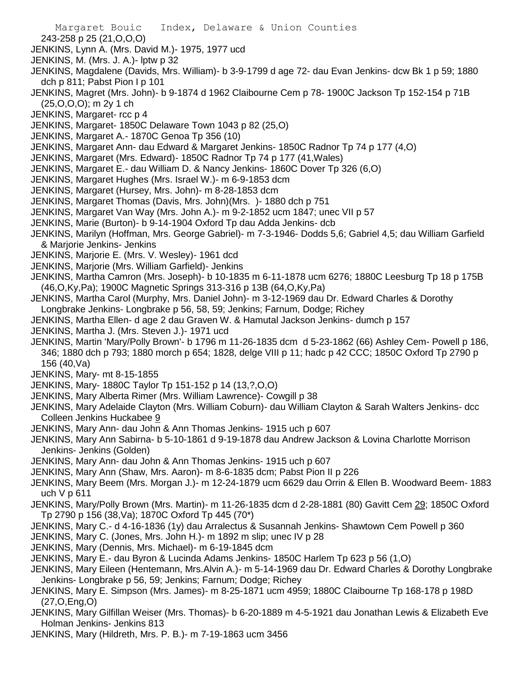Margaret Bouic Index, Delaware & Union Counties 243-258 p 25 (21,O,O,O) JENKINS, Lynn A. (Mrs. David M.)- 1975, 1977 ucd JENKINS, M. (Mrs. J. A.)- lptw p 32 JENKINS, Magdalene (Davids, Mrs. William)- b 3-9-1799 d age 72- dau Evan Jenkins- dcw Bk 1 p 59; 1880 dch p 811; Pabst Pion I p 101 JENKINS, Magret (Mrs. John)- b 9-1874 d 1962 Claibourne Cem p 78- 1900C Jackson Tp 152-154 p 71B (25,O,O,O); m 2y 1 ch

- JENKINS, Margaret- rcc p 4
- JENKINS, Margaret- 1850C Delaware Town 1043 p 82 (25,O)
- JENKINS, Margaret A.- 1870C Genoa Tp 356 (10)
- JENKINS, Margaret Ann- dau Edward & Margaret Jenkins- 1850C Radnor Tp 74 p 177 (4,O)
- JENKINS, Margaret (Mrs. Edward)- 1850C Radnor Tp 74 p 177 (41,Wales)
- JENKINS, Margaret E.- dau William D. & Nancy Jenkins- 1860C Dover Tp 326 (6,O)
- JENKINS, Margaret Hughes (Mrs. Israel W.)- m 6-9-1853 dcm
- JENKINS, Margaret (Hursey, Mrs. John)- m 8-28-1853 dcm
- JENKINS, Margaret Thomas (Davis, Mrs. John)(Mrs. )- 1880 dch p 751
- JENKINS, Margaret Van Way (Mrs. John A.)- m 9-2-1852 ucm 1847; unec VII p 57
- JENKINS, Marie (Burton)- b 9-14-1904 Oxford Tp dau Adda Jenkins- dcb
- JENKINS, Marilyn (Hoffman, Mrs. George Gabriel)- m 7-3-1946- Dodds 5,6; Gabriel 4,5; dau William Garfield & Marjorie Jenkins- Jenkins
- JENKINS, Marjorie E. (Mrs. V. Wesley)- 1961 dcd
- JENKINS, Marjorie (Mrs. William Garfield)- Jenkins
- JENKINS, Martha Camron (Mrs. Joseph)- b 10-1835 m 6-11-1878 ucm 6276; 1880C Leesburg Tp 18 p 175B (46,O,Ky,Pa); 1900C Magnetic Springs 313-316 p 13B (64,O,Ky,Pa)
- JENKINS, Martha Carol (Murphy, Mrs. Daniel John)- m 3-12-1969 dau Dr. Edward Charles & Dorothy Longbrake Jenkins- Longbrake p 56, 58, 59; Jenkins; Farnum, Dodge; Richey
- JENKINS, Martha Ellen- d age 2 dau Graven W. & Hamutal Jackson Jenkins- dumch p 157
- JENKINS, Martha J. (Mrs. Steven J.)- 1971 ucd
- JENKINS, Martin 'Mary/Polly Brown'- b 1796 m 11-26-1835 dcm d 5-23-1862 (66) Ashley Cem- Powell p 186, 346; 1880 dch p 793; 1880 morch p 654; 1828, delge VIII p 11; hadc p 42 CCC; 1850C Oxford Tp 2790 p 156 (40,Va)
- JENKINS, Mary- mt 8-15-1855
- JENKINS, Mary- 1880C Taylor Tp 151-152 p 14 (13,?,O,O)
- JENKINS, Mary Alberta Rimer (Mrs. William Lawrence)- Cowgill p 38
- JENKINS, Mary Adelaide Clayton (Mrs. William Coburn)- dau William Clayton & Sarah Walters Jenkins- dcc Colleen Jenkins Huckabee 9
- JENKINS, Mary Ann- dau John & Ann Thomas Jenkins- 1915 uch p 607
- JENKINS, Mary Ann Sabirna- b 5-10-1861 d 9-19-1878 dau Andrew Jackson & Lovina Charlotte Morrison Jenkins- Jenkins (Golden)
- JENKINS, Mary Ann- dau John & Ann Thomas Jenkins- 1915 uch p 607
- JENKINS, Mary Ann (Shaw, Mrs. Aaron)- m 8-6-1835 dcm; Pabst Pion II p 226
- JENKINS, Mary Beem (Mrs. Morgan J.)- m 12-24-1879 ucm 6629 dau Orrin & Ellen B. Woodward Beem- 1883 uch V p 611
- JENKINS, Mary/Polly Brown (Mrs. Martin)- m 11-26-1835 dcm d 2-28-1881 (80) Gavitt Cem 29; 1850C Oxford Tp 2790 p 156 (38,Va); 1870C Oxford Tp 445 (70\*)
- JENKINS, Mary C.- d 4-16-1836 (1y) dau Arralectus & Susannah Jenkins- Shawtown Cem Powell p 360
- JENKINS, Mary C. (Jones, Mrs. John H.)- m 1892 m slip; unec IV p 28
- JENKINS, Mary (Dennis, Mrs. Michael)- m 6-19-1845 dcm
- JENKINS, Mary E.- dau Byron & Lucinda Adams Jenkins- 1850C Harlem Tp 623 p 56 (1,O)
- JENKINS, Mary Eileen (Hentemann, Mrs.Alvin A.)- m 5-14-1969 dau Dr. Edward Charles & Dorothy Longbrake Jenkins- Longbrake p 56, 59; Jenkins; Farnum; Dodge; Richey
- JENKINS, Mary E. Simpson (Mrs. James)- m 8-25-1871 ucm 4959; 1880C Claibourne Tp 168-178 p 198D (27,O,Eng,O)
- JENKINS, Mary Gilfillan Weiser (Mrs. Thomas)- b 6-20-1889 m 4-5-1921 dau Jonathan Lewis & Elizabeth Eve Holman Jenkins- Jenkins 813
- JENKINS, Mary (Hildreth, Mrs. P. B.)- m 7-19-1863 ucm 3456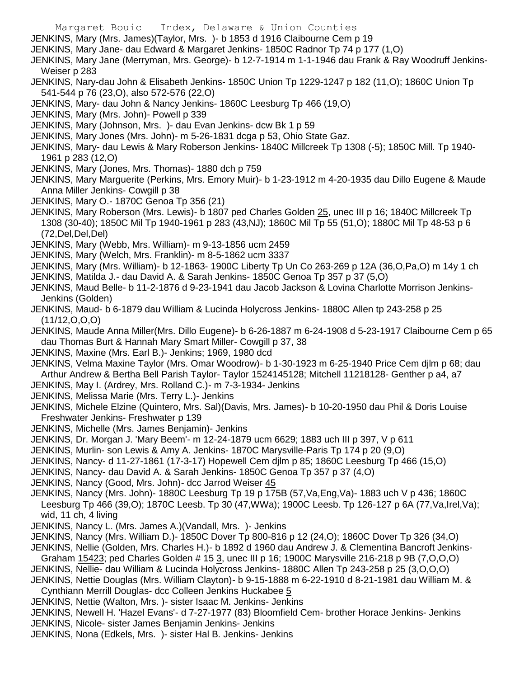- Margaret Bouic Index, Delaware & Union Counties
- JENKINS, Mary (Mrs. James)(Taylor, Mrs. )- b 1853 d 1916 Claibourne Cem p 19
- JENKINS, Mary Jane- dau Edward & Margaret Jenkins- 1850C Radnor Tp 74 p 177 (1,O)
- JENKINS, Mary Jane (Merryman, Mrs. George)- b 12-7-1914 m 1-1-1946 dau Frank & Ray Woodruff Jenkins-Weiser p 283
- JENKINS, Nary-dau John & Elisabeth Jenkins- 1850C Union Tp 1229-1247 p 182 (11,O); 1860C Union Tp 541-544 p 76 (23,O), also 572-576 (22,O)
- JENKINS, Mary- dau John & Nancy Jenkins- 1860C Leesburg Tp 466 (19,O)
- JENKINS, Mary (Mrs. John)- Powell p 339
- JENKINS, Mary (Johnson, Mrs. )- dau Evan Jenkins- dcw Bk 1 p 59
- JENKINS, Mary Jones (Mrs. John)- m 5-26-1831 dcga p 53, Ohio State Gaz.
- JENKINS, Mary- dau Lewis & Mary Roberson Jenkins- 1840C Millcreek Tp 1308 (-5); 1850C Mill. Tp 1940- 1961 p 283 (12,O)
- JENKINS, Mary (Jones, Mrs. Thomas)- 1880 dch p 759
- JENKINS, Mary Marguerite (Perkins, Mrs. Emory Muir)- b 1-23-1912 m 4-20-1935 dau Dillo Eugene & Maude Anna Miller Jenkins- Cowgill p 38
- JENKINS, Mary O.- 1870C Genoa Tp 356 (21)
- JENKINS, Mary Roberson (Mrs. Lewis)- b 1807 ped Charles Golden 25, unec III p 16; 1840C Millcreek Tp 1308 (30-40); 1850C Mil Tp 1940-1961 p 283 (43,NJ); 1860C Mil Tp 55 (51,O); 1880C Mil Tp 48-53 p 6 (72,Del,Del,Del)
- JENKINS, Mary (Webb, Mrs. William)- m 9-13-1856 ucm 2459
- JENKINS, Mary (Welch, Mrs. Franklin)- m 8-5-1862 ucm 3337
- JENKINS, Mary (Mrs. William)- b 12-1863- 1900C Liberty Tp Un Co 263-269 p 12A (36,O,Pa,O) m 14y 1 ch
- JENKINS, Matilda J.- dau David A. & Sarah Jenkins- 1850C Genoa Tp 357 p 37 (5,O)
- JENKINS, Maud Belle- b 11-2-1876 d 9-23-1941 dau Jacob Jackson & Lovina Charlotte Morrison Jenkins-Jenkins (Golden)
- JENKINS, Maud- b 6-1879 dau William & Lucinda Holycross Jenkins- 1880C Allen tp 243-258 p 25 (11/12,O,O,O)
- JENKINS, Maude Anna Miller(Mrs. Dillo Eugene)- b 6-26-1887 m 6-24-1908 d 5-23-1917 Claibourne Cem p 65 dau Thomas Burt & Hannah Mary Smart Miller- Cowgill p 37, 38
- JENKINS, Maxine (Mrs. Earl B.)- Jenkins; 1969, 1980 dcd
- JENKINS, Velma Maxine Taylor (Mrs. Omar Woodrow)- b 1-30-1923 m 6-25-1940 Price Cem djlm p 68; dau Arthur Andrew & Bertha Bell Parish Taylor- Taylor 1524145128; Mitchell 11218128- Genther p a4, a7
- JENKINS, May I. (Ardrey, Mrs. Rolland C.)- m 7-3-1934- Jenkins
- JENKINS, Melissa Marie (Mrs. Terry L.)- Jenkins
- JENKINS, Michele Elzine (Quintero, Mrs. Sal)(Davis, Mrs. James)- b 10-20-1950 dau Phil & Doris Louise Freshwater Jenkins- Freshwater p 139
- JENKINS, Michelle (Mrs. James Benjamin)- Jenkins
- JENKINS, Dr. Morgan J. 'Mary Beem'- m 12-24-1879 ucm 6629; 1883 uch III p 397, V p 611
- JENKINS, Murlin- son Lewis & Amy A. Jenkins- 1870C Marysville-Paris Tp 174 p 20 (9,O)
- JENKINS, Nancy- d 11-27-1861 (17-3-17) Hopewell Cem djlm p 85; 1860C Leesburg Tp 466 (15,O)
- JENKINS, Nancy- dau David A. & Sarah Jenkins- 1850C Genoa Tp 357 p 37 (4,O)
- JENKINS, Nancy (Good, Mrs. John)- dcc Jarrod Weiser 45
- JENKINS, Nancy (Mrs. John)- 1880C Leesburg Tp 19 p 175B (57,Va,Eng,Va)- 1883 uch V p 436; 1860C Leesburg Tp 466 (39,O); 1870C Leesb. Tp 30 (47,WWa); 1900C Leesb. Tp 126-127 p 6A (77,Va,Irel,Va); wid, 11 ch, 4 living
- JENKINS, Nancy L. (Mrs. James A.)(Vandall, Mrs. )- Jenkins
- JENKINS, Nancy (Mrs. William D.)- 1850C Dover Tp 800-816 p 12 (24,O); 1860C Dover Tp 326 (34,O)
- JENKINS, Nellie (Golden, Mrs. Charles H.)- b 1892 d 1960 dau Andrew J. & Clementina Bancroft Jenkins-Graham 15423; ped Charles Golden # 15 3, unec III p 16; 1900C Marysville 216-218 p 9B (7,O,O,O)
- JENKINS, Nellie- dau William & Lucinda Holycross Jenkins- 1880C Allen Tp 243-258 p 25 (3,O,O,O)
- JENKINS, Nettie Douglas (Mrs. William Clayton)- b 9-15-1888 m 6-22-1910 d 8-21-1981 dau William M. & Cynthiann Merrill Douglas- dcc Colleen Jenkins Huckabee 5
- JENKINS, Nettie (Walton, Mrs. )- sister Isaac M. Jenkins- Jenkins
- JENKINS, Newell H. 'Hazel Evans'- d 7-27-1977 (83) Bloomfield Cem- brother Horace Jenkins- Jenkins
- JENKINS, Nicole- sister James Benjamin Jenkins- Jenkins
- JENKINS, Nona (Edkels, Mrs. )- sister Hal B. Jenkins- Jenkins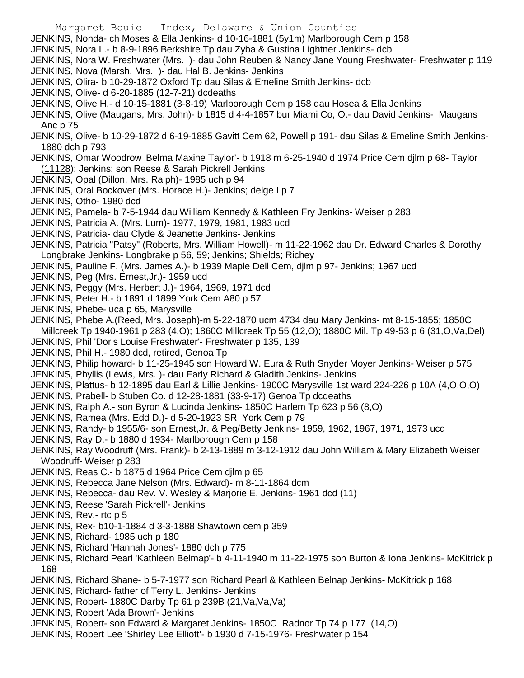- Margaret Bouic Index, Delaware & Union Counties JENKINS, Nonda- ch Moses & Ella Jenkins- d 10-16-1881 (5y1m) Marlborough Cem p 158 JENKINS, Nora L.- b 8-9-1896 Berkshire Tp dau Zyba & Gustina Lightner Jenkins- dcb JENKINS, Nora W. Freshwater (Mrs. )- dau John Reuben & Nancy Jane Young Freshwater- Freshwater p 119 JENKINS, Nova (Marsh, Mrs. )- dau Hal B. Jenkins- Jenkins JENKINS, Olira- b 10-29-1872 Oxford Tp dau Silas & Emeline Smith Jenkins- dcb JENKINS, Olive- d 6-20-1885 (12-7-21) dcdeaths JENKINS, Olive H.- d 10-15-1881 (3-8-19) Marlborough Cem p 158 dau Hosea & Ella Jenkins JENKINS, Olive (Maugans, Mrs. John)- b 1815 d 4-4-1857 bur Miami Co, O.- dau David Jenkins- Maugans Anc p 75 JENKINS, Olive- b 10-29-1872 d 6-19-1885 Gavitt Cem 62, Powell p 191- dau Silas & Emeline Smith Jenkins-1880 dch p 793 JENKINS, Omar Woodrow 'Belma Maxine Taylor'- b 1918 m 6-25-1940 d 1974 Price Cem djlm p 68- Taylor (11128); Jenkins; son Reese & Sarah Pickrell Jenkins JENKINS, Opal (Dillon, Mrs. Ralph)- 1985 uch p 94 JENKINS, Oral Bockover (Mrs. Horace H.)- Jenkins; delge I p 7 JENKINS, Otho- 1980 dcd JENKINS, Pamela- b 7-5-1944 dau William Kennedy & Kathleen Fry Jenkins- Weiser p 283 JENKINS, Patricia A. (Mrs. Lum)- 1977, 1979, 1981, 1983 ucd JENKINS, Patricia- dau Clyde & Jeanette Jenkins- Jenkins JENKINS, Patricia "Patsy" (Roberts, Mrs. William Howell)- m 11-22-1962 dau Dr. Edward Charles & Dorothy Longbrake Jenkins- Longbrake p 56, 59; Jenkins; Shields; Richey JENKINS, Pauline F. (Mrs. James A.)- b 1939 Maple Dell Cem, djlm p 97- Jenkins; 1967 ucd JENKINS, Peg (Mrs. Ernest,Jr.)- 1959 ucd JENKINS, Peggy (Mrs. Herbert J.)- 1964, 1969, 1971 dcd JENKINS, Peter H.- b 1891 d 1899 York Cem A80 p 57 JENKINS, Phebe- uca p 65, Marysville JENKINS, Phebe A.(Reed, Mrs. Joseph)-m 5-22-1870 ucm 4734 dau Mary Jenkins- mt 8-15-1855; 1850C Millcreek Tp 1940-1961 p 283 (4,O); 1860C Millcreek Tp 55 (12,O); 1880C Mil. Tp 49-53 p 6 (31,O,Va,Del) JENKINS, Phil 'Doris Louise Freshwater'- Freshwater p 135, 139 JENKINS, Phil H.- 1980 dcd, retired, Genoa Tp JENKINS, Philip howard- b 11-25-1945 son Howard W. Eura & Ruth Snyder Moyer Jenkins- Weiser p 575 JENKINS, Phyllis (Lewis, Mrs. )- dau Early Richard & Gladith Jenkins- Jenkins JENKINS, Plattus- b 12-1895 dau Earl & Lillie Jenkins- 1900C Marysville 1st ward 224-226 p 10A (4,O,O,O) JENKINS, Prabell- b Stuben Co. d 12-28-1881 (33-9-17) Genoa Tp dcdeaths JENKINS, Ralph A.- son Byron & Lucinda Jenkins- 1850C Harlem Tp 623 p 56 (8,O) JENKINS, Ramea (Mrs. Edd D.)- d 5-20-1923 SR York Cem p 79 JENKINS, Randy- b 1955/6- son Ernest,Jr. & Peg/Betty Jenkins- 1959, 1962, 1967, 1971, 1973 ucd JENKINS, Ray D.- b 1880 d 1934- Marlborough Cem p 158 JENKINS, Ray Woodruff (Mrs. Frank)- b 2-13-1889 m 3-12-1912 dau John William & Mary Elizabeth Weiser Woodruff- Weiser p 283 JENKINS, Reas C.- b 1875 d 1964 Price Cem djlm p 65 JENKINS, Rebecca Jane Nelson (Mrs. Edward)- m 8-11-1864 dcm JENKINS, Rebecca- dau Rev. V. Wesley & Marjorie E. Jenkins- 1961 dcd (11) JENKINS, Reese 'Sarah Pickrell'- Jenkins JENKINS, Rev.- rtc p 5 JENKINS, Rex- b10-1-1884 d 3-3-1888 Shawtown cem p 359 JENKINS, Richard- 1985 uch p 180 JENKINS, Richard 'Hannah Jones'- 1880 dch p 775 JENKINS, Richard Pearl 'Kathleen Belmap'- b 4-11-1940 m 11-22-1975 son Burton & Iona Jenkins- McKitrick p 168
	- JENKINS, Richard Shane- b 5-7-1977 son Richard Pearl & Kathleen Belnap Jenkins- McKitrick p 168
	- JENKINS, Richard- father of Terry L. Jenkins- Jenkins
	- JENKINS, Robert- 1880C Darby Tp 61 p 239B (21,Va,Va,Va)
	- JENKINS, Robert 'Ada Brown'- Jenkins
	- JENKINS, Robert- son Edward & Margaret Jenkins- 1850C Radnor Tp 74 p 177 (14,O)
	- JENKINS, Robert Lee 'Shirley Lee Elliott'- b 1930 d 7-15-1976- Freshwater p 154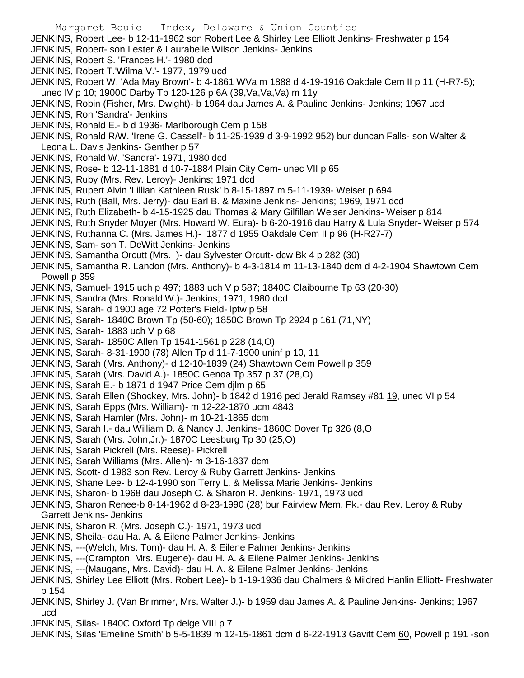- Margaret Bouic Index, Delaware & Union Counties JENKINS, Robert Lee- b 12-11-1962 son Robert Lee & Shirley Lee Elliott Jenkins- Freshwater p 154 JENKINS, Robert- son Lester & Laurabelle Wilson Jenkins- Jenkins JENKINS, Robert S. 'Frances H.'- 1980 dcd JENKINS, Robert T.'Wilma V.'- 1977, 1979 ucd JENKINS, Robert W. 'Ada May Brown'- b 4-1861 WVa m 1888 d 4-19-1916 Oakdale Cem II p 11 (H-R7-5); unec IV p 10; 1900C Darby Tp 120-126 p 6A (39,Va,Va,Va) m 11y JENKINS, Robin (Fisher, Mrs. Dwight)- b 1964 dau James A. & Pauline Jenkins- Jenkins; 1967 ucd JENKINS, Ron 'Sandra'- Jenkins JENKINS, Ronald E.- b d 1936- Marlborough Cem p 158 JENKINS, Ronald R/W. 'Irene G. Cassell'- b 11-25-1939 d 3-9-1992 952) bur duncan Falls- son Walter & Leona L. Davis Jenkins- Genther p 57 JENKINS, Ronald W. 'Sandra'- 1971, 1980 dcd JENKINS, Rose- b 12-11-1881 d 10-7-1884 Plain City Cem- unec VII p 65 JENKINS, Ruby (Mrs. Rev. Leroy)- Jenkins; 1971 dcd JENKINS, Rupert Alvin 'Lillian Kathleen Rusk' b 8-15-1897 m 5-11-1939- Weiser p 694 JENKINS, Ruth (Ball, Mrs. Jerry)- dau Earl B. & Maxine Jenkins- Jenkins; 1969, 1971 dcd JENKINS, Ruth Elizabeth- b 4-15-1925 dau Thomas & Mary Gilfillan Weiser Jenkins- Weiser p 814 JENKINS, Ruth Snyder Moyer (Mrs. Howard W. Eura)- b 6-20-1916 dau Harry & Lula Snyder- Weiser p 574 JENKINS, Ruthanna C. (Mrs. James H.)- 1877 d 1955 Oakdale Cem II p 96 (H-R27-7) JENKINS, Sam- son T. DeWitt Jenkins- Jenkins JENKINS, Samantha Orcutt (Mrs. )- dau Sylvester Orcutt- dcw Bk 4 p 282 (30) JENKINS, Samantha R. Landon (Mrs. Anthony)- b 4-3-1814 m 11-13-1840 dcm d 4-2-1904 Shawtown Cem Powell p 359 JENKINS, Samuel- 1915 uch p 497; 1883 uch V p 587; 1840C Claibourne Tp 63 (20-30) JENKINS, Sandra (Mrs. Ronald W.)- Jenkins; 1971, 1980 dcd JENKINS, Sarah- d 1900 age 72 Potter's Field- lptw p 58 JENKINS, Sarah- 1840C Brown Tp (50-60); 1850C Brown Tp 2924 p 161 (71,NY) JENKINS, Sarah- 1883 uch V p 68 JENKINS, Sarah- 1850C Allen Tp 1541-1561 p 228 (14,O) JENKINS, Sarah- 8-31-1900 (78) Allen Tp d 11-7-1900 uninf p 10, 11 JENKINS, Sarah (Mrs. Anthony)- d 12-10-1839 (24) Shawtown Cem Powell p 359 JENKINS, Sarah (Mrs. David A.)- 1850C Genoa Tp 357 p 37 (28,O) JENKINS, Sarah E.- b 1871 d 1947 Price Cem djlm p 65 JENKINS, Sarah Ellen (Shockey, Mrs. John)- b 1842 d 1916 ped Jerald Ramsey #81 19, unec VI p 54 JENKINS, Sarah Epps (Mrs. William)- m 12-22-1870 ucm 4843 JENKINS, Sarah Hamler (Mrs. John)- m 10-21-1865 dcm JENKINS, Sarah I.- dau William D. & Nancy J. Jenkins- 1860C Dover Tp 326 (8,O JENKINS, Sarah (Mrs. John,Jr.)- 1870C Leesburg Tp 30 (25,O) JENKINS, Sarah Pickrell (Mrs. Reese)- Pickrell JENKINS, Sarah Williams (Mrs. Allen)- m 3-16-1837 dcm JENKINS, Scott- d 1983 son Rev. Leroy & Ruby Garrett Jenkins- Jenkins JENKINS, Shane Lee- b 12-4-1990 son Terry L. & Melissa Marie Jenkins- Jenkins JENKINS, Sharon- b 1968 dau Joseph C. & Sharon R. Jenkins- 1971, 1973 ucd
- JENKINS, Sharon Renee-b 8-14-1962 d 8-23-1990 (28) bur Fairview Mem. Pk.- dau Rev. Leroy & Ruby Garrett Jenkins- Jenkins
- JENKINS, Sharon R. (Mrs. Joseph C.)- 1971, 1973 ucd
- JENKINS, Sheila- dau Ha. A. & Eilene Palmer Jenkins- Jenkins
- JENKINS, ---(Welch, Mrs. Tom)- dau H. A. & Eilene Palmer Jenkins- Jenkins
- JENKINS, ---(Crampton, Mrs. Eugene)- dau H. A. & Eilene Palmer Jenkins- Jenkins
- JENKINS, ---(Maugans, Mrs. David)- dau H. A. & Eilene Palmer Jenkins- Jenkins
- JENKINS, Shirley Lee Elliott (Mrs. Robert Lee)- b 1-19-1936 dau Chalmers & Mildred Hanlin Elliott- Freshwater p 154
- JENKINS, Shirley J. (Van Brimmer, Mrs. Walter J.)- b 1959 dau James A. & Pauline Jenkins- Jenkins; 1967 ucd
- JENKINS, Silas- 1840C Oxford Tp delge VIII p 7
- JENKINS, Silas 'Emeline Smith' b 5-5-1839 m 12-15-1861 dcm d 6-22-1913 Gavitt Cem 60, Powell p 191 -son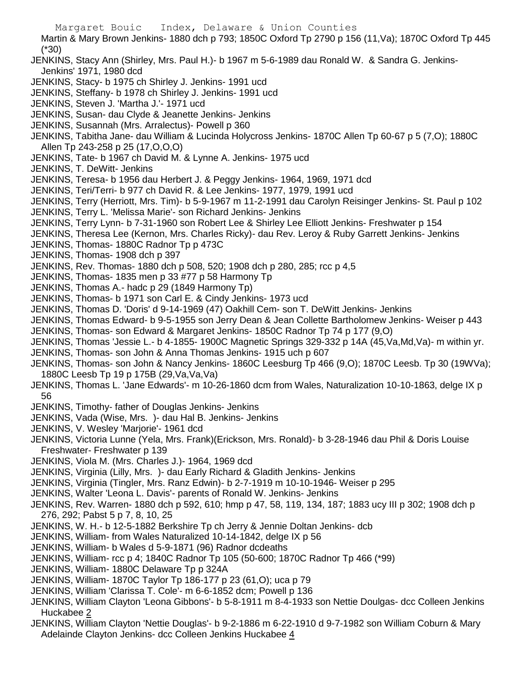Margaret Bouic Index, Delaware & Union Counties Martin & Mary Brown Jenkins- 1880 dch p 793; 1850C Oxford Tp 2790 p 156 (11,Va); 1870C Oxford Tp 445 (\*30) JENKINS, Stacy Ann (Shirley, Mrs. Paul H.)- b 1967 m 5-6-1989 dau Ronald W. & Sandra G. Jenkins-Jenkins' 1971, 1980 dcd JENKINS, Stacy- b 1975 ch Shirley J. Jenkins- 1991 ucd JENKINS, Steffany- b 1978 ch Shirley J. Jenkins- 1991 ucd JENKINS, Steven J. 'Martha J.'- 1971 ucd JENKINS, Susan- dau Clyde & Jeanette Jenkins- Jenkins JENKINS, Susannah (Mrs. Arralectus)- Powell p 360 JENKINS, Tabitha Jane- dau William & Lucinda Holycross Jenkins- 1870C Allen Tp 60-67 p 5 (7,O); 1880C Allen Tp 243-258 p 25 (17,O,O,O) JENKINS, Tate- b 1967 ch David M. & Lynne A. Jenkins- 1975 ucd JENKINS, T. DeWitt- Jenkins JENKINS, Teresa- b 1956 dau Herbert J. & Peggy Jenkins- 1964, 1969, 1971 dcd JENKINS, Teri/Terri- b 977 ch David R. & Lee Jenkins- 1977, 1979, 1991 ucd JENKINS, Terry (Herriott, Mrs. Tim)- b 5-9-1967 m 11-2-1991 dau Carolyn Reisinger Jenkins- St. Paul p 102 JENKINS, Terry L. 'Melissa Marie'- son Richard Jenkins- Jenkins JENKINS, Terry Lynn- b 7-31-1960 son Robert Lee & Shirley Lee Elliott Jenkins- Freshwater p 154 JENKINS, Theresa Lee (Kernon, Mrs. Charles Ricky)- dau Rev. Leroy & Ruby Garrett Jenkins- Jenkins JENKINS, Thomas- 1880C Radnor Tp p 473C JENKINS, Thomas- 1908 dch p 397 JENKINS, Rev. Thomas- 1880 dch p 508, 520; 1908 dch p 280, 285; rcc p 4,5 JENKINS, Thomas- 1835 men p 33 #77 p 58 Harmony Tp JENKINS, Thomas A.- hadc p 29 (1849 Harmony Tp) JENKINS, Thomas- b 1971 son Carl E. & Cindy Jenkins- 1973 ucd JENKINS, Thomas D. 'Doris' d 9-14-1969 (47) Oakhill Cem- son T. DeWitt Jenkins- Jenkins JENKINS, Thomas Edward- b 9-5-1955 son Jerry Dean & Jean Collette Bartholomew Jenkins- Weiser p 443 JENKINS, Thomas- son Edward & Margaret Jenkins- 1850C Radnor Tp 74 p 177 (9,O) JENKINS, Thomas 'Jessie L.- b 4-1855- 1900C Magnetic Springs 329-332 p 14A (45,Va,Md,Va)- m within yr. JENKINS, Thomas- son John & Anna Thomas Jenkins- 1915 uch p 607 JENKINS, Thomas- son John & Nancy Jenkins- 1860C Leesburg Tp 466 (9,O); 1870C Leesb. Tp 30 (19WVa); 1880C Leesb Tp 19 p 175B (29,Va,Va,Va) JENKINS, Thomas L. 'Jane Edwards'- m 10-26-1860 dcm from Wales, Naturalization 10-10-1863, delge IX p 56 JENKINS, Timothy- father of Douglas Jenkins- Jenkins JENKINS, Vada (Wise, Mrs. )- dau Hal B. Jenkins- Jenkins JENKINS, V. Wesley 'Marjorie'- 1961 dcd JENKINS, Victoria Lunne (Yela, Mrs. Frank)(Erickson, Mrs. Ronald)- b 3-28-1946 dau Phil & Doris Louise Freshwater- Freshwater p 139 JENKINS, Viola M. (Mrs. Charles J.)- 1964, 1969 dcd JENKINS, Virginia (Lilly, Mrs. )- dau Early Richard & Gladith Jenkins- Jenkins JENKINS, Virginia (Tingler, Mrs. Ranz Edwin)- b 2-7-1919 m 10-10-1946- Weiser p 295 JENKINS, Walter 'Leona L. Davis'- parents of Ronald W. Jenkins- Jenkins JENKINS, Rev. Warren- 1880 dch p 592, 610; hmp p 47, 58, 119, 134, 187; 1883 ucy III p 302; 1908 dch p 276, 292; Pabst 5 p 7, 8, 10, 25 JENKINS, W. H.- b 12-5-1882 Berkshire Tp ch Jerry & Jennie Doltan Jenkins- dcb JENKINS, William- from Wales Naturalized 10-14-1842, delge IX p 56 JENKINS, William- b Wales d 5-9-1871 (96) Radnor dcdeaths JENKINS, William- rcc p 4; 1840C Radnor Tp 105 (50-600; 1870C Radnor Tp 466 (\*99) JENKINS, William- 1880C Delaware Tp p 324A JENKINS, William- 1870C Taylor Tp 186-177 p 23 (61,O); uca p 79 JENKINS, William 'Clarissa T. Cole'- m 6-6-1852 dcm; Powell p 136 JENKINS, William Clayton 'Leona Gibbons'- b 5-8-1911 m 8-4-1933 son Nettie Doulgas- dcc Colleen Jenkins Huckabee 2 JENKINS, William Clayton 'Nettie Douglas'- b 9-2-1886 m 6-22-1910 d 9-7-1982 son William Coburn & Mary Adelainde Clayton Jenkins- dcc Colleen Jenkins Huckabee 4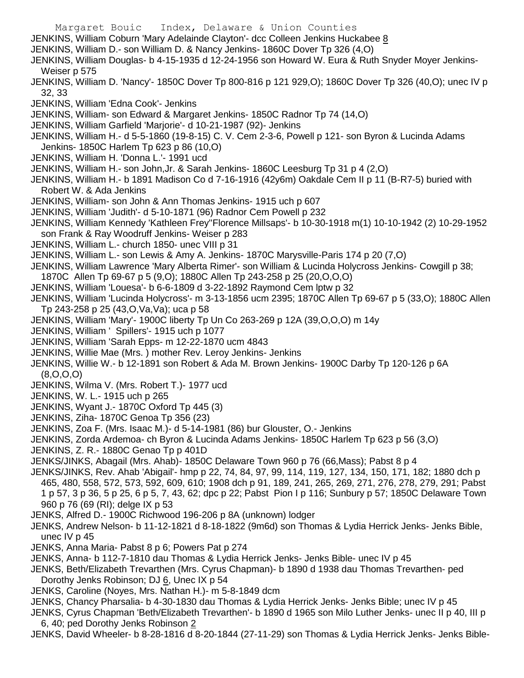Margaret Bouic Index, Delaware & Union Counties JENKINS, William Coburn 'Mary Adelainde Clayton'- dcc Colleen Jenkins Huckabee 8 JENKINS, William D.- son William D. & Nancy Jenkins- 1860C Dover Tp 326 (4,O) JENKINS, William Douglas- b 4-15-1935 d 12-24-1956 son Howard W. Eura & Ruth Snyder Moyer Jenkins-Weiser p 575 JENKINS, William D. 'Nancy'- 1850C Dover Tp 800-816 p 121 929,O); 1860C Dover Tp 326 (40,O); unec IV p 32, 33 JENKINS, William 'Edna Cook'- Jenkins JENKINS, William- son Edward & Margaret Jenkins- 1850C Radnor Tp 74 (14,O) JENKINS, William Garfield 'Marjorie'- d 10-21-1987 (92)- Jenkins JENKINS, William H.- d 5-5-1860 (19-8-15) C. V. Cem 2-3-6, Powell p 121- son Byron & Lucinda Adams Jenkins- 1850C Harlem Tp 623 p 86 (10,O) JENKINS, William H. 'Donna L.'- 1991 ucd JENKINS, William H.- son John,Jr. & Sarah Jenkins- 1860C Leesburg Tp 31 p 4 (2,O) JENKINS, William H.- b 1891 Madison Co d 7-16-1916 (42y6m) Oakdale Cem II p 11 (B-R7-5) buried with Robert W. & Ada Jenkins JENKINS, William- son John & Ann Thomas Jenkins- 1915 uch p 607 JENKINS, William 'Judith'- d 5-10-1871 (96) Radnor Cem Powell p 232 JENKINS, William Kennedy 'Kathleen Frey''Florence Millsaps'- b 10-30-1918 m(1) 10-10-1942 (2) 10-29-1952 son Frank & Ray Woodruff Jenkins- Weiser p 283 JENKINS, William L.- church 1850- unec VIII p 31 JENKINS, William L.- son Lewis & Amy A. Jenkins- 1870C Marysville-Paris 174 p 20 (7,O) JENKINS, William Lawrence 'Mary Alberta Rimer'- son William & Lucinda Holycross Jenkins- Cowgill p 38; 1870C Allen Tp 69-67 p 5 (9,O); 1880C Allen Tp 243-258 p 25 (20,O,O,O) JENKINS, William 'Louesa'- b 6-6-1809 d 3-22-1892 Raymond Cem lptw p 32 JENKINS, William 'Lucinda Holycross'- m 3-13-1856 ucm 2395; 1870C Allen Tp 69-67 p 5 (33,O); 1880C Allen Tp 243-258 p 25 (43,O,Va,Va); uca p 58 JENKINS, William 'Mary'- 1900C liberty Tp Un Co 263-269 p 12A (39,O,O,O) m 14y JENKINS, William ' Spillers'- 1915 uch p 1077 JENKINS, William 'Sarah Epps- m 12-22-1870 ucm 4843 JENKINS, Willie Mae (Mrs. ) mother Rev. Leroy Jenkins- Jenkins JENKINS, Willie W.- b 12-1891 son Robert & Ada M. Brown Jenkins- 1900C Darby Tp 120-126 p 6A (8,O,O,O) JENKINS, Wilma V. (Mrs. Robert T.)- 1977 ucd JENKINS, W. L.- 1915 uch p 265 JENKINS, Wyant J.- 1870C Oxford Tp 445 (3) JENKINS, Ziha- 1870C Genoa Tp 356 (23) JENKINS, Zoa F. (Mrs. Isaac M.)- d 5-14-1981 (86) bur Glouster, O.- Jenkins JENKINS, Zorda Ardemoa- ch Byron & Lucinda Adams Jenkins- 1850C Harlem Tp 623 p 56 (3,O) JENKINS, Z. R.- 1880C Genao Tp p 401D JENKS/JINKS, Abagail (Mrs. Ahab)- 1850C Delaware Town 960 p 76 (66,Mass); Pabst 8 p 4 JENKS/JINKS, Rev. Ahab 'Abigail'- hmp p 22, 74, 84, 97, 99, 114, 119, 127, 134, 150, 171, 182; 1880 dch p 465, 480, 558, 572, 573, 592, 609, 610; 1908 dch p 91, 189, 241, 265, 269, 271, 276, 278, 279, 291; Pabst 1 p 57, 3 p 36, 5 p 25, 6 p 5, 7, 43, 62; dpc p 22; Pabst Pion I p 116; Sunbury p 57; 1850C Delaware Town 960 p 76 (69 (RI); delge IX p 53 JENKS, Alfred D.- 1900C Richwood 196-206 p 8A (unknown) lodger JENKS, Andrew Nelson- b 11-12-1821 d 8-18-1822 (9m6d) son Thomas & Lydia Herrick Jenks- Jenks Bible, unec IV p 45 JENKS, Anna Maria- Pabst 8 p 6; Powers Pat p 274 JENKS, Anna- b 112-7-1810 dau Thomas & Lydia Herrick Jenks- Jenks Bible- unec IV p 45 JENKS, Beth/Elizabeth Trevarthen (Mrs. Cyrus Chapman)- b 1890 d 1938 dau Thomas Trevarthen- ped

Dorothy Jenks Robinson; DJ 6, Unec IX p 54

- JENKS, Caroline (Noyes, Mrs. Nathan H.)- m 5-8-1849 dcm
- JENKS, Chancy Pharsalia- b 4-30-1830 dau Thomas & Lydia Herrick Jenks- Jenks Bible; unec IV p 45
- JENKS, Cyrus Chapman 'Beth/Elizabeth Trevarthen'- b 1890 d 1965 son Milo Luther Jenks- unec II p 40, III p 6, 40; ped Dorothy Jenks Robinson 2

JENKS, David Wheeler- b 8-28-1816 d 8-20-1844 (27-11-29) son Thomas & Lydia Herrick Jenks- Jenks Bible-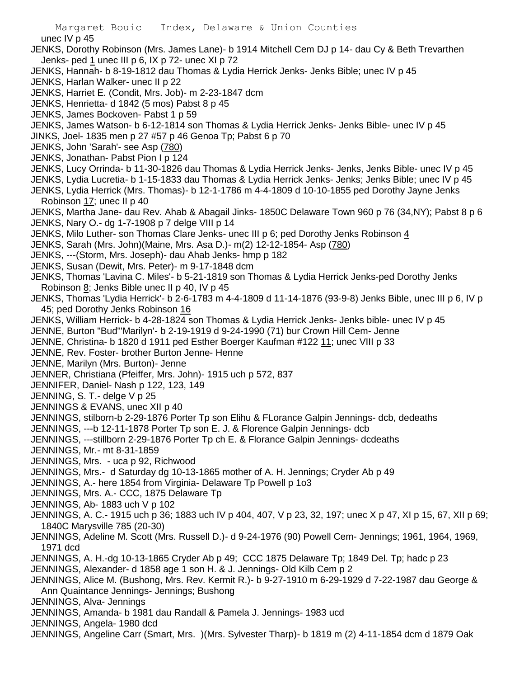Margaret Bouic Index, Delaware & Union Counties unec IV p 45 JENKS, Dorothy Robinson (Mrs. James Lane)- b 1914 Mitchell Cem DJ p 14- dau Cy & Beth Trevarthen Jenks- ped 1 unec III p 6, IX p 72- unec XI p 72 JENKS, Hannah- b 8-19-1812 dau Thomas & Lydia Herrick Jenks- Jenks Bible; unec IV p 45 JENKS, Harlan Walker- unec II p 22 JENKS, Harriet E. (Condit, Mrs. Job)- m 2-23-1847 dcm JENKS, Henrietta- d 1842 (5 mos) Pabst 8 p 45 JENKS, James Bockoven- Pabst 1 p 59 JENKS, James Watson- b 6-12-1814 son Thomas & Lydia Herrick Jenks- Jenks Bible- unec IV p 45 JINKS, Joel- 1835 men p 27 #57 p 46 Genoa Tp; Pabst 6 p 70 JENKS, John 'Sarah'- see Asp (780) JENKS, Jonathan- Pabst Pion I p 124 JENKS, Lucy Orrinda- b 11-30-1826 dau Thomas & Lydia Herrick Jenks- Jenks, Jenks Bible- unec IV p 45 JENKS, Lydia Lucretia- b 1-15-1833 dau Thomas & Lydia Herrick Jenks- Jenks; Jenks Bible; unec IV p 45 JENKS, Lydia Herrick (Mrs. Thomas)- b 12-1-1786 m 4-4-1809 d 10-10-1855 ped Dorothy Jayne Jenks Robinson 17; unec II p 40 JENKS, Martha Jane- dau Rev. Ahab & Abagail Jinks- 1850C Delaware Town 960 p 76 (34,NY); Pabst 8 p 6 JENKS, Nary O.- dg 1-7-1908 p 7 delge VIII p 14 JENKS, Milo Luther- son Thomas Clare Jenks- unec III p 6; ped Dorothy Jenks Robinson 4 JENKS, Sarah (Mrs. John)(Maine, Mrs. Asa D.)- m(2) 12-12-1854- Asp (780) JENKS, ---(Storm, Mrs. Joseph)- dau Ahab Jenks- hmp p 182 JENKS, Susan (Dewit, Mrs. Peter)- m 9-17-1848 dcm JENKS, Thomas 'Lavina C. Miles'- b 5-21-1819 son Thomas & Lydia Herrick Jenks-ped Dorothy Jenks Robinson 8; Jenks Bible unec II p 40, IV p 45 JENKS, Thomas 'Lydia Herrick'- b 2-6-1783 m 4-4-1809 d 11-14-1876 (93-9-8) Jenks Bible, unec III p 6, IV p 45; ped Dorothy Jenks Robinson 16 JENKS, William Herrick- b 4-28-1824 son Thomas & Lydia Herrick Jenks- Jenks bible- unec IV p 45 JENNE, Burton "Bud"'Marilyn'- b 2-19-1919 d 9-24-1990 (71) bur Crown Hill Cem- Jenne JENNE, Christina- b 1820 d 1911 ped Esther Boerger Kaufman #122 11; unec VIII p 33 JENNE, Rev. Foster- brother Burton Jenne- Henne JENNE, Marilyn (Mrs. Burton)- Jenne JENNER, Christiana (Pfeiffer, Mrs. John)- 1915 uch p 572, 837 JENNIFER, Daniel- Nash p 122, 123, 149 JENNING, S. T.- delge V p 25 JENNINGS & EVANS, unec XII p 40 JENNINGS, stilborn-b 2-29-1876 Porter Tp son Elihu & FLorance Galpin Jennings- dcb, dedeaths JENNINGS, ---b 12-11-1878 Porter Tp son E. J. & Florence Galpin Jennings- dcb JENNINGS, ---stillborn 2-29-1876 Porter Tp ch E. & Florance Galpin Jennings- dcdeaths JENNINGS, Mr.- mt 8-31-1859 JENNINGS, Mrs. - uca p 92, Richwood JENNINGS, Mrs.- d Saturday dg 10-13-1865 mother of A. H. Jennings; Cryder Ab p 49 JENNINGS, A.- here 1854 from Virginia- Delaware Tp Powell p 1o3 JENNINGS, Mrs. A.- CCC, 1875 Delaware Tp JENNINGS, Ab- 1883 uch V p 102 JENNINGS, A. C.- 1915 uch p 36; 1883 uch IV p 404, 407, V p 23, 32, 197; unec X p 47, XI p 15, 67, XII p 69; 1840C Marysville 785 (20-30) JENNINGS, Adeline M. Scott (Mrs. Russell D.)- d 9-24-1976 (90) Powell Cem- Jennings; 1961, 1964, 1969, 1971 dcd JENNINGS, A. H.-dg 10-13-1865 Cryder Ab p 49; CCC 1875 Delaware Tp; 1849 Del. Tp; hadc p 23 JENNINGS, Alexander- d 1858 age 1 son H. & J. Jennings- Old Kilb Cem p 2 JENNINGS, Alice M. (Bushong, Mrs. Rev. Kermit R.)- b 9-27-1910 m 6-29-1929 d 7-22-1987 dau George &

Ann Quaintance Jennings- Jennings; Bushong

JENNINGS, Alva- Jennings

JENNINGS, Amanda- b 1981 dau Randall & Pamela J. Jennings- 1983 ucd

JENNINGS, Angela- 1980 dcd

JENNINGS, Angeline Carr (Smart, Mrs. )(Mrs. Sylvester Tharp)- b 1819 m (2) 4-11-1854 dcm d 1879 Oak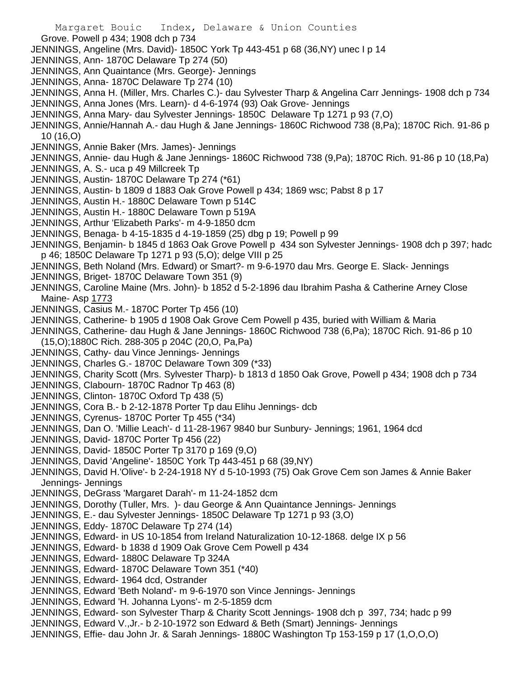- Margaret Bouic Index, Delaware & Union Counties Grove. Powell p 434; 1908 dch p 734 JENNINGS, Angeline (Mrs. David)- 1850C York Tp 443-451 p 68 (36,NY) unec I p 14 JENNINGS, Ann- 1870C Delaware Tp 274 (50) JENNINGS, Ann Quaintance (Mrs. George)- Jennings JENNINGS, Anna- 1870C Delaware Tp 274 (10) JENNINGS, Anna H. (Miller, Mrs. Charles C.)- dau Sylvester Tharp & Angelina Carr Jennings- 1908 dch p 734 JENNINGS, Anna Jones (Mrs. Learn)- d 4-6-1974 (93) Oak Grove- Jennings JENNINGS, Anna Mary- dau Sylvester Jennings- 1850C Delaware Tp 1271 p 93 (7,O) JENNINGS, Annie/Hannah A.- dau Hugh & Jane Jennings- 1860C Richwood 738 (8,Pa); 1870C Rich. 91-86 p 10 (16,O) JENNINGS, Annie Baker (Mrs. James)- Jennings JENNINGS, Annie- dau Hugh & Jane Jennings- 1860C Richwood 738 (9,Pa); 1870C Rich. 91-86 p 10 (18,Pa) JENNINGS, A. S.- uca p 49 Millcreek Tp JENNINGS, Austin- 1870C Delaware Tp 274 (\*61) JENNINGS, Austin- b 1809 d 1883 Oak Grove Powell p 434; 1869 wsc; Pabst 8 p 17 JENNINGS, Austin H.- 1880C Delaware Town p 514C JENNINGS, Austin H.- 1880C Delaware Town p 519A JENNINGS, Arthur 'Elizabeth Parks'- m 4-9-1850 dcm JENNINGS, Benaga- b 4-15-1835 d 4-19-1859 (25) dbg p 19; Powell p 99 JENNINGS, Benjamin- b 1845 d 1863 Oak Grove Powell p 434 son Sylvester Jennings- 1908 dch p 397; hadc p 46; 1850C Delaware Tp 1271 p 93 (5,O); delge VIII p 25 JENNINGS, Beth Noland (Mrs. Edward) or Smart?- m 9-6-1970 dau Mrs. George E. Slack- Jennings JENNINGS, Briget- 1870C Delaware Town 351 (9) JENNINGS, Caroline Maine (Mrs. John)- b 1852 d 5-2-1896 dau Ibrahim Pasha & Catherine Arney Close Maine- Asp 1773 JENNINGS, Casius M.- 1870C Porter Tp 456 (10) JENNINGS, Catherine- b 1905 d 1908 Oak Grove Cem Powell p 435, buried with William & Maria JENNINGS, Catherine- dau Hugh & Jane Jennings- 1860C Richwood 738 (6,Pa); 1870C Rich. 91-86 p 10 (15,O);1880C Rich. 288-305 p 204C (20,O, Pa,Pa) JENNINGS, Cathy- dau Vince Jennings- Jennings JENNINGS, Charles G.- 1870C Delaware Town 309 (\*33) JENNINGS, Charity Scott (Mrs. Sylvester Tharp)- b 1813 d 1850 Oak Grove, Powell p 434; 1908 dch p 734 JENNINGS, Clabourn- 1870C Radnor Tp 463 (8) JENNINGS, Clinton- 1870C Oxford Tp 438 (5) JENNINGS, Cora B.- b 2-12-1878 Porter Tp dau Elihu Jennings- dcb JENNINGS, Cyrenus- 1870C Porter Tp 455 (\*34) JENNINGS, Dan O. 'Millie Leach'- d 11-28-1967 9840 bur Sunbury- Jennings; 1961, 1964 dcd JENNINGS, David- 1870C Porter Tp 456 (22) JENNINGS, David- 1850C Porter Tp 3170 p 169 (9,O) JENNINGS, David 'Angeline'- 1850C York Tp 443-451 p 68 (39,NY) JENNINGS, David H.'Olive'- b 2-24-1918 NY d 5-10-1993 (75) Oak Grove Cem son James & Annie Baker Jennings- Jennings JENNINGS, DeGrass 'Margaret Darah'- m 11-24-1852 dcm JENNINGS, Dorothy (Tuller, Mrs. )- dau George & Ann Quaintance Jennings- Jennings JENNINGS, E.- dau Sylvester Jennings- 1850C Delaware Tp 1271 p 93 (3,O) JENNINGS, Eddy- 1870C Delaware Tp 274 (14) JENNINGS, Edward- in US 10-1854 from Ireland Naturalization 10-12-1868. delge IX p 56 JENNINGS, Edward- b 1838 d 1909 Oak Grove Cem Powell p 434 JENNINGS, Edward- 1880C Delaware Tp 324A JENNINGS, Edward- 1870C Delaware Town 351 (\*40) JENNINGS, Edward- 1964 dcd, Ostrander JENNINGS, Edward 'Beth Noland'- m 9-6-1970 son Vince Jennings- Jennings JENNINGS, Edward 'H. Johanna Lyons'- m 2-5-1859 dcm JENNINGS, Edward- son Sylvester Tharp & Charity Scott Jennings- 1908 dch p 397, 734; hadc p 99 JENNINGS, Edward V.,Jr.- b 2-10-1972 son Edward & Beth (Smart) Jennings- Jennings
	- JENNINGS, Effie- dau John Jr. & Sarah Jennings- 1880C Washington Tp 153-159 p 17 (1,O,O,O)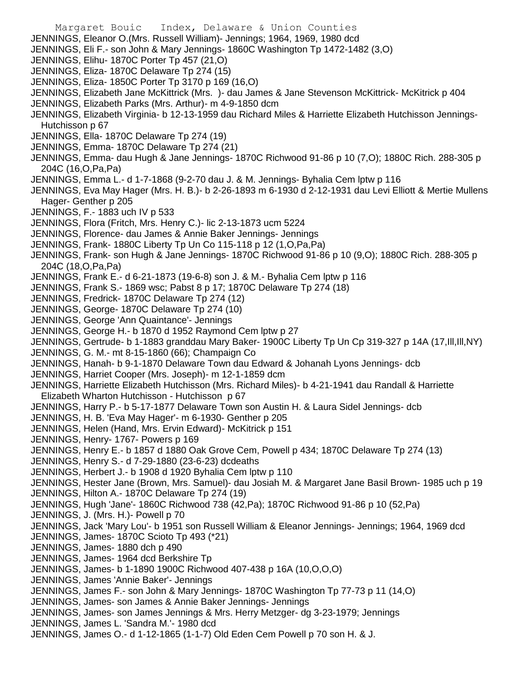Margaret Bouic Index, Delaware & Union Counties JENNINGS, Eleanor O.(Mrs. Russell William)- Jennings; 1964, 1969, 1980 dcd JENNINGS, Eli F.- son John & Mary Jennings- 1860C Washington Tp 1472-1482 (3,O) JENNINGS, Elihu- 1870C Porter Tp 457 (21,O) JENNINGS, Eliza- 1870C Delaware Tp 274 (15) JENNINGS, Eliza- 1850C Porter Tp 3170 p 169 (16,O) JENNINGS, Elizabeth Jane McKittrick (Mrs. )- dau James & Jane Stevenson McKittrick- McKitrick p 404 JENNINGS, Elizabeth Parks (Mrs. Arthur)- m 4-9-1850 dcm JENNINGS, Elizabeth Virginia- b 12-13-1959 dau Richard Miles & Harriette Elizabeth Hutchisson Jennings-Hutchisson p 67 JENNINGS, Ella- 1870C Delaware Tp 274 (19) JENNINGS, Emma- 1870C Delaware Tp 274 (21) JENNINGS, Emma- dau Hugh & Jane Jennings- 1870C Richwood 91-86 p 10 (7,O); 1880C Rich. 288-305 p 204C (16,O,Pa,Pa) JENNINGS, Emma L.- d 1-7-1868 (9-2-70 dau J. & M. Jennings- Byhalia Cem lptw p 116 JENNINGS, Eva May Hager (Mrs. H. B.)- b 2-26-1893 m 6-1930 d 2-12-1931 dau Levi Elliott & Mertie Mullens Hager- Genther p 205 JENNINGS, F.- 1883 uch IV p 533 JENNINGS, Flora (Fritch, Mrs. Henry C.)- lic 2-13-1873 ucm 5224 JENNINGS, Florence- dau James & Annie Baker Jennings- Jennings JENNINGS, Frank- 1880C Liberty Tp Un Co 115-118 p 12 (1,O,Pa,Pa) JENNINGS, Frank- son Hugh & Jane Jennings- 1870C Richwood 91-86 p 10 (9,O); 1880C Rich. 288-305 p 204C (18,O,Pa,Pa) JENNINGS, Frank E.- d 6-21-1873 (19-6-8) son J. & M.- Byhalia Cem lptw p 116 JENNINGS, Frank S.- 1869 wsc; Pabst 8 p 17; 1870C Delaware Tp 274 (18) JENNINGS, Fredrick- 1870C Delaware Tp 274 (12) JENNINGS, George- 1870C Delaware Tp 274 (10) JENNINGS, George 'Ann Quaintance'- Jennings JENNINGS, George H.- b 1870 d 1952 Raymond Cem lptw p 27 JENNINGS, Gertrude- b 1-1883 granddau Mary Baker- 1900C Liberty Tp Un Cp 319-327 p 14A (17,Ill,Ill,NY) JENNINGS, G. M.- mt 8-15-1860 (66); Champaign Co JENNINGS, Hanah- b 9-1-1870 Delaware Town dau Edward & Johanah Lyons Jennings- dcb JENNINGS, Harriet Cooper (Mrs. Joseph)- m 12-1-1859 dcm JENNINGS, Harriette Elizabeth Hutchisson (Mrs. Richard Miles)- b 4-21-1941 dau Randall & Harriette Elizabeth Wharton Hutchisson - Hutchisson p 67 JENNINGS, Harry P.- b 5-17-1877 Delaware Town son Austin H. & Laura Sidel Jennings- dcb JENNINGS, H. B. 'Eva May Hager'- m 6-1930- Genther p 205 JENNINGS, Helen (Hand, Mrs. Ervin Edward)- McKitrick p 151 JENNINGS, Henry- 1767- Powers p 169 JENNINGS, Henry E.- b 1857 d 1880 Oak Grove Cem, Powell p 434; 1870C Delaware Tp 274 (13) JENNINGS, Henry S.- d 7-29-1880 (23-6-23) dcdeaths JENNINGS, Herbert J.- b 1908 d 1920 Byhalia Cem lptw p 110 JENNINGS, Hester Jane (Brown, Mrs. Samuel)- dau Josiah M. & Margaret Jane Basil Brown- 1985 uch p 19 JENNINGS, Hilton A.- 1870C Delaware Tp 274 (19) JENNINGS, Hugh 'Jane'- 1860C Richwood 738 (42,Pa); 1870C Richwood 91-86 p 10 (52,Pa) JENNINGS, J. (Mrs. H.) - Powell p 70 JENNINGS, Jack 'Mary Lou'- b 1951 son Russell William & Eleanor Jennings- Jennings; 1964, 1969 dcd JENNINGS, James- 1870C Scioto Tp 493 (\*21) JENNINGS, James- 1880 dch p 490 JENNINGS, James- 1964 dcd Berkshire Tp JENNINGS, James- b 1-1890 1900C Richwood 407-438 p 16A (10,O,O,O) JENNINGS, James 'Annie Baker'- Jennings JENNINGS, James F.- son John & Mary Jennings- 1870C Washington Tp 77-73 p 11 (14,O) JENNINGS, James- son James & Annie Baker Jennings- Jennings JENNINGS, James- son James Jennings & Mrs. Herry Metzger- dg 3-23-1979; Jennings JENNINGS, James L. 'Sandra M.'- 1980 dcd JENNINGS, James O.- d 1-12-1865 (1-1-7) Old Eden Cem Powell p 70 son H. & J.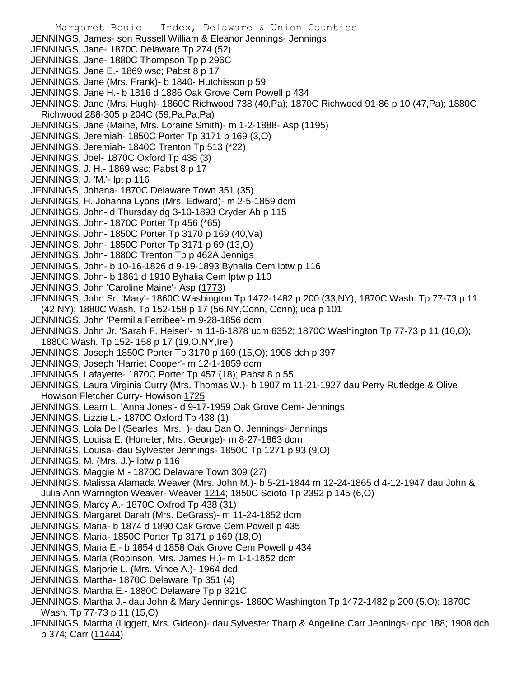- Margaret Bouic Index, Delaware & Union Counties JENNINGS, James- son Russell William & Eleanor Jennings- Jennings JENNINGS, Jane- 1870C Delaware Tp 274 (52) JENNINGS, Jane- 1880C Thompson Tp p 296C JENNINGS, Jane E.- 1869 wsc; Pabst 8 p 17 JENNINGS, Jane (Mrs. Frank)- b 1840- Hutchisson p 59 JENNINGS, Jane H.- b 1816 d 1886 Oak Grove Cem Powell p 434 JENNINGS, Jane (Mrs. Hugh)- 1860C Richwood 738 (40,Pa); 1870C Richwood 91-86 p 10 (47,Pa); 1880C Richwood 288-305 p 204C (59,Pa,Pa,Pa) JENNINGS, Jane (Maine, Mrs. Loraine Smith)- m 1-2-1888- Asp (1195) JENNINGS, Jeremiah- 1850C Porter Tp 3171 p 169 (3,O) JENNINGS, Jeremiah- 1840C Trenton Tp 513 (\*22) JENNINGS, Joel- 1870C Oxford Tp 438 (3) JENNINGS, J. H.- 1869 wsc; Pabst 8 p 17 JENNINGS, J. 'M.'- lpt p 116 JENNINGS, Johana- 1870C Delaware Town 351 (35) JENNINGS, H. Johanna Lyons (Mrs. Edward)- m 2-5-1859 dcm JENNINGS, John- d Thursday dg 3-10-1893 Cryder Ab p 115 JENNINGS, John- 1870C Porter Tp 456 (\*65) JENNINGS, John- 1850C Porter Tp 3170 p 169 (40,Va) JENNINGS, John- 1850C Porter Tp 3171 p 69 (13,O) JENNINGS, John- 1880C Trenton Tp p 462A Jennigs JENNINGS, John- b 10-16-1826 d 9-19-1893 Byhalia Cem lptw p 116 JENNINGS, John- b 1861 d 1910 Byhalia Cem lptw p 110 JENNINGS, John 'Caroline Maine'- Asp (1773) JENNINGS, John Sr. 'Mary'- 1860C Washington Tp 1472-1482 p 200 (33,NY); 1870C Wash. Tp 77-73 p 11 (42,NY); 1880C Wash. Tp 152-158 p 17 (56,NY,Conn, Conn); uca p 101 JENNINGS, John 'Permilla Ferribee'- m 9-28-1856 dcm JENNINGS, John Jr. 'Sarah F. Heiser'- m 11-6-1878 ucm 6352; 1870C Washington Tp 77-73 p 11 (10,O); 1880C Wash. Tp 152- 158 p 17 (19,O,NY,Irel) JENNINGS, Joseph 1850C Porter Tp 3170 p 169 (15,O); 1908 dch p 397 JENNINGS, Joseph 'Harriet Cooper'- m 12-1-1859 dcm JENNINGS, Lafayette- 1870C Porter Tp 457 (18); Pabst 8 p 55 JENNINGS, Laura Virginia Curry (Mrs. Thomas W.)- b 1907 m 11-21-1927 dau Perry Rutledge & Olive Howison Fletcher Curry- Howison 1725 JENNINGS, Learn L. 'Anna Jones'- d 9-17-1959 Oak Grove Cem- Jennings JENNINGS, Lizzie L.- 1870C Oxford Tp 438 (1) JENNINGS, Lola Dell (Searles, Mrs. )- dau Dan O. Jennings- Jennings JENNINGS, Louisa E. (Honeter, Mrs. George)- m 8-27-1863 dcm JENNINGS, Louisa- dau Sylvester Jennings- 1850C Tp 1271 p 93 (9,O) JENNINGS, M. (Mrs. J.)- lptw p 116 JENNINGS, Maggie M.- 1870C Delaware Town 309 (27) JENNINGS, Malissa Alamada Weaver (Mrs. John M.)- b 5-21-1844 m 12-24-1865 d 4-12-1947 dau John & Julia Ann Warrington Weaver- Weaver 1214; 1850C Scioto Tp 2392 p 145 (6,O) JENNINGS, Marcy A.- 1870C Oxfrod Tp 438 (31) JENNINGS, Margaret Darah (Mrs. DeGrass)- m 11-24-1852 dcm JENNINGS, Maria- b 1874 d 1890 Oak Grove Cem Powell p 435 JENNINGS, Maria- 1850C Porter Tp 3171 p 169 (18,O) JENNINGS, Maria E.- b 1854 d 1858 Oak Grove Cem Powell p 434 JENNINGS, Maria (Robinson, Mrs. James H.)- m 1-1-1852 dcm JENNINGS, Marjorie L. (Mrs. Vince A.)- 1964 dcd JENNINGS, Martha- 1870C Delaware Tp 351 (4) JENNINGS, Martha E.- 1880C Delaware Tp p 321C JENNINGS, Martha J.- dau John & Mary Jennings- 1860C Washington Tp 1472-1482 p 200 (5,O); 1870C
- Wash. Tp 77-73 p 11 (15,O) JENNINGS, Martha (Liggett, Mrs. Gideon)- dau Sylvester Tharp & Angeline Carr Jennings- opc 188; 1908 dch p 374; Carr (11444)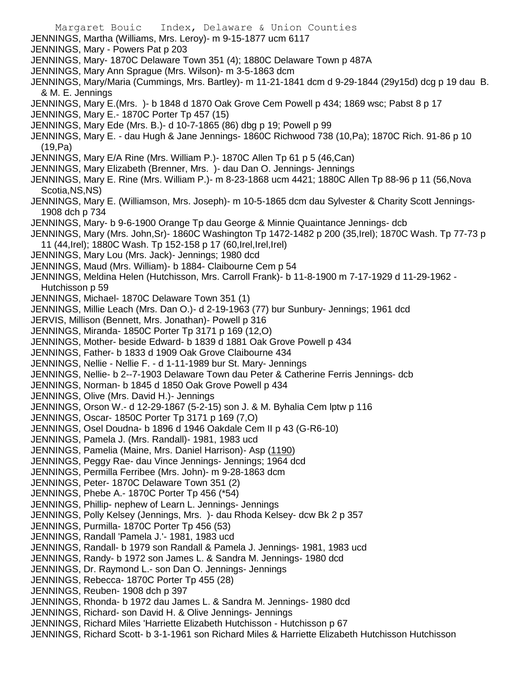Margaret Bouic Index, Delaware & Union Counties JENNINGS, Martha (Williams, Mrs. Leroy)- m 9-15-1877 ucm 6117 JENNINGS, Mary - Powers Pat p 203 JENNINGS, Mary- 1870C Delaware Town 351 (4); 1880C Delaware Town p 487A JENNINGS, Mary Ann Sprague (Mrs. Wilson)- m 3-5-1863 dcm JENNINGS, Mary/Maria (Cummings, Mrs. Bartley)- m 11-21-1841 dcm d 9-29-1844 (29y15d) dcg p 19 dau B. & M. E. Jennings JENNINGS, Mary E.(Mrs. )- b 1848 d 1870 Oak Grove Cem Powell p 434; 1869 wsc; Pabst 8 p 17 JENNINGS, Mary E.- 1870C Porter Tp 457 (15) JENNINGS, Mary Ede (Mrs. B.)- d 10-7-1865 (86) dbg p 19; Powell p 99 JENNINGS, Mary E. - dau Hugh & Jane Jennings- 1860C Richwood 738 (10,Pa); 1870C Rich. 91-86 p 10 (19,Pa) JENNINGS, Mary E/A Rine (Mrs. William P.)- 1870C Allen Tp 61 p 5 (46,Can) JENNINGS, Mary Elizabeth (Brenner, Mrs. )- dau Dan O. Jennings- Jennings JENNINGS, Mary E. Rine (Mrs. William P.)- m 8-23-1868 ucm 4421; 1880C Allen Tp 88-96 p 11 (56,Nova Scotia,NS,NS) JENNINGS, Mary E. (Williamson, Mrs. Joseph)- m 10-5-1865 dcm dau Sylvester & Charity Scott Jennings-1908 dch p 734 JENNINGS, Mary- b 9-6-1900 Orange Tp dau George & Minnie Quaintance Jennings- dcb JENNINGS, Mary (Mrs. John,Sr)- 1860C Washington Tp 1472-1482 p 200 (35,Irel); 1870C Wash. Tp 77-73 p 11 (44,Irel); 1880C Wash. Tp 152-158 p 17 (60,Irel,Irel,Irel) JENNINGS, Mary Lou (Mrs. Jack)- Jennings; 1980 dcd JENNINGS, Maud (Mrs. William)- b 1884- Claibourne Cem p 54 JENNINGS, Meldina Helen (Hutchisson, Mrs. Carroll Frank)- b 11-8-1900 m 7-17-1929 d 11-29-1962 - Hutchisson p 59 JENNINGS, Michael- 1870C Delaware Town 351 (1) JENNINGS, Millie Leach (Mrs. Dan O.)- d 2-19-1963 (77) bur Sunbury- Jennings; 1961 dcd JERVIS, Millison (Bennett, Mrs. Jonathan)- Powell p 316 JENNINGS, Miranda- 1850C Porter Tp 3171 p 169 (12,O) JENNINGS, Mother- beside Edward- b 1839 d 1881 Oak Grove Powell p 434 JENNINGS, Father- b 1833 d 1909 Oak Grove Claibourne 434 JENNINGS, Nellie - Nellie F. - d 1-11-1989 bur St. Mary- Jennings JENNINGS, Nellie- b 2--7-1903 Delaware Town dau Peter & Catherine Ferris Jennings- dcb JENNINGS, Norman- b 1845 d 1850 Oak Grove Powell p 434 JENNINGS, Olive (Mrs. David H.)- Jennings JENNINGS, Orson W.- d 12-29-1867 (5-2-15) son J. & M. Byhalia Cem lptw p 116 JENNINGS, Oscar- 1850C Porter Tp 3171 p 169 (7,O) JENNINGS, Osel Doudna- b 1896 d 1946 Oakdale Cem II p 43 (G-R6-10) JENNINGS, Pamela J. (Mrs. Randall)- 1981, 1983 ucd JENNINGS, Pamelia (Maine, Mrs. Daniel Harrison)- Asp (1190) JENNINGS, Peggy Rae- dau Vince Jennings- Jennings; 1964 dcd JENNINGS, Permilla Ferribee (Mrs. John)- m 9-28-1863 dcm JENNINGS, Peter- 1870C Delaware Town 351 (2) JENNINGS, Phebe A.- 1870C Porter Tp 456 (\*54) JENNINGS, Phillip- nephew of Learn L. Jennings- Jennings JENNINGS, Polly Kelsey (Jennings, Mrs. )- dau Rhoda Kelsey- dcw Bk 2 p 357 JENNINGS, Purmilla- 1870C Porter Tp 456 (53) JENNINGS, Randall 'Pamela J.'- 1981, 1983 ucd JENNINGS, Randall- b 1979 son Randall & Pamela J. Jennings- 1981, 1983 ucd JENNINGS, Randy- b 1972 son James L. & Sandra M. Jennings- 1980 dcd JENNINGS, Dr. Raymond L.- son Dan O. Jennings- Jennings JENNINGS, Rebecca- 1870C Porter Tp 455 (28) JENNINGS, Reuben- 1908 dch p 397 JENNINGS, Rhonda- b 1972 dau James L. & Sandra M. Jennings- 1980 dcd JENNINGS, Richard- son David H. & Olive Jennings- Jennings JENNINGS, Richard Miles 'Harriette Elizabeth Hutchisson - Hutchisson p 67 JENNINGS, Richard Scott- b 3-1-1961 son Richard Miles & Harriette Elizabeth Hutchisson Hutchisson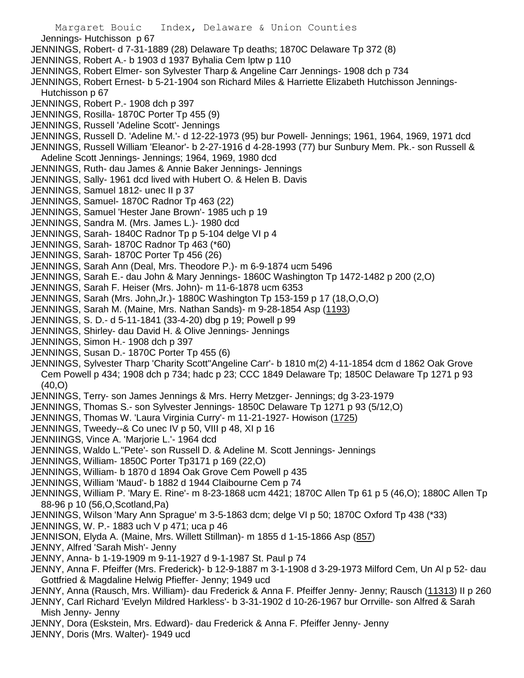- Margaret Bouic Index, Delaware & Union Counties Jennings- Hutchisson p 67 JENNINGS, Robert- d 7-31-1889 (28) Delaware Tp deaths; 1870C Delaware Tp 372 (8) JENNINGS, Robert A.- b 1903 d 1937 Byhalia Cem lptw p 110 JENNINGS, Robert Elmer- son Sylvester Tharp & Angeline Carr Jennings- 1908 dch p 734 JENNINGS, Robert Ernest- b 5-21-1904 son Richard Miles & Harriette Elizabeth Hutchisson Jennings-Hutchisson p 67 JENNINGS, Robert P.- 1908 dch p 397 JENNINGS, Rosilla- 1870C Porter Tp 455 (9) JENNINGS, Russell 'Adeline Scott'- Jennings JENNINGS, Russell D. 'Adeline M.'- d 12-22-1973 (95) bur Powell- Jennings; 1961, 1964, 1969, 1971 dcd JENNINGS, Russell William 'Eleanor'- b 2-27-1916 d 4-28-1993 (77) bur Sunbury Mem. Pk.- son Russell & Adeline Scott Jennings- Jennings; 1964, 1969, 1980 dcd JENNINGS, Ruth- dau James & Annie Baker Jennings- Jennings JENNINGS, Sally- 1961 dcd lived with Hubert O. & Helen B. Davis JENNINGS, Samuel 1812- unec II p 37 JENNINGS, Samuel- 1870C Radnor Tp 463 (22) JENNINGS, Samuel 'Hester Jane Brown'- 1985 uch p 19 JENNINGS, Sandra M. (Mrs. James L.)- 1980 dcd JENNINGS, Sarah- 1840C Radnor Tp p 5-104 delge VI p 4 JENNINGS, Sarah- 1870C Radnor Tp 463 (\*60) JENNINGS, Sarah- 1870C Porter Tp 456 (26) JENNINGS, Sarah Ann (Deal, Mrs. Theodore P.)- m 6-9-1874 ucm 5496 JENNINGS, Sarah E.- dau John & Mary Jennings- 1860C Washington Tp 1472-1482 p 200 (2,O) JENNINGS, Sarah F. Heiser (Mrs. John)- m 11-6-1878 ucm 6353 JENNINGS, Sarah (Mrs. John,Jr.)- 1880C Washington Tp 153-159 p 17 (18,O,O,O) JENNINGS, Sarah M. (Maine, Mrs. Nathan Sands)- m 9-28-1854 Asp (1193) JENNINGS, S. D.- d 5-11-1841 (33-4-20) dbg p 19; Powell p 99 JENNINGS, Shirley- dau David H. & Olive Jennings- Jennings JENNINGS, Simon H.- 1908 dch p 397 JENNINGS, Susan D.- 1870C Porter Tp 455 (6) JENNINGS, Sylvester Tharp 'Charity Scott''Angeline Carr'- b 1810 m(2) 4-11-1854 dcm d 1862 Oak Grove Cem Powell p 434; 1908 dch p 734; hadc p 23; CCC 1849 Delaware Tp; 1850C Delaware Tp 1271 p 93 (40,O) JENNINGS, Terry- son James Jennings & Mrs. Herry Metzger- Jennings; dg 3-23-1979 JENNINGS, Thomas S.- son Sylvester Jennings- 1850C Delaware Tp 1271 p 93 (5/12,O) JENNINGS, Thomas W. 'Laura Virginia Curry'- m 11-21-1927- Howison (1725) JENNINGS, Tweedy--& Co unec IV p 50, VIII p 48, XI p 16 JENNIINGS, Vince A. 'Marjorie L.'- 1964 dcd JENNINGS, Waldo L."Pete'- son Russell D. & Adeline M. Scott Jennings- Jennings JENNINGS, William- 1850C Porter Tp3171 p 169 (22,O) JENNINGS, William- b 1870 d 1894 Oak Grove Cem Powell p 435 JENNINGS, William 'Maud'- b 1882 d 1944 Claibourne Cem p 74 JENNINGS, William P. 'Mary E. Rine'- m 8-23-1868 ucm 4421; 1870C Allen Tp 61 p 5 (46,O); 1880C Allen Tp 88-96 p 10 (56,O,Scotland,Pa) JENNINGS, Wilson 'Mary Ann Sprague' m 3-5-1863 dcm; delge VI p 50; 1870C Oxford Tp 438 (\*33) JENNINGS, W. P.- 1883 uch V p 471; uca p 46 JENNISON, Elyda A. (Maine, Mrs. Willett Stillman)- m 1855 d 1-15-1866 Asp (857) JENNY, Alfred 'Sarah Mish'- Jenny JENNY, Anna- b 1-19-1909 m 9-11-1927 d 9-1-1987 St. Paul p 74
- JENNY, Anna F. Pfeiffer (Mrs. Frederick)- b 12-9-1887 m 3-1-1908 d 3-29-1973 Milford Cem, Un Al p 52- dau Gottfried & Magdaline Helwig Pfieffer- Jenny; 1949 ucd
- JENNY, Anna (Rausch, Mrs. William)- dau Frederick & Anna F. Pfeiffer Jenny- Jenny; Rausch (11313) II p 260
- JENNY, Carl Richard 'Evelyn Mildred Harkless'- b 3-31-1902 d 10-26-1967 bur Orrville- son Alfred & Sarah Mish Jenny- Jenny
- JENNY, Dora (Eskstein, Mrs. Edward)- dau Frederick & Anna F. Pfeiffer Jenny- Jenny JENNY, Doris (Mrs. Walter)- 1949 ucd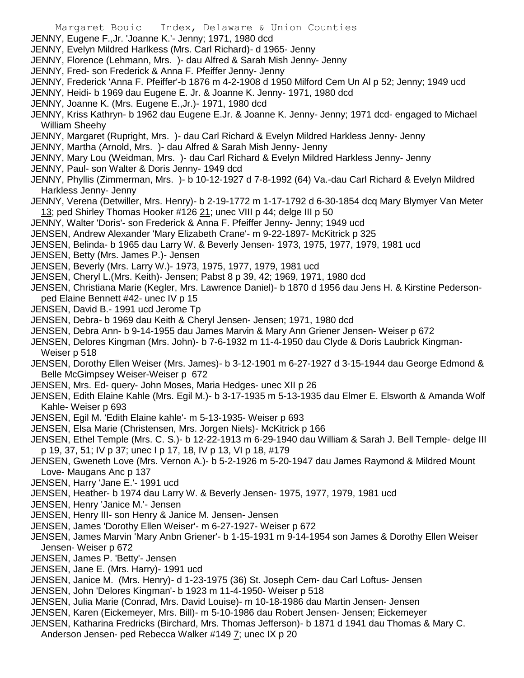- Margaret Bouic Index, Delaware & Union Counties
- JENNY, Eugene F.,Jr. 'Joanne K.'- Jenny; 1971, 1980 dcd
- JENNY, Evelyn Mildred Harlkess (Mrs. Carl Richard)- d 1965- Jenny
- JENNY, Florence (Lehmann, Mrs. )- dau Alfred & Sarah Mish Jenny- Jenny
- JENNY, Fred- son Frederick & Anna F. Pfeiffer Jenny- Jenny
- JENNY, Frederick 'Anna F. Pfeiffer'-b 1876 m 4-2-1908 d 1950 Milford Cem Un Al p 52; Jenny; 1949 ucd
- JENNY, Heidi- b 1969 dau Eugene E. Jr. & Joanne K. Jenny- 1971, 1980 dcd
- JENNY, Joanne K. (Mrs. Eugene E.,Jr.)- 1971, 1980 dcd
- JENNY, Kriss Kathryn- b 1962 dau Eugene E.Jr. & Joanne K. Jenny- Jenny; 1971 dcd- engaged to Michael William Sheehy
- JENNY, Margaret (Rupright, Mrs. )- dau Carl Richard & Evelyn Mildred Harkless Jenny- Jenny
- JENNY, Martha (Arnold, Mrs. )- dau Alfred & Sarah Mish Jenny- Jenny
- JENNY, Mary Lou (Weidman, Mrs. )- dau Carl Richard & Evelyn Mildred Harkless Jenny- Jenny
- JENNY, Paul- son Walter & Doris Jenny- 1949 dcd
- JENNY, Phyllis (Zimmerman, Mrs. )- b 10-12-1927 d 7-8-1992 (64) Va.-dau Carl Richard & Evelyn Mildred Harkless Jenny- Jenny
- JENNY, Verena (Detwiller, Mrs. Henry)- b 2-19-1772 m 1-17-1792 d 6-30-1854 dcq Mary Blymyer Van Meter 13; ped Shirley Thomas Hooker #126 21; unec VIII p 44; delge III p 50
- JENNY, Walter 'Doris'- son Frederick & Anna F. Pfeiffer Jenny- Jenny; 1949 ucd
- JENSEN, Andrew Alexander 'Mary Elizabeth Crane'- m 9-22-1897- McKitrick p 325
- JENSEN, Belinda- b 1965 dau Larry W. & Beverly Jensen- 1973, 1975, 1977, 1979, 1981 ucd
- JENSEN, Betty (Mrs. James P.)- Jensen
- JENSEN, Beverly (Mrs. Larry W.)- 1973, 1975, 1977, 1979, 1981 ucd
- JENSEN, Cheryl L.(Mrs. Keith)- Jensen; Pabst 8 p 39, 42; 1969, 1971, 1980 dcd
- JENSEN, Christiana Marie (Kegler, Mrs. Lawrence Daniel)- b 1870 d 1956 dau Jens H. & Kirstine Pedersonped Elaine Bennett #42- unec IV p 15
- JENSEN, David B.- 1991 ucd Jerome Tp
- JENSEN, Debra- b 1969 dau Keith & Cheryl Jensen- Jensen; 1971, 1980 dcd
- JENSEN, Debra Ann- b 9-14-1955 dau James Marvin & Mary Ann Griener Jensen- Weiser p 672
- JENSEN, Delores Kingman (Mrs. John)- b 7-6-1932 m 11-4-1950 dau Clyde & Doris Laubrick Kingman-Weiser p 518
- JENSEN, Dorothy Ellen Weiser (Mrs. James)- b 3-12-1901 m 6-27-1927 d 3-15-1944 dau George Edmond & Belle McGimpsey Weiser-Weiser p 672
- JENSEN, Mrs. Ed- query- John Moses, Maria Hedges- unec XII p 26
- JENSEN, Edith Elaine Kahle (Mrs. Egil M.)- b 3-17-1935 m 5-13-1935 dau Elmer E. Elsworth & Amanda Wolf Kahle- Weiser p 693
- JENSEN, Egil M. 'Edith Elaine kahle'- m 5-13-1935- Weiser p 693
- JENSEN, Elsa Marie (Christensen, Mrs. Jorgen Niels)- McKitrick p 166
- JENSEN, Ethel Temple (Mrs. C. S.)- b 12-22-1913 m 6-29-1940 dau William & Sarah J. Bell Temple- delge III p 19, 37, 51; IV p 37; unec I p 17, 18, IV p 13, VI p 18, #179
- JENSEN, Gweneth Love (Mrs. Vernon A.)- b 5-2-1926 m 5-20-1947 dau James Raymond & Mildred Mount Love- Maugans Anc p 137
- JENSEN, Harry 'Jane E.'- 1991 ucd
- JENSEN, Heather- b 1974 dau Larry W. & Beverly Jensen- 1975, 1977, 1979, 1981 ucd
- JENSEN, Henry 'Janice M.'- Jensen
- JENSEN, Henry III- son Henry & Janice M. Jensen- Jensen
- JENSEN, James 'Dorothy Ellen Weiser'- m 6-27-1927- Weiser p 672
- JENSEN, James Marvin 'Mary Anbn Griener'- b 1-15-1931 m 9-14-1954 son James & Dorothy Ellen Weiser Jensen- Weiser p 672
- JENSEN, James P. 'Betty'- Jensen
- JENSEN, Jane E. (Mrs. Harry)- 1991 ucd
- JENSEN, Janice M. (Mrs. Henry)- d 1-23-1975 (36) St. Joseph Cem- dau Carl Loftus- Jensen
- JENSEN, John 'Delores Kingman'- b 1923 m 11-4-1950- Weiser p 518
- JENSEN, Julia Marie (Conrad, Mrs. David Louise)- m 10-18-1986 dau Martin Jensen- Jensen
- JENSEN, Karen (Eickemeyer, Mrs. Bill)- m 5-10-1986 dau Robert Jensen- Jensen; Eickemeyer
- JENSEN, Katharina Fredricks (Birchard, Mrs. Thomas Jefferson)- b 1871 d 1941 dau Thomas & Mary C. Anderson Jensen- ped Rebecca Walker #149 7; unec IX p 20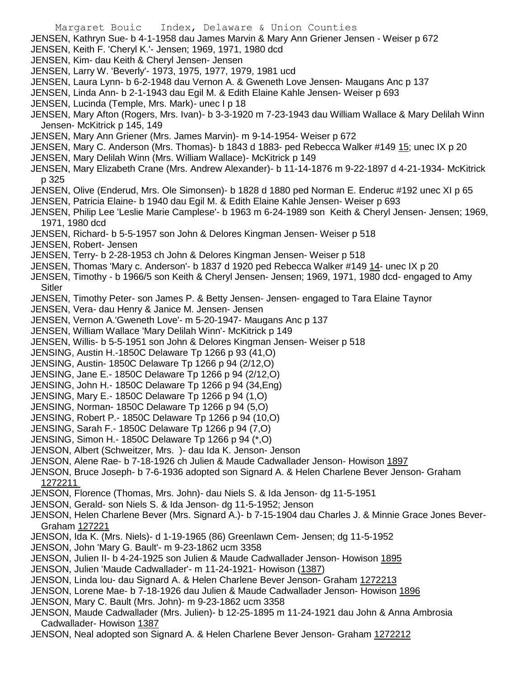- Margaret Bouic Index, Delaware & Union Counties JENSEN, Kathryn Sue- b 4-1-1958 dau James Marvin & Mary Ann Griener Jensen - Weiser p 672 JENSEN, Keith F. 'Cheryl K.'- Jensen; 1969, 1971, 1980 dcd JENSEN, Kim- dau Keith & Cheryl Jensen- Jensen JENSEN, Larry W. 'Beverly'- 1973, 1975, 1977, 1979, 1981 ucd JENSEN, Laura Lynn- b 6-2-1948 dau Vernon A. & Gweneth Love Jensen- Maugans Anc p 137 JENSEN, Linda Ann- b 2-1-1943 dau Egil M. & Edith Elaine Kahle Jensen- Weiser p 693 JENSEN, Lucinda (Temple, Mrs. Mark)- unec I p 18 JENSEN, Mary Afton (Rogers, Mrs. Ivan)- b 3-3-1920 m 7-23-1943 dau William Wallace & Mary Delilah Winn Jensen- McKitrick p 145, 149 JENSEN, Mary Ann Griener (Mrs. James Marvin)- m 9-14-1954- Weiser p 672 JENSEN, Mary C. Anderson (Mrs. Thomas)- b 1843 d 1883- ped Rebecca Walker #149 15; unec IX p 20 JENSEN, Mary Delilah Winn (Mrs. William Wallace)- McKitrick p 149 JENSEN, Mary Elizabeth Crane (Mrs. Andrew Alexander)- b 11-14-1876 m 9-22-1897 d 4-21-1934- McKitrick p 325 JENSEN, Olive (Enderud, Mrs. Ole Simonsen)- b 1828 d 1880 ped Norman E. Enderuc #192 unec XI p 65 JENSEN, Patricia Elaine- b 1940 dau Egil M. & Edith Elaine Kahle Jensen- Weiser p 693 JENSEN, Philip Lee 'Leslie Marie Camplese'- b 1963 m 6-24-1989 son Keith & Cheryl Jensen- Jensen; 1969, 1971, 1980 dcd
	- JENSEN, Richard- b 5-5-1957 son John & Delores Kingman Jensen- Weiser p 518
	- JENSEN, Robert- Jensen
	- JENSEN, Terry- b 2-28-1953 ch John & Delores Kingman Jensen- Weiser p 518
	- JENSEN, Thomas 'Mary c. Anderson'- b 1837 d 1920 ped Rebecca Walker #149 14- unec IX p 20
	- JENSEN, Timothy b 1966/5 son Keith & Cheryl Jensen- Jensen; 1969, 1971, 1980 dcd- engaged to Amy **Sitler**
	- JENSEN, Timothy Peter- son James P. & Betty Jensen- Jensen- engaged to Tara Elaine Taynor
	- JENSEN, Vera- dau Henry & Janice M. Jensen- Jensen
	- JENSEN, Vernon A.'Gweneth Love'- m 5-20-1947- Maugans Anc p 137
	- JENSEN, William Wallace 'Mary Delilah Winn'- McKitrick p 149
	- JENSEN, Willis- b 5-5-1951 son John & Delores Kingman Jensen- Weiser p 518
	- JENSING, Austin H.-1850C Delaware Tp 1266 p 93 (41,O)
	- JENSING, Austin- 1850C Delaware Tp 1266 p 94 (2/12,O)
	- JENSING, Jane E.- 1850C Delaware Tp 1266 p 94 (2/12,O)
	- JENSING, John H.- 1850C Delaware Tp 1266 p 94 (34,Eng)
	- JENSING, Mary E.- 1850C Delaware Tp 1266 p 94 (1,O)
	- JENSING, Norman- 1850C Delaware Tp 1266 p 94 (5,O)
	- JENSING, Robert P.- 1850C Delaware Tp 1266 p 94 (10,O)
	- JENSING, Sarah F.- 1850C Delaware Tp 1266 p 94 (7,O)
	- JENSING, Simon H.- 1850C Delaware Tp 1266 p 94 (\*,O)
	- JENSON, Albert (Schweitzer, Mrs. )- dau Ida K. Jenson- Jenson
	- JENSON, Alene Rae- b 7-18-1926 ch Julien & Maude Cadwallader Jenson- Howison 1897
	- JENSON, Bruce Joseph- b 7-6-1936 adopted son Signard A. & Helen Charlene Bever Jenson- Graham 1272211
	- JENSON, Florence (Thomas, Mrs. John)- dau Niels S. & Ida Jenson- dg 11-5-1951
	- JENSON, Gerald- son Niels S. & Ida Jenson- dg 11-5-1952; Jenson
	- JENSON, Helen Charlene Bever (Mrs. Signard A.)- b 7-15-1904 dau Charles J. & Minnie Grace Jones Bever-Graham 127221
	- JENSON, Ida K. (Mrs. Niels)- d 1-19-1965 (86) Greenlawn Cem- Jensen; dg 11-5-1952
	- JENSON, John 'Mary G. Bault'- m 9-23-1862 ucm 3358
	- JENSON, Julien II- b 4-24-1925 son Julien & Maude Cadwallader Jenson- Howison 1895
	- JENSON, Julien 'Maude Cadwallader'- m 11-24-1921- Howison (1387)
	- JENSON, Linda lou- dau Signard A. & Helen Charlene Bever Jenson- Graham 1272213
	- JENSON, Lorene Mae- b 7-18-1926 dau Julien & Maude Cadwallader Jenson- Howison 1896
	- JENSON, Mary C. Bault (Mrs. John)- m 9-23-1862 ucm 3358
	- JENSON, Maude Cadwallader (Mrs. Julien)- b 12-25-1895 m 11-24-1921 dau John & Anna Ambrosia Cadwallader- Howison 1387
	- JENSON, Neal adopted son Signard A. & Helen Charlene Bever Jenson- Graham 1272212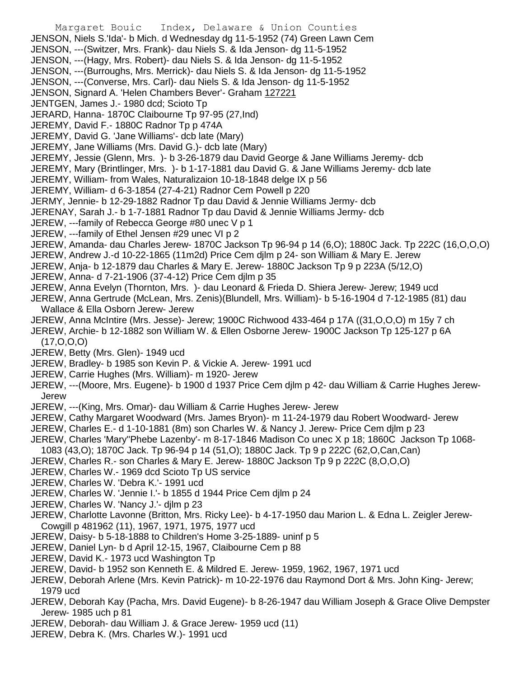- Margaret Bouic Index, Delaware & Union Counties JENSON, Niels S.'Ida'- b Mich. d Wednesday dg 11-5-1952 (74) Green Lawn Cem JENSON, ---(Switzer, Mrs. Frank)- dau Niels S. & Ida Jenson- dg 11-5-1952 JENSON, ---(Hagy, Mrs. Robert)- dau Niels S. & Ida Jenson- dg 11-5-1952 JENSON, ---(Burroughs, Mrs. Merrick)- dau Niels S. & Ida Jenson- dg 11-5-1952 JENSON, ---(Converse, Mrs. Carl)- dau Niels S. & Ida Jenson- dg 11-5-1952 JENSON, Signard A. 'Helen Chambers Bever'- Graham 127221 JENTGEN, James J.- 1980 dcd; Scioto Tp JERARD, Hanna- 1870C Claibourne Tp 97-95 (27,Ind) JEREMY, David F.- 1880C Radnor Tp p 474A JEREMY, David G. 'Jane Williams'- dcb late (Mary) JEREMY, Jane Williams (Mrs. David G.)- dcb late (Mary) JEREMY, Jessie (Glenn, Mrs. )- b 3-26-1879 dau David George & Jane Williams Jeremy- dcb JEREMY, Mary (Brintlinger, Mrs. )- b 1-17-1881 dau David G. & Jane Williams Jeremy- dcb late JEREMY, William- from Wales, Naturalizaion 10-18-1848 delge IX p 56 JEREMY, William- d 6-3-1854 (27-4-21) Radnor Cem Powell p 220 JERMY, Jennie- b 12-29-1882 Radnor Tp dau David & Jennie Williams Jermy- dcb JERENAY, Sarah J.- b 1-7-1881 Radnor Tp dau David & Jennie Williams Jermy- dcb JEREW, ---family of Rebecca George #80 unec V p 1 JEREW, ---family of Ethel Jensen #29 unec VI p 2 JEREW, Amanda- dau Charles Jerew- 1870C Jackson Tp 96-94 p 14 (6,O); 1880C Jack. Tp 222C (16,O,O,O) JEREW, Andrew J.-d 10-22-1865 (11m2d) Price Cem djlm p 24- son William & Mary E. Jerew JEREW, Anja- b 12-1879 dau Charles & Mary E. Jerew- 1880C Jackson Tp 9 p 223A (5/12,O) JEREW, Anna- d 7-21-1906 (37-4-12) Price Cem djlm p 35 JEREW, Anna Evelyn (Thornton, Mrs. )- dau Leonard & Frieda D. Shiera Jerew- Jerew; 1949 ucd JEREW, Anna Gertrude (McLean, Mrs. Zenis)(Blundell, Mrs. William)- b 5-16-1904 d 7-12-1985 (81) dau Wallace & Ella Osborn Jerew- Jerew JEREW, Anna McIntire (Mrs. Jesse)- Jerew; 1900C Richwood 433-464 p 17A ((31,O,O,O) m 15y 7 ch JEREW, Archie- b 12-1882 son William W. & Ellen Osborne Jerew- 1900C Jackson Tp 125-127 p 6A (17,O,O,O) JEREW, Betty (Mrs. Glen)- 1949 ucd JEREW, Bradley- b 1985 son Kevin P. & Vickie A. Jerew- 1991 ucd JEREW, Carrie Hughes (Mrs. William)- m 1920- Jerew JEREW, ---(Moore, Mrs. Eugene)- b 1900 d 1937 Price Cem djlm p 42- dau William & Carrie Hughes Jerew-Jerew JEREW, ---(King, Mrs. Omar)- dau William & Carrie Hughes Jerew- Jerew JEREW, Cathy Margaret Woodward (Mrs. James Bryon)- m 11-24-1979 dau Robert Woodward- Jerew JEREW, Charles E.- d 1-10-1881 (8m) son Charles W. & Nancy J. Jerew- Price Cem djlm p 23 JEREW, Charles 'Mary''Phebe Lazenby'- m 8-17-1846 Madison Co unec X p 18; 1860C Jackson Tp 1068- 1083 (43,O); 1870C Jack. Tp 96-94 p 14 (51,O); 1880C Jack. Tp 9 p 222C (62,O,Can,Can) JEREW, Charles R.- son Charles & Mary E. Jerew- 1880C Jackson Tp 9 p 222C (8,O,O,O) JEREW, Charles W.- 1969 dcd Scioto Tp US service JEREW, Charles W. 'Debra K.'- 1991 ucd JEREW, Charles W. 'Jennie I.'- b 1855 d 1944 Price Cem djlm p 24 JEREW, Charles W. 'Nancy J.'- djlm p 23 JEREW, Charlotte Lavonne (Britton, Mrs. Ricky Lee)- b 4-17-1950 dau Marion L. & Edna L. Zeigler Jerew-Cowgill p 481962 (11), 1967, 1971, 1975, 1977 ucd JEREW, Daisy- b 5-18-1888 to Children's Home 3-25-1889- uninf p 5 JEREW, Daniel Lyn- b d April 12-15, 1967, Claibourne Cem p 88 JEREW, David K.- 1973 ucd Washington Tp
- JEREW, David- b 1952 son Kenneth E. & Mildred E. Jerew- 1959, 1962, 1967, 1971 ucd
- JEREW, Deborah Arlene (Mrs. Kevin Patrick)- m 10-22-1976 dau Raymond Dort & Mrs. John King- Jerew; 1979 ucd
- JEREW, Deborah Kay (Pacha, Mrs. David Eugene)- b 8-26-1947 dau William Joseph & Grace Olive Dempster Jerew- 1985 uch p 81
- JEREW, Deborah- dau William J. & Grace Jerew- 1959 ucd (11)
- JEREW, Debra K. (Mrs. Charles W.)- 1991 ucd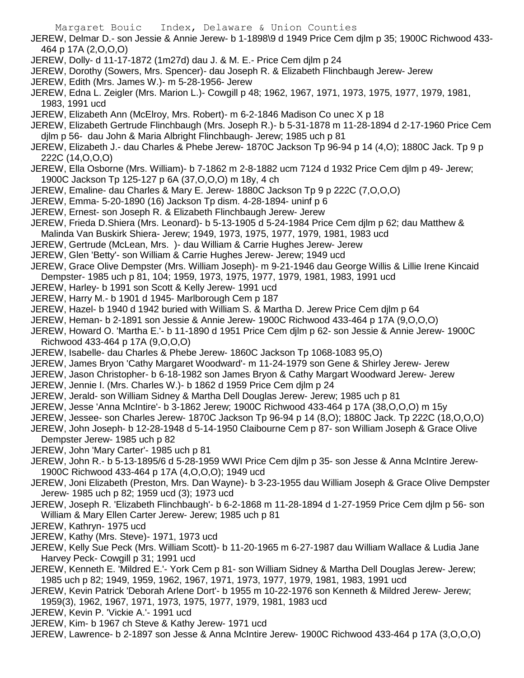Margaret Bouic Index, Delaware & Union Counties

JEREW, Delmar D.- son Jessie & Annie Jerew- b 1-1898\9 d 1949 Price Cem djlm p 35; 1900C Richwood 433- 464 p 17A (2,O,O,O)

- JEREW, Dolly- d 11-17-1872 (1m27d) dau J. & M. E.- Price Cem djlm p 24
- JEREW, Dorothy (Sowers, Mrs. Spencer)- dau Joseph R. & Elizabeth Flinchbaugh Jerew- Jerew
- JEREW, Edith (Mrs. James W.)- m 5-28-1956- Jerew
- JEREW, Edna L. Zeigler (Mrs. Marion L.)- Cowgill p 48; 1962, 1967, 1971, 1973, 1975, 1977, 1979, 1981, 1983, 1991 ucd
- JEREW, Elizabeth Ann (McElroy, Mrs. Robert)- m 6-2-1846 Madison Co unec X p 18
- JEREW, Elizabeth Gertrude Flinchbaugh (Mrs. Joseph R.)- b 5-31-1878 m 11-28-1894 d 2-17-1960 Price Cem djlm p 56- dau John & Maria Albright Flinchbaugh- Jerew; 1985 uch p 81
- JEREW, Elizabeth J.- dau Charles & Phebe Jerew- 1870C Jackson Tp 96-94 p 14 (4,O); 1880C Jack. Tp 9 p 222C (14,O,O,O)
- JEREW, Ella Osborne (Mrs. William)- b 7-1862 m 2-8-1882 ucm 7124 d 1932 Price Cem djlm p 49- Jerew; 1900C Jackson Tp 125-127 p 6A (37,O,O,O) m 18y, 4 ch
- JEREW, Emaline- dau Charles & Mary E. Jerew- 1880C Jackson Tp 9 p 222C (7,O,O,O)
- JEREW, Emma- 5-20-1890 (16) Jackson Tp dism. 4-28-1894- uninf p 6
- JEREW, Ernest- son Joseph R. & Elizabeth Flinchbaugh Jerew- Jerew
- JEREW, Frieda D.Shiera (Mrs. Leonard)- b 5-13-1905 d 5-24-1984 Price Cem djlm p 62; dau Matthew &
- Malinda Van Buskirk Shiera- Jerew; 1949, 1973, 1975, 1977, 1979, 1981, 1983 ucd
- JEREW, Gertrude (McLean, Mrs. )- dau William & Carrie Hughes Jerew- Jerew
- JEREW, Glen 'Betty'- son William & Carrie Hughes Jerew- Jerew; 1949 ucd
- JEREW, Grace Olive Dempster (Mrs. William Joseph)- m 9-21-1946 dau George Willis & Lillie Irene Kincaid Dempster- 1985 uch p 81, 104; 1959, 1973, 1975, 1977, 1979, 1981, 1983, 1991 ucd
- JEREW, Harley- b 1991 son Scott & Kelly Jerew- 1991 ucd
- JEREW, Harry M.- b 1901 d 1945- Marlborough Cem p 187
- JEREW, Hazel- b 1940 d 1942 buried with William S. & Martha D. Jerew Price Cem djlm p 64
- JEREW, Heman- b 2-1891 son Jessie & Annie Jerew- 1900C Richwood 433-464 p 17A (9,O,O,O)
- JEREW, Howard O. 'Martha E.'- b 11-1890 d 1951 Price Cem djlm p 62- son Jessie & Annie Jerew- 1900C Richwood 433-464 p 17A (9,O,O,O)
- JEREW, Isabelle- dau Charles & Phebe Jerew- 1860C Jackson Tp 1068-1083 95,O)
- JEREW, James Bryon 'Cathy Margaret Woodward'- m 11-24-1979 son Gene & Shirley Jerew- Jerew
- JEREW, Jason Christopher- b 6-18-1982 son James Bryon & Cathy Margart Woodward Jerew- Jerew
- JEREW, Jennie I. (Mrs. Charles W.)- b 1862 d 1959 Price Cem djlm p 24
- JEREW, Jerald- son William Sidney & Martha Dell Douglas Jerew- Jerew; 1985 uch p 81
- JEREW, Jesse 'Anna McIntire'- b 3-1862 Jerew; 1900C Richwood 433-464 p 17A (38,O,O,O) m 15y
- JEREW, Jessee- son Charles Jerew- 1870C Jackson Tp 96-94 p 14 (8,O); 1880C Jack. Tp 222C (18,O,O,O)
- JEREW, John Joseph- b 12-28-1948 d 5-14-1950 Claibourne Cem p 87- son William Joseph & Grace Olive Dempster Jerew- 1985 uch p 82
- JEREW, John 'Mary Carter'- 1985 uch p 81
- JEREW, John R.- b 5-13-1895/6 d 5-28-1959 WWI Price Cem djlm p 35- son Jesse & Anna McIntire Jerew-1900C Richwood 433-464 p 17A (4,O,O,O); 1949 ucd
- JEREW, Joni Elizabeth (Preston, Mrs. Dan Wayne)- b 3-23-1955 dau William Joseph & Grace Olive Dempster Jerew- 1985 uch p 82; 1959 ucd (3); 1973 ucd
- JEREW, Joseph R. 'Elizabeth Flinchbaugh'- b 6-2-1868 m 11-28-1894 d 1-27-1959 Price Cem djlm p 56- son William & Mary Ellen Carter Jerew- Jerew; 1985 uch p 81
- JEREW, Kathryn- 1975 ucd
- JEREW, Kathy (Mrs. Steve)- 1971, 1973 ucd
- JEREW, Kelly Sue Peck (Mrs. William Scott)- b 11-20-1965 m 6-27-1987 dau William Wallace & Ludia Jane Harvey Peck- Cowgill p 31; 1991 ucd
- JEREW, Kenneth E. 'Mildred E.'- York Cem p 81- son William Sidney & Martha Dell Douglas Jerew- Jerew; 1985 uch p 82; 1949, 1959, 1962, 1967, 1971, 1973, 1977, 1979, 1981, 1983, 1991 ucd
- JEREW, Kevin Patrick 'Deborah Arlene Dort'- b 1955 m 10-22-1976 son Kenneth & Mildred Jerew- Jerew; 1959(3), 1962, 1967, 1971, 1973, 1975, 1977, 1979, 1981, 1983 ucd
- JEREW, Kevin P. 'Vickie A.'- 1991 ucd
- JEREW, Kim- b 1967 ch Steve & Kathy Jerew- 1971 ucd
- JEREW, Lawrence- b 2-1897 son Jesse & Anna McIntire Jerew- 1900C Richwood 433-464 p 17A (3,O,O,O)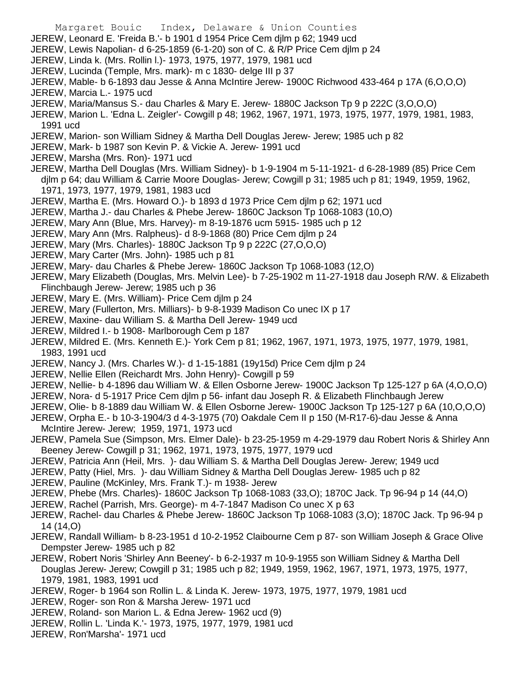- Margaret Bouic Index, Delaware & Union Counties JEREW, Leonard E. 'Freida B.'- b 1901 d 1954 Price Cem djlm p 62; 1949 ucd JEREW, Lewis Napolian- d 6-25-1859 (6-1-20) son of C. & R/P Price Cem djlm p 24 JEREW, Linda k. (Mrs. Rollin l.)- 1973, 1975, 1977, 1979, 1981 ucd JEREW, Lucinda (Temple, Mrs. mark)- m c 1830- delge III p 37 JEREW, Mable- b 6-1893 dau Jesse & Anna McIntire Jerew- 1900C Richwood 433-464 p 17A (6,O,O,O) JEREW, Marcia L.- 1975 ucd
- JEREW, Maria/Mansus S.- dau Charles & Mary E. Jerew- 1880C Jackson Tp 9 p 222C (3,O,O,O)
- JEREW, Marion L. 'Edna L. Zeigler'- Cowgill p 48; 1962, 1967, 1971, 1973, 1975, 1977, 1979, 1981, 1983, 1991 ucd
- JEREW, Marion- son William Sidney & Martha Dell Douglas Jerew- Jerew; 1985 uch p 82
- JEREW, Mark- b 1987 son Kevin P. & Vickie A. Jerew- 1991 ucd
- JEREW, Marsha (Mrs. Ron)- 1971 ucd
- JEREW, Martha Dell Douglas (Mrs. William Sidney)- b 1-9-1904 m 5-11-1921- d 6-28-1989 (85) Price Cem djlm p 64; dau William & Carrie Moore Douglas- Jerew; Cowgill p 31; 1985 uch p 81; 1949, 1959, 1962, 1971, 1973, 1977, 1979, 1981, 1983 ucd
- JEREW, Martha E. (Mrs. Howard O.)- b 1893 d 1973 Price Cem djlm p 62; 1971 ucd
- JEREW, Martha J.- dau Charles & Phebe Jerew- 1860C Jackson Tp 1068-1083 (10,O)
- JEREW, Mary Ann (Blue, Mrs. Harvey)- m 8-19-1876 ucm 5915- 1985 uch p 12
- JEREW, Mary Ann (Mrs. Ralpheus)- d 8-9-1868 (80) Price Cem djlm p 24
- JEREW, Mary (Mrs. Charles)- 1880C Jackson Tp 9 p 222C (27,O,O,O)
- JEREW, Mary Carter (Mrs. John)- 1985 uch p 81
- JEREW, Mary- dau Charles & Phebe Jerew- 1860C Jackson Tp 1068-1083 (12,O)
- JEREW, Mary Elizabeth (Douglas, Mrs. Melvin Lee)- b 7-25-1902 m 11-27-1918 dau Joseph R/W. & Elizabeth Flinchbaugh Jerew- Jerew; 1985 uch p 36
- JEREW, Mary E. (Mrs. William)- Price Cem djlm p 24
- JEREW, Mary (Fullerton, Mrs. Milliars)- b 9-8-1939 Madison Co unec IX p 17
- JEREW, Maxine- dau William S. & Martha Dell Jerew- 1949 ucd
- JEREW, Mildred I.- b 1908- Marlborough Cem p 187
- JEREW, Mildred E. (Mrs. Kenneth E.)- York Cem p 81; 1962, 1967, 1971, 1973, 1975, 1977, 1979, 1981, 1983, 1991 ucd
- JEREW, Nancy J. (Mrs. Charles W.)- d 1-15-1881 (19y15d) Price Cem djlm p 24
- JEREW, Nellie Ellen (Reichardt Mrs. John Henry)- Cowgill p 59
- JEREW, Nellie- b 4-1896 dau William W. & Ellen Osborne Jerew- 1900C Jackson Tp 125-127 p 6A (4,O,O,O)
- JEREW, Nora- d 5-1917 Price Cem djlm p 56- infant dau Joseph R. & Elizabeth Flinchbaugh Jerew
- JEREW, Olie- b 8-1889 dau William W. & Ellen Osborne Jerew- 1900C Jackson Tp 125-127 p 6A (10,O,O,O)
- JEREW, Orpha E.- b 10-3-1904/3 d 4-3-1975 (70) Oakdale Cem II p 150 (M-R17-6)-dau Jesse & Anna McIntire Jerew- Jerew; 1959, 1971, 1973 ucd
- JEREW, Pamela Sue (Simpson, Mrs. Elmer Dale)- b 23-25-1959 m 4-29-1979 dau Robert Noris & Shirley Ann Beeney Jerew- Cowgill p 31; 1962, 1971, 1973, 1975, 1977, 1979 ucd
- JEREW, Patricia Ann (Heil, Mrs. )- dau William S. & Martha Dell Douglas Jerew- Jerew; 1949 ucd
- JEREW, Patty (Hiel, Mrs. )- dau William Sidney & Martha Dell Douglas Jerew- 1985 uch p 82
- JEREW, Pauline (McKinley, Mrs. Frank T.)- m 1938- Jerew
- JEREW, Phebe (Mrs. Charles)- 1860C Jackson Tp 1068-1083 (33,O); 1870C Jack. Tp 96-94 p 14 (44,O)
- JEREW, Rachel (Parrish, Mrs. George)- m 4-7-1847 Madison Co unec X p 63
- JEREW, Rachel- dau Charles & Phebe Jerew- 1860C Jackson Tp 1068-1083 (3,O); 1870C Jack. Tp 96-94 p 14 (14,O)
- JEREW, Randall William- b 8-23-1951 d 10-2-1952 Claibourne Cem p 87- son William Joseph & Grace Olive Dempster Jerew- 1985 uch p 82
- JEREW, Robert Noris 'Shirley Ann Beeney'- b 6-2-1937 m 10-9-1955 son William Sidney & Martha Dell Douglas Jerew- Jerew; Cowgill p 31; 1985 uch p 82; 1949, 1959, 1962, 1967, 1971, 1973, 1975, 1977, 1979, 1981, 1983, 1991 ucd
- JEREW, Roger- b 1964 son Rollin L. & Linda K. Jerew- 1973, 1975, 1977, 1979, 1981 ucd
- JEREW, Roger- son Ron & Marsha Jerew- 1971 ucd
- JEREW, Roland- son Marion L. & Edna Jerew- 1962 ucd (9)
- JEREW, Rollin L. 'Linda K.'- 1973, 1975, 1977, 1979, 1981 ucd
- JEREW, Ron'Marsha'- 1971 ucd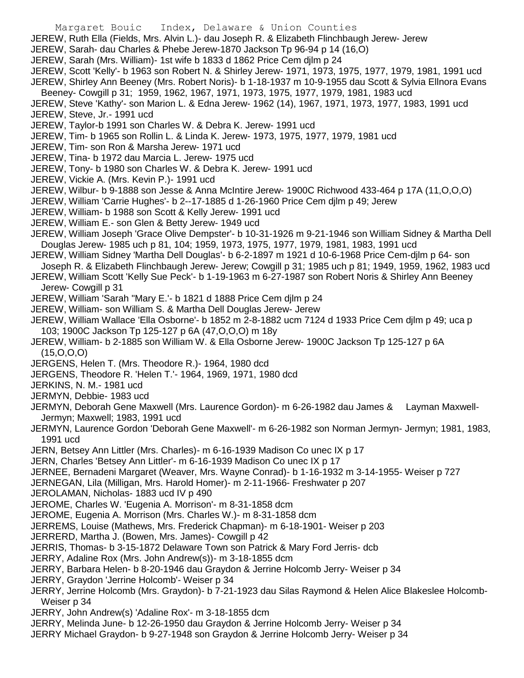Margaret Bouic Index, Delaware & Union Counties

JEREW, Ruth Ella (Fields, Mrs. Alvin L.)- dau Joseph R. & Elizabeth Flinchbaugh Jerew- Jerew

- JEREW, Sarah- dau Charles & Phebe Jerew-1870 Jackson Tp 96-94 p 14 (16,O)
- JEREW, Sarah (Mrs. William)- 1st wife b 1833 d 1862 Price Cem djlm p 24

JEREW, Scott 'Kelly'- b 1963 son Robert N. & Shirley Jerew- 1971, 1973, 1975, 1977, 1979, 1981, 1991 ucd JEREW, Shirley Ann Beeney (Mrs. Robert Noris)- b 1-18-1937 m 10-9-1955 dau Scott & Sylvia Ellnora Evans

- Beeney- Cowgill p 31; 1959, 1962, 1967, 1971, 1973, 1975, 1977, 1979, 1981, 1983 ucd
- JEREW, Steve 'Kathy'- son Marion L. & Edna Jerew- 1962 (14), 1967, 1971, 1973, 1977, 1983, 1991 ucd JEREW, Steve, Jr.- 1991 ucd
- JEREW, Taylor-b 1991 son Charles W. & Debra K. Jerew- 1991 ucd
- JEREW, Tim- b 1965 son Rollin L. & Linda K. Jerew- 1973, 1975, 1977, 1979, 1981 ucd
- JEREW, Tim- son Ron & Marsha Jerew- 1971 ucd
- JEREW, Tina- b 1972 dau Marcia L. Jerew- 1975 ucd
- JEREW, Tony- b 1980 son Charles W. & Debra K. Jerew- 1991 ucd
- JEREW, Vickie A. (Mrs. Kevin P.)- 1991 ucd
- JEREW, Wilbur- b 9-1888 son Jesse & Anna McIntire Jerew- 1900C Richwood 433-464 p 17A (11,O,O,O)
- JEREW, William 'Carrie Hughes'- b 2--17-1885 d 1-26-1960 Price Cem djlm p 49; Jerew
- JEREW, William- b 1988 son Scott & Kelly Jerew- 1991 ucd
- JEREW, William E.- son Glen & Betty Jerew- 1949 ucd
- JEREW, William Joseph 'Grace Olive Dempster'- b 10-31-1926 m 9-21-1946 son William Sidney & Martha Dell Douglas Jerew- 1985 uch p 81, 104; 1959, 1973, 1975, 1977, 1979, 1981, 1983, 1991 ucd
- JEREW, William Sidney 'Martha Dell Douglas'- b 6-2-1897 m 1921 d 10-6-1968 Price Cem-djlm p 64- son Joseph R. & Elizabeth Flinchbaugh Jerew- Jerew; Cowgill p 31; 1985 uch p 81; 1949, 1959, 1962, 1983 ucd

JEREW, William Scott 'Kelly Sue Peck'- b 1-19-1963 m 6-27-1987 son Robert Noris & Shirley Ann Beeney Jerew- Cowgill p 31

- JEREW, William 'Sarah ''Mary E.'- b 1821 d 1888 Price Cem djlm p 24
- JEREW, William- son William S. & Martha Dell Douglas Jerew- Jerew
- JEREW, William Wallace 'Ella Osborne'- b 1852 m 2-8-1882 ucm 7124 d 1933 Price Cem djlm p 49; uca p 103; 1900C Jackson Tp 125-127 p 6A (47,O,O,O) m 18y
- JEREW, William- b 2-1885 son William W. & Ella Osborne Jerew- 1900C Jackson Tp 125-127 p 6A (15,O,O,O)
- JERGENS, Helen T. (Mrs. Theodore R.)- 1964, 1980 dcd
- JERGENS, Theodore R. 'Helen T.'- 1964, 1969, 1971, 1980 dcd
- JERKINS, N. M.- 1981 ucd
- JERMYN, Debbie- 1983 ucd
- JERMYN, Deborah Gene Maxwell (Mrs. Laurence Gordon)- m 6-26-1982 dau James & Layman Maxwell-Jermyn; Maxwell; 1983, 1991 ucd
- JERMYN, Laurence Gordon 'Deborah Gene Maxwell'- m 6-26-1982 son Norman Jermyn- Jermyn; 1981, 1983, 1991 ucd
- JERN, Betsey Ann Littler (Mrs. Charles)- m 6-16-1939 Madison Co unec IX p 17
- JERN, Charles 'Betsey Ann Littler'- m 6-16-1939 Madison Co unec IX p 17
- JERNEE, Bernadeni Margaret (Weaver, Mrs. Wayne Conrad)- b 1-16-1932 m 3-14-1955- Weiser p 727
- JERNEGAN, Lila (Milligan, Mrs. Harold Homer)- m 2-11-1966- Freshwater p 207
- JEROLAMAN, Nicholas- 1883 ucd IV p 490
- JEROME, Charles W. 'Eugenia A. Morrison'- m 8-31-1858 dcm
- JEROME, Eugenia A. Morrison (Mrs. Charles W.)- m 8-31-1858 dcm
- JERREMS, Louise (Mathews, Mrs. Frederick Chapman)- m 6-18-1901- Weiser p 203
- JERRERD, Martha J. (Bowen, Mrs. James)- Cowgill p 42
- JERRIS, Thomas- b 3-15-1872 Delaware Town son Patrick & Mary Ford Jerris- dcb
- JERRY, Adaline Rox (Mrs. John Andrew(s))- m 3-18-1855 dcm
- JERRY, Barbara Helen- b 8-20-1946 dau Graydon & Jerrine Holcomb Jerry- Weiser p 34
- JERRY, Graydon 'Jerrine Holcomb'- Weiser p 34
- JERRY, Jerrine Holcomb (Mrs. Graydon)- b 7-21-1923 dau Silas Raymond & Helen Alice Blakeslee Holcomb-Weiser p 34
- JERRY, John Andrew(s) 'Adaline Rox'- m 3-18-1855 dcm
- JERRY, Melinda June- b 12-26-1950 dau Graydon & Jerrine Holcomb Jerry- Weiser p 34
- JERRY Michael Graydon- b 9-27-1948 son Graydon & Jerrine Holcomb Jerry- Weiser p 34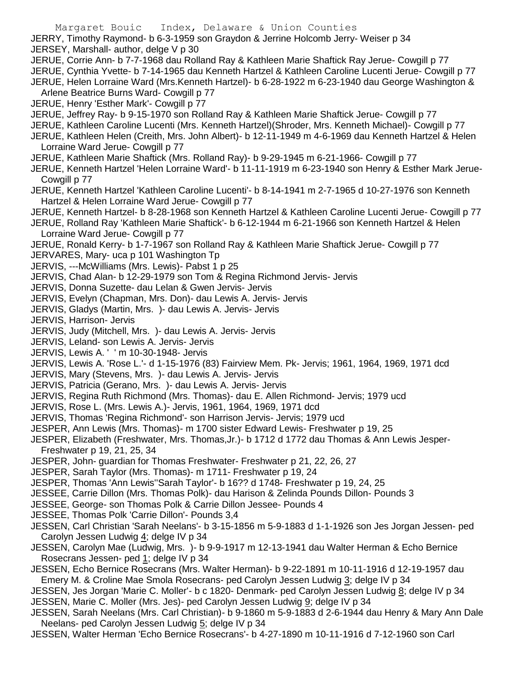- Margaret Bouic Index, Delaware & Union Counties JERRY, Timothy Raymond- b 6-3-1959 son Graydon & Jerrine Holcomb Jerry- Weiser p 34 JERSEY, Marshall- author, delge V p 30 JERUE, Corrie Ann- b 7-7-1968 dau Rolland Ray & Kathleen Marie Shaftick Ray Jerue- Cowgill p 77 JERUE, Cynthia Yvette- b 7-14-1965 dau Kenneth Hartzel & Kathleen Caroline Lucenti Jerue- Cowgill p 77 JERUE, Helen Lorraine Ward (Mrs.Kenneth Hartzel)- b 6-28-1922 m 6-23-1940 dau George Washington & Arlene Beatrice Burns Ward- Cowgill p 77 JERUE, Henry 'Esther Mark'- Cowgill p 77 JERUE, Jeffrey Ray- b 9-15-1970 son Rolland Ray & Kathleen Marie Shaftick Jerue- Cowgill p 77 JERUE, Kathleen Caroline Lucenti (Mrs. Kenneth Hartzel)(Shroder, Mrs. Kenneth Michael)- Cowgill p 77 JERUE, Kathleen Helen (Creith, Mrs. John Albert)- b 12-11-1949 m 4-6-1969 dau Kenneth Hartzel & Helen Lorraine Ward Jerue- Cowgill p 77 JERUE, Kathleen Marie Shaftick (Mrs. Rolland Ray)- b 9-29-1945 m 6-21-1966- Cowgill p 77 JERUE, Kenneth Hartzel 'Helen Lorraine Ward'- b 11-11-1919 m 6-23-1940 son Henry & Esther Mark Jerue-Cowgill p 77 JERUE, Kenneth Hartzel 'Kathleen Caroline Lucenti'- b 8-14-1941 m 2-7-1965 d 10-27-1976 son Kenneth Hartzel & Helen Lorraine Ward Jerue- Cowgill p 77 JERUE, Kenneth Hartzel- b 8-28-1968 son Kenneth Hartzel & Kathleen Caroline Lucenti Jerue- Cowgill p 77 JERUE, Rolland Ray 'Kathleen Marie Shaftick'- b 6-12-1944 m 6-21-1966 son Kenneth Hartzel & Helen Lorraine Ward Jerue- Cowgill p 77 JERUE, Ronald Kerry- b 1-7-1967 son Rolland Ray & Kathleen Marie Shaftick Jerue- Cowgill p 77 JERVARES, Mary- uca p 101 Washington Tp JERVIS, ---McWilliams (Mrs. Lewis)- Pabst 1 p 25 JERVIS, Chad Alan- b 12-29-1979 son Tom & Regina Richmond Jervis- Jervis JERVIS, Donna Suzette- dau Lelan & Gwen Jervis- Jervis
- JERVIS, Evelyn (Chapman, Mrs. Don)- dau Lewis A. Jervis- Jervis
- JERVIS, Gladys (Martin, Mrs. )- dau Lewis A. Jervis- Jervis
- JERVIS, Harrison- Jervis
- JERVIS, Judy (Mitchell, Mrs. )- dau Lewis A. Jervis- Jervis
- JERVIS, Leland- son Lewis A. Jervis- Jervis
- JERVIS, Lewis A. ' ' m 10-30-1948- Jervis
- JERVIS, Lewis A. 'Rose L.'- d 1-15-1976 (83) Fairview Mem. Pk- Jervis; 1961, 1964, 1969, 1971 dcd
- JERVIS, Mary (Stevens, Mrs. )- dau Lewis A. Jervis- Jervis
- JERVIS, Patricia (Gerano, Mrs. )- dau Lewis A. Jervis- Jervis
- JERVIS, Regina Ruth Richmond (Mrs. Thomas)- dau E. Allen Richmond- Jervis; 1979 ucd
- JERVIS, Rose L. (Mrs. Lewis A.)- Jervis, 1961, 1964, 1969, 1971 dcd
- JERVIS, Thomas 'Regina Richmond'- son Harrison Jervis- Jervis; 1979 ucd
- JESPER, Ann Lewis (Mrs. Thomas)- m 1700 sister Edward Lewis- Freshwater p 19, 25
- JESPER, Elizabeth (Freshwater, Mrs. Thomas,Jr.)- b 1712 d 1772 dau Thomas & Ann Lewis Jesper-Freshwater p 19, 21, 25, 34
- JESPER, John- guardian for Thomas Freshwater- Freshwater p 21, 22, 26, 27
- JESPER, Sarah Taylor (Mrs. Thomas)- m 1711- Freshwater p 19, 24
- JESPER, Thomas 'Ann Lewis''Sarah Taylor'- b 16?? d 1748- Freshwater p 19, 24, 25
- JESSEE, Carrie Dillon (Mrs. Thomas Polk)- dau Harison & Zelinda Pounds Dillon- Pounds 3
- JESSEE, George- son Thomas Polk & Carrie Dillon Jessee- Pounds 4
- JESSEE, Thomas Polk 'Carrie Dillon'- Pounds 3,4
- JESSEN, Carl Christian 'Sarah Neelans'- b 3-15-1856 m 5-9-1883 d 1-1-1926 son Jes Jorgan Jessen- ped Carolyn Jessen Ludwig 4; delge IV p 34
- JESSEN, Carolyn Mae (Ludwig, Mrs. )- b 9-9-1917 m 12-13-1941 dau Walter Herman & Echo Bernice Rosecrans Jessen- ped 1; delge IV p 34
- JESSEN, Echo Bernice Rosecrans (Mrs. Walter Herman)- b 9-22-1891 m 10-11-1916 d 12-19-1957 dau Emery M. & Croline Mae Smola Rosecrans- ped Carolyn Jessen Ludwig 3; delge IV p 34
- JESSEN, Jes Jorgan 'Marie C. Moller'- b c 1820- Denmark- ped Carolyn Jessen Ludwig 8; delge IV p 34 JESSEN, Marie C. Moller (Mrs. Jes)- ped Carolyn Jessen Ludwig 9; delge IV p 34
- 
- JESSEN, Sarah Neelans (Mrs. Carl Christian)- b 9-1860 m 5-9-1883 d 2-6-1944 dau Henry & Mary Ann Dale Neelans- ped Carolyn Jessen Ludwig 5; delge IV p 34
- JESSEN, Walter Herman 'Echo Bernice Rosecrans'- b 4-27-1890 m 10-11-1916 d 7-12-1960 son Carl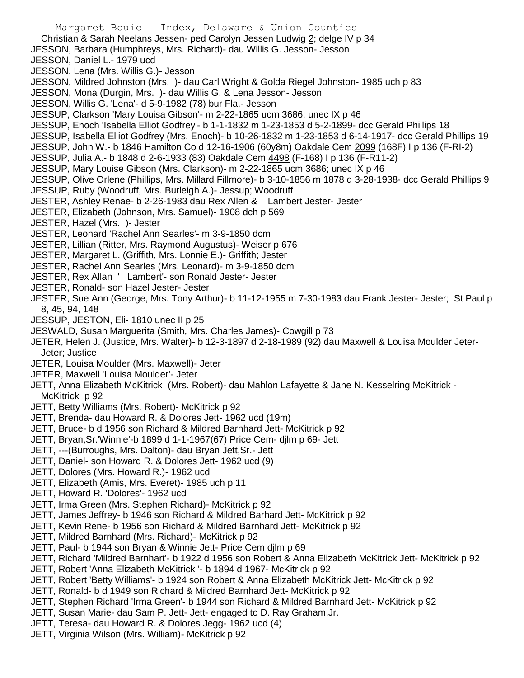Margaret Bouic Index, Delaware & Union Counties Christian & Sarah Neelans Jessen- ped Carolyn Jessen Ludwig 2; delge IV p 34 JESSON, Barbara (Humphreys, Mrs. Richard)- dau Willis G. Jesson- Jesson JESSON, Daniel L.- 1979 ucd JESSON, Lena (Mrs. Willis G.)- Jesson JESSON, Mildred Johnston (Mrs. )- dau Carl Wright & Golda Riegel Johnston- 1985 uch p 83 JESSON, Mona (Durgin, Mrs. )- dau Willis G. & Lena Jesson- Jesson JESSON, Willis G. 'Lena'- d 5-9-1982 (78) bur Fla.- Jesson JESSUP, Clarkson 'Mary Louisa Gibson'- m 2-22-1865 ucm 3686; unec IX p 46 JESSUP, Enoch 'Isabella Elliot Godfrey'- b 1-1-1832 m 1-23-1853 d 5-2-1899- dcc Gerald Phillips 18 JESSUP, Isabella Elliot Godfrey (Mrs. Enoch)- b 10-26-1832 m 1-23-1853 d 6-14-1917- dcc Gerald Phillips 19 JESSUP, John W.- b 1846 Hamilton Co d 12-16-1906 (60y8m) Oakdale Cem 2099 (168F) I p 136 (F-RI-2) JESSUP, Julia A.- b 1848 d 2-6-1933 (83) Oakdale Cem 4498 (F-168) I p 136 (F-R11-2) JESSUP, Mary Louise Gibson (Mrs. Clarkson)- m 2-22-1865 ucm 3686; unec IX p 46 JESSUP, Olive Orlene (Phillips, Mrs. Millard Fillmore)- b 3-10-1856 m 1878 d 3-28-1938- dcc Gerald Phillips 9 JESSUP, Ruby (Woodruff, Mrs. Burleigh A.)- Jessup; Woodruff JESTER, Ashley Renae- b 2-26-1983 dau Rex Allen & Lambert Jester- Jester JESTER, Elizabeth (Johnson, Mrs. Samuel)- 1908 dch p 569 JESTER, Hazel (Mrs. )- Jester JESTER, Leonard 'Rachel Ann Searles'- m 3-9-1850 dcm JESTER, Lillian (Ritter, Mrs. Raymond Augustus)- Weiser p 676 JESTER, Margaret L. (Griffith, Mrs. Lonnie E.)- Griffith; Jester JESTER, Rachel Ann Searles (Mrs. Leonard)- m 3-9-1850 dcm JESTER, Rex Allan ' Lambert'- son Ronald Jester- Jester JESTER, Ronald- son Hazel Jester- Jester JESTER, Sue Ann (George, Mrs. Tony Arthur)- b 11-12-1955 m 7-30-1983 dau Frank Jester- Jester; St Paul p 8, 45, 94, 148 JESSUP, JESTON, Eli- 1810 unec II p 25 JESWALD, Susan Marguerita (Smith, Mrs. Charles James)- Cowgill p 73 JETER, Helen J. (Justice, Mrs. Walter)- b 12-3-1897 d 2-18-1989 (92) dau Maxwell & Louisa Moulder Jeter-Jeter; Justice JETER, Louisa Moulder (Mrs. Maxwell)- Jeter JETER, Maxwell 'Louisa Moulder'- Jeter JETT, Anna Elizabeth McKitrick (Mrs. Robert)- dau Mahlon Lafayette & Jane N. Kesselring McKitrick - McKitrick p 92 JETT, Betty Williams (Mrs. Robert)- McKitrick p 92 JETT, Brenda- dau Howard R. & Dolores Jett- 1962 ucd (19m) JETT, Bruce- b d 1956 son Richard & Mildred Barnhard Jett- McKitrick p 92 JETT, Bryan,Sr.'Winnie'-b 1899 d 1-1-1967(67) Price Cem- djlm p 69- Jett JETT, ---(Burroughs, Mrs. Dalton)- dau Bryan Jett,Sr.- Jett JETT, Daniel- son Howard R. & Dolores Jett- 1962 ucd (9) JETT, Dolores (Mrs. Howard R.)- 1962 ucd JETT, Elizabeth (Amis, Mrs. Everet)- 1985 uch p 11 JETT, Howard R. 'Dolores'- 1962 ucd

- JETT, Irma Green (Mrs. Stephen Richard)- McKitrick p 92
- JETT, James Jeffrey- b 1946 son Richard & Mildred Barhard Jett- McKitrick p 92
- JETT, Kevin Rene- b 1956 son Richard & Mildred Barnhard Jett- McKitrick p 92
- JETT, Mildred Barnhard (Mrs. Richard)- McKitrick p 92
- JETT, Paul- b 1944 son Bryan & Winnie Jett- Price Cem djlm p 69
- JETT, Richard 'Mildred Barnhart'- b 1922 d 1956 son Robert & Anna Elizabeth McKitrick Jett- McKitrick p 92
- JETT, Robert 'Anna Elizabeth McKitrick '- b 1894 d 1967- McKitrick p 92
- JETT, Robert 'Betty Williams'- b 1924 son Robert & Anna Elizabeth McKitrick Jett- McKitrick p 92
- JETT, Ronald- b d 1949 son Richard & Mildred Barnhard Jett- McKitrick p 92
- JETT, Stephen Richard 'Irma Green'- b 1944 son Richard & Mildred Barnhard Jett- McKitrick p 92
- JETT, Susan Marie- dau Sam P. Jett- Jett- engaged to D. Ray Graham,Jr.
- JETT, Teresa- dau Howard R. & Dolores Jegg- 1962 ucd (4)
- JETT, Virginia Wilson (Mrs. William)- McKitrick p 92